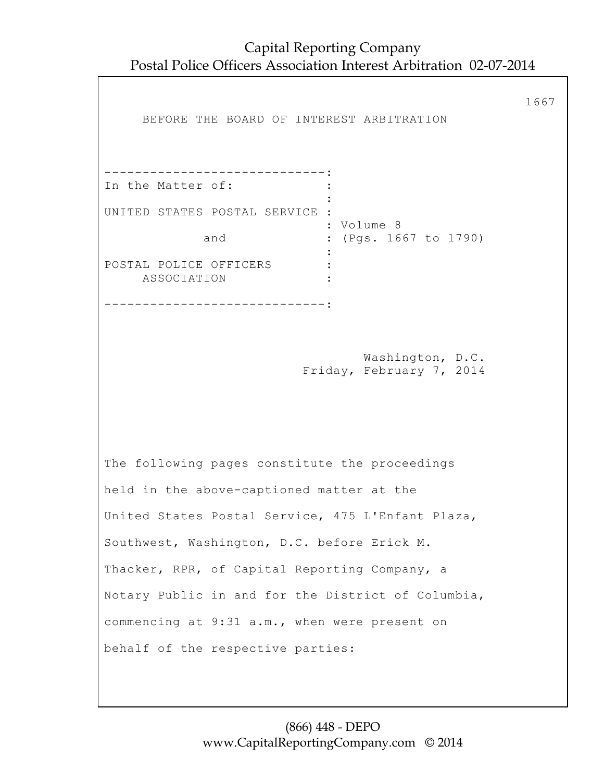Capital Reporting Company Postal Police Officers Association Interest Arbitration 02-07-2014

1667 BEFORE THE BOARD OF INTEREST ARBITRATION -----------------------------: In the Matter of:  $\cdot$  : the contract of the contract of the contract of the contract of the contract of the contract of the contract of UNITED STATES POSTAL SERVICE : : Volume 8 : (Pgs. 1667 to 1790) and :<br>: POSTAL POLICE OFFICERS : ASSOCIATION : -----------------------------: Washington, D.C. Friday, February 7, 2014 The following pages constitute the proceedings held in the above-captioned matter at the United States Postal Service, 475 L'Enfant Plaza, Southwest, Washington, D.C. before Erick M. Thacker, RPR, of Capital Reporting Company, a Notary Public in and for the District of Columbia, commencing at 9:31 a.m., when were present on behalf of the respective parties: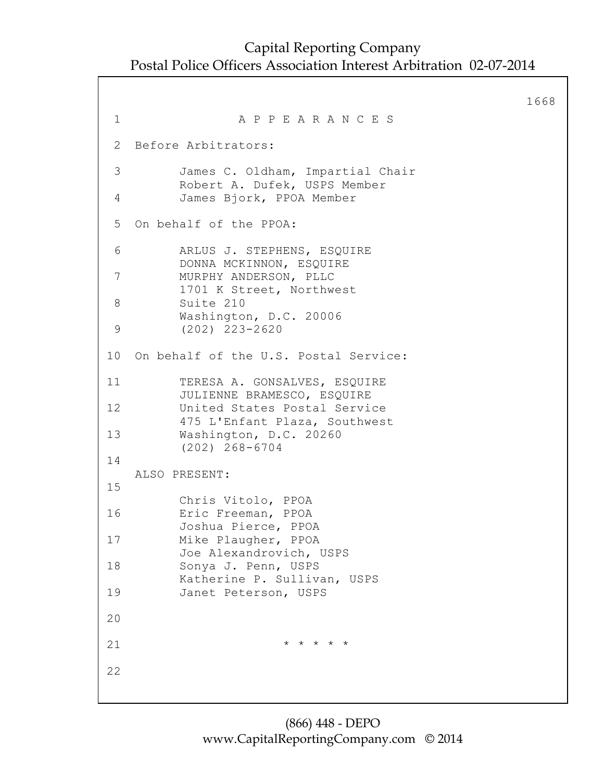```
1668
1 A P P E A R A N C E S
2 Before Arbitrators:
 3 James C. Oldham, Impartial Chair
          Robert A. Dufek, USPS Member
 4 James Bjork, PPOA Member
5 On behalf of the PPOA:
 6 ARLUS J. STEPHENS, ESQUIRE
         DONNA MCKINNON, ESQUIRE
7 MURPHY ANDERSON, PLLC
         1701 K Street, Northwest
 8 Suite 210
         Washington, D.C. 20006
9 (202) 223-2620
10 On behalf of the U.S. Postal Service:
11 TERESA A. GONSALVES, ESQUIRE
          JULIENNE BRAMESCO, ESQUIRE
12 United States Postal Service
          475 L'Enfant Plaza, Southwest
13 Washington, D.C. 20260
          (202) 268-6704
14
   ALSO PRESENT:
15
          Chris Vitolo, PPOA
16 Eric Freeman, PPOA
          Joshua Pierce, PPOA
17 Mike Plaugher, PPOA
          Joe Alexandrovich, USPS
18 Sonya J. Penn, USPS
         Katherine P. Sullivan, USPS
19 Janet Peterson, USPS
20
21 \star \star \star \star \star \star22
```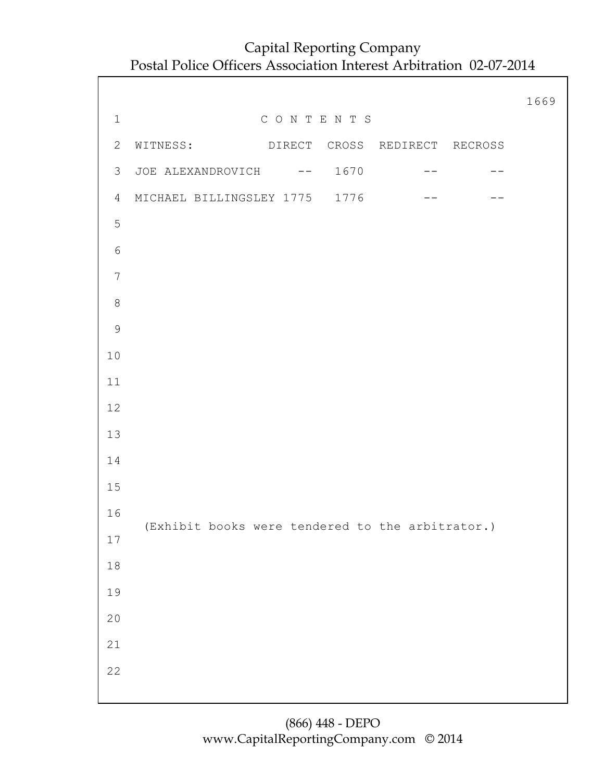|                  |                                                    | 1669 |
|------------------|----------------------------------------------------|------|
| $1\,$            | CONTENTS                                           |      |
| $\mathbf{2}$     | WITNESS: DIRECT CROSS REDIRECT RECROSS             |      |
| 3                | JOE ALEXANDROVICH -- 1670<br>$- -$                 |      |
| 4                | MICHAEL BILLINGSLEY 1775 1776<br>$\qquad \qquad -$ |      |
| 5                |                                                    |      |
| $\epsilon$       |                                                    |      |
| $\boldsymbol{7}$ |                                                    |      |
| $\,8\,$          |                                                    |      |
| 9                |                                                    |      |
| 10               |                                                    |      |
| 11               |                                                    |      |
| 12               |                                                    |      |
| 13               |                                                    |      |
| 14               |                                                    |      |
| 15               |                                                    |      |
| 16               |                                                    |      |
| $17$             | (Exhibit books were tendered to the arbitrator.)   |      |
| $1\,8$           |                                                    |      |
| 19               |                                                    |      |
| $20$             |                                                    |      |
| $2\sqrt{1}$      |                                                    |      |
| 22               |                                                    |      |
|                  |                                                    |      |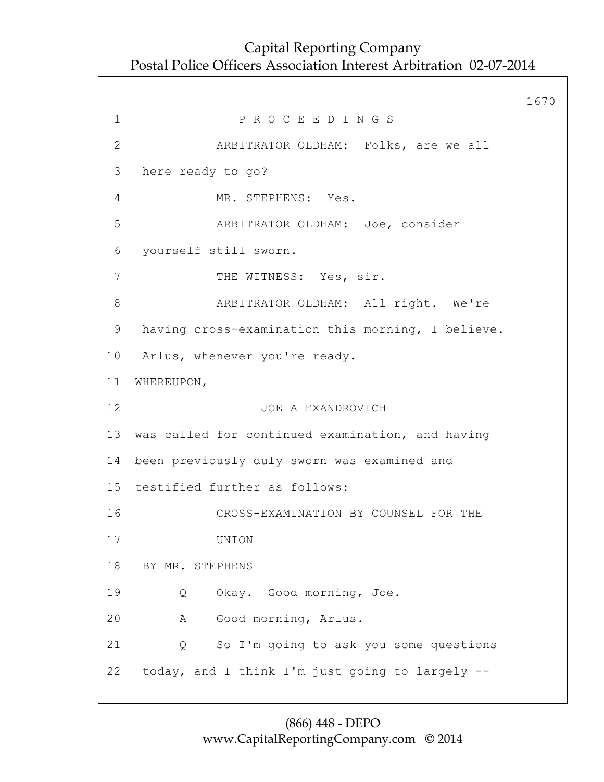1670 1 P R O C E E D I N G S 2 ARBITRATOR OLDHAM: Folks, are we all 3 here ready to go? 4 MR. STEPHENS: Yes. 5 ARBITRATOR OLDHAM: Joe, consider 6 yourself still sworn. 7 THE WITNESS: Yes, sir. 8 ARBITRATOR OLDHAM: All right. We're 9 having cross-examination this morning, I believe. 10 Arlus, whenever you're ready. 11 WHEREUPON, 12 JOE ALEXANDROVICH 13 was called for continued examination, and having 14 been previously duly sworn was examined and 15 testified further as follows: 16 CROSS-EXAMINATION BY COUNSEL FOR THE 17 UNION 18 BY MR. STEPHENS 19 Q Okay. Good morning, Joe. 20 A Good morning, Arlus. 21 Q So I'm going to ask you some questions 22 today, and I think I'm just going to largely --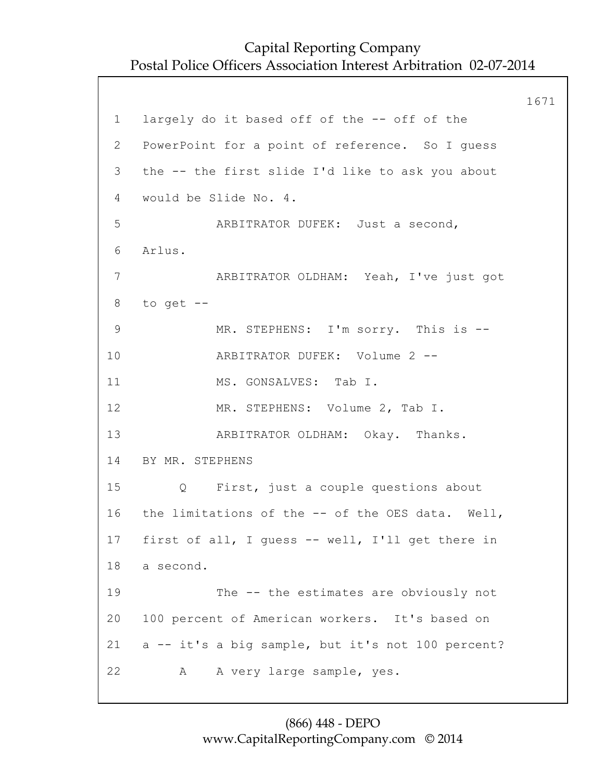1671 1 largely do it based off of the -- off of the 2 PowerPoint for a point of reference. So I guess 3 the -- the first slide I'd like to ask you about 4 would be Slide No. 4. 5 ARBITRATOR DUFEK: Just a second, 6 Arlus. 7 ARBITRATOR OLDHAM: Yeah, I've just got 8 to get -- 9 MR. STEPHENS: I'm sorry. This is -- 10 ARBITRATOR DUFEK: Volume 2 -- 11 MS. GONSALVES: Tab I. 12 MR. STEPHENS: Volume 2, Tab I. 13 ARBITRATOR OLDHAM: Okay. Thanks. 14 BY MR. STEPHENS 15 Q First, just a couple questions about 16 the limitations of the -- of the OES data. Well, 17 first of all, I guess -- well, I'll get there in 18 a second. 19 The -- the estimates are obviously not 20 100 percent of American workers. It's based on 21 a -- it's a big sample, but it's not 100 percent? 22 A A very large sample, yes.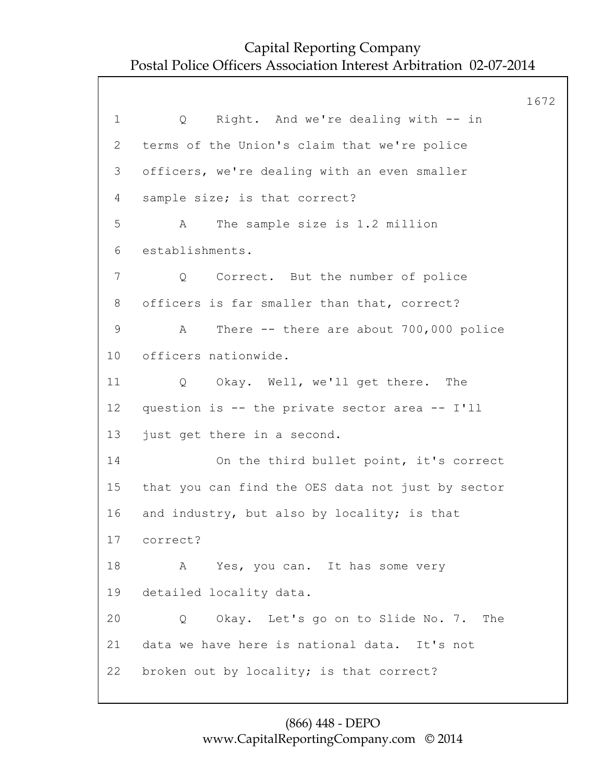1672 1 Q Right. And we're dealing with -- in 2 terms of the Union's claim that we're police 3 officers, we're dealing with an even smaller 4 sample size; is that correct? 5 A The sample size is 1.2 million 6 establishments. 7 Q Correct. But the number of police 8 officers is far smaller than that, correct? 9 A There -- there are about 700,000 police 10 officers nationwide. 11 Q Okay. Well, we'll get there. The 12 question is -- the private sector area -- I'll 13 just get there in a second. 14 On the third bullet point, it's correct 15 that you can find the OES data not just by sector 16 and industry, but also by locality; is that 17 correct? 18 A Yes, you can. It has some very 19 detailed locality data. 20 Q Okay. Let's go on to Slide No. 7. The 21 data we have here is national data. It's not 22 broken out by locality; is that correct?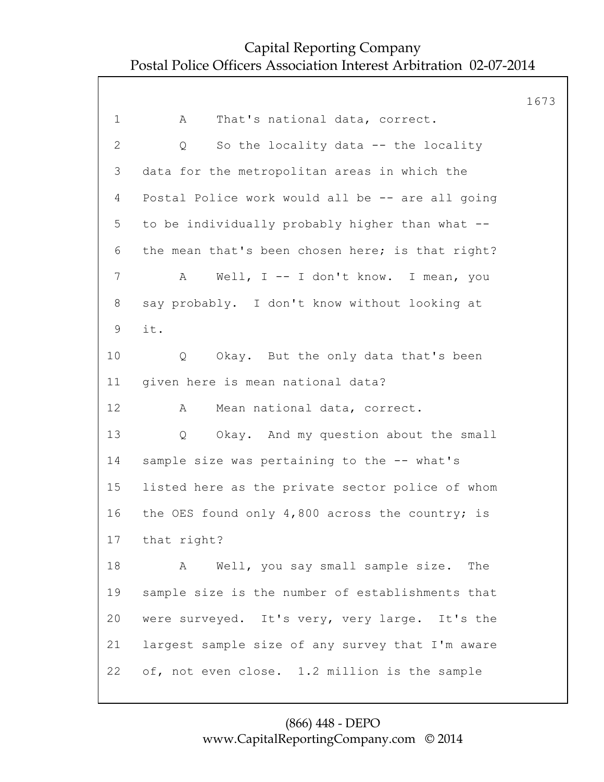1673 1 A That's national data, correct. 2 Q So the locality data -- the locality 3 data for the metropolitan areas in which the 4 Postal Police work would all be -- are all going 5 to be individually probably higher than what -- 6 the mean that's been chosen here; is that right? 7 A Well, I -- I don't know. I mean, you 8 say probably. I don't know without looking at 9 it. 10 Q Okay. But the only data that's been 11 given here is mean national data? 12 A Mean national data, correct. 13 Q Okay. And my question about the small 14 sample size was pertaining to the -- what's 15 listed here as the private sector police of whom 16 the OES found only 4,800 across the country; is 17 that right? 18 A Well, you say small sample size. The 19 sample size is the number of establishments that 20 were surveyed. It's very, very large. It's the 21 largest sample size of any survey that I'm aware 22 of, not even close. 1.2 million is the sample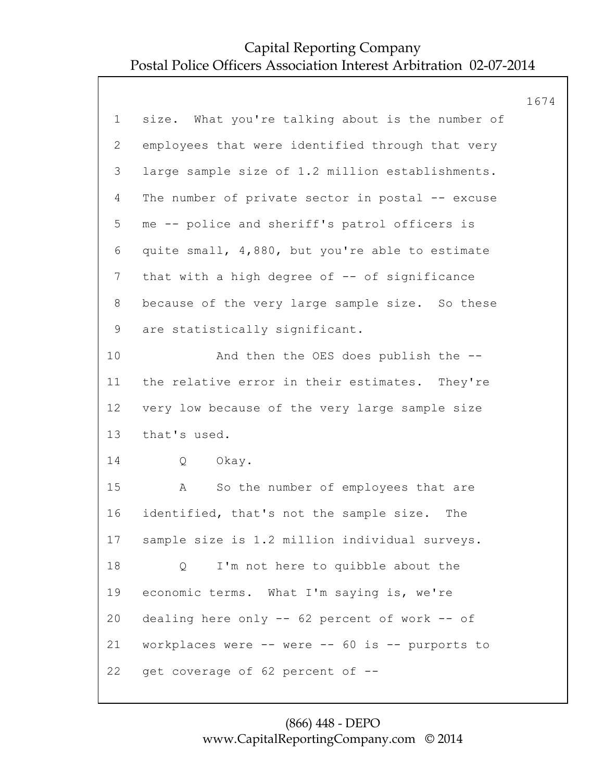|                 |                                                  | 1674 |
|-----------------|--------------------------------------------------|------|
| $\mathbf 1$     | size. What you're talking about is the number of |      |
| 2               | employees that were identified through that very |      |
| 3               | large sample size of 1.2 million establishments. |      |
| 4               | The number of private sector in postal -- excuse |      |
| 5               | me -- police and sheriff's patrol officers is    |      |
| 6               | quite small, 4,880, but you're able to estimate  |      |
| $7\phantom{.0}$ | that with a high degree of -- of significance    |      |
| 8               | because of the very large sample size. So these  |      |
| 9               | are statistically significant.                   |      |
| 10              | And then the OES does publish the --             |      |
| 11              | the relative error in their estimates. They're   |      |
| 12 <sup>°</sup> | very low because of the very large sample size   |      |
| 13              | that's used.                                     |      |
| 14              | Q<br>Okay.                                       |      |
| 15              | So the number of employees that are<br>Α         |      |
| 16              | identified, that's not the sample size. The      |      |
| 17              | sample size is 1.2 million individual surveys.   |      |
| 18              | I'm not here to quibble about the<br>Q           |      |
| 19              | economic terms. What I'm saying is, we're        |      |
| 20              | dealing here only -- 62 percent of work -- of    |      |
| 21              | workplaces were -- were -- 60 is -- purports to  |      |
| 22              | get coverage of 62 percent of --                 |      |
|                 |                                                  |      |

#### (866) 448 - DEPO www.CapitalReportingCompany.com © 2014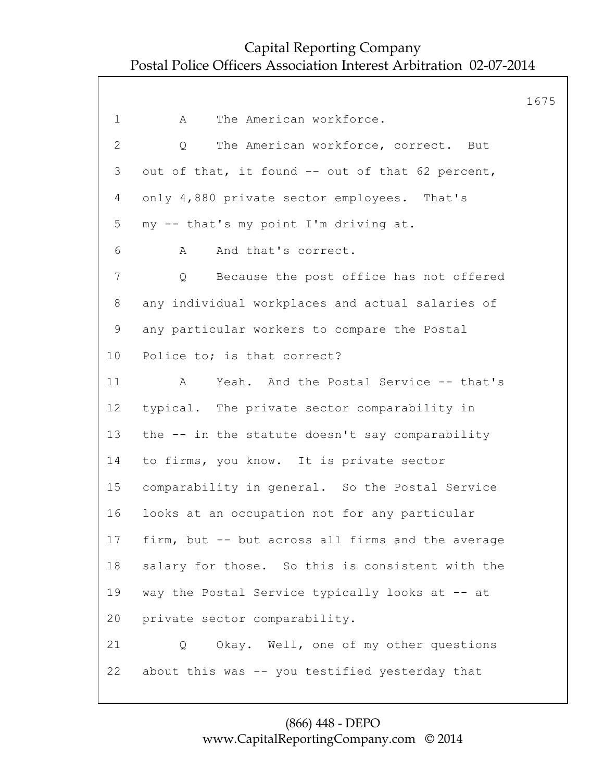1675 1 A The American workforce. 2 Q The American workforce, correct. But 3 out of that, it found -- out of that 62 percent, 4 only 4,880 private sector employees. That's 5 my -- that's my point I'm driving at. 6 A And that's correct. 7 Q Because the post office has not offered 8 any individual workplaces and actual salaries of 9 any particular workers to compare the Postal 10 Police to; is that correct? 11 A Yeah. And the Postal Service -- that's 12 typical. The private sector comparability in 13 the -- in the statute doesn't say comparability 14 to firms, you know. It is private sector 15 comparability in general. So the Postal Service 16 looks at an occupation not for any particular 17 firm, but -- but across all firms and the average 18 salary for those. So this is consistent with the 19 way the Postal Service typically looks at -- at 20 private sector comparability. 21 Q Okay. Well, one of my other questions 22 about this was -- you testified yesterday that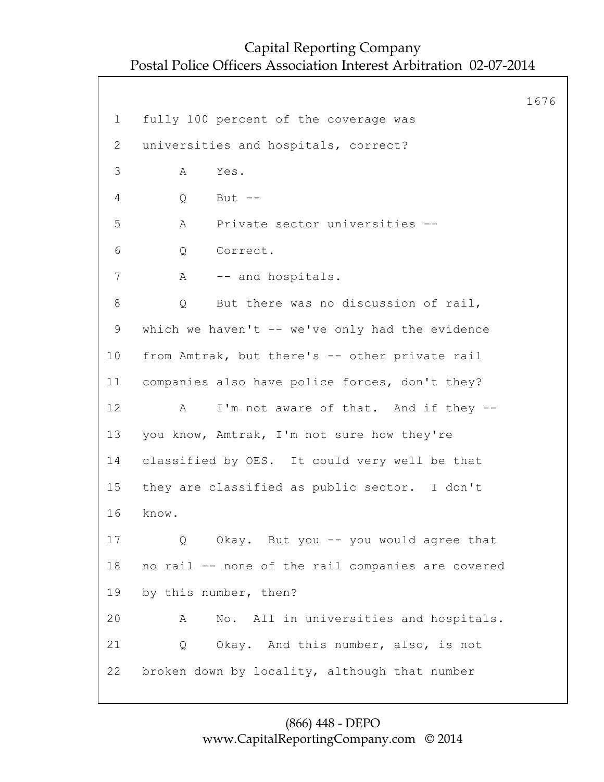1676 1 fully 100 percent of the coverage was 2 universities and hospitals, correct? 3 A Yes. 4 Q But -- 5 A Private sector universities -- 6 Q Correct. 7 A -- and hospitals. 8 Q But there was no discussion of rail, 9 which we haven't -- we've only had the evidence 10 from Amtrak, but there's -- other private rail 11 companies also have police forces, don't they? 12 A I'm not aware of that. And if they --13 you know, Amtrak, I'm not sure how they're 14 classified by OES. It could very well be that 15 they are classified as public sector. I don't 16 know. 17 Q Okay. But you -- you would agree that 18 no rail -- none of the rail companies are covered 19 by this number, then? 20 A No. All in universities and hospitals. 21 Q Okay. And this number, also, is not 22 broken down by locality, although that number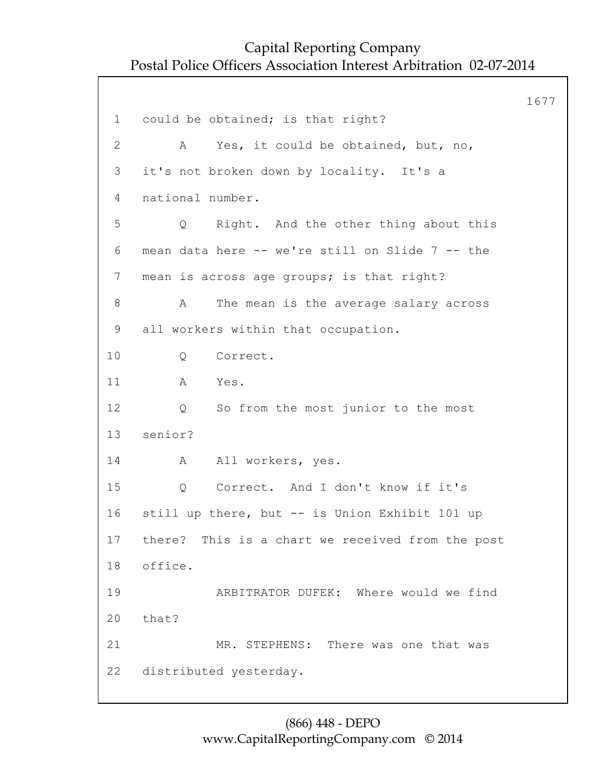1677 1 could be obtained; is that right? 2 A Yes, it could be obtained, but, no, 3 it's not broken down by locality. It's a 4 national number. 5 Q Right. And the other thing about this 6 mean data here -- we're still on Slide 7 -- the 7 mean is across age groups; is that right? 8 A The mean is the average salary across 9 all workers within that occupation. 10 Q Correct. 11 A Yes. 12 Q So from the most junior to the most 13 senior? 14 A All workers, yes. 15 Q Correct. And I don't know if it's 16 still up there, but -- is Union Exhibit 101 up 17 there? This is a chart we received from the post 18 office. 19 ARBITRATOR DUFEK: Where would we find 20 that? 21 MR. STEPHENS: There was one that was 22 distributed yesterday.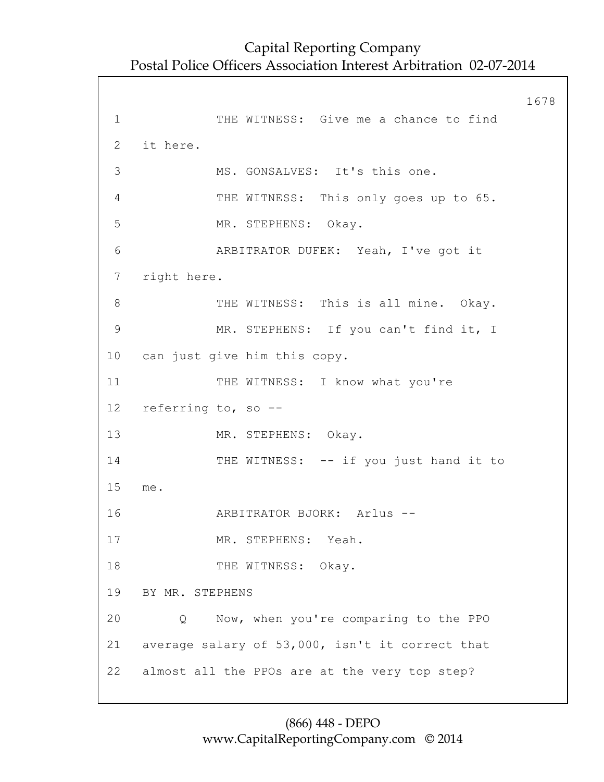1678 1 THE WITNESS: Give me a chance to find 2 it here. 3 MS. GONSALVES: It's this one. 4 THE WITNESS: This only goes up to 65. 5 MR. STEPHENS: Okay. 6 ARBITRATOR DUFEK: Yeah, I've got it 7 right here. 8 THE WITNESS: This is all mine. Okay. 9 MR. STEPHENS: If you can't find it, I 10 can just give him this copy. 11 THE WITNESS: I know what you're 12 referring to, so -- 13 MR. STEPHENS: Okay. 14 THE WITNESS: -- if you just hand it to 15 me. 16 ARBITRATOR BJORK: Arlus -- 17 MR. STEPHENS: Yeah. 18 THE WITNESS: Okay. 19 BY MR. STEPHENS 20 Q Now, when you're comparing to the PPO 21 average salary of 53,000, isn't it correct that 22 almost all the PPOs are at the very top step?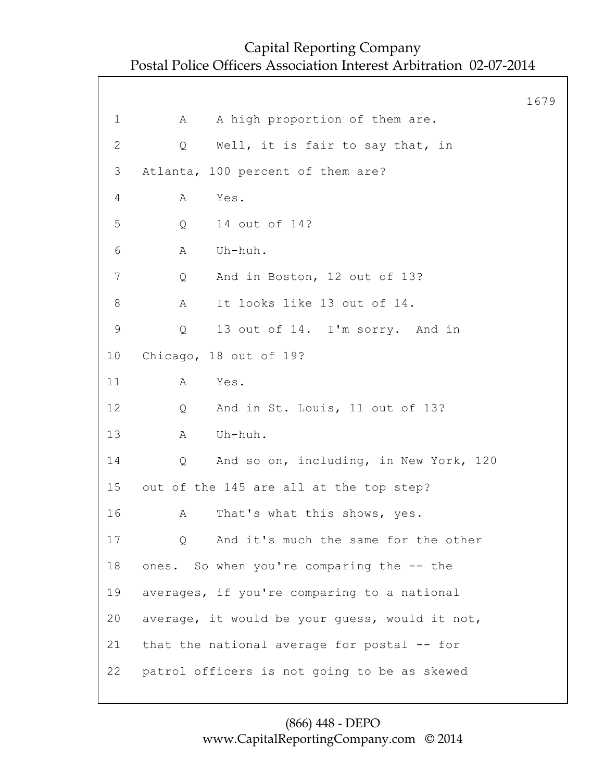|                 |                                                | 1679 |
|-----------------|------------------------------------------------|------|
| 1               | A high proportion of them are.<br>А            |      |
| $\mathbf{2}$    | Well, it is fair to say that, in<br>Q          |      |
| 3               | Atlanta, 100 percent of them are?              |      |
| 4               | Α<br>Yes.                                      |      |
| 5               | 14 out of 14?<br>Q                             |      |
| 6               | Uh-huh.<br>A                                   |      |
| $\overline{7}$  | And in Boston, 12 out of 13?<br>Q              |      |
| 8               | It looks like 13 out of 14.<br>Α               |      |
| 9               | 13 out of 14. I'm sorry. And in<br>Q           |      |
| 10 <sub>o</sub> | Chicago, 18 out of 19?                         |      |
| 11              | Α<br>Yes.                                      |      |
| 12              | And in St. Louis, 11 out of 13?<br>Q           |      |
| 13              | Uh-huh.<br>Α                                   |      |
| 14              | And so on, including, in New York, 120<br>Q    |      |
| 15              | out of the 145 are all at the top step?        |      |
| 16              | Α<br>That's what this shows, yes.              |      |
| 17              | And it's much the same for the other<br>Q      |      |
| 18              | ones. So when you're comparing the -- the      |      |
| 19              | averages, if you're comparing to a national    |      |
| 20              | average, it would be your quess, would it not, |      |
| 21              | that the national average for postal -- for    |      |
| 22              | patrol officers is not going to be as skewed   |      |
|                 |                                                |      |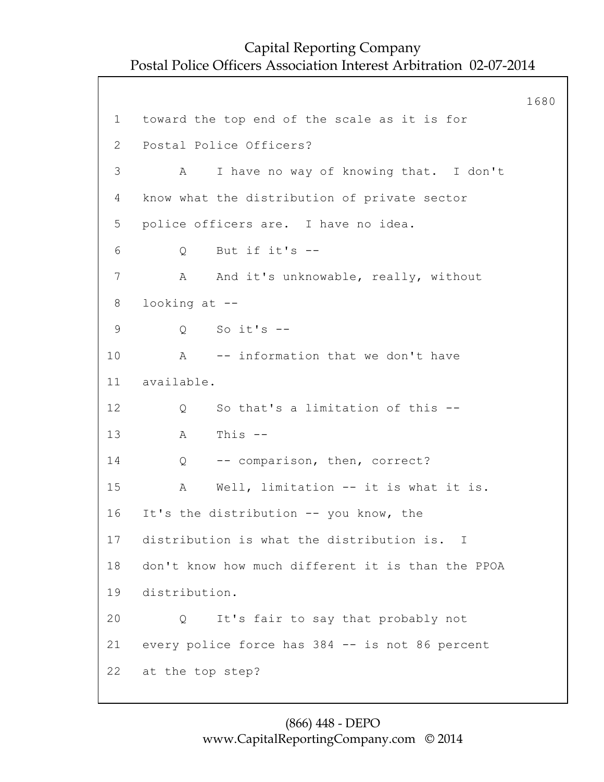1680 1 toward the top end of the scale as it is for 2 Postal Police Officers? 3 A I have no way of knowing that. I don't 4 know what the distribution of private sector 5 police officers are. I have no idea. 6 Q But if it's -- 7 A And it's unknowable, really, without 8 looking at -- 9 Q So it's -- 10 A -- information that we don't have 11 available. 12 Q So that's a limitation of this --13 A This -- 14 Q -- comparison, then, correct? 15 A Well, limitation -- it is what it is. 16 It's the distribution -- you know, the 17 distribution is what the distribution is. I 18 don't know how much different it is than the PPOA 19 distribution. 20 Q It's fair to say that probably not 21 every police force has 384 -- is not 86 percent 22 at the top step?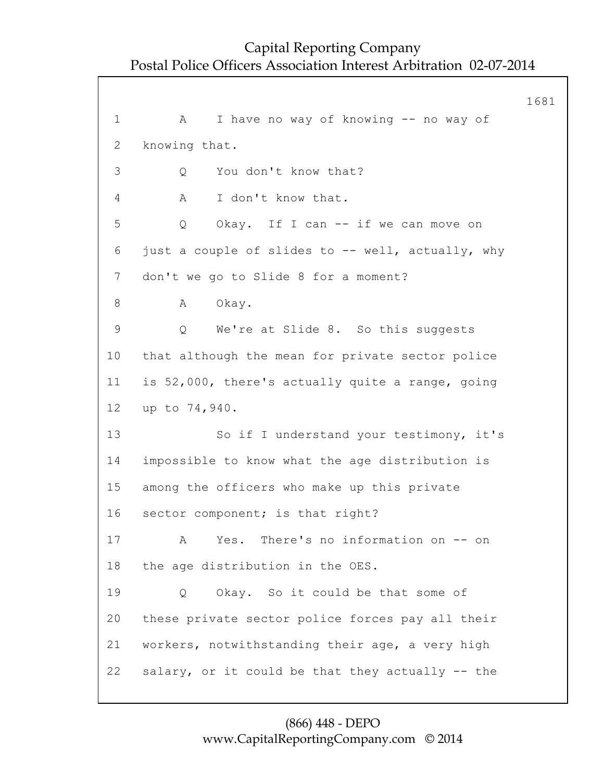1681 1 A I have no way of knowing -- no way of 2 knowing that. 3 Q You don't know that? 4 A I don't know that. 5 Q Okay. If I can -- if we can move on 6 just a couple of slides to -- well, actually, why 7 don't we go to Slide 8 for a moment? 8 A Okay. 9 Q We're at Slide 8. So this suggests 10 that although the mean for private sector police 11 is 52,000, there's actually quite a range, going 12 up to 74,940. 13 So if I understand your testimony, it's 14 impossible to know what the age distribution is 15 among the officers who make up this private 16 sector component; is that right? 17 A Yes. There's no information on -- on 18 the age distribution in the OES. 19 Q Okay. So it could be that some of 20 these private sector police forces pay all their 21 workers, notwithstanding their age, a very high 22 salary, or it could be that they actually -- the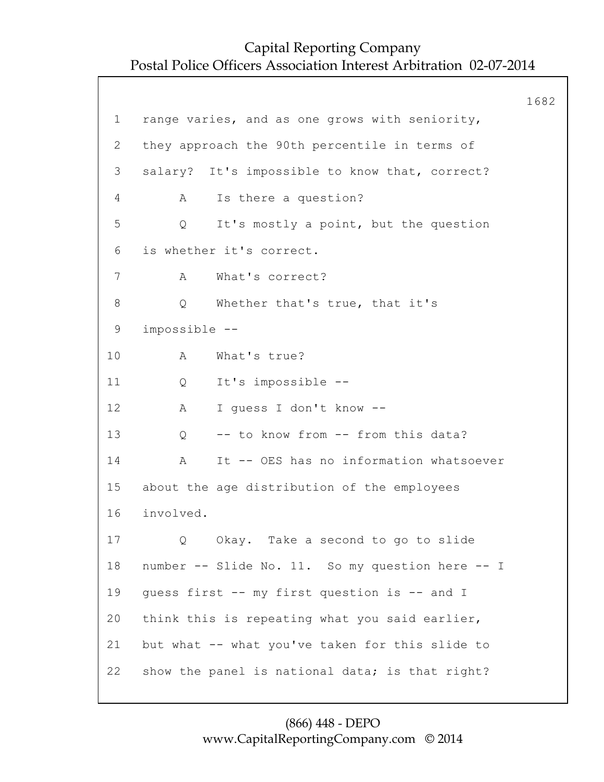|                |                                                  | 1682 |
|----------------|--------------------------------------------------|------|
| $\mathbf 1$    | range varies, and as one grows with seniority,   |      |
| $\overline{2}$ | they approach the 90th percentile in terms of    |      |
| 3              | salary? It's impossible to know that, correct?   |      |
| 4              | Is there a question?<br>Α                        |      |
| 5              | It's mostly a point, but the question<br>Q       |      |
| 6              | is whether it's correct.                         |      |
| 7              | What's correct?<br>A                             |      |
| $8\,$          | Whether that's true, that it's<br>Q              |      |
| $\mathsf 9$    | impossible --                                    |      |
| 10             | What's true?<br>Α                                |      |
| 11             | It's impossible --<br>Q                          |      |
| 12             | I quess I don't know --<br>A                     |      |
| 13             | -- to know from -- from this data?<br>Q          |      |
| 14             | It -- OES has no information whatsoever<br>Α     |      |
| 15             | about the age distribution of the employees      |      |
| 16             | involved.                                        |      |
| 17             | Okay. Take a second to go to slide               |      |
| 18             | number -- Slide No. 11. So my question here -- I |      |
| 19             | guess first -- my first question is -- and I     |      |
| 20             | think this is repeating what you said earlier,   |      |
| 21             | but what -- what you've taken for this slide to  |      |
| 22             | show the panel is national data; is that right?  |      |
|                |                                                  |      |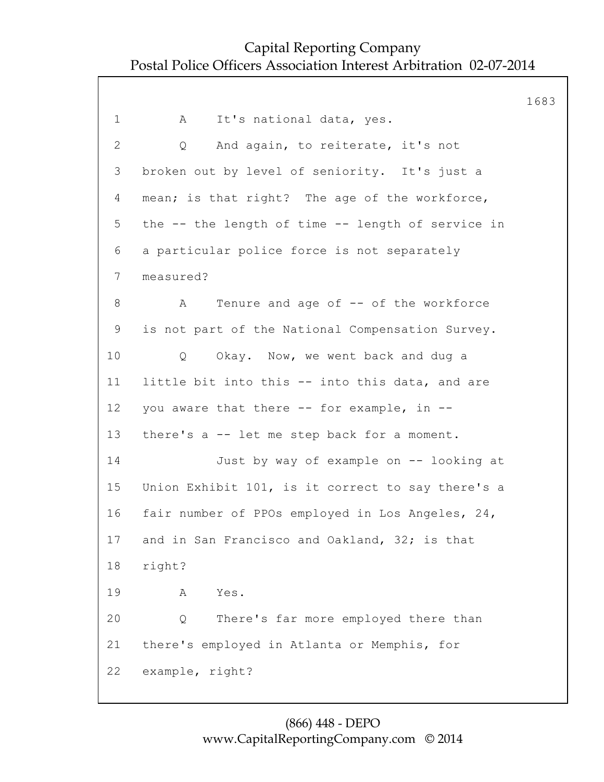1683 1 A It's national data, yes. 2 Q And again, to reiterate, it's not 3 broken out by level of seniority. It's just a 4 mean; is that right? The age of the workforce, 5 the -- the length of time -- length of service in 6 a particular police force is not separately 7 measured? 8 A Tenure and age of -- of the workforce 9 is not part of the National Compensation Survey. 10 Q Okay. Now, we went back and dug a 11 little bit into this -- into this data, and are 12 you aware that there -- for example, in -- 13 there's a -- let me step back for a moment. 14 Just by way of example on -- looking at 15 Union Exhibit 101, is it correct to say there's a 16 fair number of PPOs employed in Los Angeles, 24, 17 and in San Francisco and Oakland, 32; is that 18 right? 19 A Yes. 20 Q There's far more employed there than 21 there's employed in Atlanta or Memphis, for 22 example, right?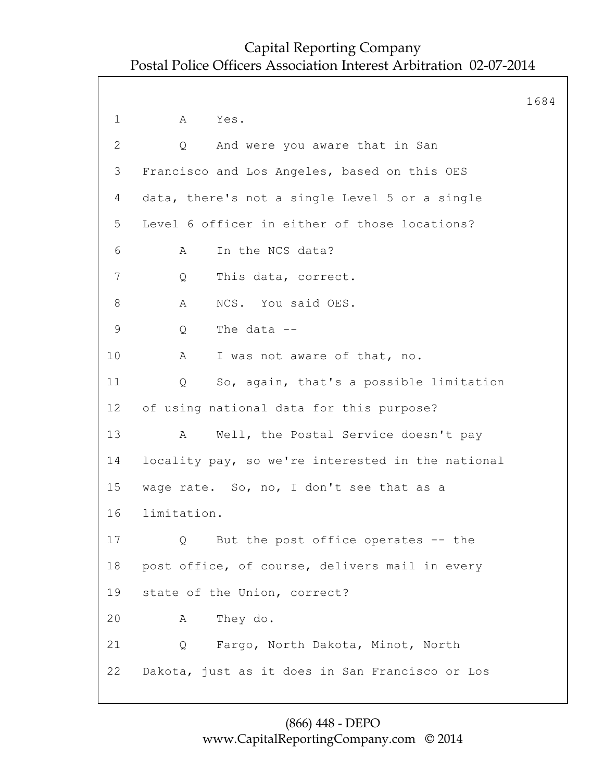1684 1 A Yes. 2 Q And were you aware that in San 3 Francisco and Los Angeles, based on this OES 4 data, there's not a single Level 5 or a single 5 Level 6 officer in either of those locations? 6 A In the NCS data? 7 Q This data, correct. 8 A NCS. You said OES. 9 Q The data -- 10 A I was not aware of that, no. 11 Q So, again, that's a possible limitation 12 of using national data for this purpose? 13 A Well, the Postal Service doesn't pay 14 locality pay, so we're interested in the national 15 wage rate. So, no, I don't see that as a 16 limitation. 17 Q But the post office operates -- the 18 post office, of course, delivers mail in every 19 state of the Union, correct? 20 A They do. 21 Q Fargo, North Dakota, Minot, North 22 Dakota, just as it does in San Francisco or Los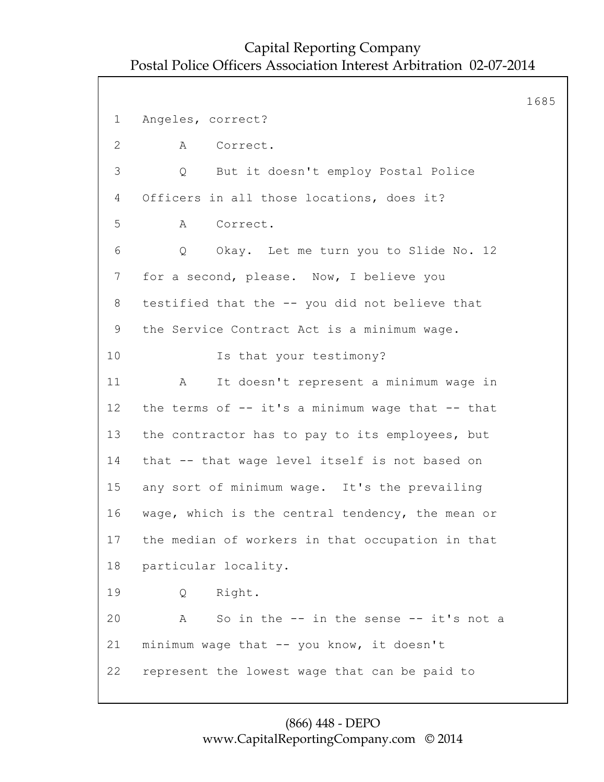1685 1 Angeles, correct? 2 A Correct. 3 Q But it doesn't employ Postal Police 4 Officers in all those locations, does it? 5 A Correct. 6 Q Okay. Let me turn you to Slide No. 12 7 for a second, please. Now, I believe you 8 testified that the -- you did not believe that 9 the Service Contract Act is a minimum wage. 10 Is that your testimony? 11 A It doesn't represent a minimum wage in 12 the terms of -- it's a minimum wage that -- that 13 the contractor has to pay to its employees, but 14 that -- that wage level itself is not based on 15 any sort of minimum wage. It's the prevailing 16 wage, which is the central tendency, the mean or 17 the median of workers in that occupation in that 18 particular locality. 19 Q Right. 20 A So in the -- in the sense -- it's not a 21 minimum wage that -- you know, it doesn't 22 represent the lowest wage that can be paid to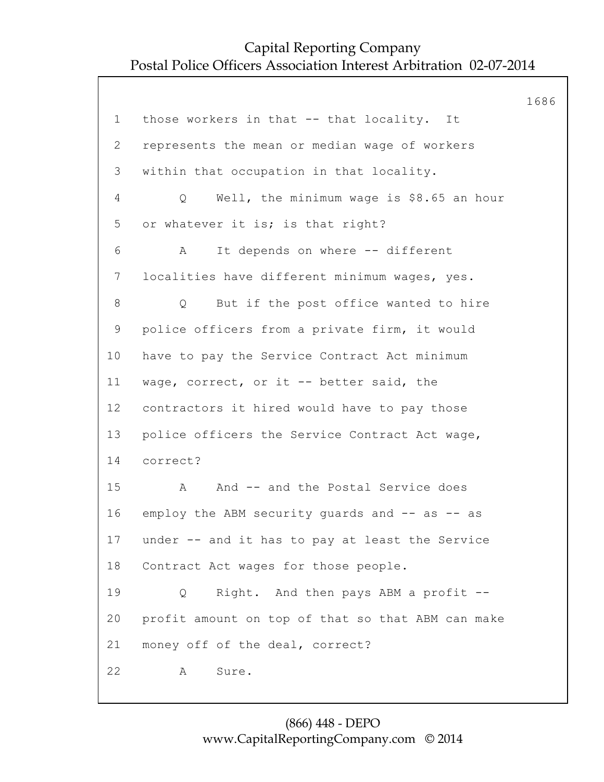1686 1 those workers in that -- that locality. It 2 represents the mean or median wage of workers 3 within that occupation in that locality. 4 Q Well, the minimum wage is \$8.65 an hour 5 or whatever it is; is that right? 6 A It depends on where -- different 7 localities have different minimum wages, yes. 8 Q But if the post office wanted to hire 9 police officers from a private firm, it would 10 have to pay the Service Contract Act minimum 11 wage, correct, or it -- better said, the 12 contractors it hired would have to pay those 13 police officers the Service Contract Act wage, 14 correct? 15 A And -- and the Postal Service does 16 employ the ABM security guards and -- as -- as 17 under -- and it has to pay at least the Service 18 Contract Act wages for those people. 19 Q Right. And then pays ABM a profit -- 20 profit amount on top of that so that ABM can make 21 money off of the deal, correct? 22 A Sure.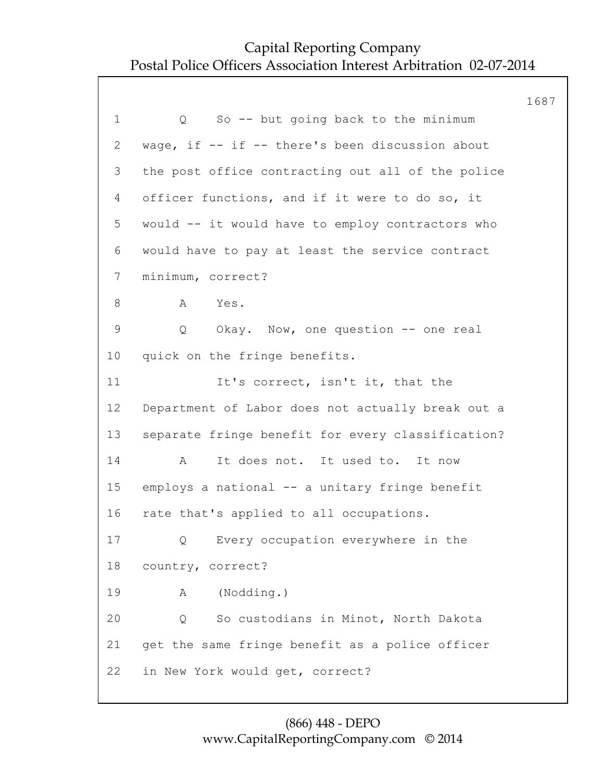1687 1 Q So -- but going back to the minimum 2 wage, if -- if -- there's been discussion about 3 the post office contracting out all of the police 4 officer functions, and if it were to do so, it 5 would -- it would have to employ contractors who 6 would have to pay at least the service contract 7 minimum, correct? 8 A Yes. 9 Q Okay. Now, one question -- one real 10 quick on the fringe benefits. 11 It's correct, isn't it, that the 12 Department of Labor does not actually break out a 13 separate fringe benefit for every classification? 14 A It does not. It used to. It now 15 employs a national -- a unitary fringe benefit 16 rate that's applied to all occupations. 17 Q Every occupation everywhere in the 18 country, correct? 19 A (Nodding.) 20 Q So custodians in Minot, North Dakota 21 get the same fringe benefit as a police officer 22 in New York would get, correct?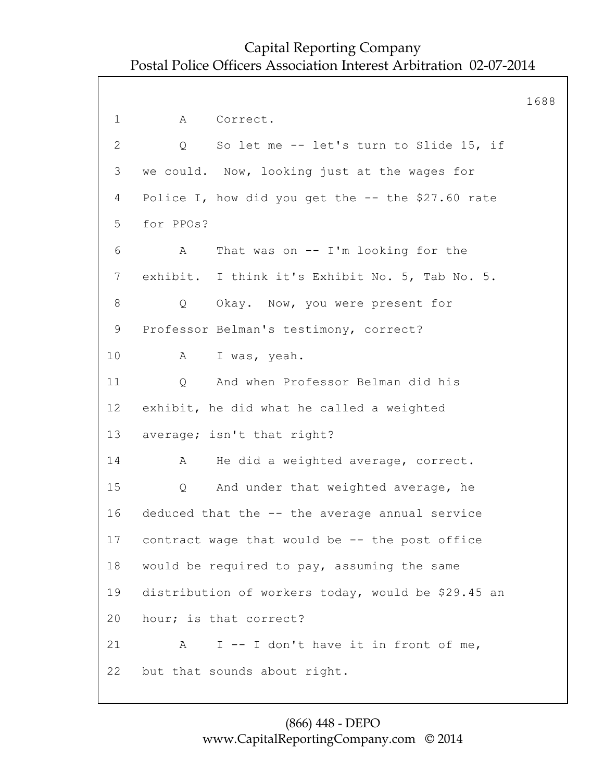1688 1 A Correct. 2 Q So let me -- let's turn to Slide 15, if 3 we could. Now, looking just at the wages for 4 Police I, how did you get the -- the \$27.60 rate 5 for PPOs? 6 A That was on -- I'm looking for the 7 exhibit. I think it's Exhibit No. 5, Tab No. 5. 8 Q Okay. Now, you were present for 9 Professor Belman's testimony, correct? 10 A I was, yeah. 11 Q And when Professor Belman did his 12 exhibit, he did what he called a weighted 13 average; isn't that right? 14 A He did a weighted average, correct. 15 Q And under that weighted average, he 16 deduced that the -- the average annual service 17 contract wage that would be -- the post office 18 would be required to pay, assuming the same 19 distribution of workers today, would be \$29.45 an 20 hour; is that correct? 21 A I -- I don't have it in front of me, 22 but that sounds about right.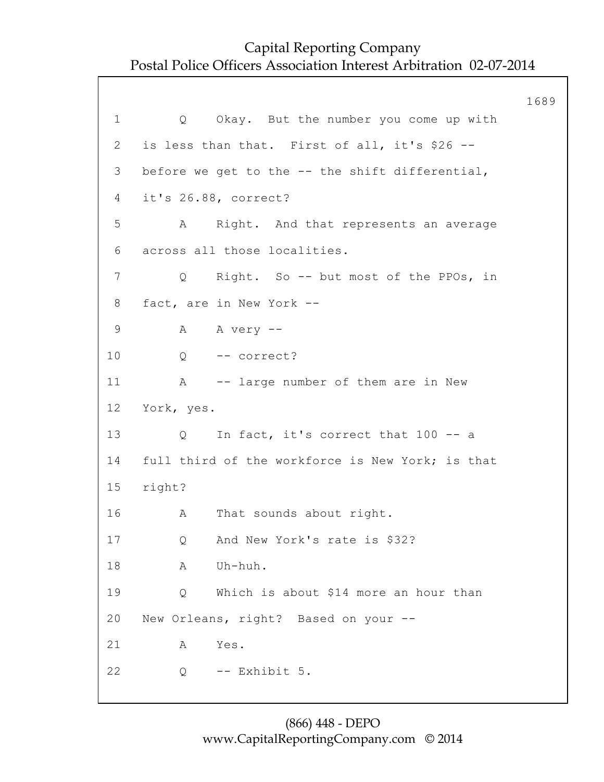1689 1 Q Okay. But the number you come up with 2 is less than that. First of all, it's \$26 -- 3 before we get to the -- the shift differential, 4 it's 26.88, correct? 5 A Right. And that represents an average 6 across all those localities. 7 Q Right. So -- but most of the PPOs, in 8 fact, are in New York -- 9 A A very -- 10 Q -- correct? 11 A -- large number of them are in New 12 York, yes. 13 Q In fact, it's correct that 100 -- a 14 full third of the workforce is New York; is that 15 right? 16 A That sounds about right. 17 Q And New York's rate is \$32? 18 A Uh-huh. 19 Q Which is about \$14 more an hour than 20 New Orleans, right? Based on your -- 21 A Yes. 22 Q -- Exhibit 5.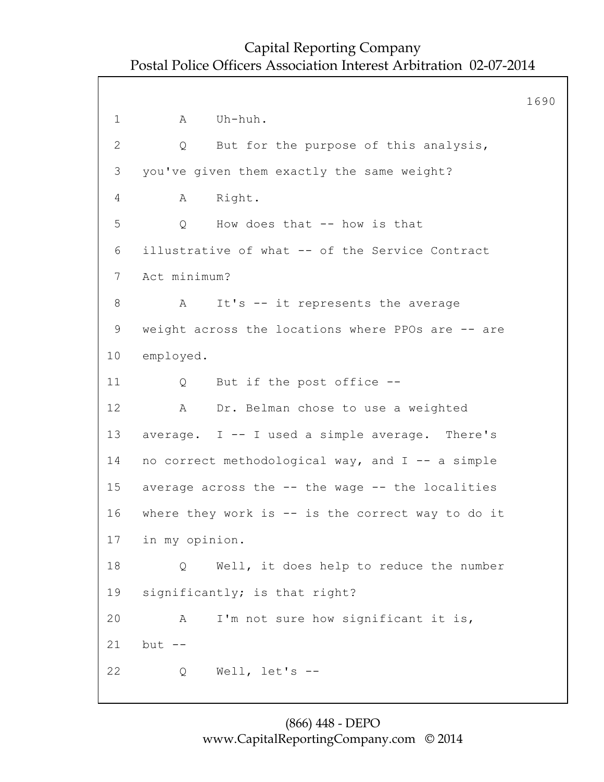1690 1 A Uh-huh. 2 Q But for the purpose of this analysis, 3 you've given them exactly the same weight? 4 A Right. 5 Q How does that -- how is that 6 illustrative of what -- of the Service Contract 7 Act minimum? 8 A It's -- it represents the average 9 weight across the locations where PPOs are -- are 10 employed. 11 Q But if the post office -- 12 A Dr. Belman chose to use a weighted 13 average. I -- I used a simple average. There's 14 no correct methodological way, and I -- a simple 15 average across the -- the wage -- the localities 16 where they work is -- is the correct way to do it 17 in my opinion. 18 Q Well, it does help to reduce the number 19 significantly; is that right? 20 A I'm not sure how significant it is, 21 but -- 22 Q Well, let's --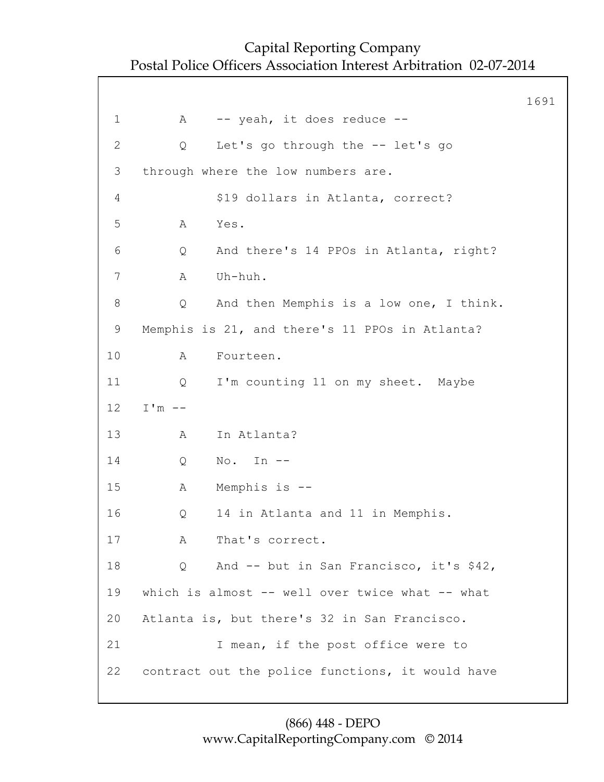|              |                                                  | 1691 |
|--------------|--------------------------------------------------|------|
| $\mathbf 1$  | -- yeah, it does reduce --<br>A                  |      |
| $\mathbf{2}$ | Let's go through the -- let's go<br>Q            |      |
| 3            | through where the low numbers are.               |      |
| 4            | \$19 dollars in Atlanta, correct?                |      |
| 5            | Α<br>Yes.                                        |      |
| 6            | And there's 14 PPOs in Atlanta, right?<br>Q      |      |
| 7            | Uh-huh.<br>Α                                     |      |
| 8            | And then Memphis is a low one, I think.<br>Q     |      |
| 9            | Memphis is 21, and there's 11 PPOs in Atlanta?   |      |
| 10           | Fourteen.<br>Α                                   |      |
| 11           | I'm counting 11 on my sheet. Maybe<br>Q          |      |
| 12           | $I'm$ --                                         |      |
| 13           | In Atlanta?<br>A                                 |      |
| 14           | $\mathbb{N}\circ$ .<br>In $--$<br>Q              |      |
| 15           | Memphis is --<br>Α                               |      |
| 16           | 14 in Atlanta and 11 in Memphis.<br>Q            |      |
| 17           | That's correct.<br>A                             |      |
| 18           | And -- but in San Francisco, it's \$42,<br>Q     |      |
| 19           | which is almost -- well over twice what -- what  |      |
| 20           | Atlanta is, but there's 32 in San Francisco.     |      |
| 21           | I mean, if the post office were to               |      |
| 22           | contract out the police functions, it would have |      |
|              |                                                  |      |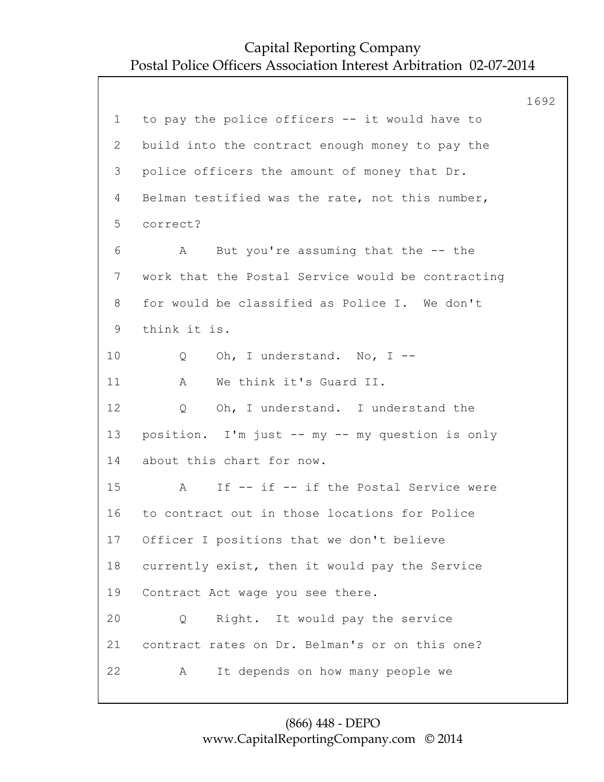1692 1 to pay the police officers -- it would have to 2 build into the contract enough money to pay the 3 police officers the amount of money that Dr. 4 Belman testified was the rate, not this number, 5 correct? 6 A But you're assuming that the -- the 7 work that the Postal Service would be contracting 8 for would be classified as Police I. We don't 9 think it is. 10 Q Oh, I understand. No, I -- 11 A We think it's Guard II. 12 Q Oh, I understand. I understand the 13 position. I'm just -- my -- my question is only 14 about this chart for now. 15 A If -- if -- if the Postal Service were 16 to contract out in those locations for Police 17 Officer I positions that we don't believe 18 currently exist, then it would pay the Service 19 Contract Act wage you see there. 20 Q Right. It would pay the service 21 contract rates on Dr. Belman's or on this one? 22 A It depends on how many people we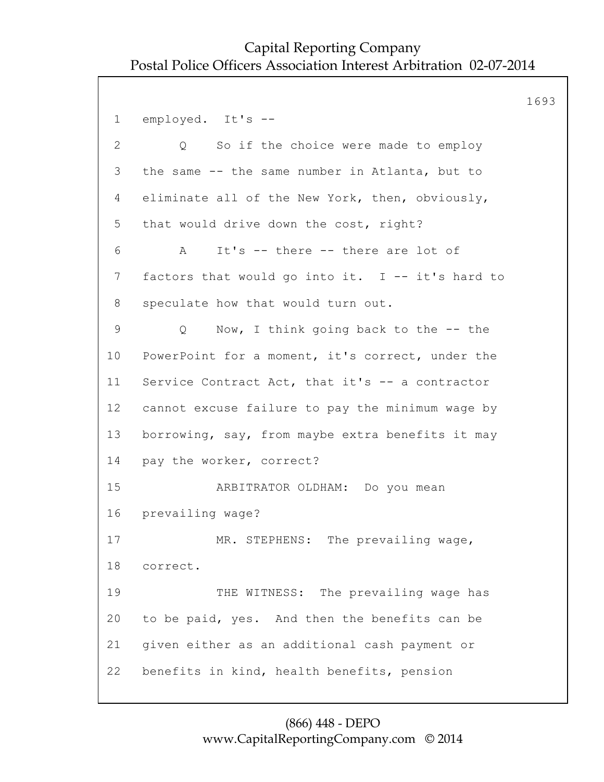1693 1 employed. It's -- 2 Q So if the choice were made to employ 3 the same -- the same number in Atlanta, but to 4 eliminate all of the New York, then, obviously, 5 that would drive down the cost, right? 6 A It's -- there -- there are lot of 7 factors that would go into it. I -- it's hard to 8 speculate how that would turn out. 9 Q Now, I think going back to the -- the 10 PowerPoint for a moment, it's correct, under the 11 Service Contract Act, that it's -- a contractor 12 cannot excuse failure to pay the minimum wage by 13 borrowing, say, from maybe extra benefits it may 14 pay the worker, correct? 15 ARBITRATOR OLDHAM: Do you mean 16 prevailing wage? 17 MR. STEPHENS: The prevailing wage, 18 correct. 19 THE WITNESS: The prevailing wage has 20 to be paid, yes. And then the benefits can be 21 given either as an additional cash payment or 22 benefits in kind, health benefits, pension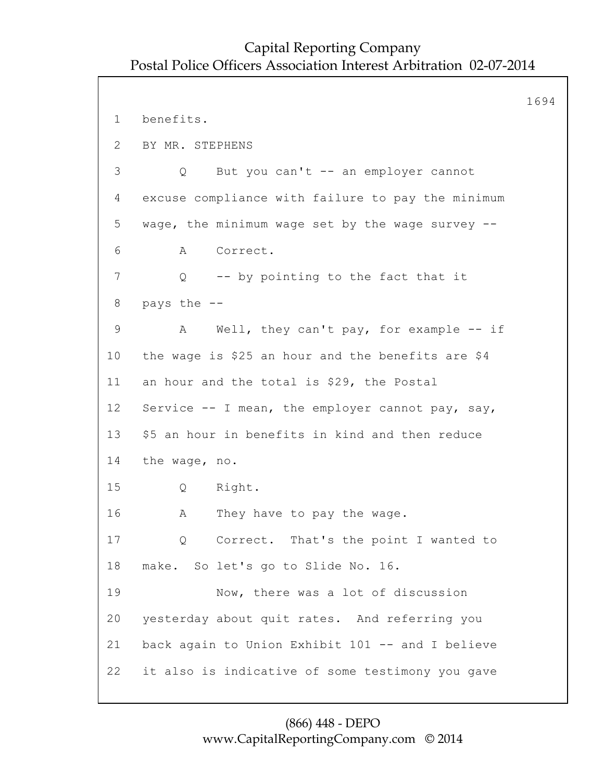```
1694
1 benefits.
2 BY MR. STEPHENS
3 Q But you can't -- an employer cannot
4 excuse compliance with failure to pay the minimum
5 wage, the minimum wage set by the wage survey --
6 A Correct.
7 Q -- by pointing to the fact that it
8 pays the --
9 A Well, they can't pay, for example -- if
10 the wage is $25 an hour and the benefits are $4
11 an hour and the total is $29, the Postal
12 Service -- I mean, the employer cannot pay, say,
13 $5 an hour in benefits in kind and then reduce
14 the wage, no.
15 Q Right.
16 A They have to pay the wage.
17 Q Correct. That's the point I wanted to
18 make. So let's go to Slide No. 16.
19 Now, there was a lot of discussion
20 yesterday about quit rates. And referring you
21 back again to Union Exhibit 101 -- and I believe
22 it also is indicative of some testimony you gave
```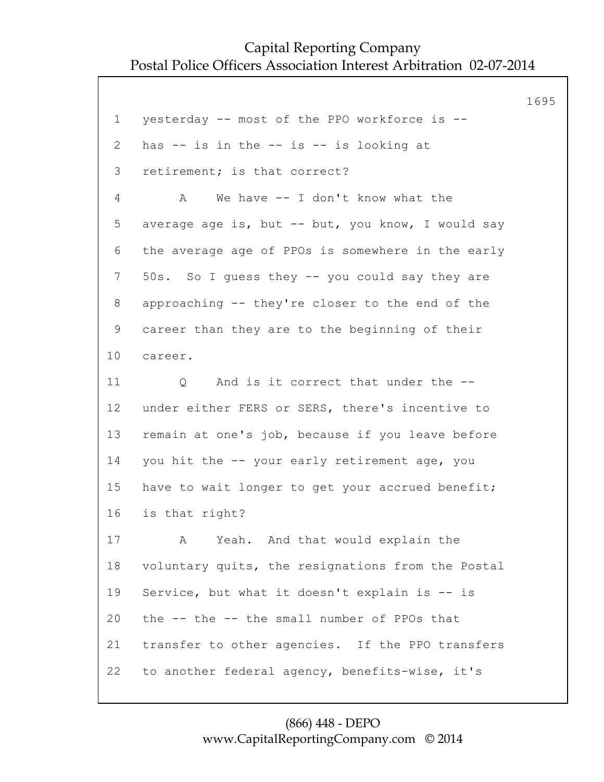1695

1 yesterday -- most of the PPO workforce is -- 2 has -- is in the -- is -- is looking at 3 retirement; is that correct? 4 A We have -- I don't know what the 5 average age is, but -- but, you know, I would say 6 the average age of PPOs is somewhere in the early 7 50s. So I guess they -- you could say they are 8 approaching -- they're closer to the end of the 9 career than they are to the beginning of their 10 career. 11 O And is it correct that under the --12 under either FERS or SERS, there's incentive to 13 remain at one's job, because if you leave before 14 you hit the -- your early retirement age, you 15 have to wait longer to get your accrued benefit; 16 is that right? 17 A Yeah. And that would explain the 18 voluntary quits, the resignations from the Postal 19 Service, but what it doesn't explain is -- is 20 the -- the -- the small number of PPOs that 21 transfer to other agencies. If the PPO transfers 22 to another federal agency, benefits-wise, it's

#### (866) 448 - DEPO www.CapitalReportingCompany.com © 2014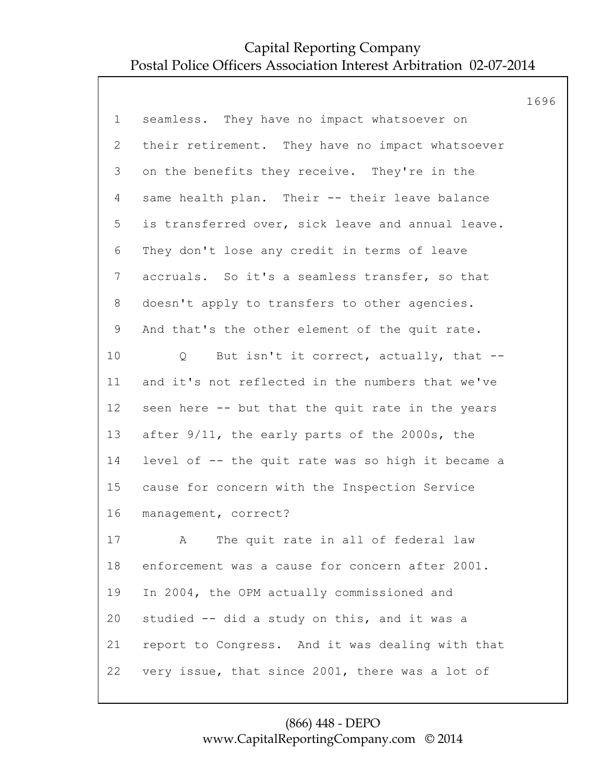|                 |                                                   | 1696 |
|-----------------|---------------------------------------------------|------|
| $\mathbf 1$     | seamless. They have no impact whatsoever on       |      |
| $\overline{2}$  | their retirement. They have no impact whatsoever  |      |
| 3               | on the benefits they receive. They're in the      |      |
| $\overline{4}$  | same health plan. Their -- their leave balance    |      |
| 5               | is transferred over, sick leave and annual leave. |      |
| 6               | They don't lose any credit in terms of leave      |      |
| $\overline{7}$  | accruals. So it's a seamless transfer, so that    |      |
| 8               | doesn't apply to transfers to other agencies.     |      |
| $\mathsf 9$     | And that's the other element of the quit rate.    |      |
| 10 <sub>o</sub> | But isn't it correct, actually, that --<br>Q      |      |
| 11              | and it's not reflected in the numbers that we've  |      |
| 12              | seen here -- but that the quit rate in the years  |      |
| 13              | after 9/11, the early parts of the 2000s, the     |      |
| 14              | level of -- the quit rate was so high it became a |      |
| 15              | cause for concern with the Inspection Service     |      |
| 16              | management, correct?                              |      |
| 17              | The quit rate in all of federal law<br>A          |      |
| 18              | enforcement was a cause for concern after 2001.   |      |
| 19              | In 2004, the OPM actually commissioned and        |      |
| 20              | studied -- did a study on this, and it was a      |      |
| 21              | report to Congress. And it was dealing with that  |      |
| 22              | very issue, that since 2001, there was a lot of   |      |
|                 |                                                   |      |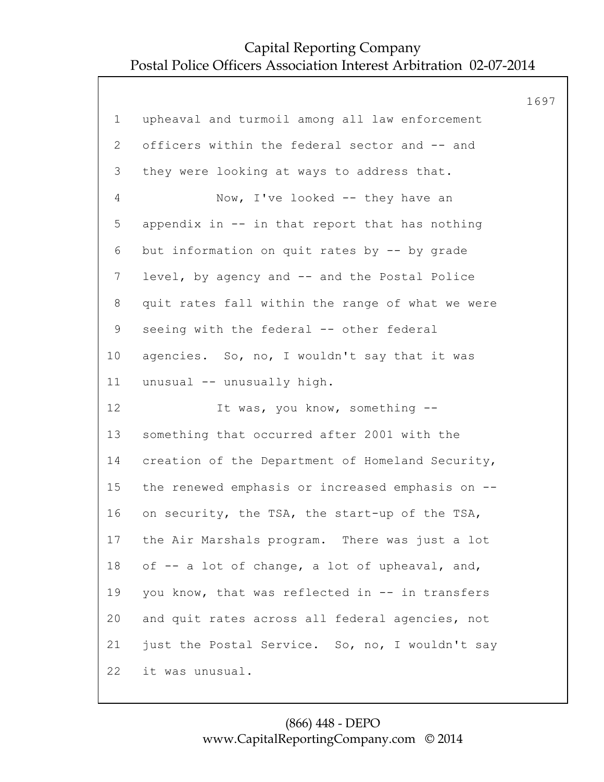|                 |                                                  | 1697 |
|-----------------|--------------------------------------------------|------|
| $\mathbf 1$     | upheaval and turmoil among all law enforcement   |      |
| 2               | officers within the federal sector and -- and    |      |
| 3               | they were looking at ways to address that.       |      |
| 4               | Now, I've looked -- they have an                 |      |
| 5               | appendix in -- in that report that has nothing   |      |
| 6               | but information on quit rates by -- by grade     |      |
| $7\phantom{.0}$ | level, by agency and -- and the Postal Police    |      |
| 8               | quit rates fall within the range of what we were |      |
| $\mathsf 9$     | seeing with the federal -- other federal         |      |
| 10 <sub>o</sub> | agencies. So, no, I wouldn't say that it was     |      |
| 11              | unusual -- unusually high.                       |      |
| 12              | It was, you know, something --                   |      |
| 13              | something that occurred after 2001 with the      |      |
| 14              | creation of the Department of Homeland Security, |      |
| 15              | the renewed emphasis or increased emphasis on -- |      |
| 16              | on security, the TSA, the start-up of the TSA,   |      |
| 17              | the Air Marshals program. There was just a lot   |      |
| 18              | of -- a lot of change, a lot of upheaval, and,   |      |
| 19              | you know, that was reflected in -- in transfers  |      |
| 20              | and quit rates across all federal agencies, not  |      |
| 21              | just the Postal Service. So, no, I wouldn't say  |      |
| 22              | it was unusual.                                  |      |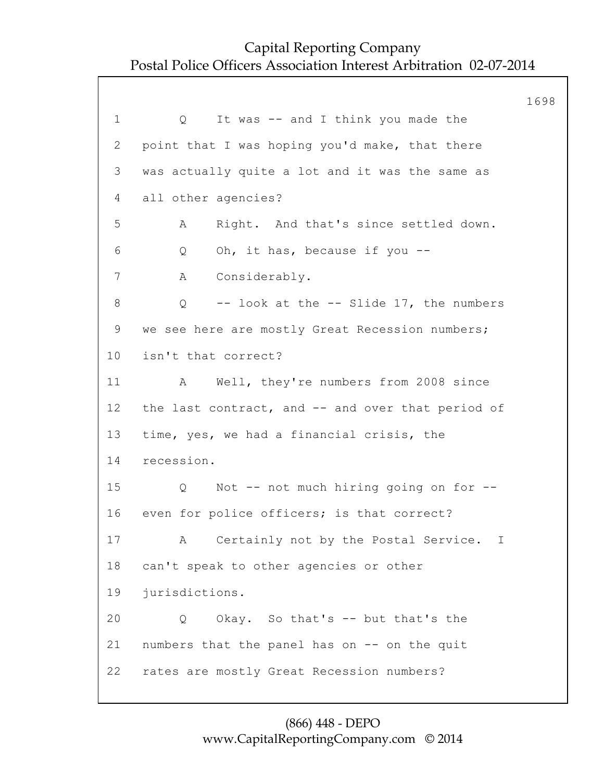1698 1 Q It was -- and I think you made the 2 point that I was hoping you'd make, that there 3 was actually quite a lot and it was the same as 4 all other agencies? 5 A Right. And that's since settled down. 6 Q Oh, it has, because if you -- 7 A Considerably. 8 Q -- look at the -- Slide 17, the numbers 9 we see here are mostly Great Recession numbers; 10 isn't that correct? 11 A Well, they're numbers from 2008 since 12 the last contract, and -- and over that period of 13 time, yes, we had a financial crisis, the 14 recession. 15 Q Not -- not much hiring going on for -- 16 even for police officers; is that correct? 17 A Certainly not by the Postal Service. I 18 can't speak to other agencies or other 19 jurisdictions. 20 Q Okay. So that's -- but that's the 21 numbers that the panel has on -- on the quit 22 rates are mostly Great Recession numbers?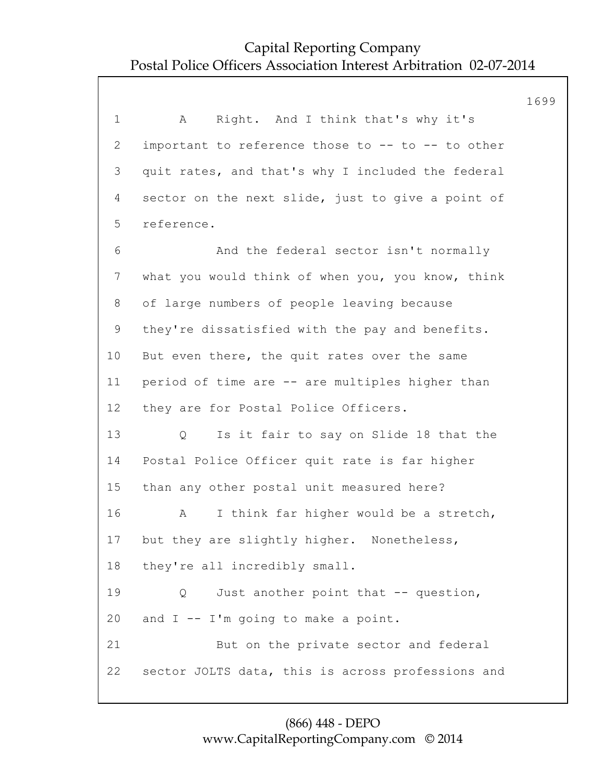|                |                                                   | 1699 |
|----------------|---------------------------------------------------|------|
| $\mathbf 1$    | Right. And I think that's why it's<br>Α           |      |
| $\mathbf{2}$   | important to reference those to -- to -- to other |      |
| 3              | quit rates, and that's why I included the federal |      |
| 4              | sector on the next slide, just to give a point of |      |
| 5              | reference.                                        |      |
| 6              | And the federal sector isn't normally             |      |
| $\overline{7}$ | what you would think of when you, you know, think |      |
| 8              | of large numbers of people leaving because        |      |
| $\mathsf 9$    | they're dissatisfied with the pay and benefits.   |      |
| 10             | But even there, the quit rates over the same      |      |
| 11             | period of time are -- are multiples higher than   |      |
| 12             | they are for Postal Police Officers.              |      |
| 13             | Is it fair to say on Slide 18 that the<br>Q       |      |
| 14             | Postal Police Officer quit rate is far higher     |      |
| 15             | than any other postal unit measured here?         |      |
| 16             | I think far higher would be a stretch,<br>Α       |      |
| 17             | but they are slightly higher. Nonetheless,        |      |
| 18             | they're all incredibly small.                     |      |
| 19             | Just another point that -- question,<br>Q         |      |
| 20             | and $I - - I'm$ going to make a point.            |      |
| 21             | But on the private sector and federal             |      |
| 22             | sector JOLTS data, this is across professions and |      |
|                |                                                   |      |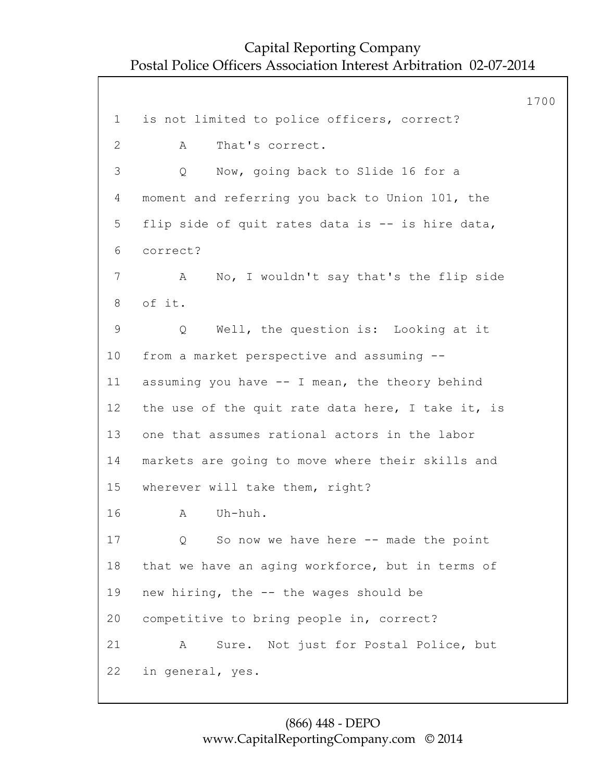1700 1 is not limited to police officers, correct? 2 A That's correct. 3 Q Now, going back to Slide 16 for a 4 moment and referring you back to Union 101, the 5 flip side of quit rates data is -- is hire data, 6 correct? 7 A No, I wouldn't say that's the flip side 8 of it. 9 Q Well, the question is: Looking at it 10 from a market perspective and assuming -- 11 assuming you have -- I mean, the theory behind 12 the use of the quit rate data here, I take it, is 13 one that assumes rational actors in the labor 14 markets are going to move where their skills and 15 wherever will take them, right? 16 A Uh-huh. 17 Q So now we have here -- made the point 18 that we have an aging workforce, but in terms of 19 new hiring, the -- the wages should be 20 competitive to bring people in, correct? 21 A Sure. Not just for Postal Police, but 22 in general, yes.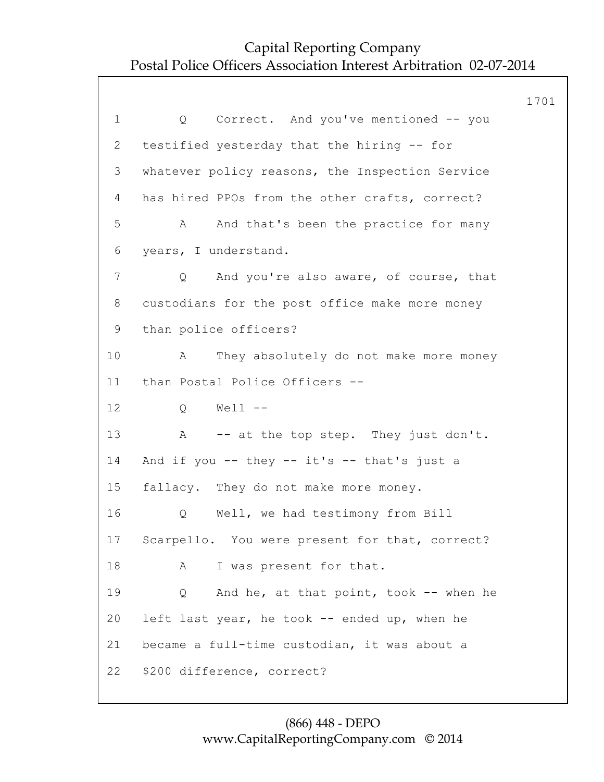|                 |                                                 | 1701 |
|-----------------|-------------------------------------------------|------|
| $\mathbf 1$     | Correct. And you've mentioned -- you<br>Q       |      |
| 2               | testified yesterday that the hiring -- for      |      |
| 3               | whatever policy reasons, the Inspection Service |      |
| 4               | has hired PPOs from the other crafts, correct?  |      |
| 5               | And that's been the practice for many<br>A      |      |
| 6               | years, I understand.                            |      |
| 7               | Q<br>And you're also aware, of course, that     |      |
| 8               | custodians for the post office make more money  |      |
| 9               | than police officers?                           |      |
| 10 <sub>o</sub> | They absolutely do not make more money<br>A     |      |
| 11              | than Postal Police Officers --                  |      |
| 12              | $Well1$ --<br>Q                                 |      |
| 13              | A -- at the top step. They just don't.          |      |
| 14              | And if you -- they -- it's -- that's just a     |      |
| 15              | fallacy. They do not make more money.           |      |
| 16              | Well, we had testimony from Bill<br>Q           |      |
| 17              | Scarpello. You were present for that, correct?  |      |
| 18              | I was present for that.<br>A                    |      |
| 19              | And he, at that point, took -- when he<br>Q     |      |
| 20              | left last year, he took -- ended up, when he    |      |
| 21              | became a full-time custodian, it was about a    |      |
| 22              | \$200 difference, correct?                      |      |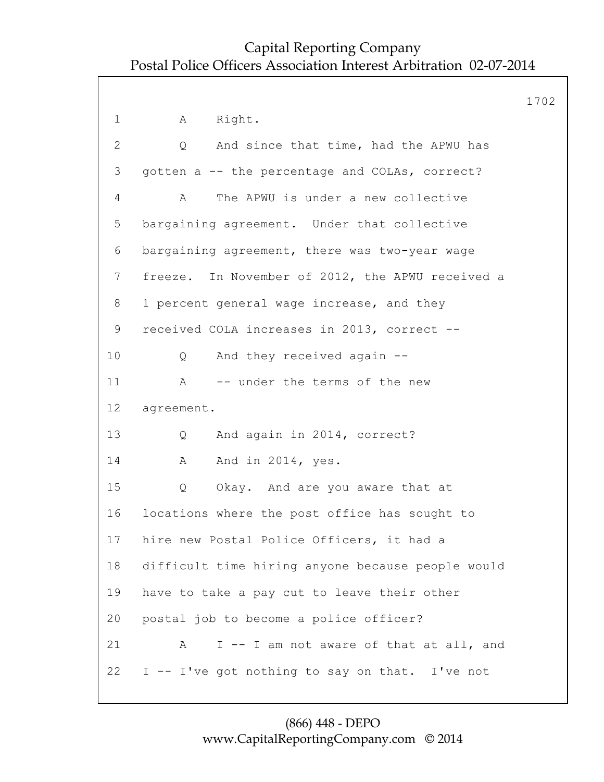|              |                                                    | 1702 |
|--------------|----------------------------------------------------|------|
| $\mathbf 1$  | Right.<br>Α                                        |      |
| $\mathbf{2}$ | And since that time, had the APWU has<br>Q         |      |
| 3            | gotten a -- the percentage and COLAs, correct?     |      |
| 4            | The APWU is under a new collective<br>$\mathbb{A}$ |      |
| 5            | bargaining agreement. Under that collective        |      |
| 6            | bargaining agreement, there was two-year wage      |      |
| 7            | freeze. In November of 2012, the APWU received a   |      |
| 8            | 1 percent general wage increase, and they          |      |
| 9            | received COLA increases in 2013, correct --        |      |
| 10           | And they received again --<br>Q                    |      |
| 11           | -- under the terms of the new<br>A                 |      |
| 12           | agreement.                                         |      |
| 13           | And again in 2014, correct?<br>Q                   |      |
| 14           | And in 2014, yes.<br>A                             |      |
| 15           | Q<br>Okay. And are you aware that at               |      |
| 16           | locations where the post office has sought to      |      |
| 17           | hire new Postal Police Officers, it had a          |      |
| 18           | difficult time hiring anyone because people would  |      |
| 19           | have to take a pay cut to leave their other        |      |
| 20           | postal job to become a police officer?             |      |
| 21           | I -- I am not aware of that at all, and<br>A       |      |
| 22           | I -- I've got nothing to say on that. I've not     |      |
|              |                                                    |      |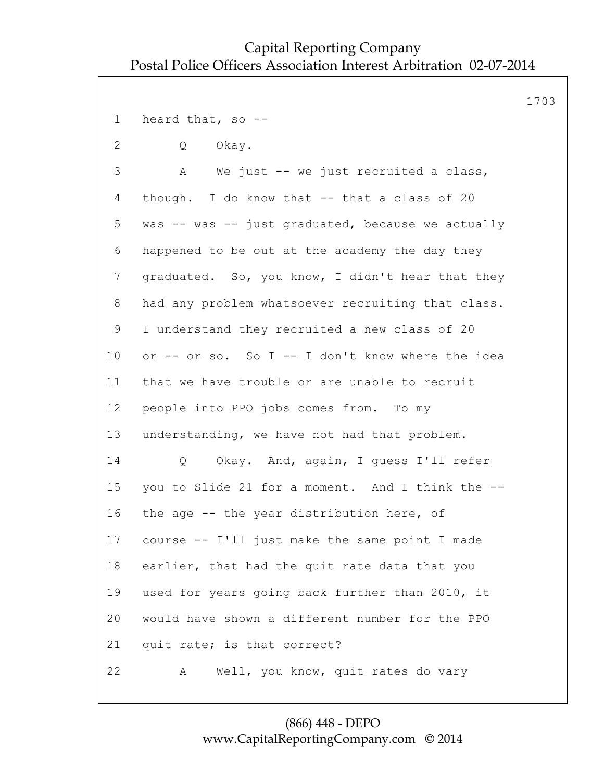1703 1 heard that, so -- 2 Q Okay. 3 A We just -- we just recruited a class, 4 though. I do know that -- that a class of 20 5 was -- was -- just graduated, because we actually 6 happened to be out at the academy the day they 7 graduated. So, you know, I didn't hear that they 8 had any problem whatsoever recruiting that class. 9 I understand they recruited a new class of 20 10 or -- or so. So I -- I don't know where the idea 11 that we have trouble or are unable to recruit 12 people into PPO jobs comes from. To my 13 understanding, we have not had that problem. 14 Q Okay. And, again, I guess I'll refer 15 you to Slide 21 for a moment. And I think the -- 16 the age -- the year distribution here, of 17 course -- I'll just make the same point I made 18 earlier, that had the quit rate data that you 19 used for years going back further than 2010, it 20 would have shown a different number for the PPO 21 quit rate; is that correct? 22 A Well, you know, quit rates do vary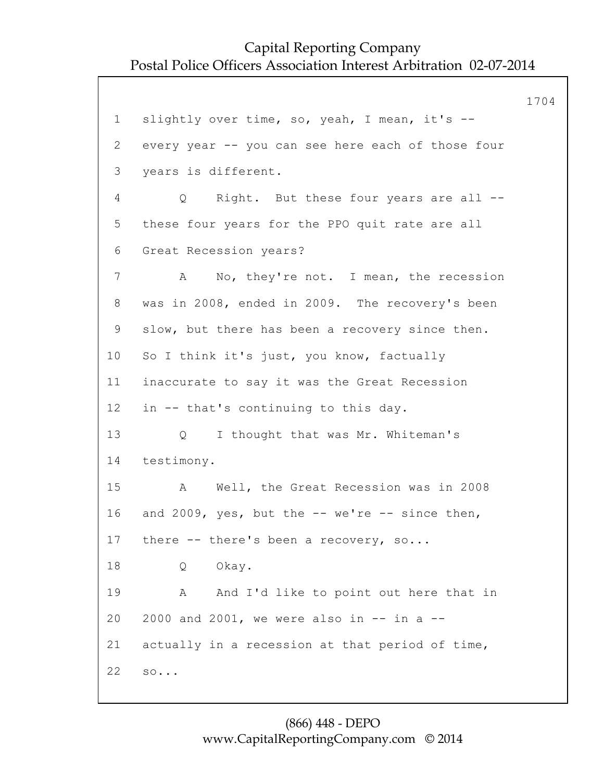1704 1 slightly over time, so, yeah, I mean, it's --2 every year -- you can see here each of those four 3 years is different. 4 Q Right. But these four years are all -- 5 these four years for the PPO quit rate are all 6 Great Recession years? 7 A No, they're not. I mean, the recession 8 was in 2008, ended in 2009. The recovery's been 9 slow, but there has been a recovery since then. 10 So I think it's just, you know, factually 11 inaccurate to say it was the Great Recession 12 in -- that's continuing to this day. 13 Q I thought that was Mr. Whiteman's 14 testimony. 15 A Well, the Great Recession was in 2008 16 and 2009, yes, but the -- we're -- since then, 17 there -- there's been a recovery, so... 18 Q Okay. 19 A And I'd like to point out here that in 20 2000 and 2001, we were also in -- in a -- 21 actually in a recession at that period of time, 22 so...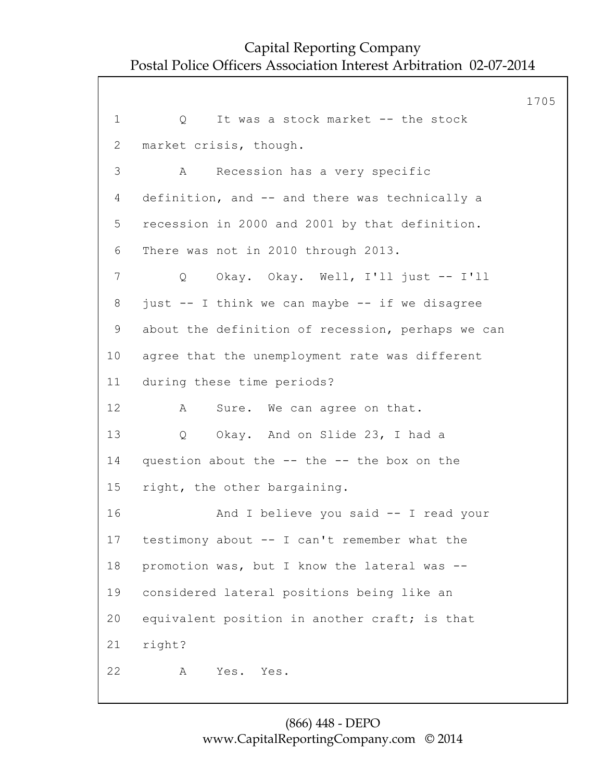1705 1 O It was a stock market -- the stock 2 market crisis, though. 3 A Recession has a very specific 4 definition, and -- and there was technically a 5 recession in 2000 and 2001 by that definition. 6 There was not in 2010 through 2013. 7 Q Okay. Okay. Well, I'll just -- I'll 8 just -- I think we can maybe -- if we disagree 9 about the definition of recession, perhaps we can 10 agree that the unemployment rate was different 11 during these time periods? 12 A Sure. We can agree on that. 13 Q Okay. And on Slide 23, I had a 14 question about the -- the -- the box on the 15 right, the other bargaining. 16 And I believe you said -- I read your 17 testimony about -- I can't remember what the 18 promotion was, but I know the lateral was -- 19 considered lateral positions being like an 20 equivalent position in another craft; is that 21 right? 22 A Yes. Yes.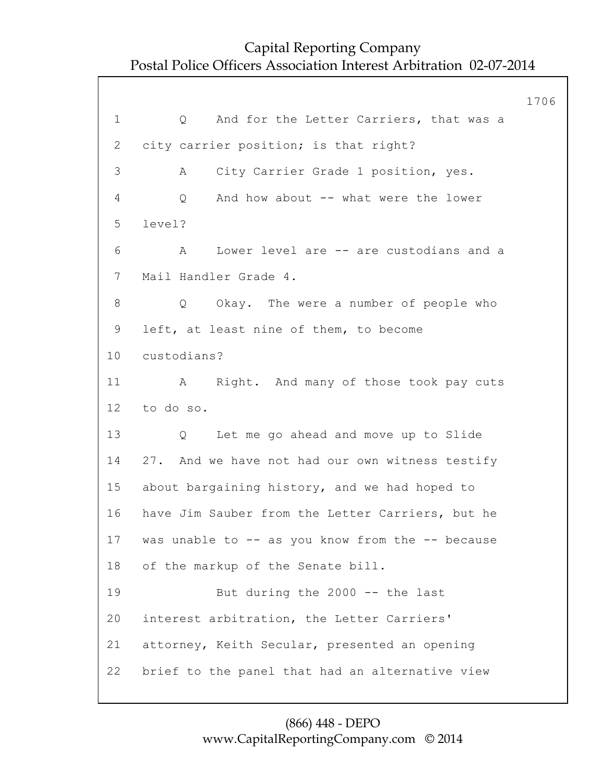1706 1 0 And for the Letter Carriers, that was a 2 city carrier position; is that right? 3 A City Carrier Grade 1 position, yes. 4 Q And how about -- what were the lower 5 level? 6 A Lower level are -- are custodians and a 7 Mail Handler Grade 4. 8 Q Okay. The were a number of people who 9 left, at least nine of them, to become 10 custodians? 11 A Right. And many of those took pay cuts 12 to do so. 13 Q Let me go ahead and move up to Slide 14 27. And we have not had our own witness testify 15 about bargaining history, and we had hoped to 16 have Jim Sauber from the Letter Carriers, but he 17 was unable to -- as you know from the -- because 18 of the markup of the Senate bill. 19 But during the 2000 -- the last 20 interest arbitration, the Letter Carriers' 21 attorney, Keith Secular, presented an opening 22 brief to the panel that had an alternative view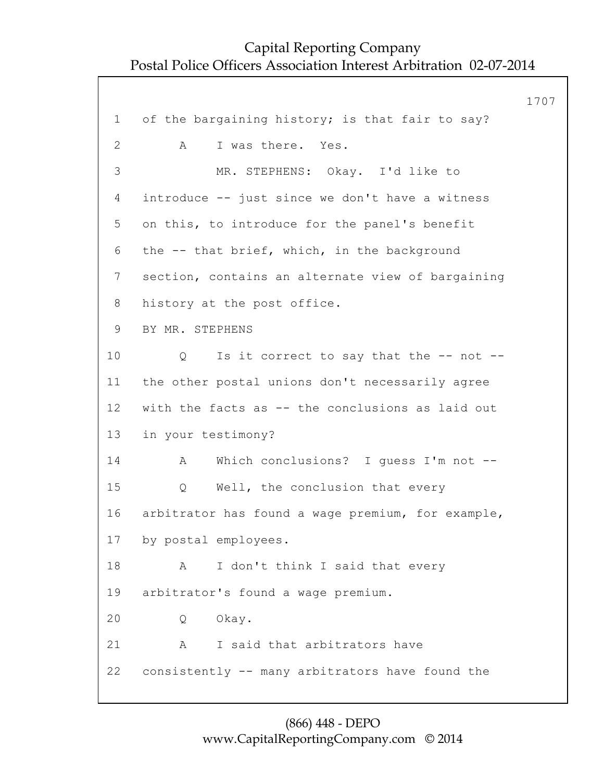1707 1 of the bargaining history; is that fair to say? 2 A I was there. Yes. 3 MR. STEPHENS: Okay. I'd like to 4 introduce -- just since we don't have a witness 5 on this, to introduce for the panel's benefit 6 the -- that brief, which, in the background 7 section, contains an alternate view of bargaining 8 history at the post office. 9 BY MR. STEPHENS 10 Q Is it correct to say that the -- not --11 the other postal unions don't necessarily agree 12 with the facts as -- the conclusions as laid out 13 in your testimony? 14 A Which conclusions? I guess I'm not -- 15 Q Well, the conclusion that every 16 arbitrator has found a wage premium, for example, 17 by postal employees. 18 A I don't think I said that every 19 arbitrator's found a wage premium. 20 Q Okay. 21 A I said that arbitrators have 22 consistently -- many arbitrators have found the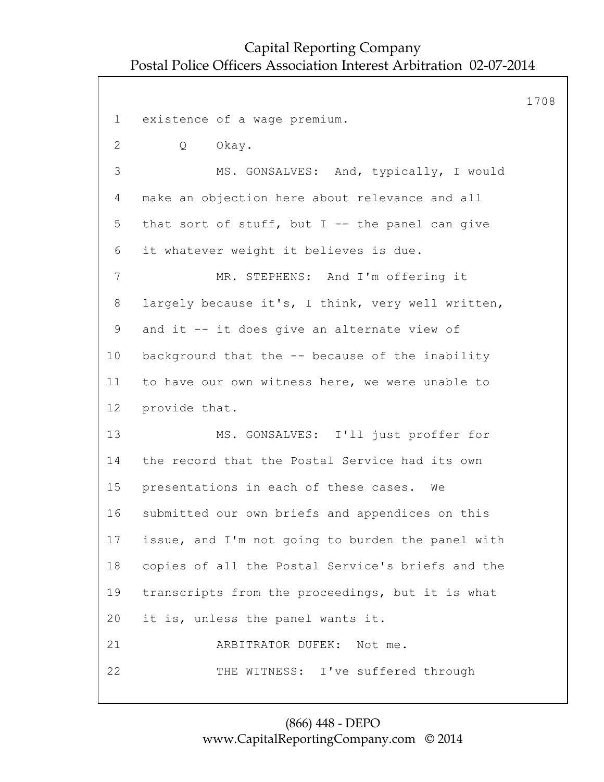1708 1 existence of a wage premium. 2 Q Okay. 3 MS. GONSALVES: And, typically, I would 4 make an objection here about relevance and all 5 that sort of stuff, but  $I$  -- the panel can give 6 it whatever weight it believes is due. 7 MR. STEPHENS: And I'm offering it 8 largely because it's, I think, very well written, 9 and it -- it does give an alternate view of 10 background that the -- because of the inability 11 to have our own witness here, we were unable to 12 provide that. 13 MS. GONSALVES: I'll just proffer for 14 the record that the Postal Service had its own 15 presentations in each of these cases. We 16 submitted our own briefs and appendices on this 17 issue, and I'm not going to burden the panel with 18 copies of all the Postal Service's briefs and the 19 transcripts from the proceedings, but it is what 20 it is, unless the panel wants it. 21 ARBITRATOR DUFEK: Not me. 22 THE WITNESS: I've suffered through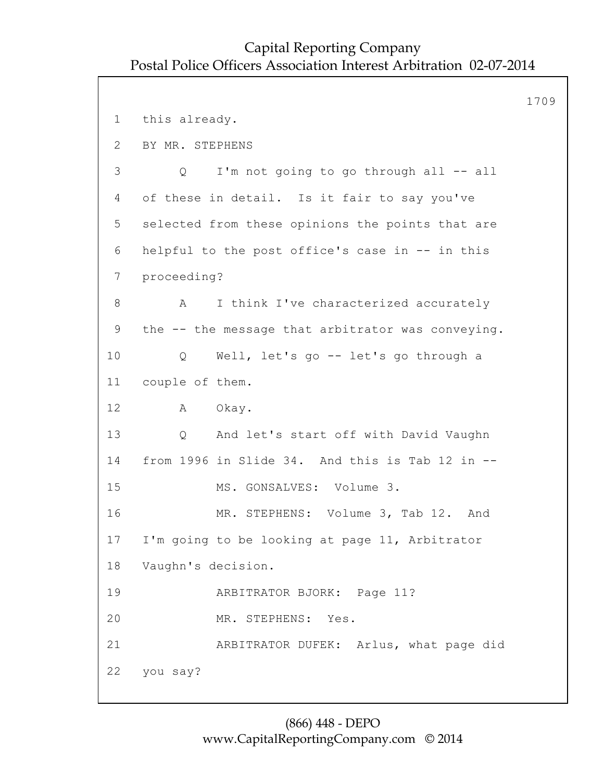```
1709
1 this already.
2 BY MR. STEPHENS
3 Q I'm not going to go through all -- all
4 of these in detail. Is it fair to say you've
5 selected from these opinions the points that are
6 helpful to the post office's case in -- in this
7 proceeding?
8 A I think I've characterized accurately
9 the -- the message that arbitrator was conveying.
10 Q Well, let's go -- let's go through a
11 couple of them.
12 A Okay.
13 Q And let's start off with David Vaughn
14 from 1996 in Slide 34. And this is Tab 12 in --
15 MS. GONSALVES: Volume 3.
16 MR. STEPHENS: Volume 3, Tab 12. And
17 I'm going to be looking at page 11, Arbitrator
18 Vaughn's decision.
19 ARBITRATOR BJORK: Page 11?
20 MR. STEPHENS: Yes.
21 ARBITRATOR DUFEK: Arlus, what page did
22 you say?
```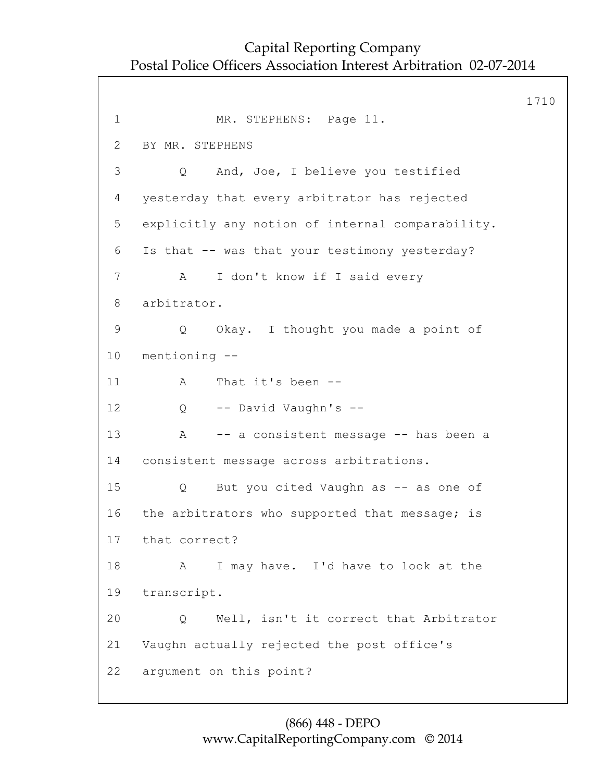1710 1 MR. STEPHENS: Page 11. 2 BY MR. STEPHENS 3 Q And, Joe, I believe you testified 4 yesterday that every arbitrator has rejected 5 explicitly any notion of internal comparability. 6 Is that -- was that your testimony yesterday? 7 A I don't know if I said every 8 arbitrator. 9 Q Okay. I thought you made a point of 10 mentioning -- 11 A That it's been -- 12 Q -- David Vaughn's -- 13 A -- a consistent message -- has been a 14 consistent message across arbitrations. 15 Q But you cited Vaughn as -- as one of 16 the arbitrators who supported that message; is 17 that correct? 18 A I may have. I'd have to look at the 19 transcript. 20 Q Well, isn't it correct that Arbitrator 21 Vaughn actually rejected the post office's 22 argument on this point?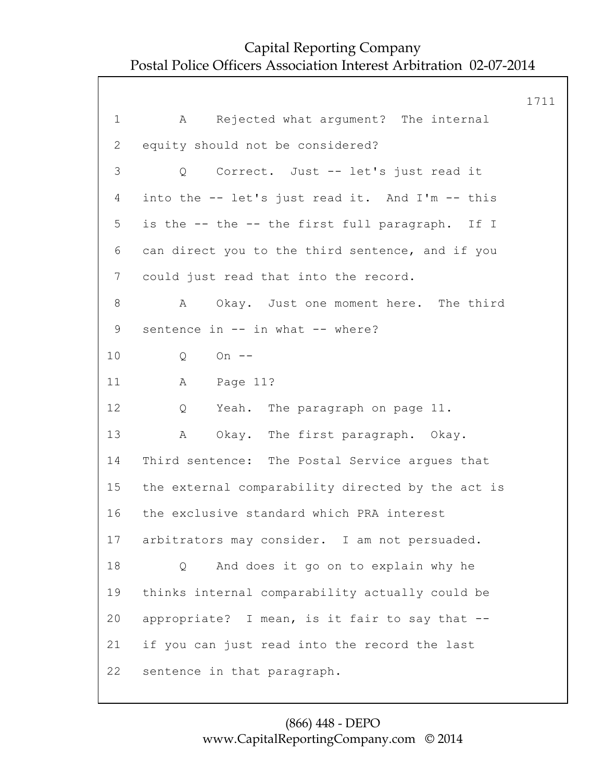1711 1 A Rejected what argument? The internal 2 equity should not be considered? 3 Q Correct. Just -- let's just read it 4 into the -- let's just read it. And I'm -- this 5 is the -- the -- the first full paragraph. If I 6 can direct you to the third sentence, and if you 7 could just read that into the record. 8 A Okay. Just one moment here. The third 9 sentence in -- in what -- where? 10 Q On -- 11 A Page 11? 12 Q Yeah. The paragraph on page 11. 13 A Okay. The first paragraph. Okay. 14 Third sentence: The Postal Service argues that 15 the external comparability directed by the act is 16 the exclusive standard which PRA interest 17 arbitrators may consider. I am not persuaded. 18 Q And does it go on to explain why he 19 thinks internal comparability actually could be 20 appropriate? I mean, is it fair to say that -- 21 if you can just read into the record the last 22 sentence in that paragraph.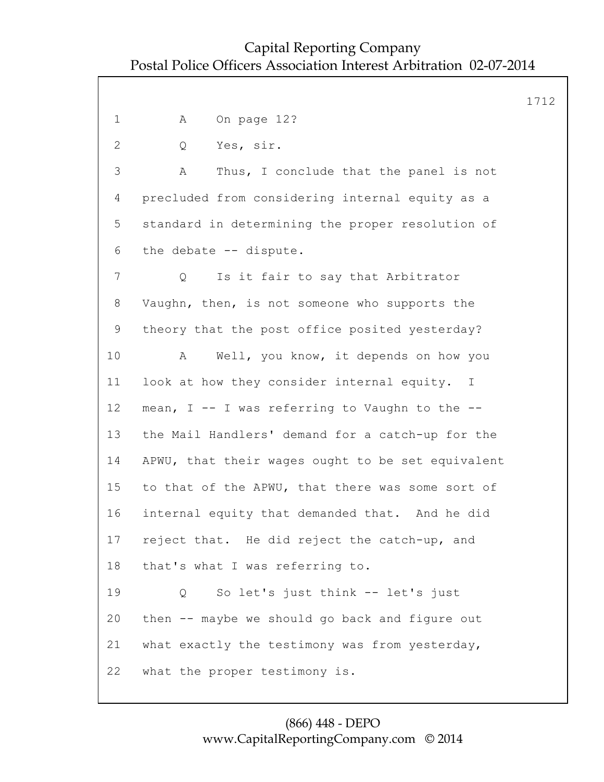1712 1 A On page 12? 2 Q Yes, sir. 3 A Thus, I conclude that the panel is not 4 precluded from considering internal equity as a 5 standard in determining the proper resolution of 6 the debate -- dispute. 7 Q Is it fair to say that Arbitrator 8 Vaughn, then, is not someone who supports the 9 theory that the post office posited yesterday? 10 A Well, you know, it depends on how you 11 look at how they consider internal equity. I 12 mean, I -- I was referring to Vaughn to the -- 13 the Mail Handlers' demand for a catch-up for the 14 APWU, that their wages ought to be set equivalent 15 to that of the APWU, that there was some sort of 16 internal equity that demanded that. And he did 17 reject that. He did reject the catch-up, and 18 that's what I was referring to. 19 Q So let's just think -- let's just 20 then -- maybe we should go back and figure out 21 what exactly the testimony was from yesterday, 22 what the proper testimony is.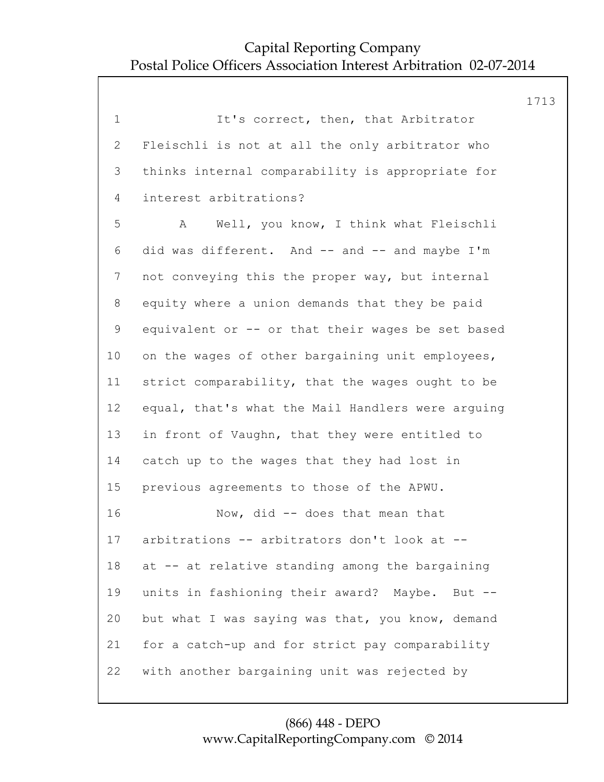|                 |                                                   | 1713 |
|-----------------|---------------------------------------------------|------|
| $\mathbf 1$     | It's correct, then, that Arbitrator               |      |
| $\overline{2}$  | Fleischli is not at all the only arbitrator who   |      |
| 3               | thinks internal comparability is appropriate for  |      |
| 4               | interest arbitrations?                            |      |
| 5               | Well, you know, I think what Fleischli<br>A       |      |
| 6               | did was different. And -- and -- and maybe I'm    |      |
| 7               | not conveying this the proper way, but internal   |      |
| 8               | equity where a union demands that they be paid    |      |
| $\mathsf 9$     | equivalent or -- or that their wages be set based |      |
| 10 <sub>o</sub> | on the wages of other bargaining unit employees,  |      |
| 11              | strict comparability, that the wages ought to be  |      |
| 12              | equal, that's what the Mail Handlers were arguing |      |
| 13              | in front of Vaughn, that they were entitled to    |      |
| 14              | catch up to the wages that they had lost in       |      |
| 15              | previous agreements to those of the APWU.         |      |
| 16              | Now, did -- does that mean that                   |      |
| 17              | arbitrations -- arbitrators don't look at --      |      |
| 18              | at -- at relative standing among the bargaining   |      |
| 19              | units in fashioning their award? Maybe. But --    |      |
| 20              | but what I was saying was that, you know, demand  |      |
| 21              | for a catch-up and for strict pay comparability   |      |
| 22              | with another bargaining unit was rejected by      |      |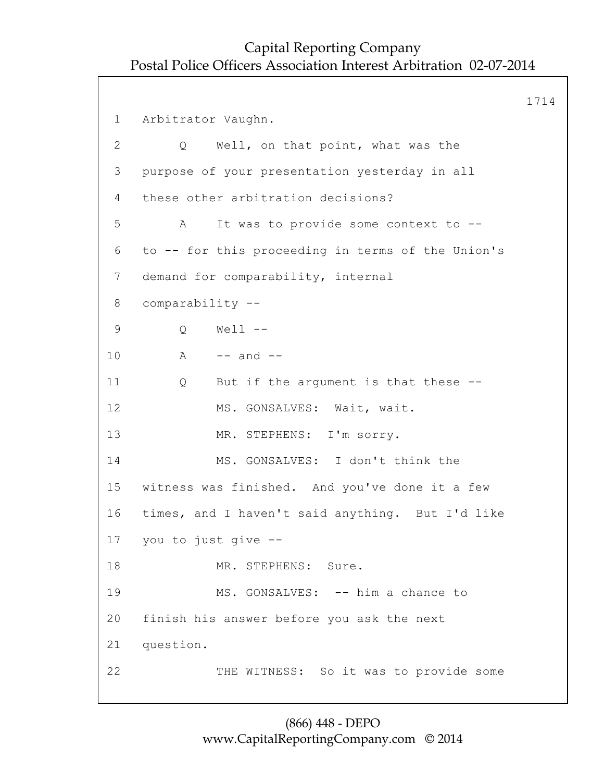```
1714
1 Arbitrator Vaughn.
2 Q Well, on that point, what was the
3 purpose of your presentation yesterday in all
4 these other arbitration decisions?
5 A It was to provide some context to --
6 to -- for this proceeding in terms of the Union's
7 demand for comparability, internal
8 comparability --
9 Q Well --
10 A - and -11 Q But if the argument is that these --
12 MS. GONSALVES: Wait, wait.
13 MR. STEPHENS: I'm sorry.
14 MS. GONSALVES: I don't think the
15 witness was finished. And you've done it a few
16 times, and I haven't said anything. But I'd like
17 you to just give --
18 MR. STEPHENS: Sure.
19 MS. GONSALVES: -- him a chance to
20 finish his answer before you ask the next
21 question.
22 THE WITNESS: So it was to provide some
```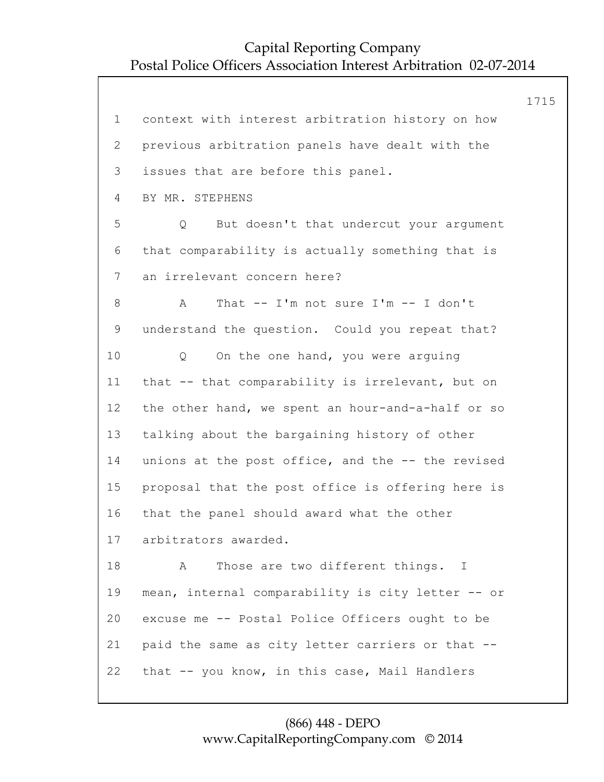1715 1 context with interest arbitration history on how 2 previous arbitration panels have dealt with the 3 issues that are before this panel. 4 BY MR. STEPHENS 5 Q But doesn't that undercut your argument 6 that comparability is actually something that is 7 an irrelevant concern here? 8 A That -- I'm not sure I'm -- I don't 9 understand the question. Could you repeat that? 10 Q On the one hand, you were arguing 11 that -- that comparability is irrelevant, but on 12 the other hand, we spent an hour-and-a-half or so 13 talking about the bargaining history of other 14 unions at the post office, and the -- the revised 15 proposal that the post office is offering here is 16 that the panel should award what the other 17 arbitrators awarded. 18 A Those are two different things. I 19 mean, internal comparability is city letter -- or 20 excuse me -- Postal Police Officers ought to be 21 paid the same as city letter carriers or that -- 22 that -- you know, in this case, Mail Handlers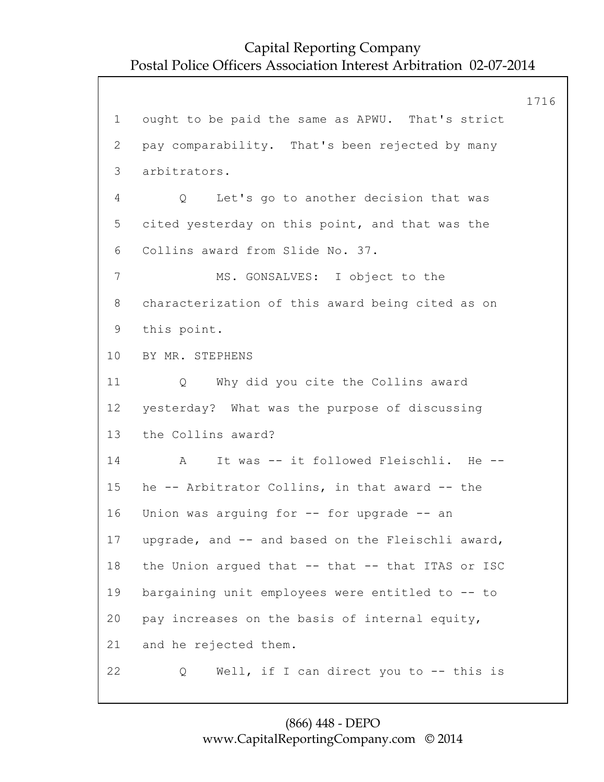1716 1 ought to be paid the same as APWU. That's strict 2 pay comparability. That's been rejected by many 3 arbitrators. 4 Q Let's go to another decision that was 5 cited yesterday on this point, and that was the 6 Collins award from Slide No. 37. 7 MS. GONSALVES: I object to the 8 characterization of this award being cited as on 9 this point. 10 BY MR. STEPHENS 11 Q Why did you cite the Collins award 12 yesterday? What was the purpose of discussing 13 the Collins award? 14 A It was -- it followed Fleischli. He -- 15 he -- Arbitrator Collins, in that award -- the 16 Union was arguing for -- for upgrade -- an 17 upgrade, and -- and based on the Fleischli award, 18 the Union argued that -- that -- that ITAS or ISC 19 bargaining unit employees were entitled to -- to 20 pay increases on the basis of internal equity, 21 and he rejected them. 22 Q Well, if I can direct you to -- this is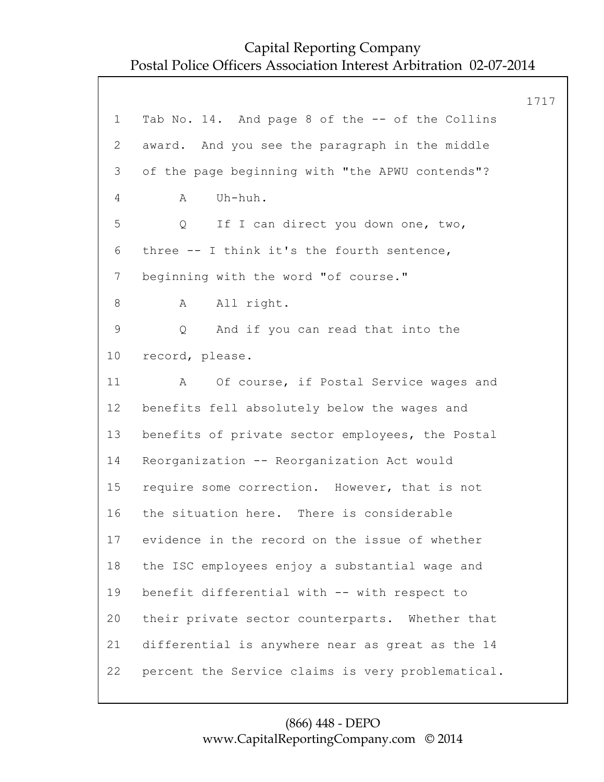1717 1 Tab No. 14. And page 8 of the -- of the Collins 2 award. And you see the paragraph in the middle 3 of the page beginning with "the APWU contends"? 4 A Uh-huh. 5 Q If I can direct you down one, two, 6 three -- I think it's the fourth sentence, 7 beginning with the word "of course." 8 A All right. 9 Q And if you can read that into the 10 record, please. 11 A Of course, if Postal Service wages and 12 benefits fell absolutely below the wages and 13 benefits of private sector employees, the Postal 14 Reorganization -- Reorganization Act would 15 require some correction. However, that is not 16 the situation here. There is considerable 17 evidence in the record on the issue of whether 18 the ISC employees enjoy a substantial wage and 19 benefit differential with -- with respect to 20 their private sector counterparts. Whether that 21 differential is anywhere near as great as the 14 22 percent the Service claims is very problematical.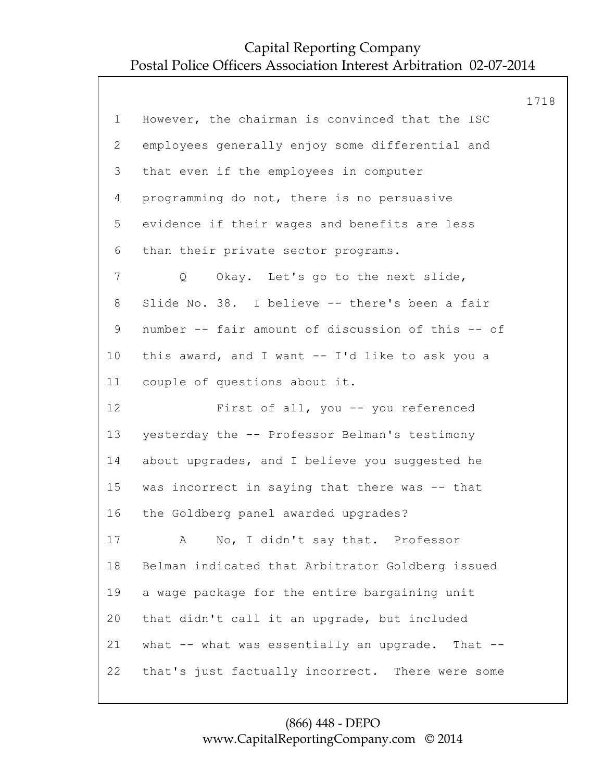| However, the chairman is convinced that the ISC   |  |
|---------------------------------------------------|--|
|                                                   |  |
| employees generally enjoy some differential and   |  |
| that even if the employees in computer            |  |
| programming do not, there is no persuasive        |  |
| evidence if their wages and benefits are less     |  |
| than their private sector programs.               |  |
| Okay. Let's go to the next slide,<br>Q            |  |
| Slide No. 38. I believe -- there's been a fair    |  |
| number -- fair amount of discussion of this -- of |  |
| this award, and I want -- I'd like to ask you a   |  |
| couple of questions about it.                     |  |
| First of all, you -- you referenced               |  |
| yesterday the -- Professor Belman's testimony     |  |
| about upgrades, and I believe you suggested he    |  |
| was incorrect in saying that there was -- that    |  |
| the Goldberg panel awarded upgrades?              |  |
| A No, I didn't say that. Professor                |  |
| Belman indicated that Arbitrator Goldberg issued  |  |
| a wage package for the entire bargaining unit     |  |
| that didn't call it an upgrade, but included      |  |
| what -- what was essentially an upgrade. That --  |  |
| that's just factually incorrect. There were some  |  |
|                                                   |  |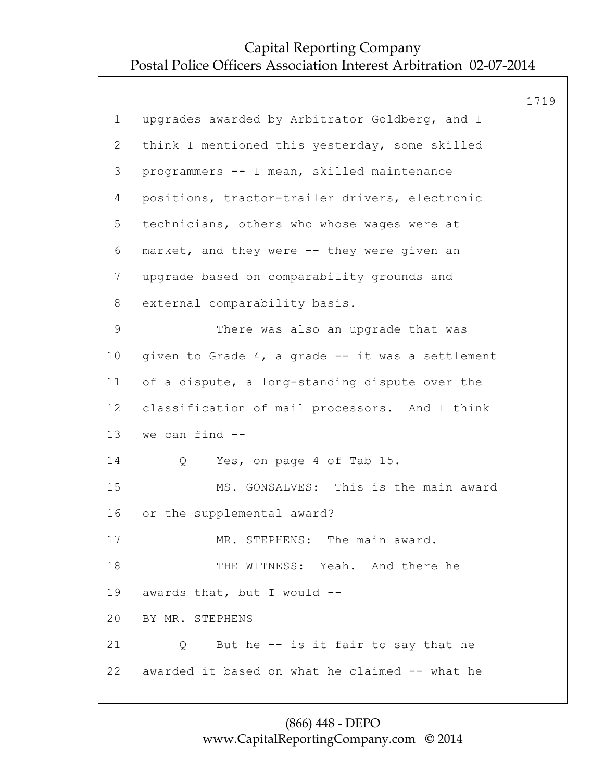1719 1 upgrades awarded by Arbitrator Goldberg, and I 2 think I mentioned this yesterday, some skilled 3 programmers -- I mean, skilled maintenance 4 positions, tractor-trailer drivers, electronic 5 technicians, others who whose wages were at 6 market, and they were -- they were given an 7 upgrade based on comparability grounds and 8 external comparability basis. 9 There was also an upgrade that was 10 given to Grade 4, a grade -- it was a settlement 11 of a dispute, a long-standing dispute over the 12 classification of mail processors. And I think 13 we can find -- 14 Q Yes, on page 4 of Tab 15. 15 MS. GONSALVES: This is the main award 16 or the supplemental award? 17 MR. STEPHENS: The main award. 18 THE WITNESS: Yeah. And there he 19 awards that, but I would -- 20 BY MR. STEPHENS 21 Q But he -- is it fair to say that he 22 awarded it based on what he claimed -- what he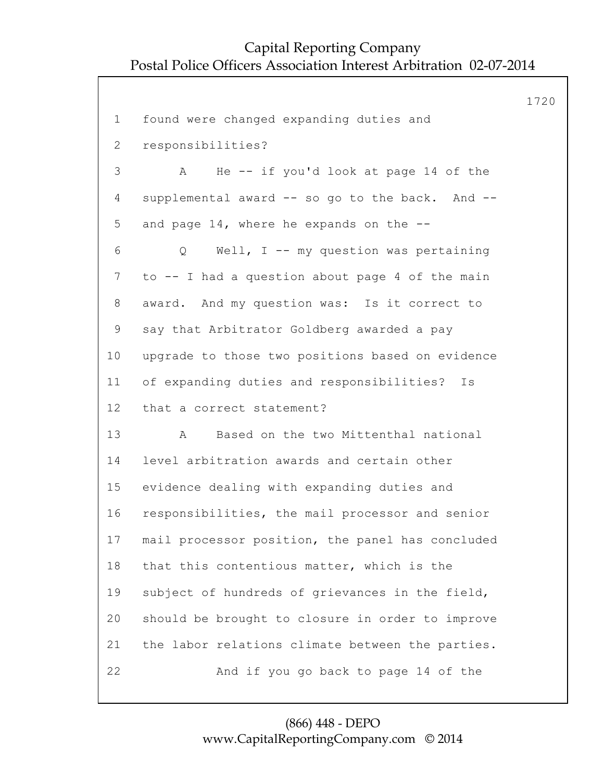1720 1 found were changed expanding duties and 2 responsibilities? 3 A He -- if you'd look at page 14 of the 4 supplemental award -- so go to the back. And -- 5 and page 14, where he expands on the -- 6 Q Well, I -- my question was pertaining 7 to -- I had a question about page 4 of the main 8 award. And my question was: Is it correct to 9 say that Arbitrator Goldberg awarded a pay 10 upgrade to those two positions based on evidence 11 of expanding duties and responsibilities? Is 12 that a correct statement? 13 A Based on the two Mittenthal national 14 level arbitration awards and certain other 15 evidence dealing with expanding duties and 16 responsibilities, the mail processor and senior 17 mail processor position, the panel has concluded 18 that this contentious matter, which is the 19 subject of hundreds of grievances in the field, 20 should be brought to closure in order to improve 21 the labor relations climate between the parties. 22 And if you go back to page 14 of the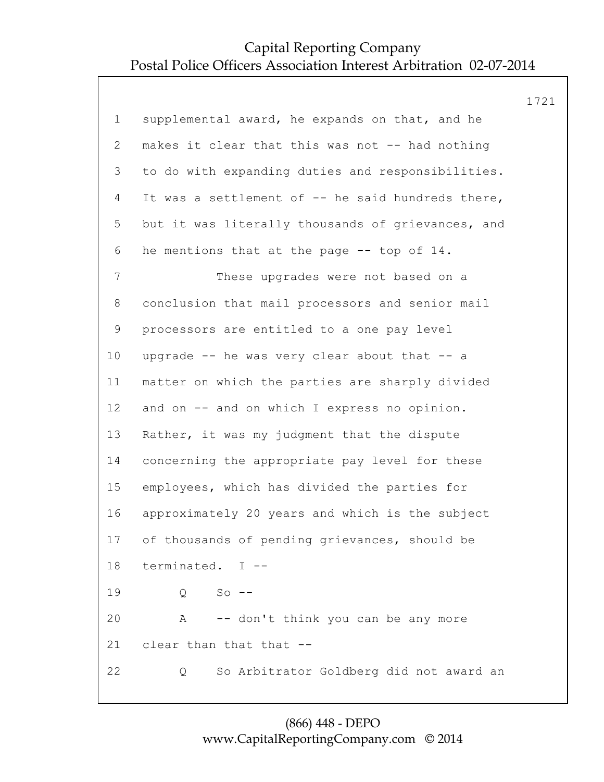|                 |                                                   | 1721 |
|-----------------|---------------------------------------------------|------|
| $\mathbf 1$     | supplemental award, he expands on that, and he    |      |
| $\overline{2}$  | makes it clear that this was not -- had nothing   |      |
| 3               | to do with expanding duties and responsibilities. |      |
| 4               | It was a settlement of -- he said hundreds there, |      |
| 5               | but it was literally thousands of grievances, and |      |
| 6               | he mentions that at the page -- top of 14.        |      |
| 7               | These upgrades were not based on a                |      |
| 8               | conclusion that mail processors and senior mail   |      |
| $\mathsf 9$     | processors are entitled to a one pay level        |      |
| 10 <sub>o</sub> | upgrade -- he was very clear about that -- a      |      |
| 11              | matter on which the parties are sharply divided   |      |
| 12              | and on -- and on which I express no opinion.      |      |
| 13              | Rather, it was my judgment that the dispute       |      |
| 14              | concerning the appropriate pay level for these    |      |
| 15              | employees, which has divided the parties for      |      |
| 16              | approximately 20 years and which is the subject   |      |
| 17              | of thousands of pending grievances, should be     |      |
| 18              | terminated. I --                                  |      |
| 19              | $So$ --<br>Q                                      |      |
| 20              | -- don't think you can be any more<br>A           |      |
| 21              | clear than that that --                           |      |
| 22              | So Arbitrator Goldberg did not award an<br>Q      |      |
|                 |                                                   |      |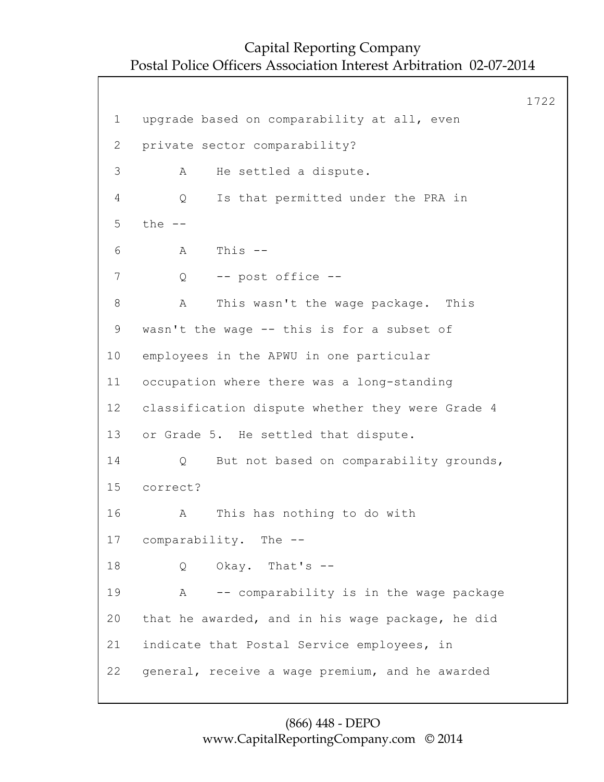1722 1 upgrade based on comparability at all, even 2 private sector comparability? 3 A He settled a dispute. 4 Q Is that permitted under the PRA in 5 the --  $6$  A This  $-$ 7 Q -- post office -- 8 A This wasn't the wage package. This 9 wasn't the wage -- this is for a subset of 10 employees in the APWU in one particular 11 occupation where there was a long-standing 12 classification dispute whether they were Grade 4 13 or Grade 5. He settled that dispute. 14 Q But not based on comparability grounds, 15 correct? 16 A This has nothing to do with 17 comparability. The -- 18 Q Okay. That's -- 19 A -- comparability is in the wage package 20 that he awarded, and in his wage package, he did 21 indicate that Postal Service employees, in 22 general, receive a wage premium, and he awarded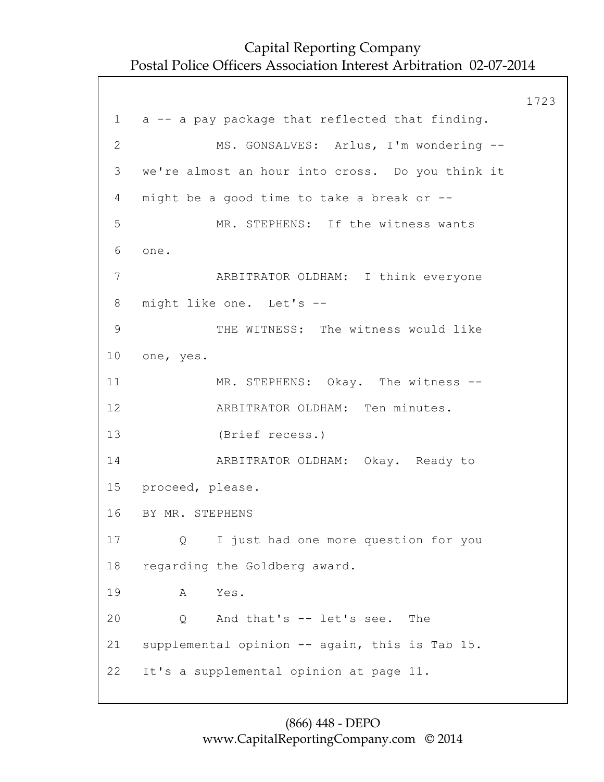1723 1 a -- a pay package that reflected that finding. 2 MS. GONSALVES: Arlus, I'm wondering -- 3 we're almost an hour into cross. Do you think it 4 might be a good time to take a break or -- 5 MR. STEPHENS: If the witness wants 6 one. 7 ARBITRATOR OLDHAM: I think everyone 8 might like one. Let's -- 9 THE WITNESS: The witness would like 10 one, yes. 11 MR. STEPHENS: Okay. The witness --12 ARBITRATOR OLDHAM: Ten minutes. 13 (Brief recess.) 14 ARBITRATOR OLDHAM: Okay. Ready to 15 proceed, please. 16 BY MR. STEPHENS 17 Q I just had one more question for you 18 regarding the Goldberg award. 19 A Yes. 20 Q And that's -- let's see. The 21 supplemental opinion -- again, this is Tab 15. 22 It's a supplemental opinion at page 11.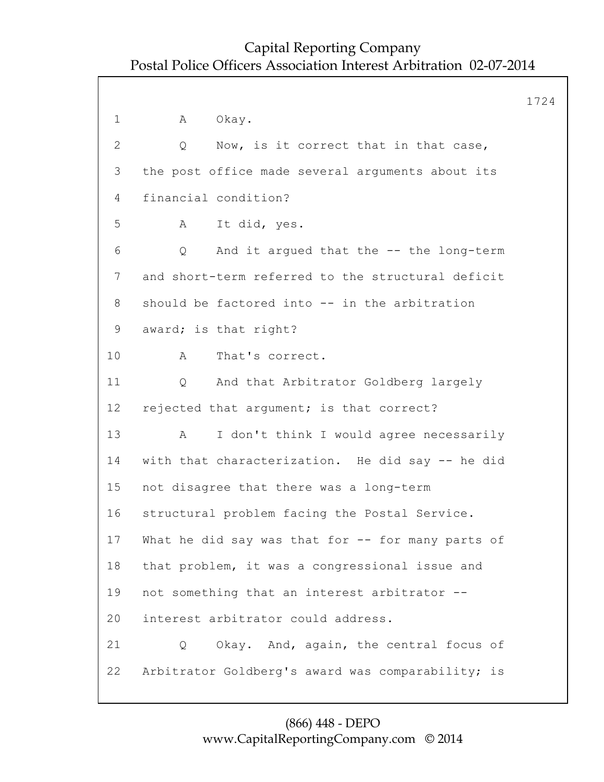1724 1 A Okay. 2 Q Now, is it correct that in that case, 3 the post office made several arguments about its 4 financial condition? 5 A It did, yes. 6 Q And it argued that the -- the long-term 7 and short-term referred to the structural deficit 8 should be factored into -- in the arbitration 9 award; is that right? 10 A That's correct. 11 Q And that Arbitrator Goldberg largely 12 rejected that argument; is that correct? 13 A I don't think I would agree necessarily 14 with that characterization. He did say -- he did 15 not disagree that there was a long-term 16 structural problem facing the Postal Service. 17 What he did say was that for -- for many parts of 18 that problem, it was a congressional issue and 19 not something that an interest arbitrator -- 20 interest arbitrator could address. 21 Q Okay. And, again, the central focus of 22 Arbitrator Goldberg's award was comparability; is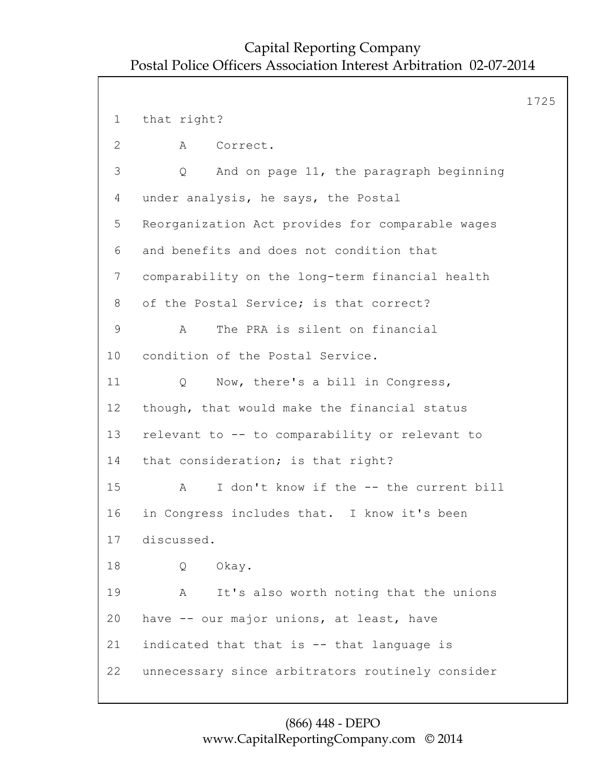```
1725
 1 that right?
 2 A Correct.
 3 Q And on page 11, the paragraph beginning
 4 under analysis, he says, the Postal
 5 Reorganization Act provides for comparable wages
 6 and benefits and does not condition that
7 comparability on the long-term financial health
 8 of the Postal Service; is that correct?
 9 A The PRA is silent on financial
10 condition of the Postal Service.
11 Q Now, there's a bill in Congress,
12 though, that would make the financial status
13 relevant to -- to comparability or relevant to
14 that consideration; is that right?
15 A I don't know if the -- the current bill
16 in Congress includes that. I know it's been
17 discussed.
18 Q Okay.
19 A It's also worth noting that the unions
20 have -- our major unions, at least, have
21 indicated that that is -- that language is
22 unnecessary since arbitrators routinely consider
```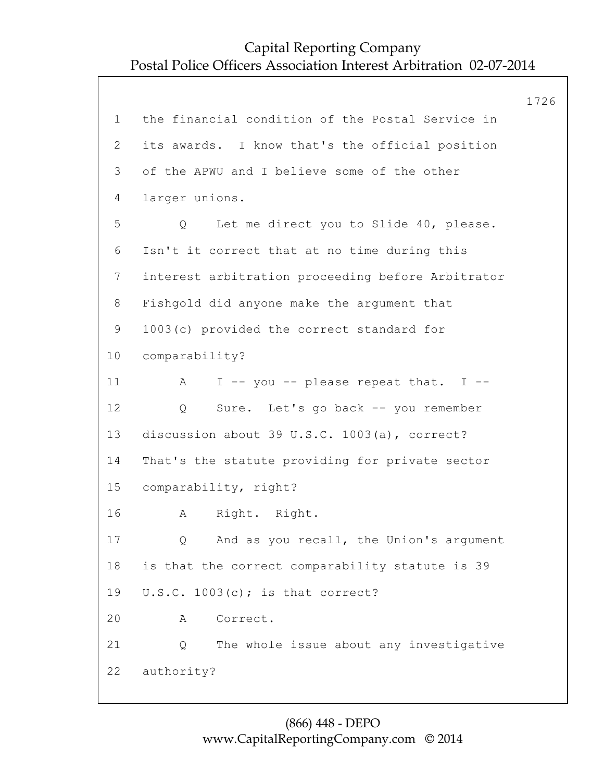1726 1 the financial condition of the Postal Service in 2 its awards. I know that's the official position 3 of the APWU and I believe some of the other 4 larger unions. 5 Q Let me direct you to Slide 40, please. 6 Isn't it correct that at no time during this 7 interest arbitration proceeding before Arbitrator 8 Fishgold did anyone make the argument that 9 1003(c) provided the correct standard for 10 comparability? 11 A I -- you -- please repeat that. I --12 Q Sure. Let's go back -- you remember 13 discussion about 39 U.S.C. 1003(a), correct? 14 That's the statute providing for private sector 15 comparability, right? 16 A Right. Right. 17 Q And as you recall, the Union's argument 18 is that the correct comparability statute is 39 19 U.S.C. 1003(c); is that correct? 20 A Correct. 21 Q The whole issue about any investigative 22 authority?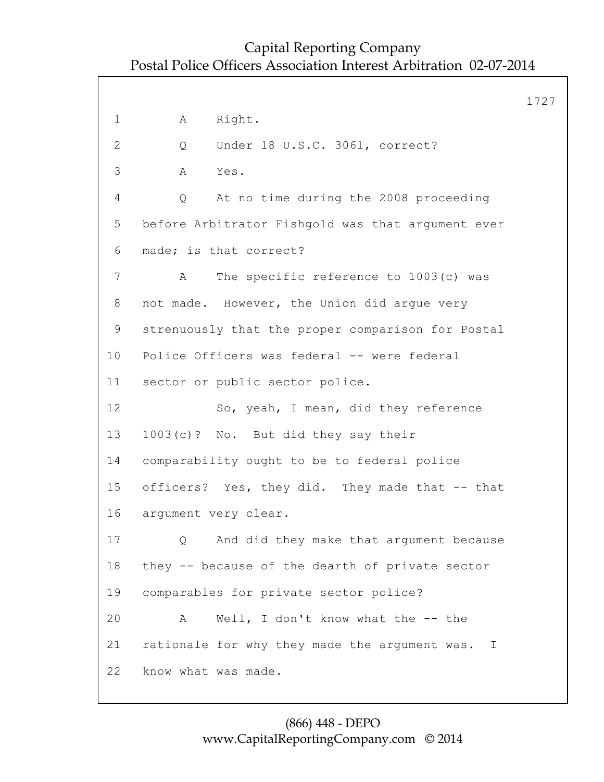1727 1 A Right. 2 Q Under 18 U.S.C. 3061, correct? 3 A Yes. 4 Q At no time during the 2008 proceeding 5 before Arbitrator Fishgold was that argument ever 6 made; is that correct? 7 A The specific reference to 1003(c) was 8 not made. However, the Union did argue very 9 strenuously that the proper comparison for Postal 10 Police Officers was federal -- were federal 11 sector or public sector police. 12 So, yeah, I mean, did they reference 13 1003(c)? No. But did they say their 14 comparability ought to be to federal police 15 officers? Yes, they did. They made that -- that 16 argument very clear. 17 Q And did they make that argument because 18 they -- because of the dearth of private sector 19 comparables for private sector police? 20 A Well, I don't know what the -- the 21 rationale for why they made the argument was. I 22 know what was made.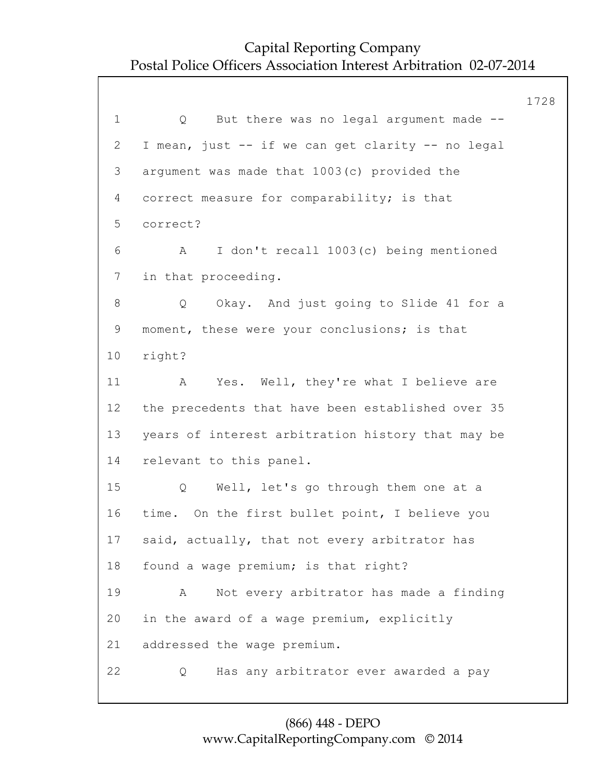1728 1 Q But there was no legal argument made -- 2 I mean, just -- if we can get clarity -- no legal 3 argument was made that 1003(c) provided the 4 correct measure for comparability; is that 5 correct? 6 A I don't recall 1003(c) being mentioned 7 in that proceeding. 8 Q Okay. And just going to Slide 41 for a 9 moment, these were your conclusions; is that 10 right? 11 A Yes. Well, they're what I believe are 12 the precedents that have been established over 35 13 years of interest arbitration history that may be 14 relevant to this panel. 15 Q Well, let's go through them one at a 16 time. On the first bullet point, I believe you 17 said, actually, that not every arbitrator has 18 found a wage premium; is that right? 19 A Not every arbitrator has made a finding 20 in the award of a wage premium, explicitly 21 addressed the wage premium. 22 Q Has any arbitrator ever awarded a pay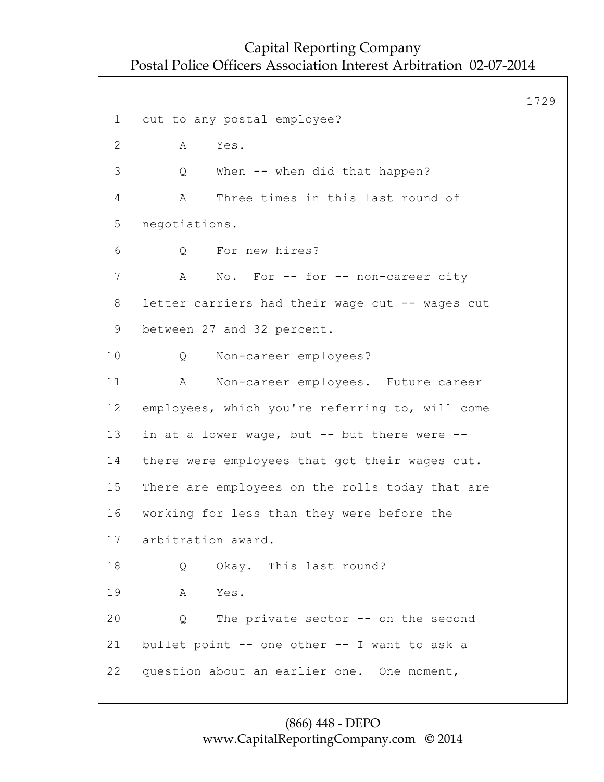1729 1 cut to any postal employee? 2 A Yes. 3 Q When -- when did that happen? 4 A Three times in this last round of 5 negotiations. 6 Q For new hires? 7 A No. For -- for -- non-career city 8 letter carriers had their wage cut -- wages cut 9 between 27 and 32 percent. 10 Q Non-career employees? 11 A Non-career employees. Future career 12 employees, which you're referring to, will come 13 in at a lower wage, but -- but there were -- 14 there were employees that got their wages cut. 15 There are employees on the rolls today that are 16 working for less than they were before the 17 arbitration award. 18 Q Okay. This last round? 19 A Yes. 20 Q The private sector -- on the second 21 bullet point -- one other -- I want to ask a 22 question about an earlier one. One moment,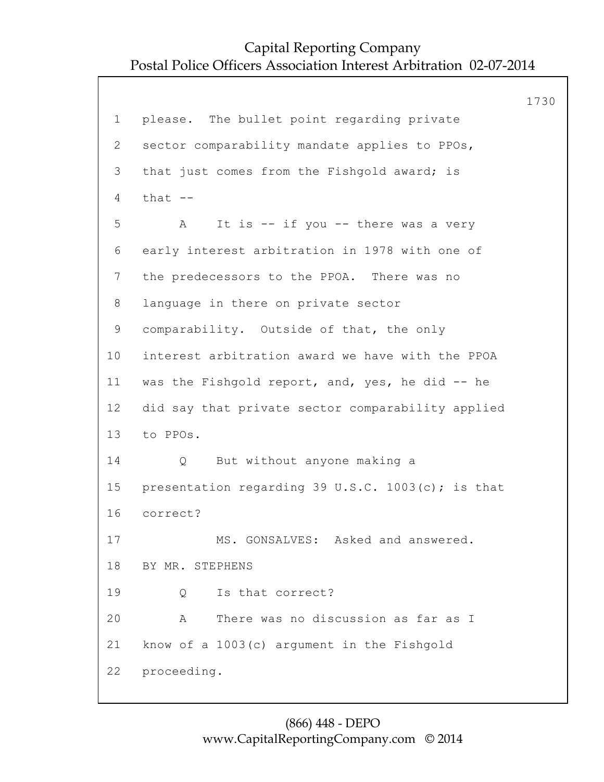1730 1 please. The bullet point regarding private 2 sector comparability mandate applies to PPOs, 3 that just comes from the Fishgold award; is  $4$  that  $-$ 5 A It is -- if you -- there was a very 6 early interest arbitration in 1978 with one of 7 the predecessors to the PPOA. There was no 8 language in there on private sector 9 comparability. Outside of that, the only 10 interest arbitration award we have with the PPOA 11 was the Fishgold report, and, yes, he did -- he 12 did say that private sector comparability applied 13 to PPOs. 14 Q But without anyone making a 15 presentation regarding 39 U.S.C. 1003(c); is that 16 correct? 17 MS. GONSALVES: Asked and answered. 18 BY MR. STEPHENS 19 Q Is that correct? 20 A There was no discussion as far as I 21 know of a 1003(c) argument in the Fishgold 22 proceeding.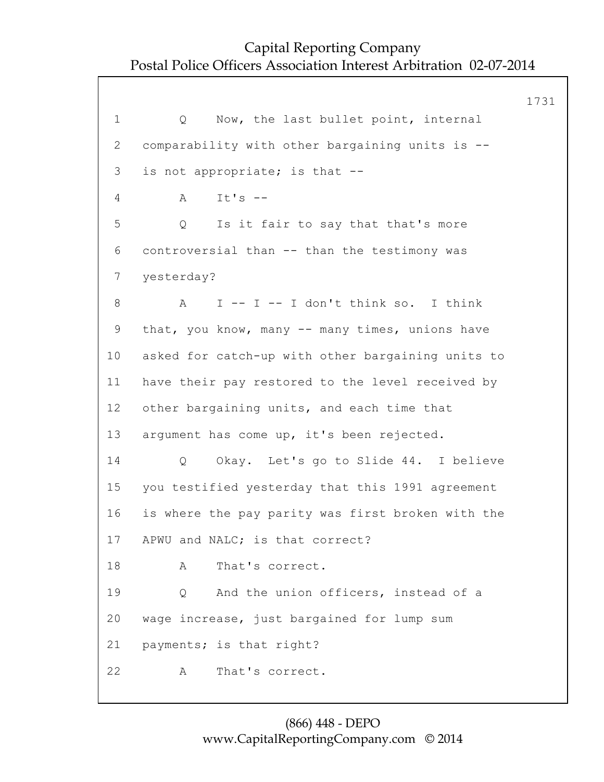1731 1 Q Now, the last bullet point, internal 2 comparability with other bargaining units is -- 3 is not appropriate; is that -- 4 A It's -- 5 Q Is it fair to say that that's more 6 controversial than -- than the testimony was 7 yesterday? 8 A I -- I -- I don't think so. I think 9 that, you know, many -- many times, unions have 10 asked for catch-up with other bargaining units to 11 have their pay restored to the level received by 12 other bargaining units, and each time that 13 argument has come up, it's been rejected. 14 Q Okay. Let's go to Slide 44. I believe 15 you testified yesterday that this 1991 agreement 16 is where the pay parity was first broken with the 17 APWU and NALC; is that correct? 18 A That's correct. 19 Q And the union officers, instead of a 20 wage increase, just bargained for lump sum 21 payments; is that right? 22 A That's correct.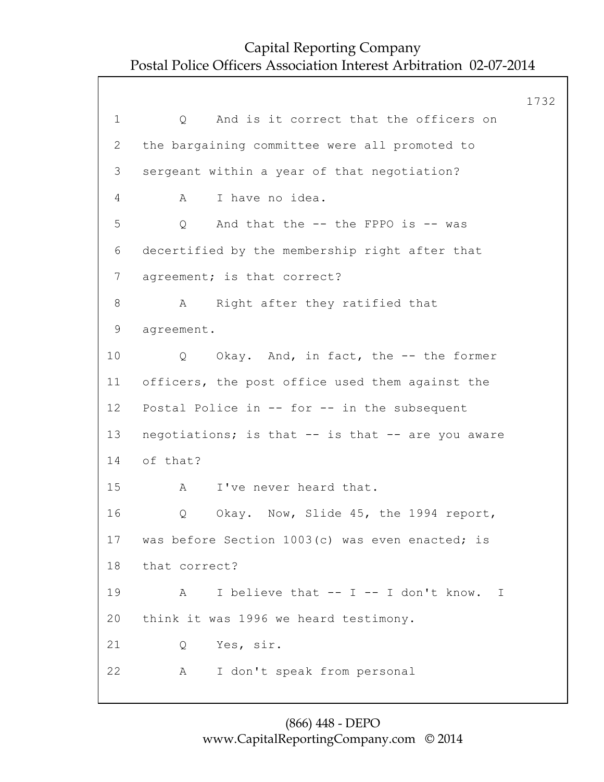1732 1 0 And is it correct that the officers on 2 the bargaining committee were all promoted to 3 sergeant within a year of that negotiation? 4 A I have no idea. 5 Q And that the -- the FPPO is -- was 6 decertified by the membership right after that 7 agreement; is that correct? 8 A Right after they ratified that 9 agreement. 10 Q Okay. And, in fact, the -- the former 11 officers, the post office used them against the 12 Postal Police in -- for -- in the subsequent 13 negotiations; is that -- is that -- are you aware 14 of that? 15 A I've never heard that. 16 Q Okay. Now, Slide 45, the 1994 report, 17 was before Section 1003(c) was even enacted; is 18 that correct? 19 A I believe that -- I -- I don't know. I 20 think it was 1996 we heard testimony. 21 Q Yes, sir. 22 A I don't speak from personal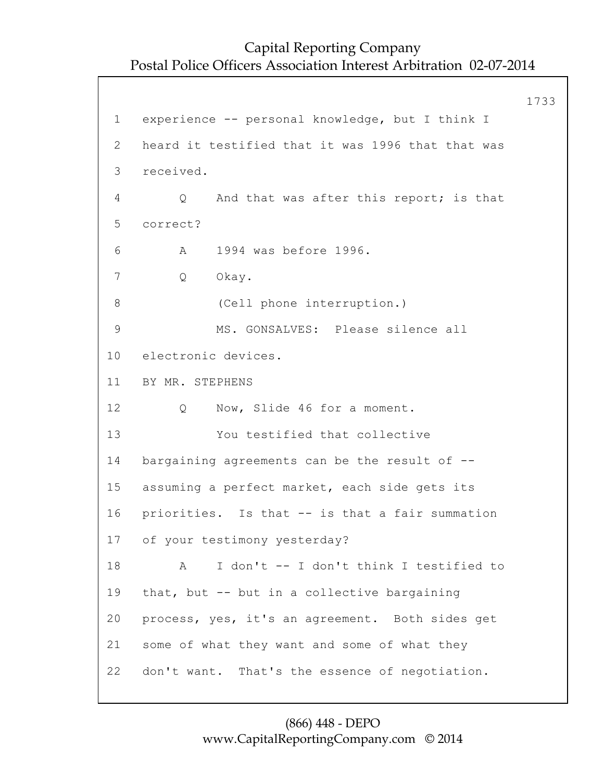1733 1 experience -- personal knowledge, but I think I 2 heard it testified that it was 1996 that that was 3 received. 4 Q And that was after this report; is that 5 correct? 6 A 1994 was before 1996. 7 Q Okay. 8 (Cell phone interruption.) 9 MS. GONSALVES: Please silence all 10 electronic devices. 11 BY MR. STEPHENS 12 Q Now, Slide 46 for a moment. 13 You testified that collective 14 bargaining agreements can be the result of -- 15 assuming a perfect market, each side gets its 16 priorities. Is that -- is that a fair summation 17 of your testimony yesterday? 18 A I don't -- I don't think I testified to 19 that, but -- but in a collective bargaining 20 process, yes, it's an agreement. Both sides get 21 some of what they want and some of what they 22 don't want. That's the essence of negotiation.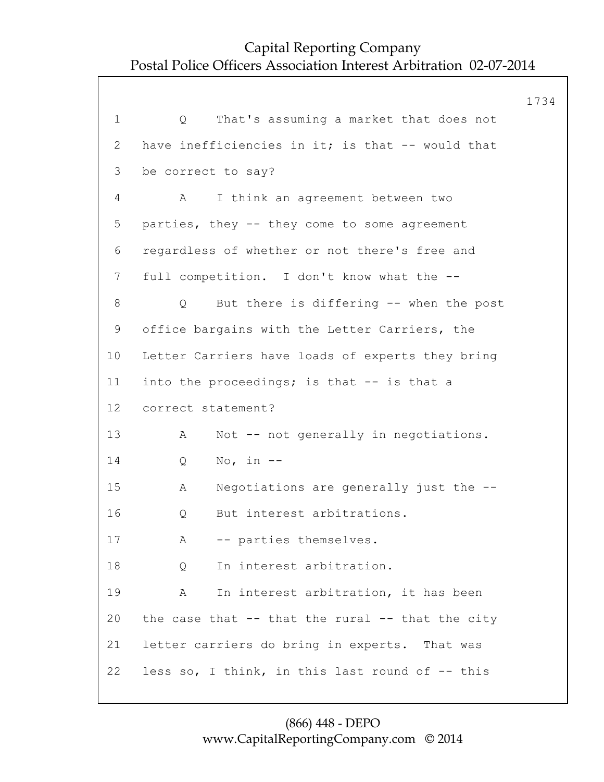|                 |                                                      | 1734 |
|-----------------|------------------------------------------------------|------|
| $\mathbf 1$     | That's assuming a market that does not<br>Q          |      |
| $\mathbf{2}$    | have inefficiencies in it; is that -- would that     |      |
| 3               | be correct to say?                                   |      |
| 4               | I think an agreement between two<br>A                |      |
| 5               | parties, they -- they come to some agreement         |      |
| 6               | regardless of whether or not there's free and        |      |
| $7\phantom{.0}$ | full competition. I don't know what the --           |      |
| 8               | But there is differing -- when the post<br>Q         |      |
| 9               | office bargains with the Letter Carriers, the        |      |
| 10              | Letter Carriers have loads of experts they bring     |      |
| 11              | into the proceedings; is that -- is that a           |      |
| 12              | correct statement?                                   |      |
| 13              | Not -- not generally in negotiations.<br>A           |      |
| 14              | No, in $--$<br>Q                                     |      |
| 15              | Negotiations are generally just the --<br>Α          |      |
| 16              | But interest arbitrations.<br>Q                      |      |
| 17              | -- parties themselves.<br>Α                          |      |
| 18              | In interest arbitration.<br>Q                        |      |
| 19              | In interest arbitration, it has been<br>A            |      |
| 20              | the case that $--$ that the rural $--$ that the city |      |
| 21              | letter carriers do bring in experts. That was        |      |
| 22              | less so, I think, in this last round of -- this      |      |
|                 |                                                      |      |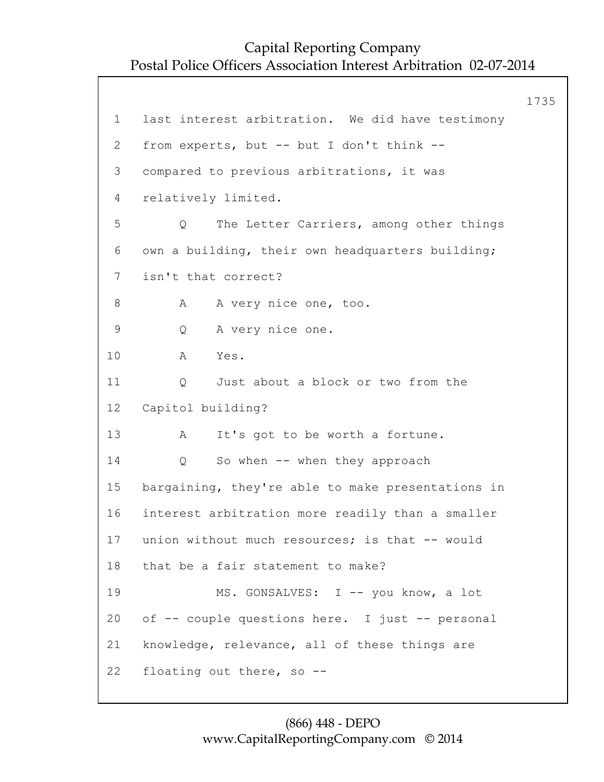1735 1 last interest arbitration. We did have testimony 2 from experts, but -- but I don't think -- 3 compared to previous arbitrations, it was 4 relatively limited. 5 Q The Letter Carriers, among other things 6 own a building, their own headquarters building; 7 isn't that correct? 8 A A very nice one, too. 9 Q A very nice one. 10 A Yes. 11 0 Just about a block or two from the 12 Capitol building? 13 A It's got to be worth a fortune. 14 Q So when -- when they approach 15 bargaining, they're able to make presentations in 16 interest arbitration more readily than a smaller 17 union without much resources; is that -- would 18 that be a fair statement to make? 19 MS. GONSALVES: I -- you know, a lot 20 of -- couple questions here. I just -- personal 21 knowledge, relevance, all of these things are 22 floating out there, so --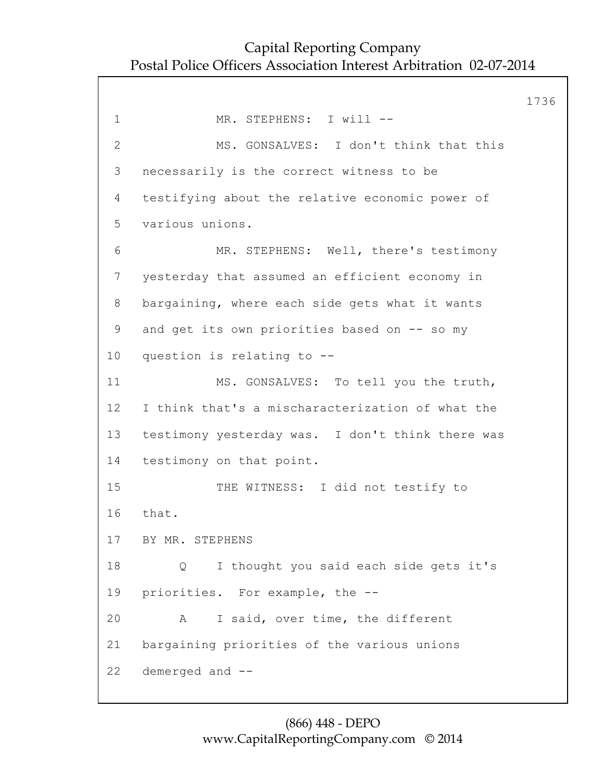1736 1 MR. STEPHENS: I will --2 MS. GONSALVES: I don't think that this 3 necessarily is the correct witness to be 4 testifying about the relative economic power of 5 various unions. 6 MR. STEPHENS: Well, there's testimony 7 yesterday that assumed an efficient economy in 8 bargaining, where each side gets what it wants 9 and get its own priorities based on -- so my 10 question is relating to -- 11 MS. GONSALVES: To tell you the truth, 12 I think that's a mischaracterization of what the 13 testimony yesterday was. I don't think there was 14 testimony on that point. 15 THE WITNESS: I did not testify to 16 that. 17 BY MR. STEPHENS 18 Q I thought you said each side gets it's 19 priorities. For example, the -- 20 A I said, over time, the different 21 bargaining priorities of the various unions 22 demerged and --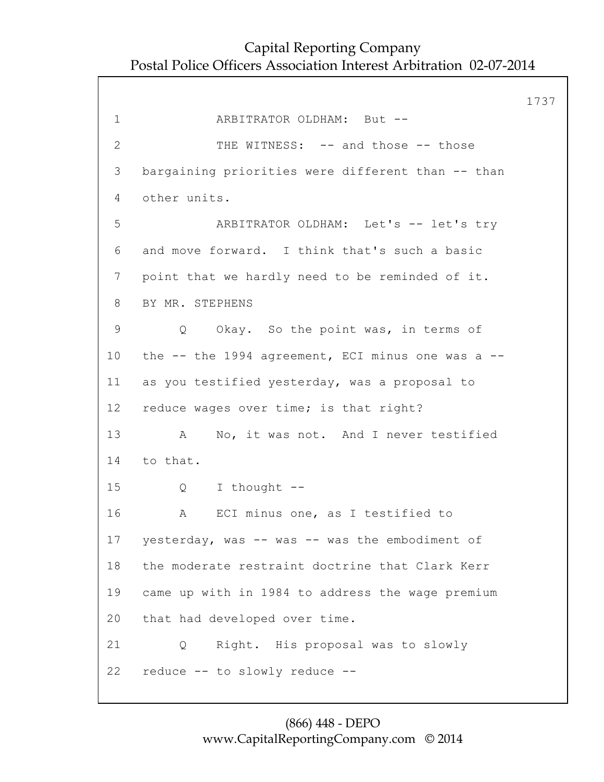1737 1 ARBITRATOR OLDHAM: But -- 2 THE WITNESS: -- and those -- those 3 bargaining priorities were different than -- than 4 other units. 5 ARBITRATOR OLDHAM: Let's -- let's try 6 and move forward. I think that's such a basic 7 point that we hardly need to be reminded of it. 8 BY MR. STEPHENS 9 Q Okay. So the point was, in terms of 10 the -- the 1994 agreement, ECI minus one was a -- 11 as you testified yesterday, was a proposal to 12 reduce wages over time; is that right? 13 A No, it was not. And I never testified 14 to that. 15 Q I thought -- 16 A ECI minus one, as I testified to 17 yesterday, was -- was -- was the embodiment of 18 the moderate restraint doctrine that Clark Kerr 19 came up with in 1984 to address the wage premium 20 that had developed over time. 21 Q Right. His proposal was to slowly 22 reduce -- to slowly reduce --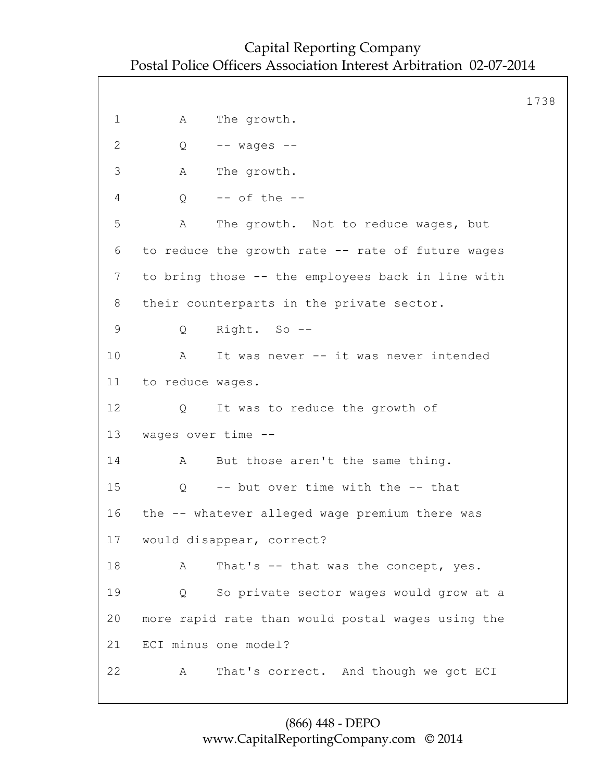1738 1 A The growth. 2 Q -- wages -- 3 A The growth. 4 Q -- of the -- 5 A The growth. Not to reduce wages, but 6 to reduce the growth rate -- rate of future wages 7 to bring those -- the employees back in line with 8 their counterparts in the private sector. 9 Q Right. So -- 10 A It was never -- it was never intended 11 to reduce wages. 12 Q It was to reduce the growth of 13 wages over time -- 14 A But those aren't the same thing. 15 Q -- but over time with the -- that 16 the -- whatever alleged wage premium there was 17 would disappear, correct? 18 A That's -- that was the concept, yes. 19 Q So private sector wages would grow at a 20 more rapid rate than would postal wages using the 21 ECI minus one model? 22 A That's correct. And though we got ECI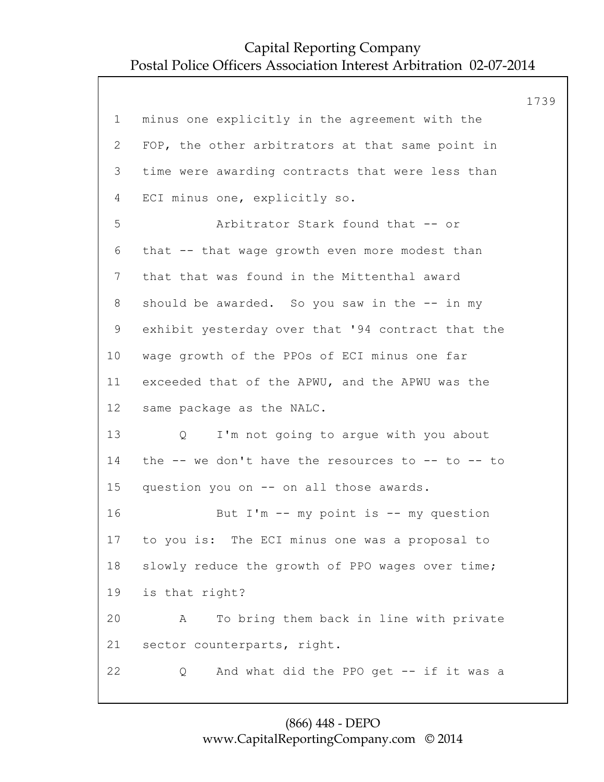|             |                                                         | 1739 |
|-------------|---------------------------------------------------------|------|
| $\mathbf 1$ | minus one explicitly in the agreement with the          |      |
| 2           | FOP, the other arbitrators at that same point in        |      |
| 3           | time were awarding contracts that were less than        |      |
| 4           | ECI minus one, explicitly so.                           |      |
| 5           | Arbitrator Stark found that -- or                       |      |
| 6           | that -- that wage growth even more modest than          |      |
| 7           | that that was found in the Mittenthal award             |      |
| 8           | should be awarded. So you saw in the -- in my           |      |
| 9           | exhibit yesterday over that '94 contract that the       |      |
| 10          | wage growth of the PPOs of ECI minus one far            |      |
| 11          | exceeded that of the APWU, and the APWU was the         |      |
| 12          | same package as the NALC.                               |      |
| 13          | I'm not going to argue with you about<br>Q              |      |
| 14          | the $--$ we don't have the resources to $--$ to $--$ to |      |
| 15          | question you on -- on all those awards.                 |      |
| 16          | But $I'm$ -- my point is -- my question                 |      |
| 17          | to you is: The ECI minus one was a proposal to          |      |
| 18          | slowly reduce the growth of PPO wages over time;        |      |
| 19          | is that right?                                          |      |
| 20          | To bring them back in line with private<br>Α            |      |
| 21          | sector counterparts, right.                             |      |
| 22          | And what did the PPO get -- if it was a<br>Q            |      |
|             |                                                         |      |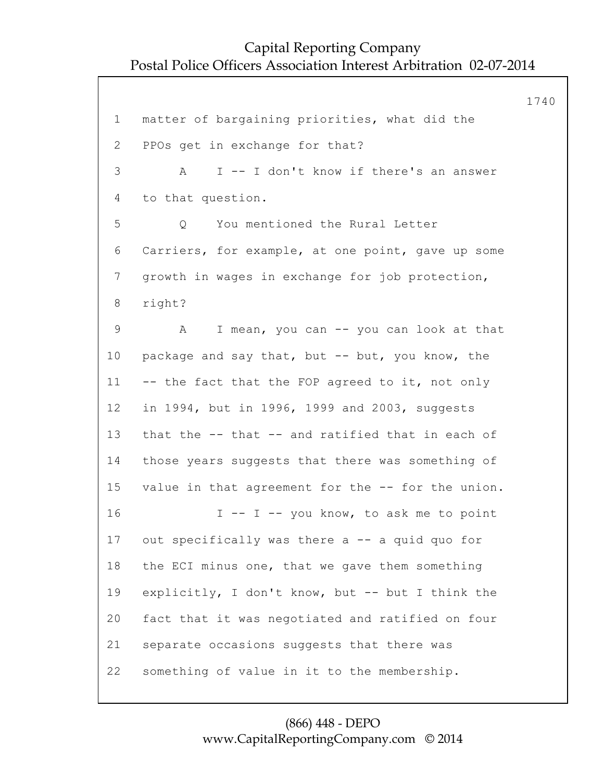1740 1 matter of bargaining priorities, what did the 2 PPOs get in exchange for that? 3 A I -- I don't know if there's an answer 4 to that question. 5 Q You mentioned the Rural Letter 6 Carriers, for example, at one point, gave up some 7 growth in wages in exchange for job protection, 8 right? 9 A I mean, you can -- you can look at that 10 package and say that, but -- but, you know, the 11 -- the fact that the FOP agreed to it, not only 12 in 1994, but in 1996, 1999 and 2003, suggests 13 that the -- that -- and ratified that in each of 14 those years suggests that there was something of 15 value in that agreement for the -- for the union. 16 I -- I -- you know, to ask me to point 17 out specifically was there a -- a quid quo for 18 the ECI minus one, that we gave them something 19 explicitly, I don't know, but -- but I think the 20 fact that it was negotiated and ratified on four 21 separate occasions suggests that there was 22 something of value in it to the membership.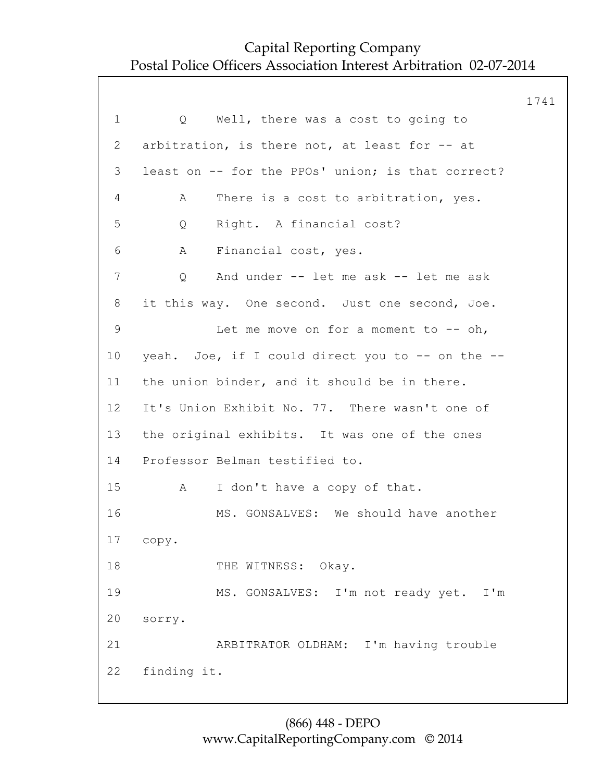1741 1 Q Well, there was a cost to going to 2 arbitration, is there not, at least for -- at 3 least on -- for the PPOs' union; is that correct? 4 A There is a cost to arbitration, yes. 5 Q Right. A financial cost? 6 A Financial cost, yes. 7 Q And under -- let me ask -- let me ask 8 it this way. One second. Just one second, Joe. 9 Let me move on for a moment to -- oh, 10 yeah. Joe, if I could direct you to -- on the -- 11 the union binder, and it should be in there. 12 It's Union Exhibit No. 77. There wasn't one of 13 the original exhibits. It was one of the ones 14 Professor Belman testified to. 15 A I don't have a copy of that. 16 MS. GONSALVES: We should have another 17 copy. 18 THE WITNESS: Okay. 19 MS. GONSALVES: I'm not ready yet. I'm 20 sorry. 21 ARBITRATOR OLDHAM: I'm having trouble 22 finding it.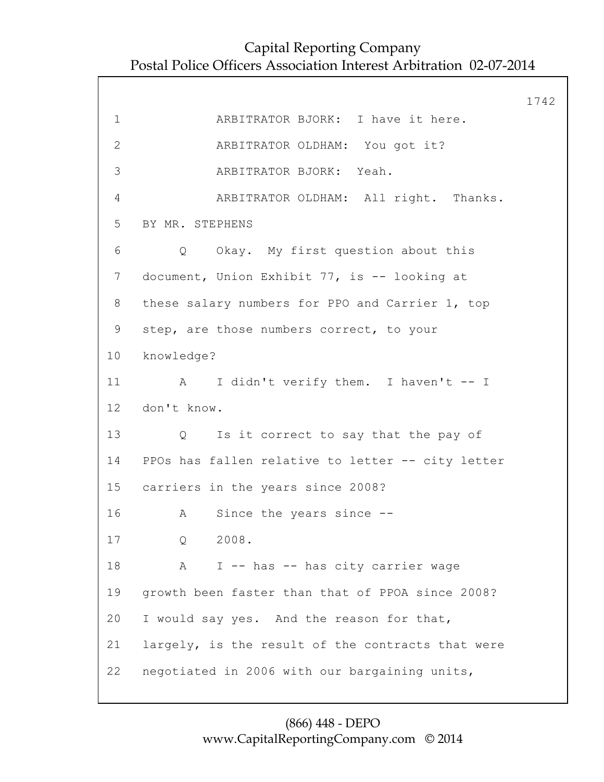|                 |                                                           | 1742 |
|-----------------|-----------------------------------------------------------|------|
| $\mathbf 1$     | ARBITRATOR BJORK: I have it here.                         |      |
| $\mathbf{2}$    | ARBITRATOR OLDHAM: You got it?                            |      |
| 3               | ARBITRATOR BJORK: Yeah.                                   |      |
| 4               | ARBITRATOR OLDHAM: All right. Thanks.                     |      |
| 5               | BY MR. STEPHENS                                           |      |
| 6               | Q Okay. My first question about this                      |      |
| 7 <sup>7</sup>  | document, Union Exhibit 77, is -- looking at              |      |
| 8               | these salary numbers for PPO and Carrier 1, top           |      |
| 9               | step, are those numbers correct, to your                  |      |
| 10              | knowledge?                                                |      |
| 11              | A I didn't verify them. I haven't -- I                    |      |
| 12 <sub>2</sub> | don't know.                                               |      |
| 13              | Is it correct to say that the pay of<br>$Q \qquad \qquad$ |      |
| 14              | PPOs has fallen relative to letter -- city letter         |      |
|                 | 15 carriers in the years since 2008?                      |      |
| 16              | Since the years since --<br>A                             |      |
| 17              | 2008.<br>Q                                                |      |
| 18              | I -- has -- has city carrier wage<br>A                    |      |
| 19              | growth been faster than that of PPOA since 2008?          |      |
| 20              | I would say yes. And the reason for that,                 |      |
| 21              | largely, is the result of the contracts that were         |      |
| 22              | negotiated in 2006 with our bargaining units,             |      |
|                 |                                                           |      |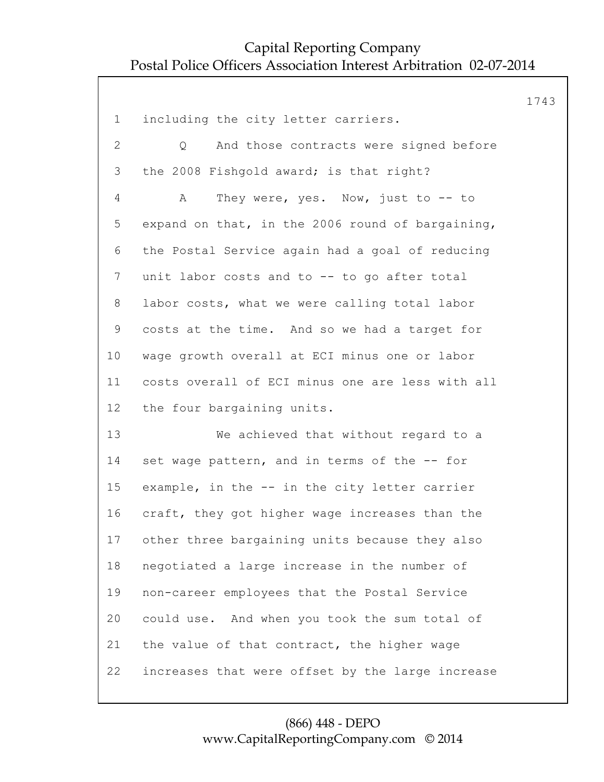|                 |                                                  | 1743 |
|-----------------|--------------------------------------------------|------|
| $\mathbf 1$     | including the city letter carriers.              |      |
| $\overline{2}$  | And those contracts were signed before<br>Q      |      |
| 3               | the 2008 Fishgold award; is that right?          |      |
| 4               | They were, yes. Now, just to $--$ to<br>A        |      |
| 5               | expand on that, in the 2006 round of bargaining, |      |
| 6               | the Postal Service again had a goal of reducing  |      |
| $7\phantom{.}$  | unit labor costs and to -- to go after total     |      |
| 8               | labor costs, what we were calling total labor    |      |
| 9               | costs at the time. And so we had a target for    |      |
| 10 <sub>o</sub> | wage growth overall at ECI minus one or labor    |      |
| 11              | costs overall of ECI minus one are less with all |      |
| 12              | the four bargaining units.                       |      |
| 13              | We achieved that without regard to a             |      |
| 14              | set wage pattern, and in terms of the -- for     |      |
| 15              | example, in the -- in the city letter carrier    |      |
| 16              | craft, they got higher wage increases than the   |      |
| 17              | other three bargaining units because they also   |      |
| 18              | negotiated a large increase in the number of     |      |
| 19              | non-career employees that the Postal Service     |      |
| 20              | could use. And when you took the sum total of    |      |
| 21              | the value of that contract, the higher wage      |      |
| 22              | increases that were offset by the large increase |      |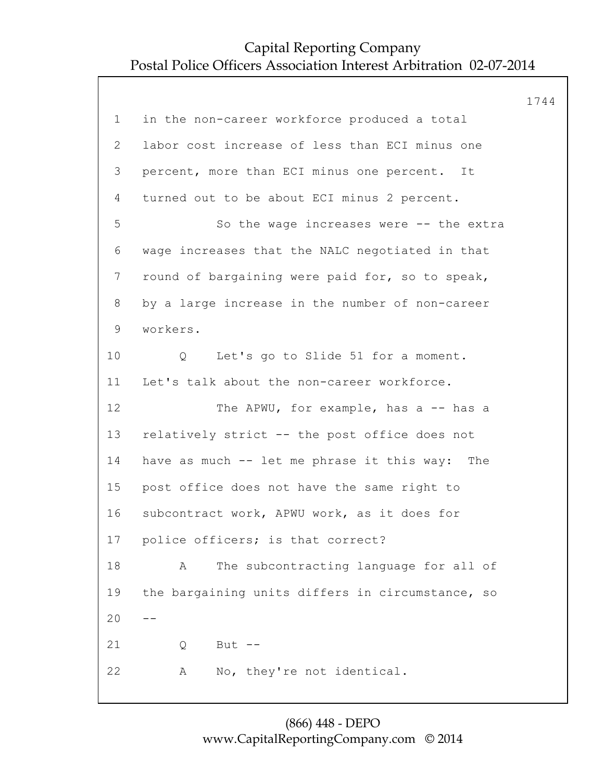|                |                                                  | 1744 |
|----------------|--------------------------------------------------|------|
| $\mathbf 1$    | in the non-career workforce produced a total     |      |
| $\overline{2}$ | labor cost increase of less than ECI minus one   |      |
| 3              | percent, more than ECI minus one percent. It     |      |
| 4              | turned out to be about ECI minus 2 percent.      |      |
| 5              | So the wage increases were $--$ the extra        |      |
| 6              | wage increases that the NALC negotiated in that  |      |
| 7              | round of bargaining were paid for, so to speak,  |      |
| 8              | by a large increase in the number of non-career  |      |
| $\mathsf 9$    | workers.                                         |      |
| 10             | Let's go to Slide 51 for a moment.<br>Q          |      |
| 11             | Let's talk about the non-career workforce.       |      |
| 12             | The APWU, for example, has a -- has a            |      |
| 13             | relatively strict -- the post office does not    |      |
| 14             | have as much -- let me phrase it this way: The   |      |
| 15             | post office does not have the same right to      |      |
| 16             | subcontract work, APWU work, as it does for      |      |
| 17             | police officers; is that correct?                |      |
| 18             | The subcontracting language for all of<br>Α      |      |
| 19             | the bargaining units differs in circumstance, so |      |
| 20             |                                                  |      |
| 21             | But $--$<br>Q                                    |      |
| 22             | No, they're not identical.<br>Α                  |      |
|                |                                                  |      |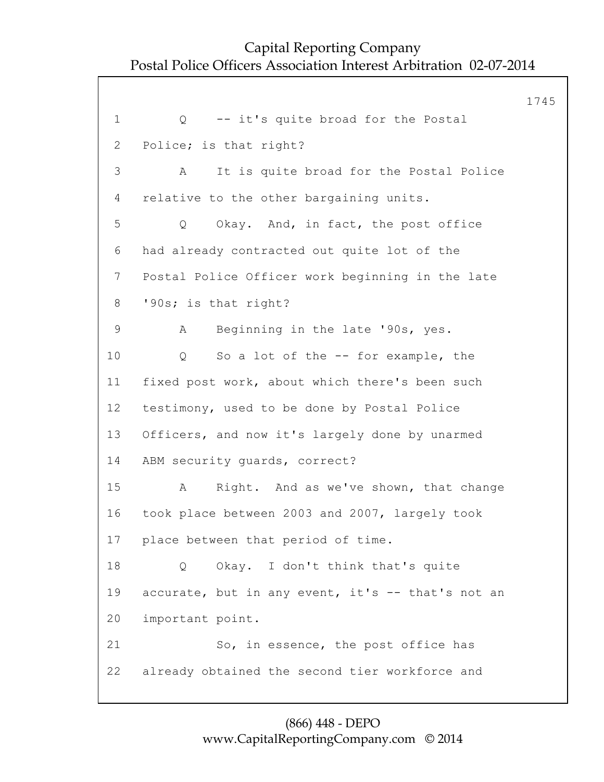1745 1 0 -- it's quite broad for the Postal 2 Police; is that right? 3 A It is quite broad for the Postal Police 4 relative to the other bargaining units. 5 Q Okay. And, in fact, the post office 6 had already contracted out quite lot of the 7 Postal Police Officer work beginning in the late 8 '90s; is that right? 9 A Beginning in the late '90s, yes. 10 Q So a lot of the -- for example, the 11 fixed post work, about which there's been such 12 testimony, used to be done by Postal Police 13 Officers, and now it's largely done by unarmed 14 ABM security guards, correct? 15 A Right. And as we've shown, that change 16 took place between 2003 and 2007, largely took 17 place between that period of time. 18 O Okay. I don't think that's quite 19 accurate, but in any event, it's -- that's not an 20 important point. 21 So, in essence, the post office has 22 already obtained the second tier workforce and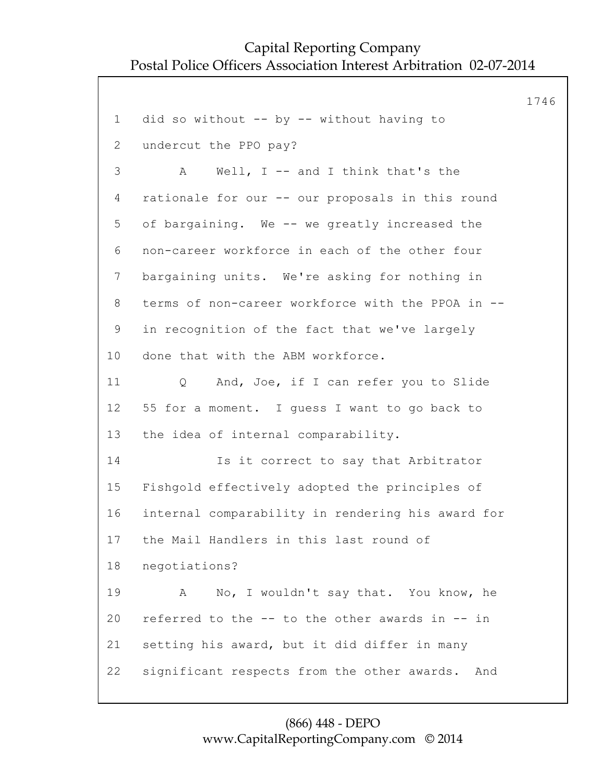1746 1 did so without -- by -- without having to 2 undercut the PPO pay? 3 A Well, I -- and I think that's the 4 rationale for our -- our proposals in this round 5 of bargaining. We -- we greatly increased the 6 non-career workforce in each of the other four 7 bargaining units. We're asking for nothing in 8 terms of non-career workforce with the PPOA in -- 9 in recognition of the fact that we've largely 10 done that with the ABM workforce. 11 Q And, Joe, if I can refer you to Slide 12 55 for a moment. I guess I want to go back to 13 the idea of internal comparability. 14 Is it correct to say that Arbitrator 15 Fishgold effectively adopted the principles of 16 internal comparability in rendering his award for 17 the Mail Handlers in this last round of 18 negotiations? 19 A No, I wouldn't say that. You know, he 20 referred to the -- to the other awards in -- in 21 setting his award, but it did differ in many 22 significant respects from the other awards. And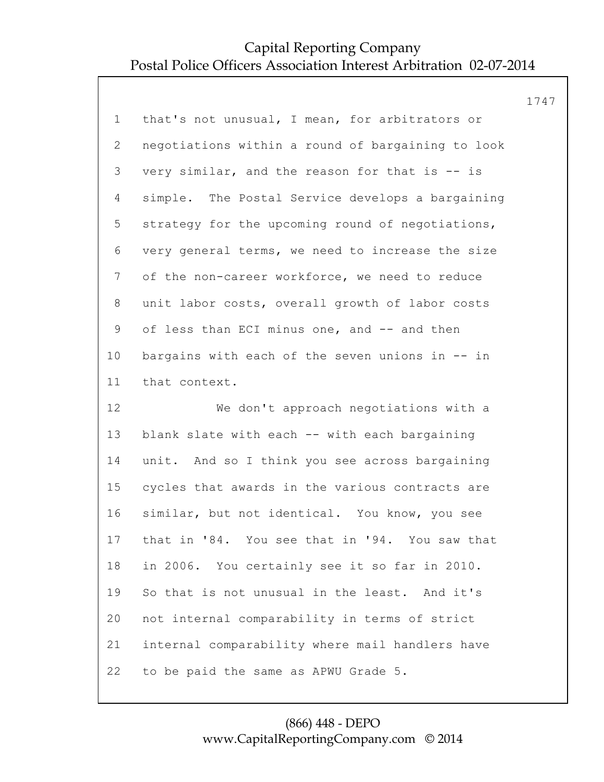|                |                                                   | 1747 |
|----------------|---------------------------------------------------|------|
| $\mathbf 1$    | that's not unusual, I mean, for arbitrators or    |      |
| $\overline{2}$ | negotiations within a round of bargaining to look |      |
| 3              | very similar, and the reason for that is -- is    |      |
| 4              | simple. The Postal Service develops a bargaining  |      |
| 5              | strategy for the upcoming round of negotiations,  |      |
| 6              | very general terms, we need to increase the size  |      |
| $\overline{7}$ | of the non-career workforce, we need to reduce    |      |
| 8              | unit labor costs, overall growth of labor costs   |      |
| $\mathsf 9$    | of less than ECI minus one, and -- and then       |      |
| 10             | bargains with each of the seven unions in -- in   |      |
| 11             | that context.                                     |      |
| 12             | We don't approach negotiations with a             |      |
| 13             | blank slate with each -- with each bargaining     |      |
| 14             | unit. And so I think you see across bargaining    |      |
| 15             | cycles that awards in the various contracts are   |      |
| 16             | similar, but not identical. You know, you see     |      |
| 17             | that in '84. You see that in '94. You saw that    |      |
| 18             | in 2006. You certainly see it so far in 2010.     |      |
| 19             | So that is not unusual in the least. And it's     |      |
| 20             | not internal comparability in terms of strict     |      |
| 21             | internal comparability where mail handlers have   |      |
| 22             | to be paid the same as APWU Grade 5.              |      |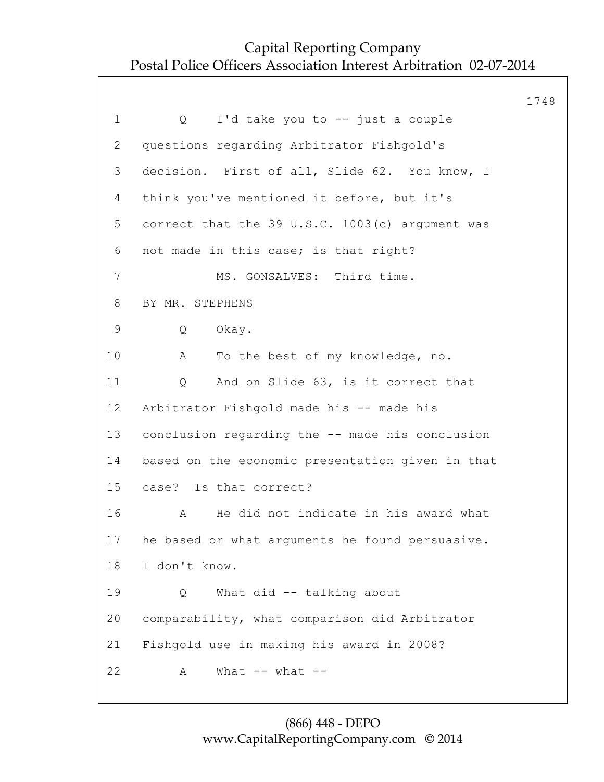|             |                                                  | 1748 |
|-------------|--------------------------------------------------|------|
| $\mathbf 1$ | I'd take you to -- just a couple<br>Q            |      |
| 2           | questions regarding Arbitrator Fishgold's        |      |
| 3           | decision. First of all, Slide 62. You know, I    |      |
| 4           | think you've mentioned it before, but it's       |      |
| 5           | correct that the 39 U.S.C. 1003(c) argument was  |      |
| 6           | not made in this case; is that right?            |      |
| 7           | MS. GONSALVES: Third time.                       |      |
| 8           | BY MR. STEPHENS                                  |      |
| $\mathsf 9$ | Q<br>Okay.                                       |      |
| 10          | To the best of my knowledge, no.<br>A            |      |
| 11          | And on Slide 63, is it correct that<br>Q         |      |
| 12          | Arbitrator Fishgold made his -- made his         |      |
| 13          | conclusion regarding the -- made his conclusion  |      |
| 14          | based on the economic presentation given in that |      |
| 15          | case? Is that correct?                           |      |
| 16          | He did not indicate in his award what<br>A       |      |
| 17          | he based or what arguments he found persuasive.  |      |
| 18          | I don't know.                                    |      |
| 19          | What did -- talking about<br>Q                   |      |
| 20          | comparability, what comparison did Arbitrator    |      |
| 21          | Fishgold use in making his award in 2008?        |      |
| 22          | What $--$ what $--$<br>А                         |      |
|             |                                                  |      |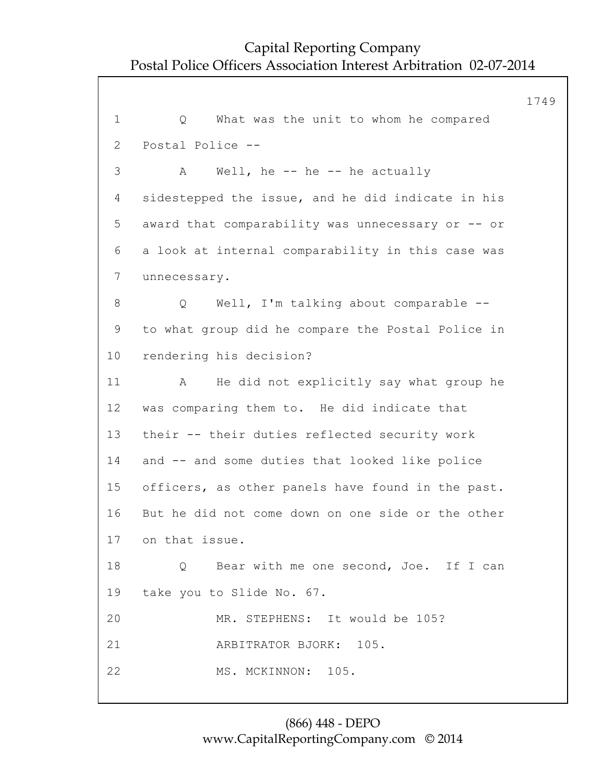1749 1 Q What was the unit to whom he compared 2 Postal Police -- 3 A Well, he -- he -- he actually 4 sidestepped the issue, and he did indicate in his 5 award that comparability was unnecessary or -- or 6 a look at internal comparability in this case was 7 unnecessary. 8 Q Well, I'm talking about comparable -- 9 to what group did he compare the Postal Police in 10 rendering his decision? 11 A He did not explicitly say what group he 12 was comparing them to. He did indicate that 13 their -- their duties reflected security work 14 and -- and some duties that looked like police 15 officers, as other panels have found in the past. 16 But he did not come down on one side or the other 17 on that issue. 18 O Bear with me one second, Joe. If I can 19 take you to Slide No. 67. 20 MR. STEPHENS: It would be 105? 21 ARBITRATOR BJORK: 105. 22 MS. MCKINNON: 105.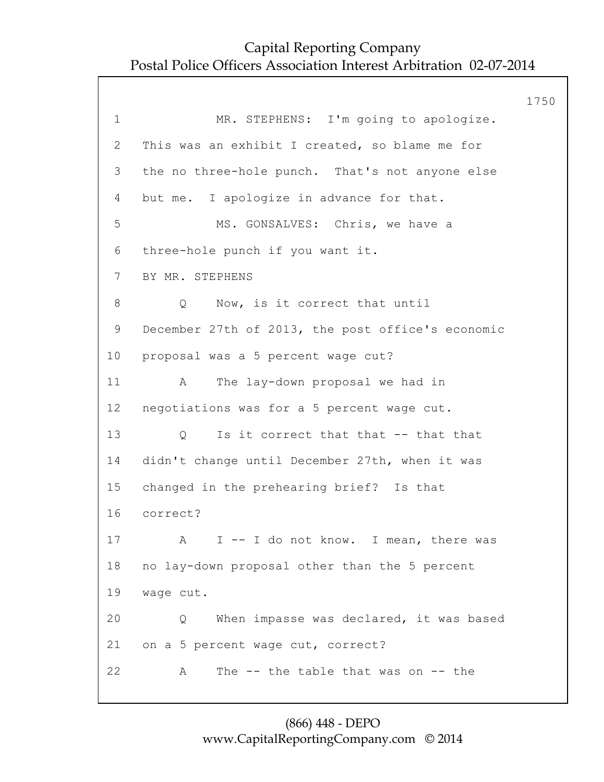|              |                                                   | 1750 |
|--------------|---------------------------------------------------|------|
| $\mathbf 1$  | MR. STEPHENS: I'm going to apologize.             |      |
| $\mathbf{2}$ | This was an exhibit I created, so blame me for    |      |
| 3            | the no three-hole punch. That's not anyone else   |      |
| 4            | but me. I apologize in advance for that.          |      |
| 5            | MS. GONSALVES: Chris, we have a                   |      |
| 6            | three-hole punch if you want it.                  |      |
| 7            | BY MR. STEPHENS                                   |      |
| 8            | Now, is it correct that until<br>Q                |      |
| 9            | December 27th of 2013, the post office's economic |      |
| 10           | proposal was a 5 percent wage cut?                |      |
| 11           | The lay-down proposal we had in<br>A              |      |
| 12           | negotiations was for a 5 percent wage cut.        |      |
| 13           | Is it correct that that -- that that<br>Q         |      |
| 14           | didn't change until December 27th, when it was    |      |
| 15           | changed in the prehearing brief? Is that          |      |
| 16           | correct?                                          |      |
| 17           | A I -- I do not know. I mean, there was           |      |
| 18           | no lay-down proposal other than the 5 percent     |      |
| 19           | wage cut.                                         |      |
| 20           | When impasse was declared, it was based<br>Q      |      |
| 21           | on a 5 percent wage cut, correct?                 |      |
| 22           | The $-$ the table that was on $-$ the<br>Α        |      |
|              |                                                   |      |

### (866) 448 - DEPO www.CapitalReportingCompany.com © 2014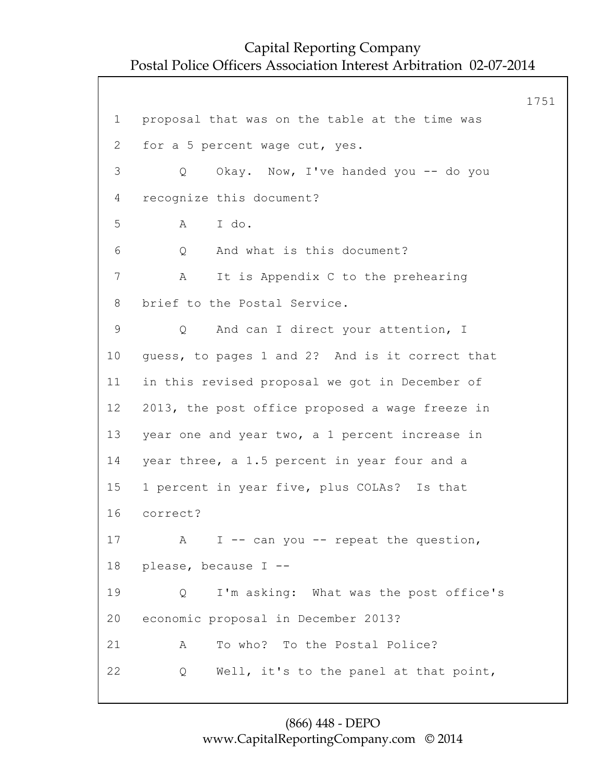1751 1 proposal that was on the table at the time was 2 for a 5 percent wage cut, yes. 3 Q Okay. Now, I've handed you -- do you 4 recognize this document? 5 A I do. 6 Q And what is this document? 7 A It is Appendix C to the prehearing 8 brief to the Postal Service. 9 Q And can I direct your attention, I 10 guess, to pages 1 and 2? And is it correct that 11 in this revised proposal we got in December of 12 2013, the post office proposed a wage freeze in 13 year one and year two, a 1 percent increase in 14 year three, a 1.5 percent in year four and a 15 1 percent in year five, plus COLAs? Is that 16 correct? 17 A I -- can you -- repeat the question, 18 please, because I -- 19 Q I'm asking: What was the post office's 20 economic proposal in December 2013? 21 A To who? To the Postal Police? 22 Q Well, it's to the panel at that point,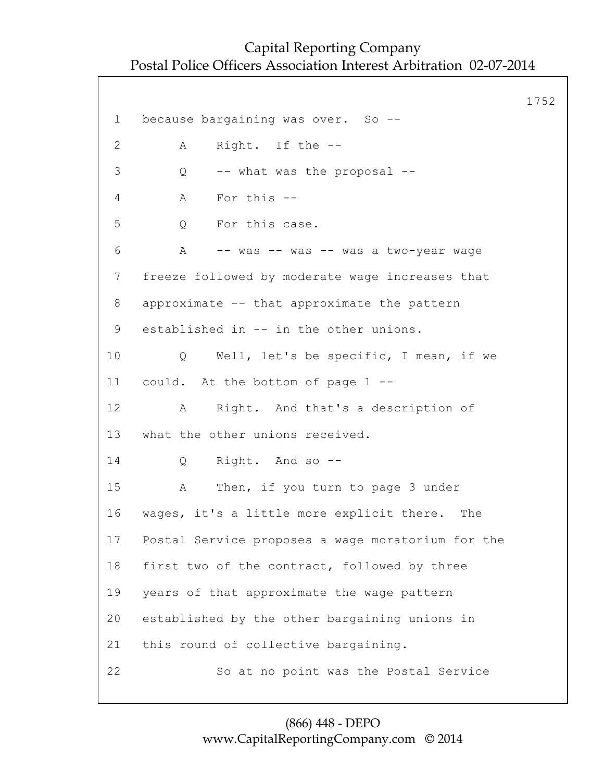1752 1 because bargaining was over. So -- 2 A Right. If the -- 3 Q -- what was the proposal -- 4 A For this -- 5 O For this case. 6 A -- was -- was -- was a two-year wage 7 freeze followed by moderate wage increases that 8 approximate -- that approximate the pattern 9 established in -- in the other unions. 10 Q Well, let's be specific, I mean, if we 11 could. At the bottom of page 1 -- 12 A Right. And that's a description of 13 what the other unions received. 14 Q Right. And so -- 15 A Then, if you turn to page 3 under 16 wages, it's a little more explicit there. The 17 Postal Service proposes a wage moratorium for the 18 first two of the contract, followed by three 19 years of that approximate the wage pattern 20 established by the other bargaining unions in 21 this round of collective bargaining. 22 So at no point was the Postal Service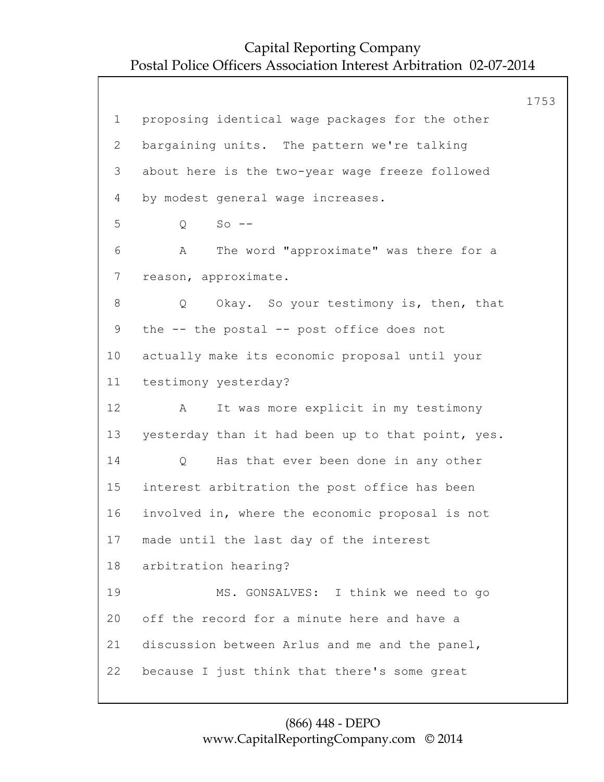1753 1 proposing identical wage packages for the other 2 bargaining units. The pattern we're talking 3 about here is the two-year wage freeze followed 4 by modest general wage increases. 5 Q So -- 6 A The word "approximate" was there for a 7 reason, approximate. 8 Q Okay. So your testimony is, then, that 9 the -- the postal -- post office does not 10 actually make its economic proposal until your 11 testimony yesterday? 12 A It was more explicit in my testimony 13 yesterday than it had been up to that point, yes. 14 Q Has that ever been done in any other 15 interest arbitration the post office has been 16 involved in, where the economic proposal is not 17 made until the last day of the interest 18 arbitration hearing? 19 MS. GONSALVES: I think we need to go 20 off the record for a minute here and have a 21 discussion between Arlus and me and the panel, 22 because I just think that there's some great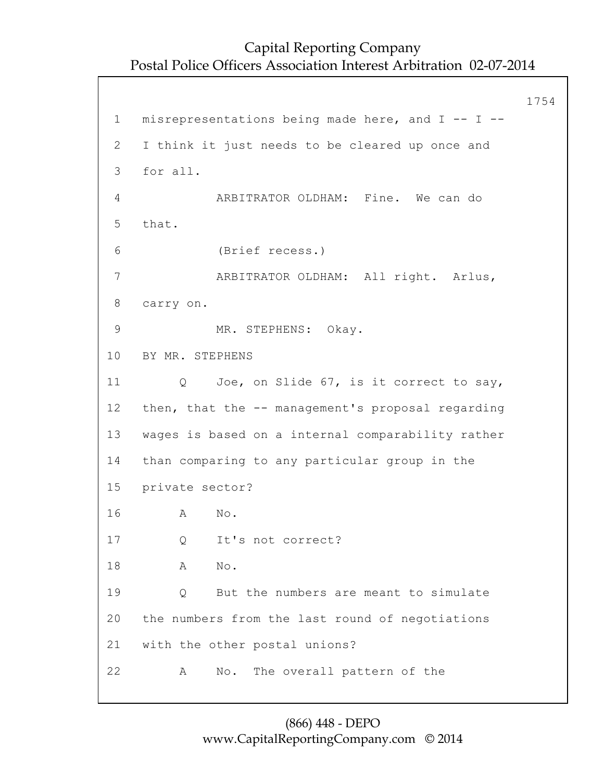1754 1 misrepresentations being made here, and I -- I -- 2 I think it just needs to be cleared up once and 3 for all. 4 ARBITRATOR OLDHAM: Fine. We can do 5 that. 6 (Brief recess.) 7 ARBITRATOR OLDHAM: All right. Arlus, 8 carry on. 9 MR. STEPHENS: Okay. 10 BY MR. STEPHENS 11 Q Joe, on Slide 67, is it correct to say, 12 then, that the -- management's proposal regarding 13 wages is based on a internal comparability rather 14 than comparing to any particular group in the 15 private sector? 16 A No. 17 Q It's not correct? 18 A No. 19 Q But the numbers are meant to simulate 20 the numbers from the last round of negotiations 21 with the other postal unions? 22 A No. The overall pattern of the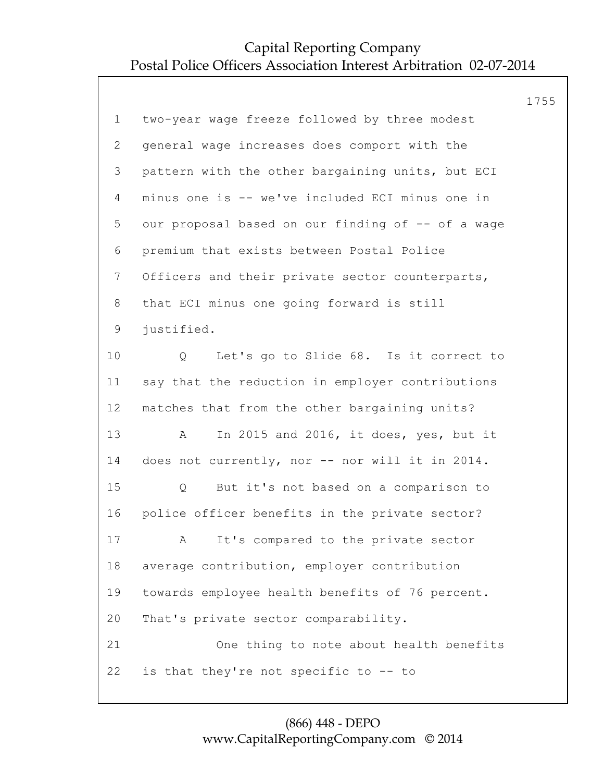|                 |                                                   | 1755 |
|-----------------|---------------------------------------------------|------|
| $\mathbf 1$     | two-year wage freeze followed by three modest     |      |
| 2               | general wage increases does comport with the      |      |
| 3               | pattern with the other bargaining units, but ECI  |      |
| 4               | minus one is -- we've included ECI minus one in   |      |
| 5               | our proposal based on our finding of -- of a wage |      |
| 6               | premium that exists between Postal Police         |      |
| $7\phantom{.0}$ | Officers and their private sector counterparts,   |      |
| 8               | that ECI minus one going forward is still         |      |
| 9               | justified.                                        |      |
| 10              | Let's go to Slide 68. Is it correct to<br>Q       |      |
| 11              | say that the reduction in employer contributions  |      |
| 12 <sup>°</sup> | matches that from the other bargaining units?     |      |
| 13              | In 2015 and 2016, it does, yes, but it<br>A       |      |
| 14              | does not currently, nor -- nor will it in 2014.   |      |
| 15              | But it's not based on a comparison to<br>Q        |      |
| 16              | police officer benefits in the private sector?    |      |
| 17              | A It's compared to the private sector             |      |
| 18              | average contribution, employer contribution       |      |
| 19              | towards employee health benefits of 76 percent.   |      |
| 20              | That's private sector comparability.              |      |
| 21              | One thing to note about health benefits           |      |
| 22              | is that they're not specific to -- to             |      |
|                 |                                                   |      |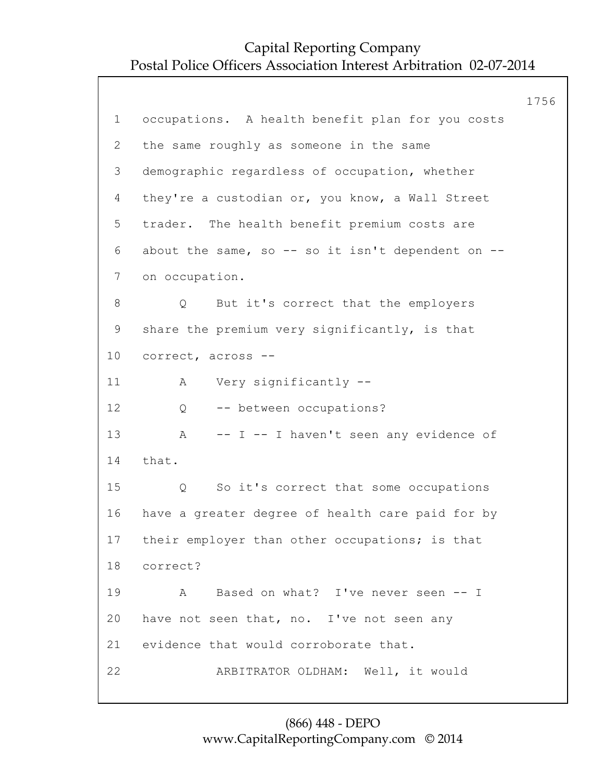|                |                                                   | 1756 |
|----------------|---------------------------------------------------|------|
| $\mathbf 1$    | occupations. A health benefit plan for you costs  |      |
| $\overline{2}$ | the same roughly as someone in the same           |      |
| 3              | demographic regardless of occupation, whether     |      |
| 4              | they're a custodian or, you know, a Wall Street   |      |
| 5              | trader. The health benefit premium costs are      |      |
| 6              | about the same, so -- so it isn't dependent on -- |      |
| $7\phantom{.}$ | on occupation.                                    |      |
| 8              | But it's correct that the employers<br>Q          |      |
| 9              | share the premium very significantly, is that     |      |
| 10             | correct, across --                                |      |
| 11             | Very significantly --<br>A                        |      |
| 12             | -- between occupations?<br>Q                      |      |
| 13             | -- I -- I haven't seen any evidence of<br>A       |      |
| 14             | that.                                             |      |
| 15             | So it's correct that some occupations<br>Q        |      |
| 16             | have a greater degree of health care paid for by  |      |
| 17             | their employer than other occupations; is that    |      |
| 18             | correct?                                          |      |
| 19             | Based on what? I've never seen -- I<br>A          |      |
| 20             | have not seen that, no. I've not seen any         |      |
| 21             | evidence that would corroborate that.             |      |
| 22             | ARBITRATOR OLDHAM: Well, it would                 |      |
|                |                                                   |      |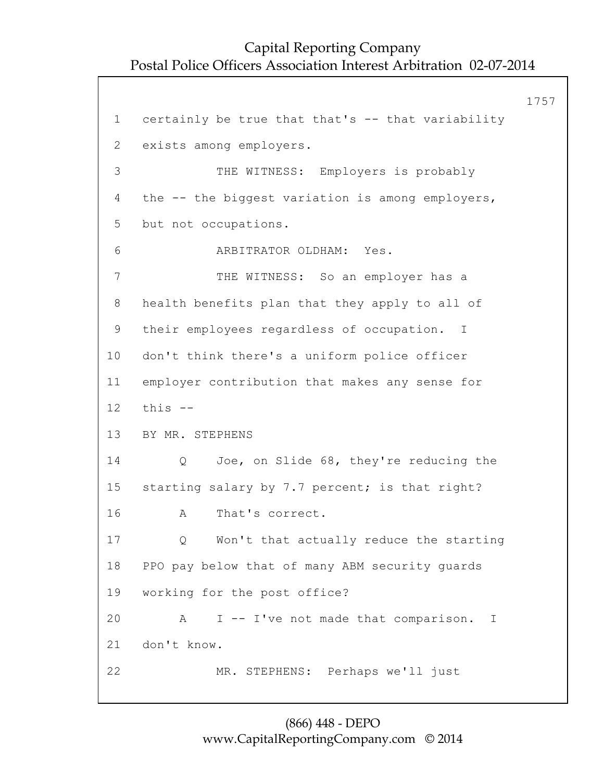1757 1 certainly be true that that's -- that variability 2 exists among employers. 3 THE WITNESS: Employers is probably 4 the -- the biggest variation is among employers, 5 but not occupations. 6 ARBITRATOR OLDHAM: Yes. 7 THE WITNESS: So an employer has a 8 health benefits plan that they apply to all of 9 their employees regardless of occupation. I 10 don't think there's a uniform police officer 11 employer contribution that makes any sense for 12 this -- 13 BY MR. STEPHENS 14 Q Joe, on Slide 68, they're reducing the 15 starting salary by 7.7 percent; is that right? 16 A That's correct. 17 Q Won't that actually reduce the starting 18 PPO pay below that of many ABM security guards 19 working for the post office? 20 A I -- I've not made that comparison. I 21 don't know. 22 MR. STEPHENS: Perhaps we'll just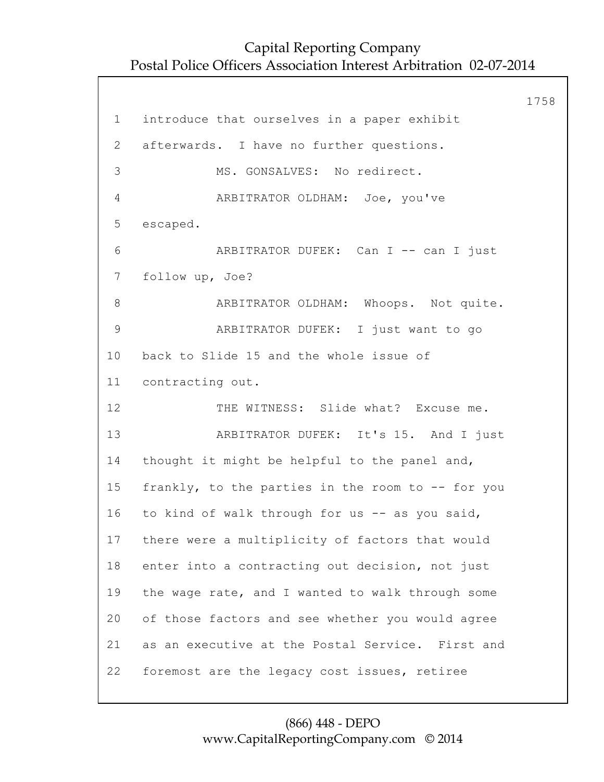1758 1 introduce that ourselves in a paper exhibit 2 afterwards. I have no further questions. 3 MS. GONSALVES: No redirect. 4 ARBITRATOR OLDHAM: Joe, you've 5 escaped. 6 ARBITRATOR DUFEK: Can I -- can I just 7 follow up, Joe? 8 **ARBITRATOR OLDHAM:** Whoops. Not quite. 9 ARBITRATOR DUFEK: I just want to go 10 back to Slide 15 and the whole issue of 11 contracting out. 12 THE WITNESS: Slide what? Excuse me. 13 ARBITRATOR DUFEK: It's 15. And I just 14 thought it might be helpful to the panel and, 15 frankly, to the parties in the room to -- for you 16 to kind of walk through for us -- as you said, 17 there were a multiplicity of factors that would 18 enter into a contracting out decision, not just 19 the wage rate, and I wanted to walk through some 20 of those factors and see whether you would agree 21 as an executive at the Postal Service. First and 22 foremost are the legacy cost issues, retiree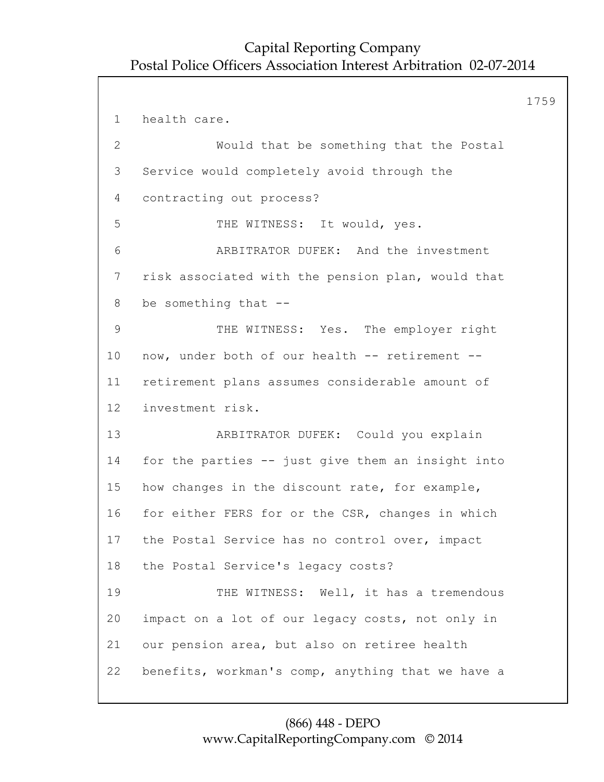1759 1 health care. 2 Would that be something that the Postal 3 Service would completely avoid through the 4 contracting out process? 5 THE WITNESS: It would, yes. 6 ARBITRATOR DUFEK: And the investment 7 risk associated with the pension plan, would that 8 be something that -- 9 THE WITNESS: Yes. The employer right 10 now, under both of our health -- retirement -- 11 retirement plans assumes considerable amount of 12 investment risk. 13 ARBITRATOR DUFEK: Could you explain 14 for the parties -- just give them an insight into 15 how changes in the discount rate, for example, 16 for either FERS for or the CSR, changes in which 17 the Postal Service has no control over, impact 18 the Postal Service's legacy costs? 19 THE WITNESS: Well, it has a tremendous 20 impact on a lot of our legacy costs, not only in 21 our pension area, but also on retiree health 22 benefits, workman's comp, anything that we have a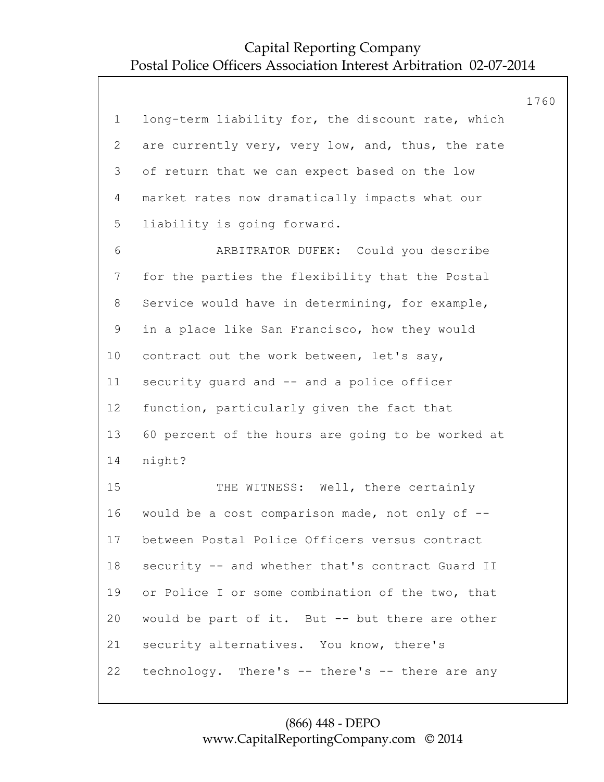|                |                                                   | 1760 |
|----------------|---------------------------------------------------|------|
| $\mathbf 1$    | long-term liability for, the discount rate, which |      |
| $\overline{2}$ | are currently very, very low, and, thus, the rate |      |
| 3              | of return that we can expect based on the low     |      |
| 4              | market rates now dramatically impacts what our    |      |
| 5              | liability is going forward.                       |      |
| 6              | ARBITRATOR DUFEK: Could you describe              |      |
| 7              | for the parties the flexibility that the Postal   |      |
| 8              | Service would have in determining, for example,   |      |
| $\mathsf 9$    | in a place like San Francisco, how they would     |      |
| 10             | contract out the work between, let's say,         |      |
| 11             | security quard and -- and a police officer        |      |
| 12             | function, particularly given the fact that        |      |
| 13             | 60 percent of the hours are going to be worked at |      |
| 14             | night?                                            |      |
| 15             | THE WITNESS: Well, there certainly                |      |
| 16             | would be a cost comparison made, not only of --   |      |
| 17             | between Postal Police Officers versus contract    |      |
| 18             | security -- and whether that's contract Guard II  |      |
| 19             | or Police I or some combination of the two, that  |      |
| 20             | would be part of it. But -- but there are other   |      |
| 21             | security alternatives. You know, there's          |      |
| 22             | technology. There's -- there's -- there are any   |      |
|                |                                                   |      |

### (866) 448 - DEPO www.CapitalReportingCompany.com © 2014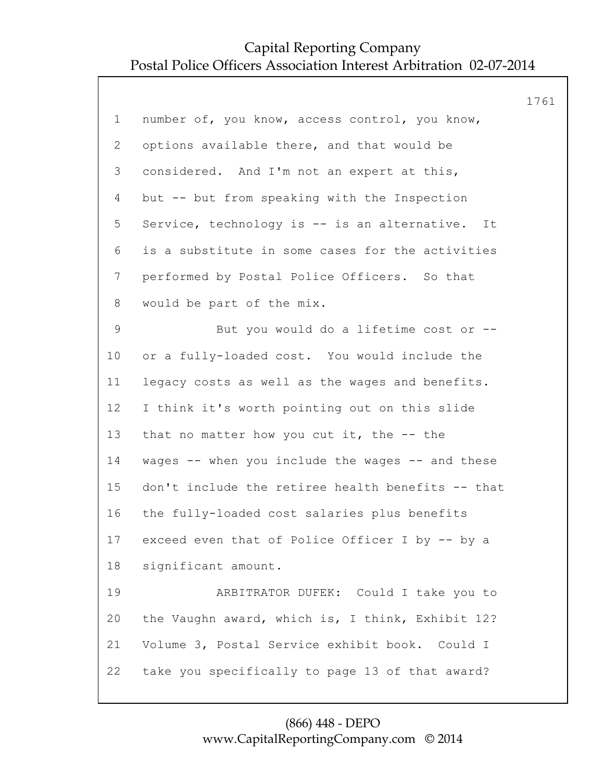|                |                                                   | 1761 |
|----------------|---------------------------------------------------|------|
| $\mathbf 1$    | number of, you know, access control, you know,    |      |
| $\mathbf{2}$   | options available there, and that would be        |      |
| 3              | considered. And I'm not an expert at this,        |      |
| 4              | but -- but from speaking with the Inspection      |      |
| 5              | Service, technology is -- is an alternative. It   |      |
| 6              | is a substitute in some cases for the activities  |      |
| $7\phantom{.}$ | performed by Postal Police Officers. So that      |      |
| 8              | would be part of the mix.                         |      |
| 9              | But you would do a lifetime cost or --            |      |
| 10             | or a fully-loaded cost. You would include the     |      |
| 11             | legacy costs as well as the wages and benefits.   |      |
| 12             | I think it's worth pointing out on this slide     |      |
| 13             | that no matter how you cut it, the -- the         |      |
| 14             | wages -- when you include the wages -- and these  |      |
| 15             | don't include the retiree health benefits -- that |      |
| 16             | the fully-loaded cost salaries plus benefits      |      |
| 17             | exceed even that of Police Officer I by -- by a   |      |
| 18             | significant amount.                               |      |
| 19             | ARBITRATOR DUFEK: Could I take you to             |      |
| 20             | the Vaughn award, which is, I think, Exhibit 12?  |      |
| 21             | Volume 3, Postal Service exhibit book. Could I    |      |
| 22             | take you specifically to page 13 of that award?   |      |
|                |                                                   |      |

### (866) 448 - DEPO www.CapitalReportingCompany.com © 2014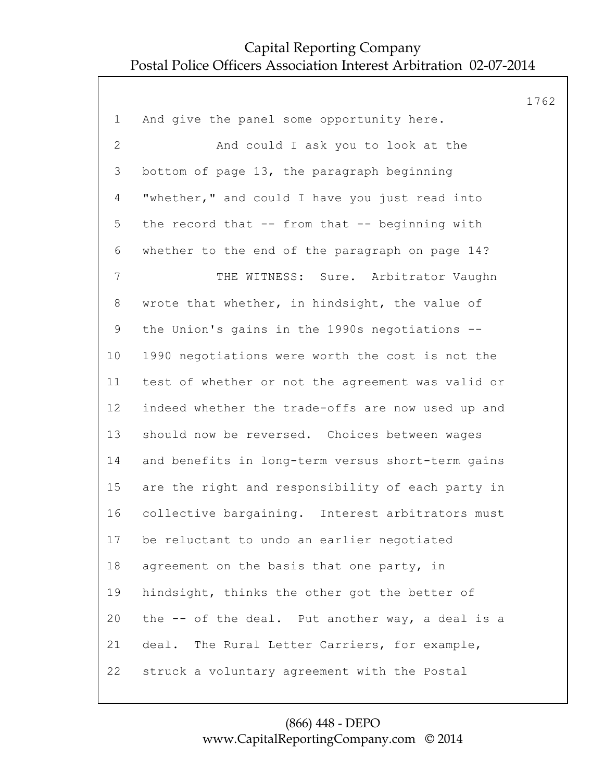1762 1 And give the panel some opportunity here. 2 And could I ask you to look at the 3 bottom of page 13, the paragraph beginning 4 "whether," and could I have you just read into 5 the record that -- from that -- beginning with 6 whether to the end of the paragraph on page 14? 7 THE WITNESS: Sure. Arbitrator Vaughn 8 wrote that whether, in hindsight, the value of 9 the Union's gains in the 1990s negotiations -- 10 1990 negotiations were worth the cost is not the 11 test of whether or not the agreement was valid or 12 indeed whether the trade-offs are now used up and 13 should now be reversed. Choices between wages 14 and benefits in long-term versus short-term gains 15 are the right and responsibility of each party in 16 collective bargaining. Interest arbitrators must 17 be reluctant to undo an earlier negotiated 18 agreement on the basis that one party, in 19 hindsight, thinks the other got the better of 20 the -- of the deal. Put another way, a deal is a 21 deal. The Rural Letter Carriers, for example, 22 struck a voluntary agreement with the Postal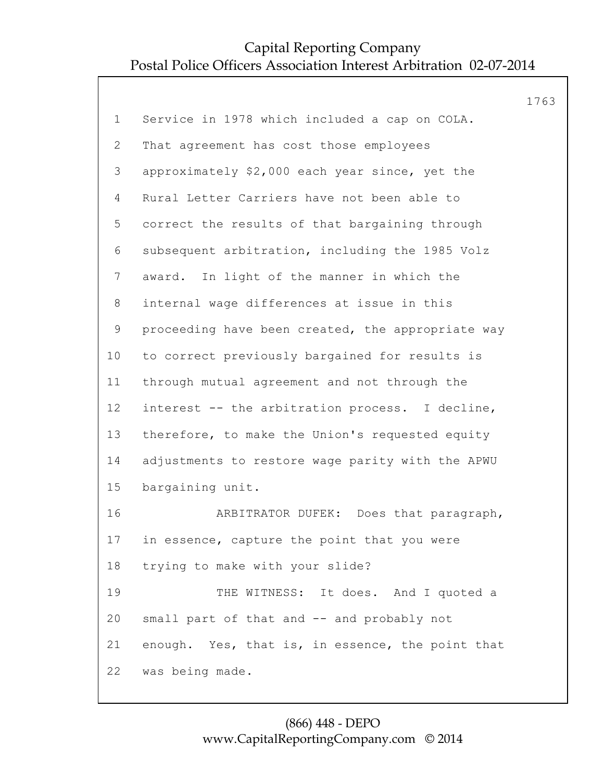|             |                                                   | 1763 |
|-------------|---------------------------------------------------|------|
| $\mathbf 1$ | Service in 1978 which included a cap on COLA.     |      |
| 2           | That agreement has cost those employees           |      |
| 3           | approximately \$2,000 each year since, yet the    |      |
| 4           | Rural Letter Carriers have not been able to       |      |
| 5           | correct the results of that bargaining through    |      |
| 6           | subsequent arbitration, including the 1985 Volz   |      |
| 7           | award. In light of the manner in which the        |      |
| 8           | internal wage differences at issue in this        |      |
| $\mathsf 9$ | proceeding have been created, the appropriate way |      |
| 10          | to correct previously bargained for results is    |      |
| 11          | through mutual agreement and not through the      |      |
| 12          | interest -- the arbitration process. I decline,   |      |
| 13          | therefore, to make the Union's requested equity   |      |
| 14          | adjustments to restore wage parity with the APWU  |      |
| 15          | bargaining unit.                                  |      |
| 16          | ARBITRATOR DUFEK: Does that paragraph,            |      |
| 17          | in essence, capture the point that you were       |      |
| 18          | trying to make with your slide?                   |      |
| 19          | THE WITNESS: It does. And I quoted a              |      |
| 20          | small part of that and -- and probably not        |      |
| 21          | enough. Yes, that is, in essence, the point that  |      |
| 22          | was being made.                                   |      |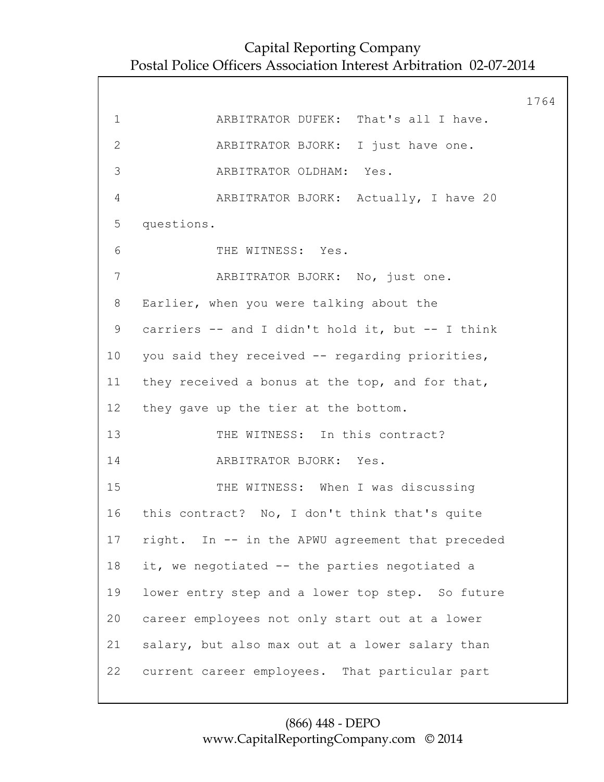|                |                                                  | 1764 |
|----------------|--------------------------------------------------|------|
| $\mathbf 1$    | ARBITRATOR DUFEK: That's all I have.             |      |
| $\mathbf{2}$   | ARBITRATOR BJORK: I just have one.               |      |
| 3              | ARBITRATOR OLDHAM: Yes.                          |      |
| $\overline{4}$ | ARBITRATOR BJORK: Actually, I have 20            |      |
| 5              | questions.                                       |      |
| 6              | THE WITNESS: Yes.                                |      |
| 7              | ARBITRATOR BJORK: No, just one.                  |      |
| 8              | Earlier, when you were talking about the         |      |
| 9              | carriers -- and I didn't hold it, but -- I think |      |
| 10             | you said they received -- regarding priorities,  |      |
| 11             | they received a bonus at the top, and for that,  |      |
| 12             | they gave up the tier at the bottom.             |      |
| 13             | THE WITNESS: In this contract?                   |      |
| 14             | ARBITRATOR BJORK: Yes.                           |      |
| 15             | THE WITNESS: When I was discussing               |      |
|                | 16 this contract? No, I don't think that's quite |      |
| 17             | right. In -- in the APWU agreement that preceded |      |
| 18             | it, we negotiated -- the parties negotiated a    |      |
| 19             | lower entry step and a lower top step. So future |      |
| 20             | career employees not only start out at a lower   |      |
| 21             | salary, but also max out at a lower salary than  |      |
| 22             | current career employees. That particular part   |      |
|                |                                                  |      |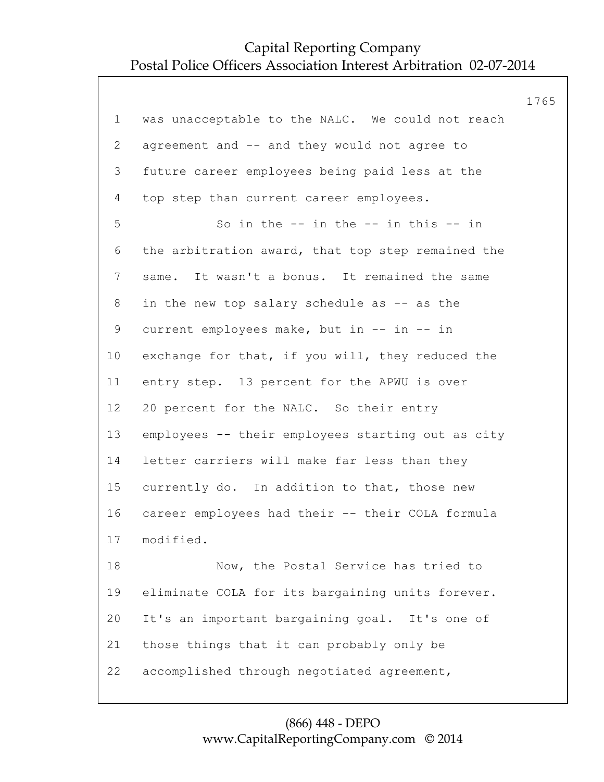|                |                                                   | 1765 |
|----------------|---------------------------------------------------|------|
| $\mathbf 1$    | was unacceptable to the NALC. We could not reach  |      |
| $\overline{2}$ | agreement and -- and they would not agree to      |      |
| 3              | future career employees being paid less at the    |      |
| 4              | top step than current career employees.           |      |
| 5              | So in the $--$ in the $--$ in this $--$ in        |      |
| 6              | the arbitration award, that top step remained the |      |
| $\overline{7}$ | same. It wasn't a bonus. It remained the same     |      |
| 8              | in the new top salary schedule as -- as the       |      |
| 9              | current employees make, but in -- in -- in        |      |
| $10 \,$        | exchange for that, if you will, they reduced the  |      |
| 11             | entry step. 13 percent for the APWU is over       |      |
| 12             | 20 percent for the NALC. So their entry           |      |
| 13             | employees -- their employees starting out as city |      |
| 14             | letter carriers will make far less than they      |      |
| 15             | currently do. In addition to that, those new      |      |
| 16             | career employees had their -- their COLA formula  |      |
| 17             | modified.                                         |      |
| 18             | Now, the Postal Service has tried to              |      |
| 19             | eliminate COLA for its bargaining units forever.  |      |
| 20             | It's an important bargaining goal. It's one of    |      |
| 21             | those things that it can probably only be         |      |
| 22             | accomplished through negotiated agreement,        |      |
|                |                                                   |      |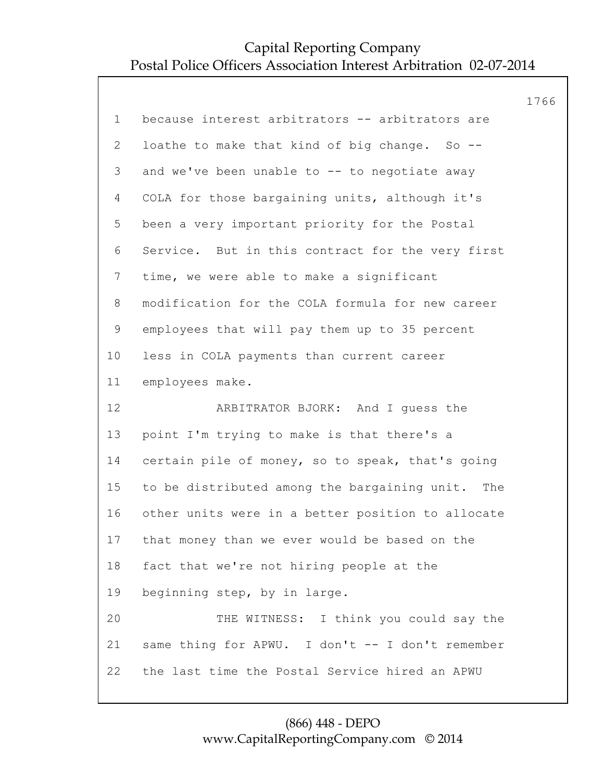|                 |                                                   | 1766 |
|-----------------|---------------------------------------------------|------|
| $\mathbf 1$     | because interest arbitrators -- arbitrators are   |      |
| $\mathbf{2}$    | loathe to make that kind of big change. So --     |      |
| 3               | and we've been unable to -- to negotiate away     |      |
| 4               | COLA for those bargaining units, although it's    |      |
| 5               | been a very important priority for the Postal     |      |
| 6               | Service. But in this contract for the very first  |      |
| $7\phantom{.0}$ | time, we were able to make a significant          |      |
| 8               | modification for the COLA formula for new career  |      |
| $\mathsf 9$     | employees that will pay them up to 35 percent     |      |
| 10              | less in COLA payments than current career         |      |
| 11              | employees make.                                   |      |
| 12              | ARBITRATOR BJORK: And I guess the                 |      |
| 13              | point I'm trying to make is that there's a        |      |
| 14              | certain pile of money, so to speak, that's going  |      |
| 15              | to be distributed among the bargaining unit. The  |      |
| 16              | other units were in a better position to allocate |      |
| 17              | that money than we ever would be based on the     |      |
| 18              | fact that we're not hiring people at the          |      |
| 19              | beginning step, by in large.                      |      |
| 20              | THE WITNESS: I think you could say the            |      |
| 21              | same thing for APWU. I don't -- I don't remember  |      |
| 22              | the last time the Postal Service hired an APWU    |      |
|                 |                                                   |      |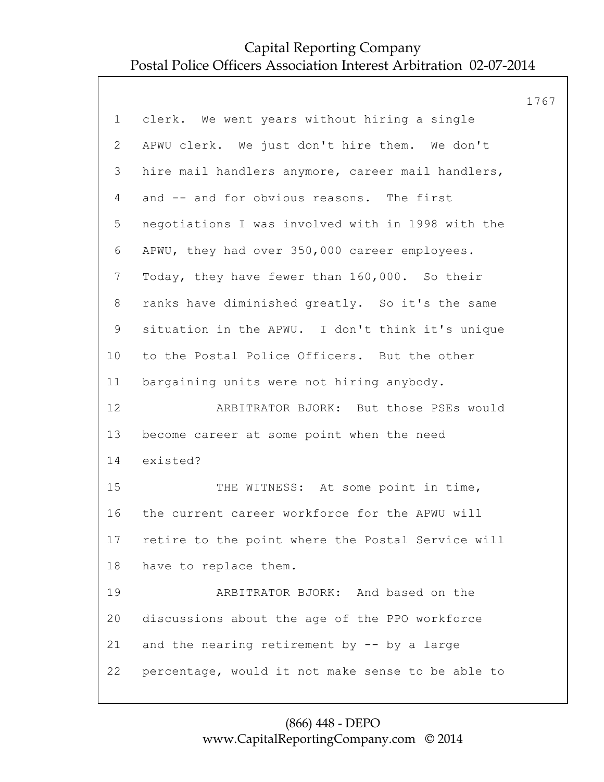|              |                                                   | 1767 |
|--------------|---------------------------------------------------|------|
| $\mathbf 1$  | clerk. We went years without hiring a single      |      |
| $\mathbf{2}$ | APWU clerk. We just don't hire them. We don't     |      |
| 3            | hire mail handlers anymore, career mail handlers, |      |
| 4            | and -- and for obvious reasons. The first         |      |
| 5            | negotiations I was involved with in 1998 with the |      |
| 6            | APWU, they had over 350,000 career employees.     |      |
| 7            | Today, they have fewer than 160,000. So their     |      |
| 8            | ranks have diminished greatly. So it's the same   |      |
| 9            | situation in the APWU. I don't think it's unique  |      |
| 10           | to the Postal Police Officers. But the other      |      |
| 11           | bargaining units were not hiring anybody.         |      |
| 12           | ARBITRATOR BJORK: But those PSEs would            |      |
| 13           | become career at some point when the need         |      |
| 14           | existed?                                          |      |
| 15           | THE WITNESS: At some point in time,               |      |
| 16           | the current career workforce for the APWU will    |      |
| 17           | retire to the point where the Postal Service will |      |
| 18           | have to replace them.                             |      |
| 19           | ARBITRATOR BJORK: And based on the                |      |
| 20           | discussions about the age of the PPO workforce    |      |
| 21           | and the nearing retirement by $-$ by a large      |      |
| 22           | percentage, would it not make sense to be able to |      |
|              |                                                   |      |

#### (866) 448 - DEPO www.CapitalReportingCompany.com © 2014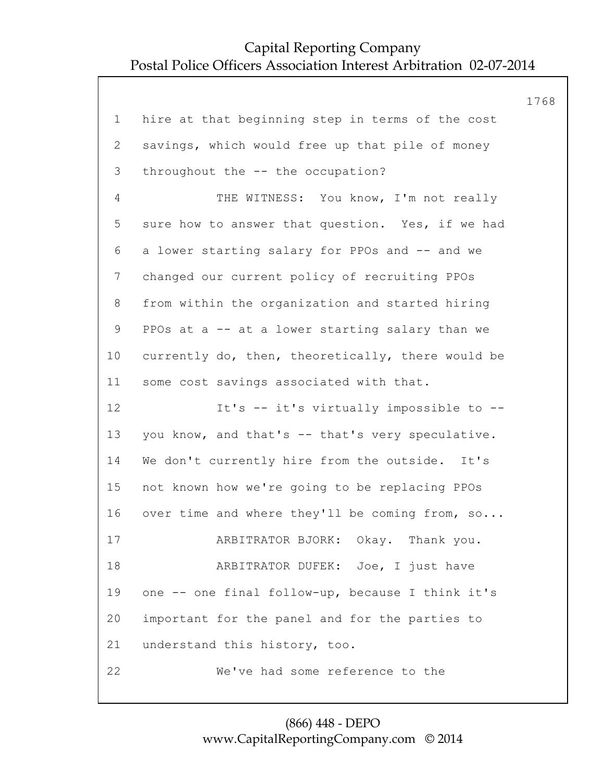|                |                                                   | 1768 |
|----------------|---------------------------------------------------|------|
| $\mathbf 1$    | hire at that beginning step in terms of the cost  |      |
| $\overline{2}$ | savings, which would free up that pile of money   |      |
| 3              | throughout the -- the occupation?                 |      |
| 4              | THE WITNESS: You know, I'm not really             |      |
| 5              | sure how to answer that question. Yes, if we had  |      |
| 6              | a lower starting salary for PPOs and -- and we    |      |
| $7\phantom{.}$ | changed our current policy of recruiting PPOs     |      |
| 8              | from within the organization and started hiring   |      |
| 9              | PPOs at a -- at a lower starting salary than we   |      |
| 10             | currently do, then, theoretically, there would be |      |
| 11             | some cost savings associated with that.           |      |
| 12             | It's -- it's virtually impossible to --           |      |
| 13             | you know, and that's -- that's very speculative.  |      |
| 14             | We don't currently hire from the outside. It's    |      |
| 15             | not known how we're going to be replacing PPOs    |      |
| 16             | over time and where they'll be coming from, so    |      |
| 17             | ARBITRATOR BJORK: Okay. Thank you.                |      |
| 18             | ARBITRATOR DUFEK: Joe, I just have                |      |
| 19             | one -- one final follow-up, because I think it's  |      |
| 20             | important for the panel and for the parties to    |      |
| 21             | understand this history, too.                     |      |
| 22             | We've had some reference to the                   |      |
|                |                                                   |      |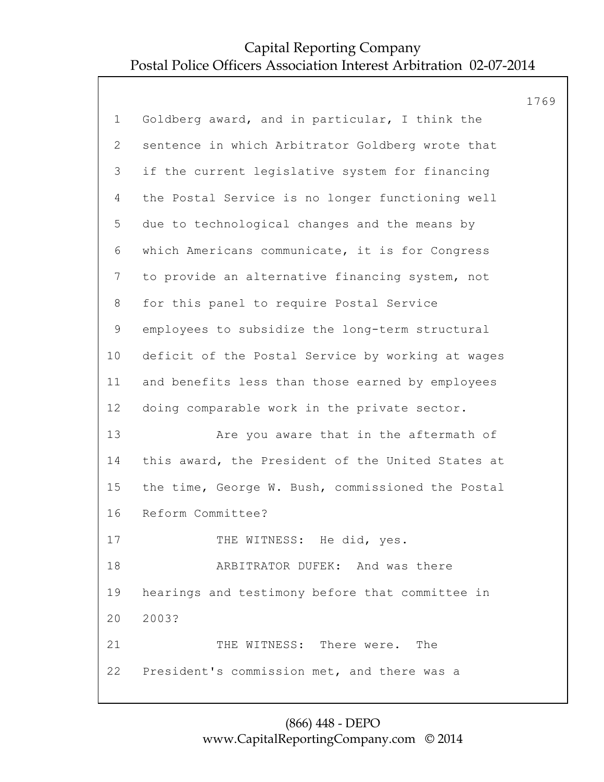|              |                                                   | 1769 |
|--------------|---------------------------------------------------|------|
| $\mathbf 1$  | Goldberg award, and in particular, I think the    |      |
| $\mathbf{2}$ | sentence in which Arbitrator Goldberg wrote that  |      |
| 3            | if the current legislative system for financing   |      |
| 4            | the Postal Service is no longer functioning well  |      |
| 5            | due to technological changes and the means by     |      |
| 6            | which Americans communicate, it is for Congress   |      |
| 7            | to provide an alternative financing system, not   |      |
| 8            | for this panel to require Postal Service          |      |
| 9            | employees to subsidize the long-term structural   |      |
| 10           | deficit of the Postal Service by working at wages |      |
| 11           | and benefits less than those earned by employees  |      |
| 12           | doing comparable work in the private sector.      |      |
| 13           | Are you aware that in the aftermath of            |      |
| 14           | this award, the President of the United States at |      |
| 15           | the time, George W. Bush, commissioned the Postal |      |
| 16           | Reform Committee?                                 |      |
| 17           | THE WITNESS: He did, yes.                         |      |
| 18           | ARBITRATOR DUFEK: And was there                   |      |
| 19           | hearings and testimony before that committee in   |      |
| 20           | 2003?                                             |      |
| 21           | THE WITNESS: There were.<br>The                   |      |
| 22           | President's commission met, and there was a       |      |
|              |                                                   |      |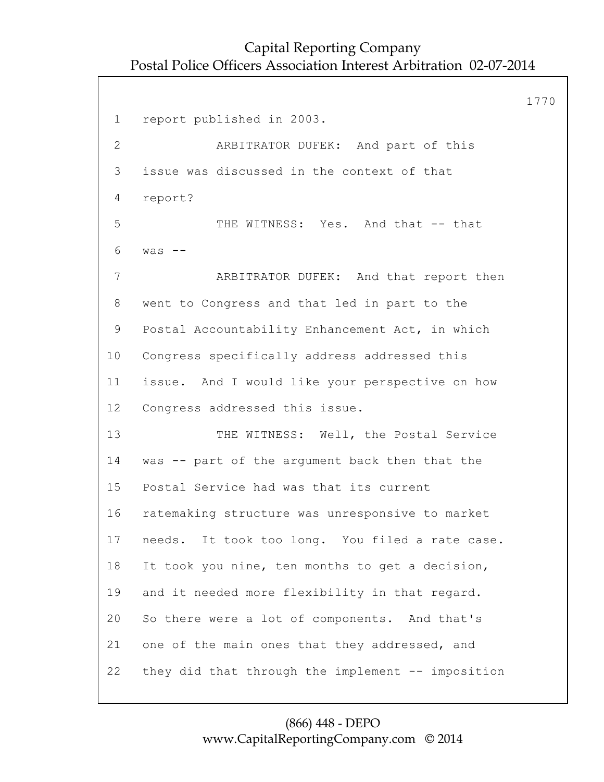1770 1 report published in 2003. 2 ARBITRATOR DUFEK: And part of this 3 issue was discussed in the context of that 4 report? 5 THE WITNESS: Yes. And that -- that 6 was -- 7 ARBITRATOR DUFEK: And that report then 8 went to Congress and that led in part to the 9 Postal Accountability Enhancement Act, in which 10 Congress specifically address addressed this 11 issue. And I would like your perspective on how 12 Congress addressed this issue. 13 THE WITNESS: Well, the Postal Service 14 was -- part of the argument back then that the 15 Postal Service had was that its current 16 ratemaking structure was unresponsive to market 17 needs. It took too long. You filed a rate case. 18 It took you nine, ten months to get a decision, 19 and it needed more flexibility in that regard. 20 So there were a lot of components. And that's 21 one of the main ones that they addressed, and 22 they did that through the implement -- imposition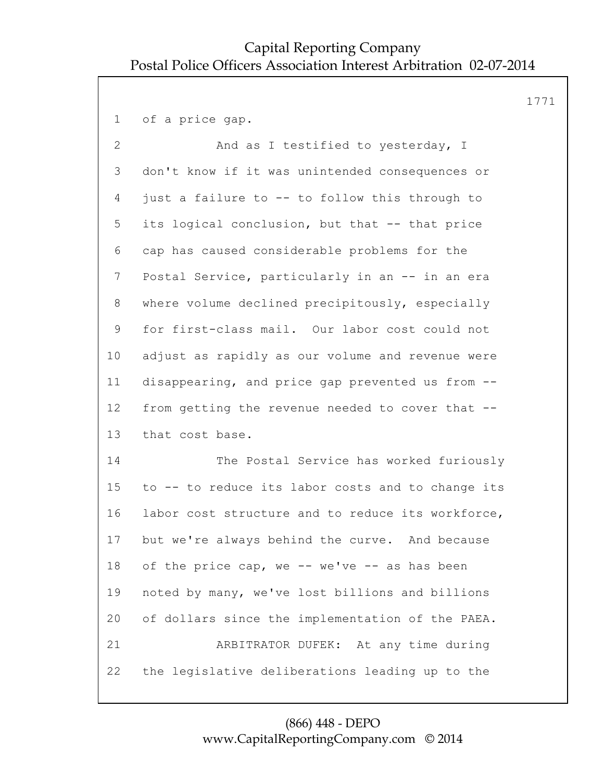1771

1 of a price gap. 2 And as I testified to yesterday, I 3 don't know if it was unintended consequences or 4 just a failure to -- to follow this through to 5 its logical conclusion, but that -- that price 6 cap has caused considerable problems for the 7 Postal Service, particularly in an -- in an era 8 where volume declined precipitously, especially 9 for first-class mail. Our labor cost could not 10 adjust as rapidly as our volume and revenue were 11 disappearing, and price gap prevented us from -- 12 from getting the revenue needed to cover that -- 13 that cost base. 14 The Postal Service has worked furiously 15 to -- to reduce its labor costs and to change its 16 labor cost structure and to reduce its workforce, 17 but we're always behind the curve. And because 18 of the price cap, we -- we've -- as has been 19 noted by many, we've lost billions and billions 20 of dollars since the implementation of the PAEA. 21 ARBITRATOR DUFEK: At any time during 22 the legislative deliberations leading up to the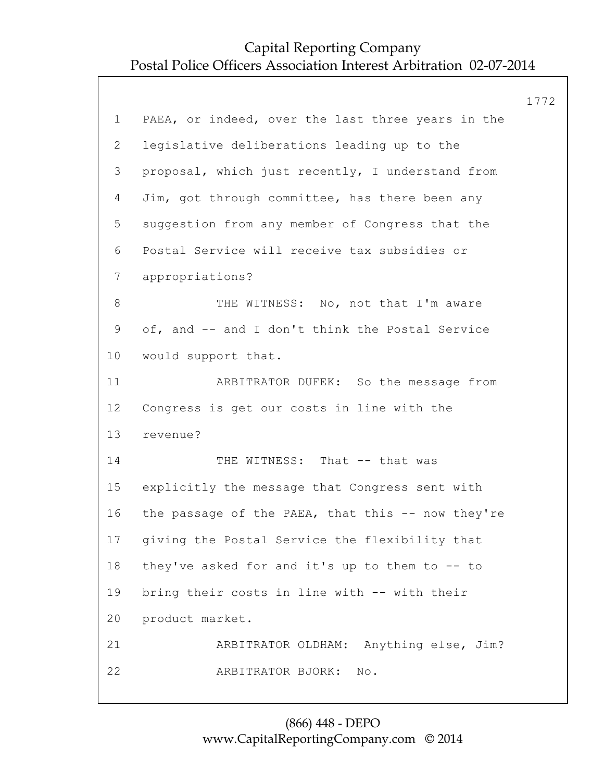|             |                                                   | 1772 |
|-------------|---------------------------------------------------|------|
| $\mathbf 1$ | PAEA, or indeed, over the last three years in the |      |
| 2           | legislative deliberations leading up to the       |      |
| 3           | proposal, which just recently, I understand from  |      |
| 4           | Jim, got through committee, has there been any    |      |
| 5           | suggestion from any member of Congress that the   |      |
| 6           | Postal Service will receive tax subsidies or      |      |
| 7           | appropriations?                                   |      |
| 8           | THE WITNESS: No, not that I'm aware               |      |
| 9           | of, and -- and I don't think the Postal Service   |      |
| 10          | would support that.                               |      |
| 11          | ARBITRATOR DUFEK: So the message from             |      |
| 12          | Congress is get our costs in line with the        |      |
| 13          | revenue?                                          |      |
| 14          | THE WITNESS: That -- that was                     |      |
| 15          | explicitly the message that Congress sent with    |      |
| 16          | the passage of the PAEA, that this -- now they're |      |
| 17          | giving the Postal Service the flexibility that    |      |
| 18          | they've asked for and it's up to them to -- to    |      |
| 19          | bring their costs in line with -- with their      |      |
| 20          | product market.                                   |      |
| 21          | ARBITRATOR OLDHAM: Anything else, Jim?            |      |
| 22          | ARBITRATOR BJORK:<br>No.                          |      |
|             |                                                   |      |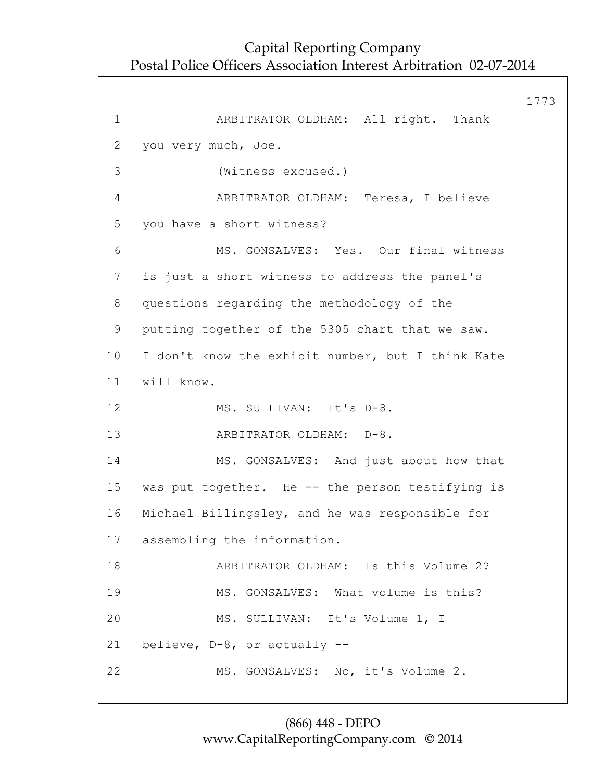1773 1 ARBITRATOR OLDHAM: All right. Thank 2 you very much, Joe. 3 (Witness excused.) 4 ARBITRATOR OLDHAM: Teresa, I believe 5 you have a short witness? 6 MS. GONSALVES: Yes. Our final witness 7 is just a short witness to address the panel's 8 questions regarding the methodology of the 9 putting together of the 5305 chart that we saw. 10 I don't know the exhibit number, but I think Kate 11 will know. 12 MS. SULLIVAN: It's D-8. 13 ARBITRATOR OLDHAM: D-8. 14 MS. GONSALVES: And just about how that 15 was put together. He -- the person testifying is 16 Michael Billingsley, and he was responsible for 17 assembling the information. 18 ARBITRATOR OLDHAM: Is this Volume 2? 19 MS. GONSALVES: What volume is this? 20 MS. SULLIVAN: It's Volume 1, I 21 believe, D-8, or actually -- 22 MS. GONSALVES: No, it's Volume 2.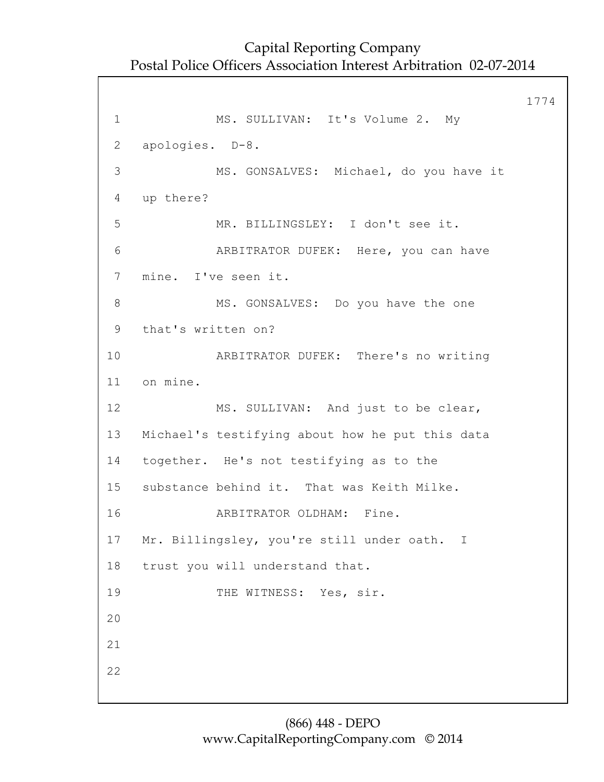1774 1 MS. SULLIVAN: It's Volume 2. My 2 apologies. D-8. 3 MS. GONSALVES: Michael, do you have it 4 up there? 5 MR. BILLINGSLEY: I don't see it. 6 ARBITRATOR DUFEK: Here, you can have 7 mine. I've seen it. 8 MS. GONSALVES: Do you have the one 9 that's written on? 10 ARBITRATOR DUFEK: There's no writing 11 on mine. 12 MS. SULLIVAN: And just to be clear, 13 Michael's testifying about how he put this data 14 together. He's not testifying as to the 15 substance behind it. That was Keith Milke. 16 ARBITRATOR OLDHAM: Fine. 17 Mr. Billingsley, you're still under oath. I 18 trust you will understand that. 19 THE WITNESS: Yes, sir. 20 21 22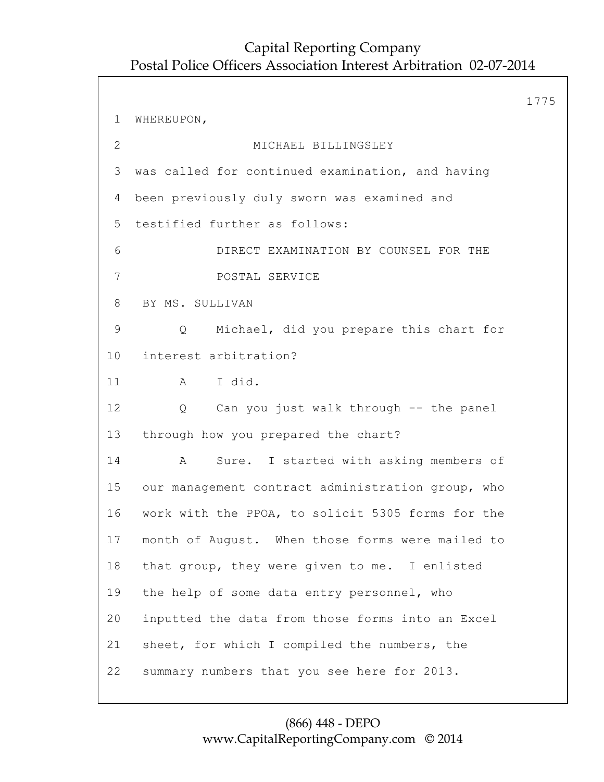1775 1 WHEREUPON, 2 MICHAEL BILLINGSLEY 3 was called for continued examination, and having 4 been previously duly sworn was examined and 5 testified further as follows: 6 DIRECT EXAMINATION BY COUNSEL FOR THE 7 POSTAL SERVICE 8 BY MS. SULLIVAN 9 Q Michael, did you prepare this chart for 10 interest arbitration? 11 A I did. 12 Q Can you just walk through -- the panel 13 through how you prepared the chart? 14 A Sure. I started with asking members of 15 our management contract administration group, who 16 work with the PPOA, to solicit 5305 forms for the 17 month of August. When those forms were mailed to 18 that group, they were given to me. I enlisted 19 the help of some data entry personnel, who 20 inputted the data from those forms into an Excel 21 sheet, for which I compiled the numbers, the 22 summary numbers that you see here for 2013.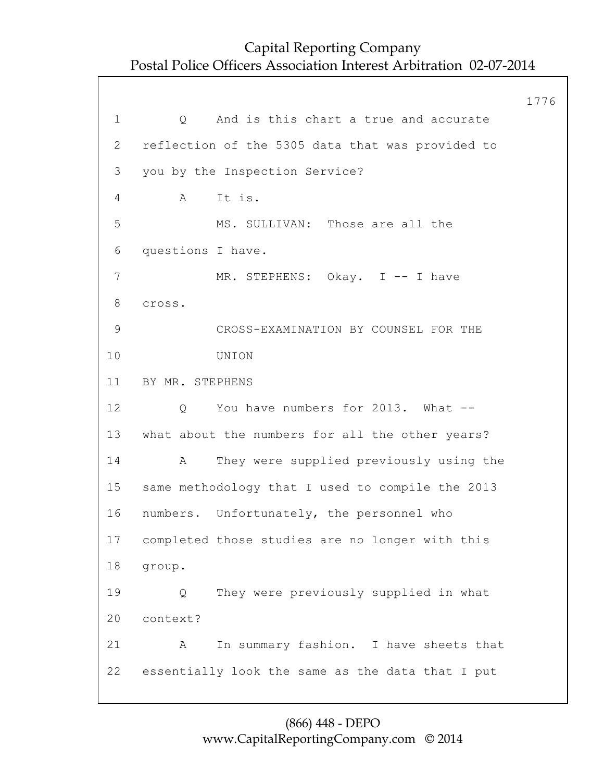1776 1 0 And is this chart a true and accurate 2 reflection of the 5305 data that was provided to 3 you by the Inspection Service? 4 A It is. 5 MS. SULLIVAN: Those are all the 6 questions I have. 7 MR. STEPHENS: Okay. I -- I have 8 cross. 9 CROSS-EXAMINATION BY COUNSEL FOR THE 10 UNION 11 BY MR. STEPHENS 12 Q You have numbers for 2013. What -- 13 what about the numbers for all the other years? 14 A They were supplied previously using the 15 same methodology that I used to compile the 2013 16 numbers. Unfortunately, the personnel who 17 completed those studies are no longer with this 18 group. 19 Q They were previously supplied in what 20 context? 21 A In summary fashion. I have sheets that 22 essentially look the same as the data that I put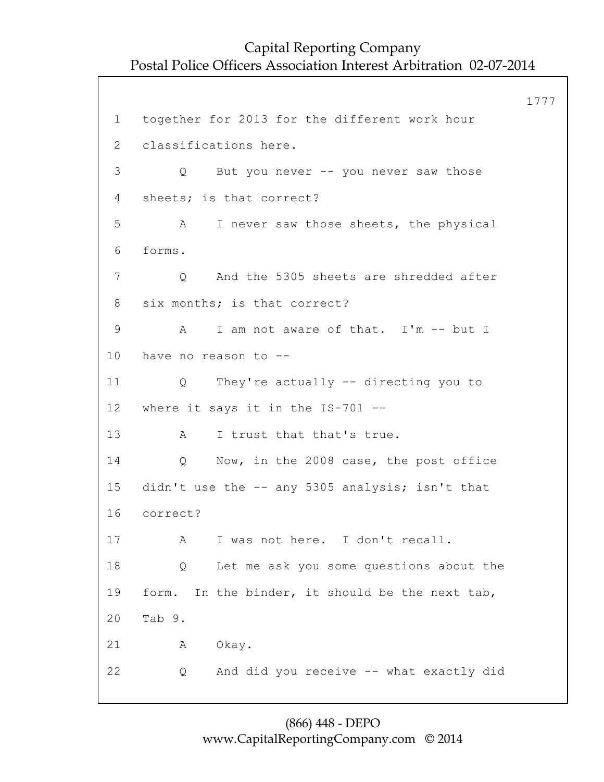1777 1 together for 2013 for the different work hour 2 classifications here. 3 Q But you never -- you never saw those 4 sheets; is that correct? 5 A I never saw those sheets, the physical 6 forms. 7 Q And the 5305 sheets are shredded after 8 six months; is that correct? 9 A I am not aware of that. I'm -- but I 10 have no reason to -- 11 Q They're actually -- directing you to 12 where it says it in the IS-701 -- 13 A I trust that that's true. 14 Q Now, in the 2008 case, the post office 15 didn't use the -- any 5305 analysis; isn't that 16 correct? 17 A I was not here. I don't recall. 18 Q Let me ask you some questions about the 19 form. In the binder, it should be the next tab, 20 Tab 9. 21 A Okay. 22 Q And did you receive -- what exactly did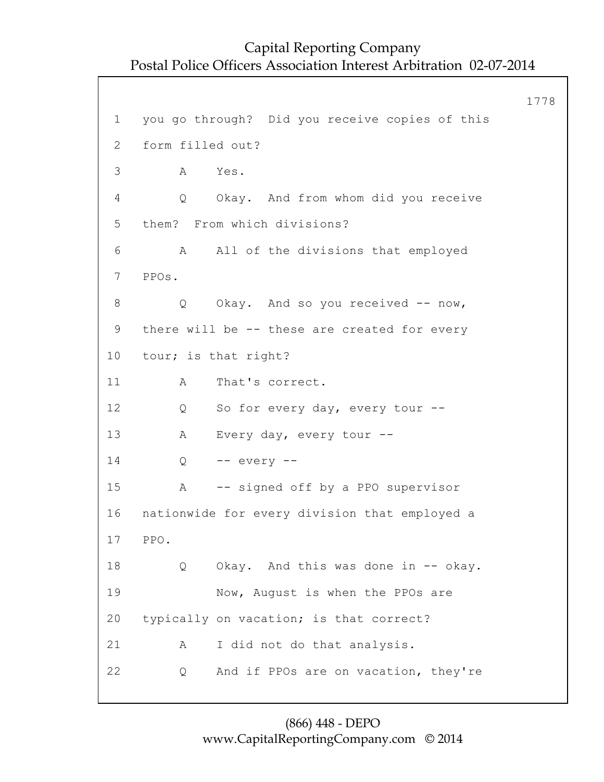1778 1 you go through? Did you receive copies of this 2 form filled out? 3 A Yes. 4 Q Okay. And from whom did you receive 5 them? From which divisions? 6 A All of the divisions that employed 7 PPOs. 8 Q Okay. And so you received -- now, 9 there will be -- these are created for every 10 tour; is that right? 11 A That's correct. 12 Q So for every day, every tour --13 A Every day, every tour -- 14 Q -- every -- 15 A -- signed off by a PPO supervisor 16 nationwide for every division that employed a 17 PPO. 18 Q Okay. And this was done in -- okay. 19 Now, August is when the PPOs are 20 typically on vacation; is that correct? 21 A I did not do that analysis. 22 Q And if PPOs are on vacation, they're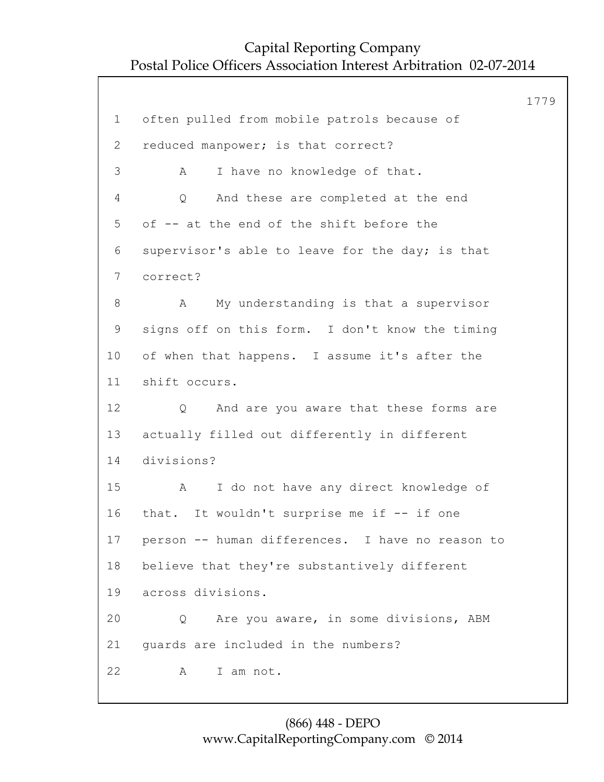1779 1 often pulled from mobile patrols because of 2 reduced manpower; is that correct? 3 A I have no knowledge of that. 4 Q And these are completed at the end 5 of -- at the end of the shift before the 6 supervisor's able to leave for the day; is that 7 correct? 8 A My understanding is that a supervisor 9 signs off on this form. I don't know the timing 10 of when that happens. I assume it's after the 11 shift occurs. 12 Q And are you aware that these forms are 13 actually filled out differently in different 14 divisions? 15 A I do not have any direct knowledge of 16 that. It wouldn't surprise me if -- if one 17 person -- human differences. I have no reason to 18 believe that they're substantively different 19 across divisions. 20 Q Are you aware, in some divisions, ABM 21 guards are included in the numbers? 22 A I am not.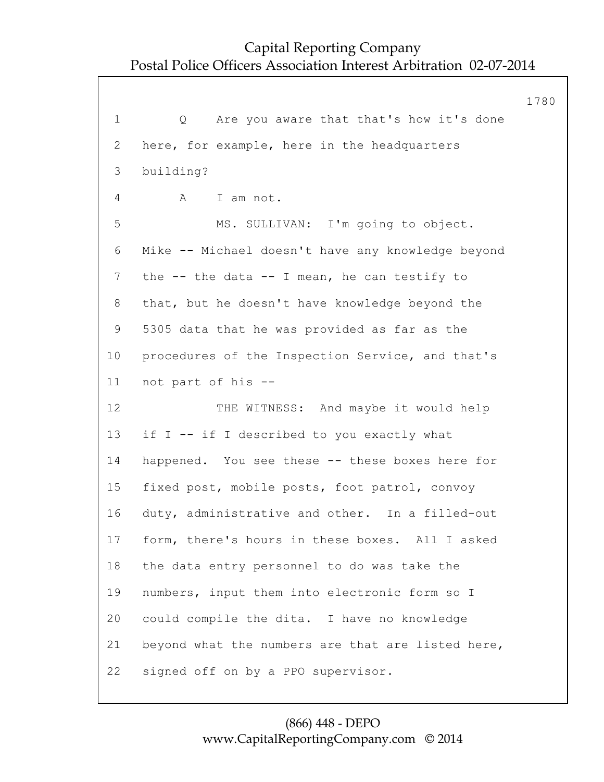1780 1 Q Are you aware that that's how it's done 2 here, for example, here in the headquarters 3 building? 4 A I am not. 5 MS. SULLIVAN: I'm going to object. 6 Mike -- Michael doesn't have any knowledge beyond 7 the -- the data -- I mean, he can testify to 8 that, but he doesn't have knowledge beyond the 9 5305 data that he was provided as far as the 10 procedures of the Inspection Service, and that's 11 not part of his -- 12 THE WITNESS: And maybe it would help 13 if I -- if I described to you exactly what 14 happened. You see these -- these boxes here for 15 fixed post, mobile posts, foot patrol, convoy 16 duty, administrative and other. In a filled-out 17 form, there's hours in these boxes. All I asked 18 the data entry personnel to do was take the 19 numbers, input them into electronic form so I 20 could compile the dita. I have no knowledge 21 beyond what the numbers are that are listed here, 22 signed off on by a PPO supervisor.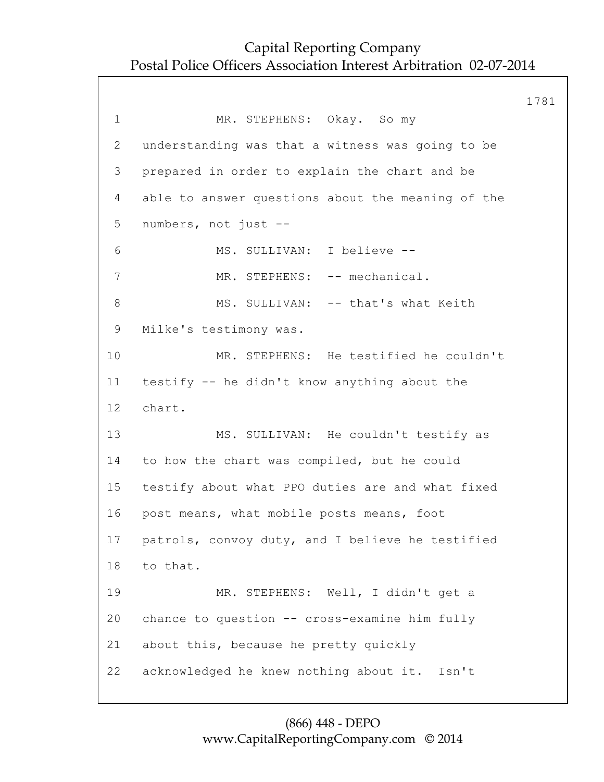1781 1 MR. STEPHENS: Okay. So my 2 understanding was that a witness was going to be 3 prepared in order to explain the chart and be 4 able to answer questions about the meaning of the 5 numbers, not just -- 6 MS. SULLIVAN: I believe -- 7 MR. STEPHENS: -- mechanical. 8 MS. SULLIVAN: -- that's what Keith 9 Milke's testimony was. 10 MR. STEPHENS: He testified he couldn't 11 testify -- he didn't know anything about the 12 chart. 13 MS. SULLIVAN: He couldn't testify as 14 to how the chart was compiled, but he could 15 testify about what PPO duties are and what fixed 16 post means, what mobile posts means, foot 17 patrols, convoy duty, and I believe he testified 18 to that. 19 MR. STEPHENS: Well, I didn't get a 20 chance to question -- cross-examine him fully 21 about this, because he pretty quickly 22 acknowledged he knew nothing about it. Isn't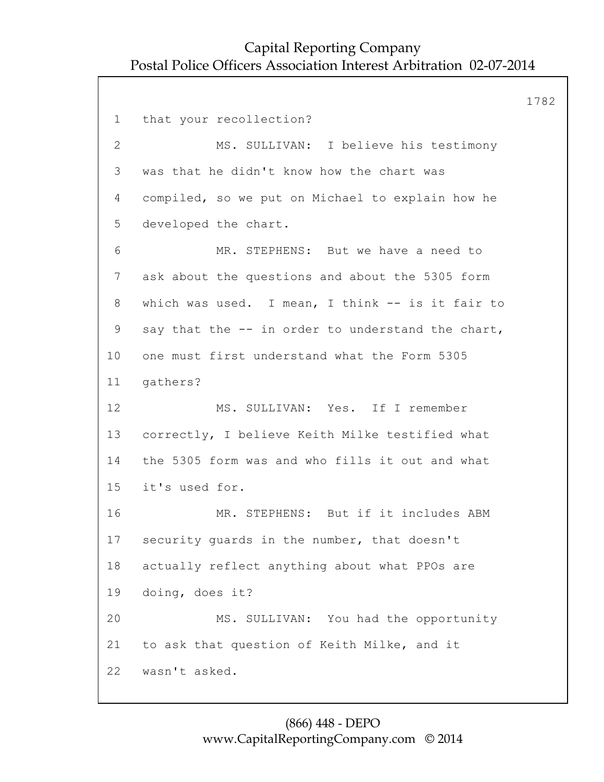1782 1 that your recollection? 2 MS. SULLIVAN: I believe his testimony 3 was that he didn't know how the chart was 4 compiled, so we put on Michael to explain how he 5 developed the chart. 6 MR. STEPHENS: But we have a need to 7 ask about the questions and about the 5305 form 8 which was used. I mean, I think -- is it fair to 9 say that the -- in order to understand the chart, 10 one must first understand what the Form 5305 11 gathers? 12 MS. SULLIVAN: Yes. If I remember 13 correctly, I believe Keith Milke testified what 14 the 5305 form was and who fills it out and what 15 it's used for. 16 MR. STEPHENS: But if it includes ABM 17 security guards in the number, that doesn't 18 actually reflect anything about what PPOs are 19 doing, does it? 20 MS. SULLIVAN: You had the opportunity 21 to ask that question of Keith Milke, and it 22 wasn't asked.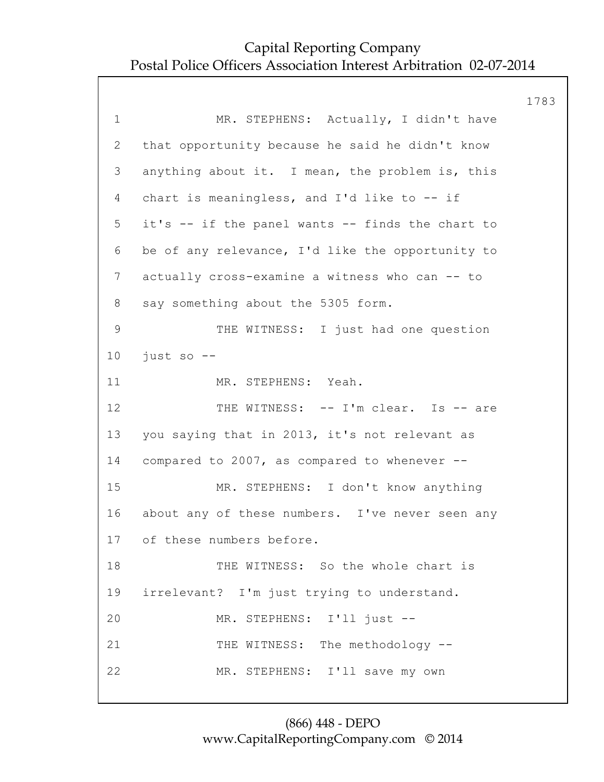|                 |                                                  | 1783 |
|-----------------|--------------------------------------------------|------|
| $\mathbf 1$     | MR. STEPHENS: Actually, I didn't have            |      |
| 2               | that opportunity because he said he didn't know  |      |
| 3               | anything about it. I mean, the problem is, this  |      |
| 4               | chart is meaningless, and I'd like to -- if      |      |
| 5               | it's -- if the panel wants -- finds the chart to |      |
| 6               | be of any relevance, I'd like the opportunity to |      |
| $7\phantom{.0}$ | actually cross-examine a witness who can -- to   |      |
| 8               | say something about the 5305 form.               |      |
| 9               | THE WITNESS: I just had one question             |      |
| 10 <sub>o</sub> | just so --                                       |      |
| 11              | MR. STEPHENS: Yeah.                              |      |
| 12              | THE WITNESS: -- I'm clear. Is -- are             |      |
| 13              | you saying that in 2013, it's not relevant as    |      |
| 14              | compared to 2007, as compared to whenever --     |      |
| 15              | MR. STEPHENS: I don't know anything              |      |
| 16              | about any of these numbers. I've never seen any  |      |
|                 | 17 of these numbers before.                      |      |
| 18              | THE WITNESS: So the whole chart is               |      |
| 19              | irrelevant? I'm just trying to understand.       |      |
| 20              | MR. STEPHENS: I'll just --                       |      |
| 21              | THE WITNESS: The methodology --                  |      |
| 22              | MR. STEPHENS: I'll save my own                   |      |
|                 |                                                  |      |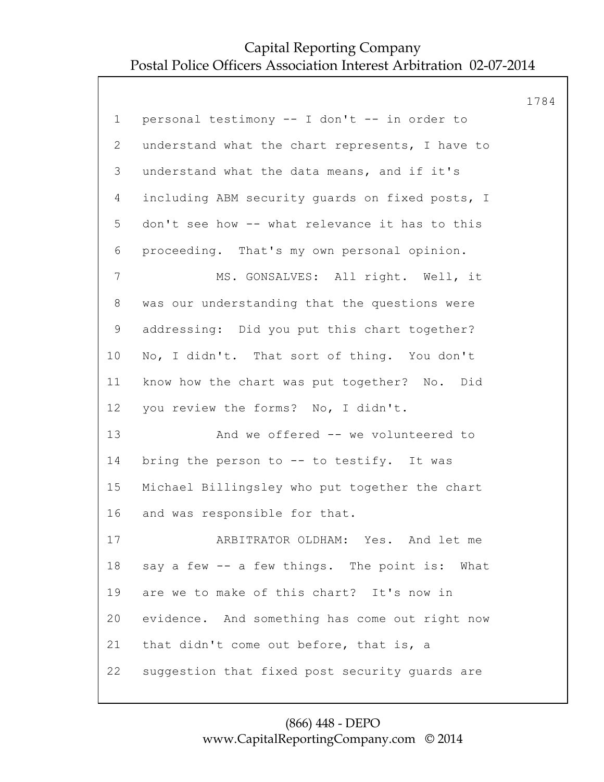| personal testimony -- I don't -- in order to<br>understand what the chart represents, I have to<br>understand what the data means, and if it's |  |
|------------------------------------------------------------------------------------------------------------------------------------------------|--|
|                                                                                                                                                |  |
|                                                                                                                                                |  |
|                                                                                                                                                |  |
| including ABM security quards on fixed posts, I                                                                                                |  |
| don't see how -- what relevance it has to this                                                                                                 |  |
| proceeding. That's my own personal opinion.                                                                                                    |  |
| MS. GONSALVES: All right. Well, it                                                                                                             |  |
| was our understanding that the questions were                                                                                                  |  |
| addressing: Did you put this chart together?                                                                                                   |  |
| No, I didn't. That sort of thing. You don't                                                                                                    |  |
| know how the chart was put together? No. Did                                                                                                   |  |
| you review the forms? No, I didn't.                                                                                                            |  |
| And we offered -- we volunteered to                                                                                                            |  |
| bring the person to -- to testify. It was                                                                                                      |  |
| Michael Billingsley who put together the chart                                                                                                 |  |
| and was responsible for that.                                                                                                                  |  |
| ARBITRATOR OLDHAM: Yes. And let me                                                                                                             |  |
| say a few -- a few things. The point is: What                                                                                                  |  |
| are we to make of this chart? It's now in                                                                                                      |  |
| evidence. And something has come out right now                                                                                                 |  |
| that didn't come out before, that is, a                                                                                                        |  |
| suggestion that fixed post security guards are                                                                                                 |  |
|                                                                                                                                                |  |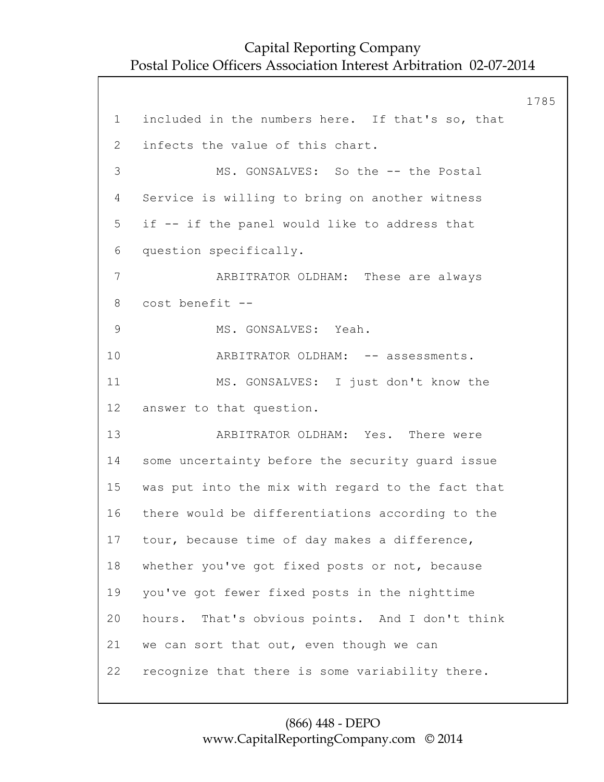1785 1 included in the numbers here. If that's so, that 2 infects the value of this chart. 3 MS. GONSALVES: So the -- the Postal 4 Service is willing to bring on another witness 5 if -- if the panel would like to address that 6 question specifically. 7 ARBITRATOR OLDHAM: These are always 8 cost benefit -- 9 MS. GONSALVES: Yeah. 10 ARBITRATOR OLDHAM: -- assessments. 11 MS. GONSALVES: I just don't know the 12 answer to that question. 13 ARBITRATOR OLDHAM: Yes. There were 14 some uncertainty before the security guard issue 15 was put into the mix with regard to the fact that 16 there would be differentiations according to the 17 tour, because time of day makes a difference, 18 whether you've got fixed posts or not, because 19 you've got fewer fixed posts in the nighttime 20 hours. That's obvious points. And I don't think 21 we can sort that out, even though we can 22 recognize that there is some variability there.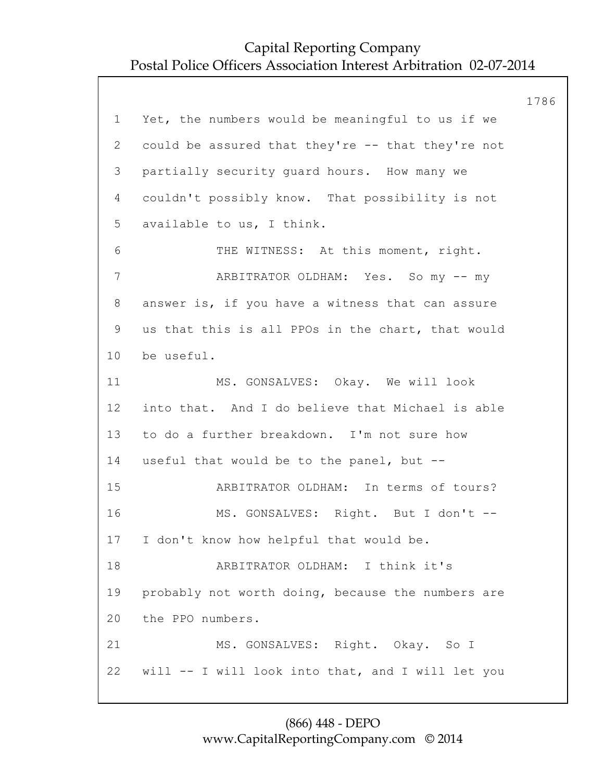1786 1 Yet, the numbers would be meaningful to us if we 2 could be assured that they're -- that they're not 3 partially security guard hours. How many we 4 couldn't possibly know. That possibility is not 5 available to us, I think. 6 THE WITNESS: At this moment, right. 7 ARBITRATOR OLDHAM: Yes. So my -- my 8 answer is, if you have a witness that can assure 9 us that this is all PPOs in the chart, that would 10 be useful. 11 MS. GONSALVES: Okay. We will look 12 into that. And I do believe that Michael is able 13 to do a further breakdown. I'm not sure how 14 useful that would be to the panel, but -- 15 ARBITRATOR OLDHAM: In terms of tours? 16 MS. GONSALVES: Right. But I don't -- 17 I don't know how helpful that would be. 18 ARBITRATOR OLDHAM: I think it's 19 probably not worth doing, because the numbers are 20 the PPO numbers. 21 MS. GONSALVES: Right. Okay. So I 22 will -- I will look into that, and I will let you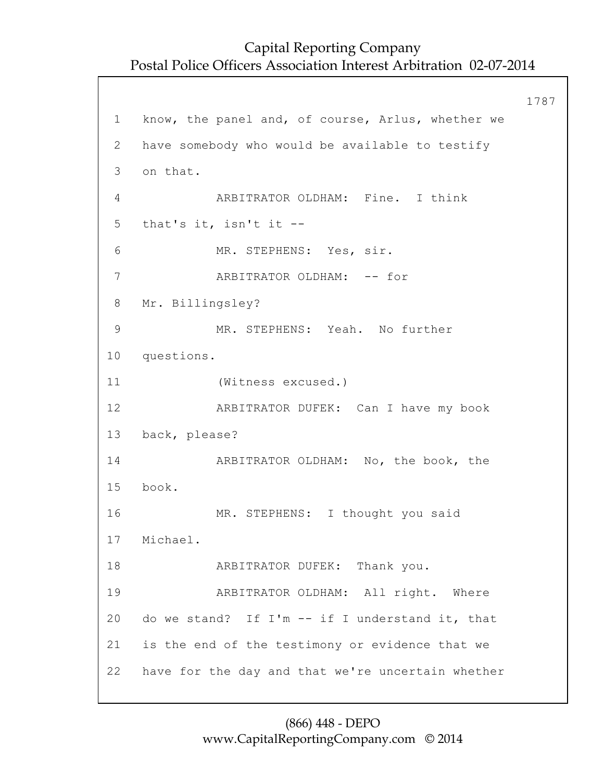```
1787
1 know, the panel and, of course, Arlus, whether we
2 have somebody who would be available to testify
3 on that.
4 ARBITRATOR OLDHAM: Fine. I think
5 that's it, isn't it --
6 MR. STEPHENS: Yes, sir.
7 ARBITRATOR OLDHAM: -- for
8 Mr. Billingsley?
9 MR. STEPHENS: Yeah. No further
10 questions.
11 (Witness excused.)
12 ARBITRATOR DUFEK: Can I have my book
13 back, please?
14 ARBITRATOR OLDHAM: No, the book, the
15 book.
16 MR. STEPHENS: I thought you said
17 Michael.
18 ARBITRATOR DUFEK: Thank you.
19 ARBITRATOR OLDHAM: All right. Where
20 do we stand? If I'm -- if I understand it, that
21 is the end of the testimony or evidence that we
22 have for the day and that we're uncertain whether
```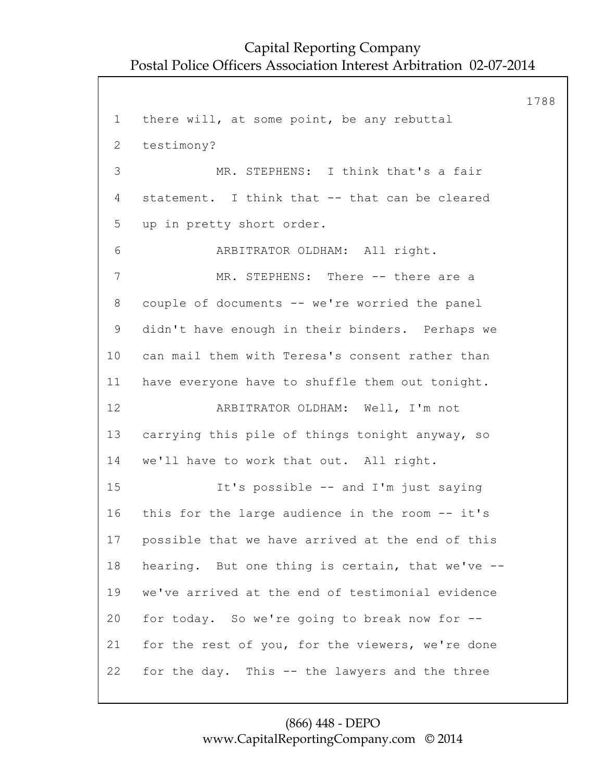1788 1 there will, at some point, be any rebuttal 2 testimony? 3 MR. STEPHENS: I think that's a fair 4 statement. I think that -- that can be cleared 5 up in pretty short order. 6 ARBITRATOR OLDHAM: All right. 7 MR. STEPHENS: There -- there are a 8 couple of documents -- we're worried the panel 9 didn't have enough in their binders. Perhaps we 10 can mail them with Teresa's consent rather than 11 have everyone have to shuffle them out tonight. 12 ARBITRATOR OLDHAM: Well, I'm not 13 carrying this pile of things tonight anyway, so 14 we'll have to work that out. All right. 15 It's possible -- and I'm just saying 16 this for the large audience in the room -- it's 17 possible that we have arrived at the end of this 18 hearing. But one thing is certain, that we've -- 19 we've arrived at the end of testimonial evidence 20 for today. So we're going to break now for -- 21 for the rest of you, for the viewers, we're done 22 for the day. This -- the lawyers and the three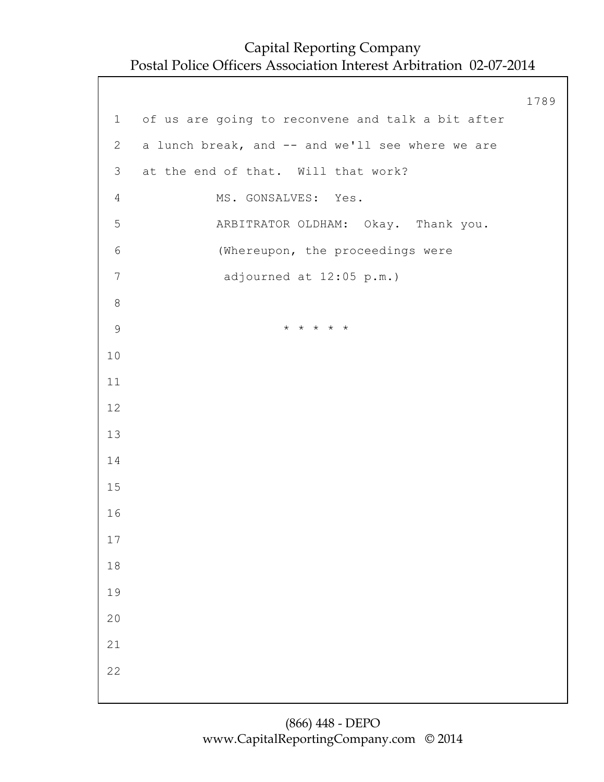1789 1 of us are going to reconvene and talk a bit after 2 a lunch break, and -- and we'll see where we are 3 at the end of that. Will that work? 4 MS. GONSALVES: Yes. 5 ARBITRATOR OLDHAM: Okay. Thank you. 6 (Whereupon, the proceedings were 7 adjourned at 12:05 p.m.) 8 9 \* \* \* \* \* 10 11 12 13 14 15 16 17 18 19 20 21 22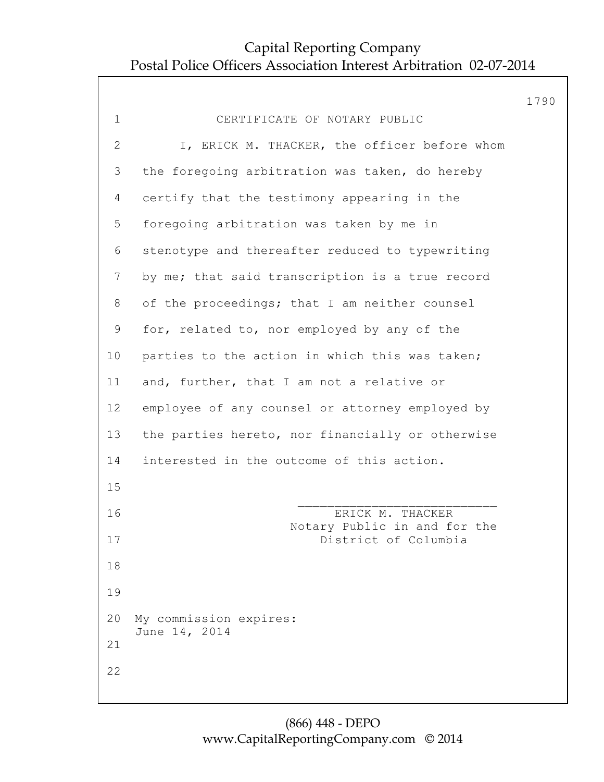|                |                                                  | 1790 |
|----------------|--------------------------------------------------|------|
| $\mathbf 1$    | CERTIFICATE OF NOTARY PUBLIC                     |      |
| $\mathbf{2}$   | I, ERICK M. THACKER, the officer before whom     |      |
| 3              | the foregoing arbitration was taken, do hereby   |      |
| 4              | certify that the testimony appearing in the      |      |
| 5              | foregoing arbitration was taken by me in         |      |
| 6              | stenotype and thereafter reduced to typewriting  |      |
| $7\phantom{.}$ | by me; that said transcription is a true record  |      |
| 8              | of the proceedings; that I am neither counsel    |      |
| $\mathsf 9$    | for, related to, nor employed by any of the      |      |
| 10             | parties to the action in which this was taken;   |      |
| 11             | and, further, that I am not a relative or        |      |
| 12             | employee of any counsel or attorney employed by  |      |
| 13             | the parties hereto, nor financially or otherwise |      |
| 14             | interested in the outcome of this action.        |      |
| 15             |                                                  |      |
| 16             | ERICK M. THACKER<br>Notary Public in and for the |      |
| 17             | District of Columbia                             |      |
| 18             |                                                  |      |
| 19             |                                                  |      |
| 20             | My commission expires:<br>June 14, 2014          |      |
| 21             |                                                  |      |
| 22             |                                                  |      |
|                |                                                  |      |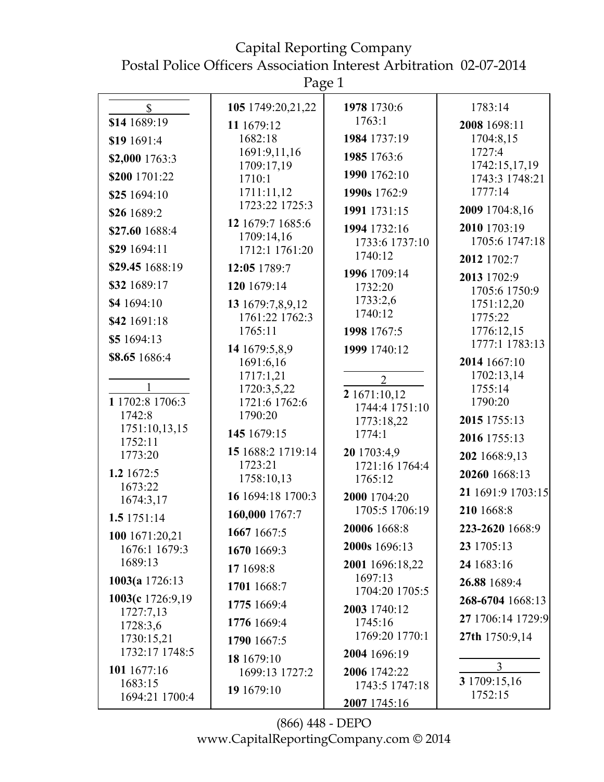Capital Reporting Company Postal Police Officers Association Interest Arbitration 02-07-2014

|                                 | Page 1                             |                                |                                 |
|---------------------------------|------------------------------------|--------------------------------|---------------------------------|
| $\mathbb{S}$                    | 105 1749:20,21,22                  | 1978 1730:6                    | 1783:14                         |
| \$14 1689:19                    | 11 1679:12                         | 1763:1                         | 2008 1698:11                    |
| \$19 1691:4                     | 1682:18                            | 1984 1737:19                   | 1704:8,15                       |
| \$2,000 1763:3                  | 1691:9,11,16                       | 1985 1763:6                    | 1727:4                          |
| \$200 1701:22                   | 1709:17,19<br>1710:1               | 1990 1762:10                   | 1742:15,17,19<br>1743:3 1748:21 |
| \$25 1694:10                    | 1711:11,12                         | 1990s 1762:9                   | 1777:14                         |
| \$26 1689:2                     | 1723:22 1725:3                     | 1991 1731:15                   | 2009 1704:8,16                  |
| \$27.60 1688:4                  | 12 1679:7 1685:6                   | 1994 1732:16                   | 2010 1703:19                    |
| \$29 1694:11                    | 1709:14,16<br>1712:1 1761:20       | 1733:6 1737:10                 | 1705:6 1747:18                  |
| \$29.45 1688:19                 | 12:05 1789:7                       | 1740:12                        | 2012 1702:7                     |
| \$32 1689:17                    | 120 1679:14                        | 1996 1709:14<br>1732:20        | 2013 1702:9                     |
| \$4 1694:10                     |                                    | 1733:2,6                       | 1705:6 1750:9<br>1751:12,20     |
| \$42 1691:18                    | 13 1679:7,8,9,12<br>1761:22 1762:3 | 1740:12                        | 1775:22                         |
| \$5 1694:13                     | 1765:11                            | 1998 1767:5                    | 1776:12,15                      |
|                                 | 14 1679:5,8,9                      | 1999 1740:12                   | 1777:1 1783:13                  |
| \$8.65 1686:4                   | 1691:6,16                          |                                | 2014 1667:10                    |
| 1                               | 1717:1,21<br>1720:3,5,22           | $\overline{2}$                 | 1702:13,14<br>1755:14           |
| 1 1702:8 1706:3                 | 1721:6 1762:6                      | 2 1671:10,12<br>1744:4 1751:10 | 1790:20                         |
| 1742:8                          | 1790:20                            | 1773:18,22                     | 2015 1755:13                    |
| 1751:10,13,15<br>1752:11        | 145 1679:15                        | 1774:1                         | 2016 1755:13                    |
| 1773:20                         | 15 1688:2 1719:14                  | 20 1703:4,9                    | 202 1668:9,13                   |
| 1.2 1672:5                      | 1723:21<br>1758:10,13              | 1721:16 1764:4<br>1765:12      | 20260 1668:13                   |
| 1673:22                         | 16 1694:18 1700:3                  | 2000 1704:20                   | 21 1691:9 1703:15               |
| 1674:3,17                       | 160,000 1767:7                     | 1705:5 1706:19                 | 210 1668:8                      |
| 1.5 1751:14                     | 1667 1667:5                        | 20006 1668:8                   | 223-2620 1668:9                 |
| 100 1671:20,21<br>1676:1 1679:3 | 1670 1669:3                        | 2000s 1696:13                  | 23 1705:13                      |
| 1689:13                         | 17 1698:8                          | 2001 1696:18,22                | 24 1683:16                      |
| 1003(a 1726:13                  | 1701 1668:7                        | 1697:13                        | 26.88 1689:4                    |
| 1003(c 1726:9,19                | 1775 1669:4                        | 1704:20 1705:5                 | 268-6704 1668:13                |
| 1727:7,13                       | 1776 1669:4                        | 2003 1740:12<br>1745:16        | 27 1706:14 1729:9               |
| 1728:3,6<br>1730:15,21          | 1790 1667:5                        | 1769:20 1770:1                 | 27th 1750:9,14                  |
| 1732:17 1748:5                  |                                    | 2004 1696:19                   |                                 |
| 101 1677:16                     | 18 1679:10<br>1699:13 1727:2       | 2006 1742:22                   | 3                               |
| 1683:15                         | 19 1679:10                         | 1743:5 1747:18                 | 3 1709:15,16                    |
| 1694:21 1700:4                  |                                    | 2007 1745:16                   | 1752:15                         |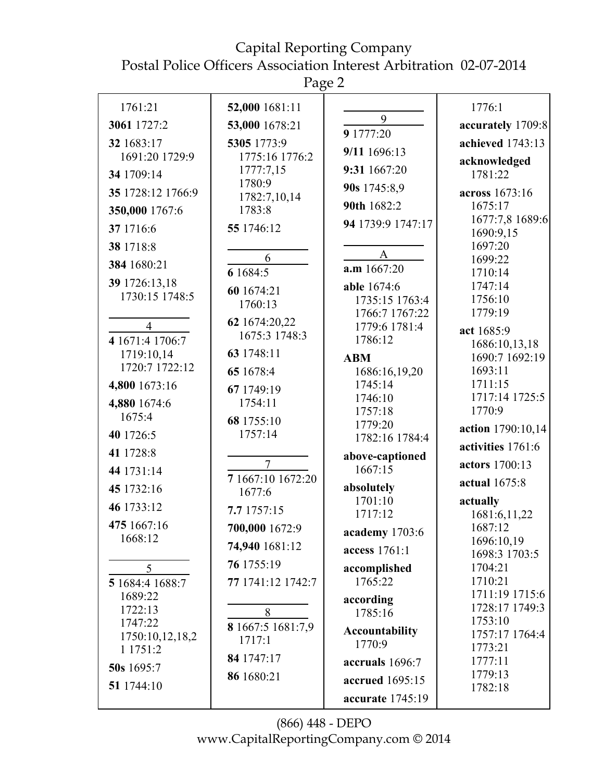Page 2

| 1761:21                         | 52,000 1681:11              |                          | 1776:1                       |
|---------------------------------|-----------------------------|--------------------------|------------------------------|
| 3061 1727:2                     | 53,000 1678:21              | 9                        | accurately 1709:8            |
| 32 1683:17                      | 5305 1773:9                 | 9 1777:20                | achieved 1743:13             |
| 1691:20 1729:9                  | 1775:16 1776:2              | 9/11 1696:13             | acknowledged                 |
| 34 1709:14                      | 1777:7,15                   | 9:31 1667:20             | 1781:22                      |
| 35 1728:12 1766:9               | 1780:9<br>1782:7,10,14      | 90s 1745:8,9             | across 1673:16               |
| 350,000 1767:6                  | 1783:8                      | 90th 1682:2              | 1675:17                      |
| 37 1716:6                       | 55 1746:12                  | 94 1739:9 1747:17        | 1677:7,8 1689:6<br>1690:9,15 |
| 38 1718:8                       |                             |                          | 1697:20                      |
| 384 1680:21                     | 6                           | $\mathbf{A}$             | 1699:22                      |
|                                 | 6 1684:5                    | $a.m$ 1667:20            | 1710:14                      |
| 39 1726:13,18<br>1730:15 1748:5 | 60 1674:21                  | able 1674:6              | 1747:14                      |
|                                 | 1760:13                     | 1735:15 1763:4           | 1756:10                      |
| $\overline{4}$                  | 62 1674:20,22               | 1766:7 1767:22           | 1779:19                      |
| 4 1671:4 1706:7                 | 1675:3 1748:3               | 1779:6 1781:4<br>1786:12 | act 1685:9                   |
| 1719:10,14                      | 63 1748:11                  |                          | 1686:10,13,18                |
| 1720:7 1722:12                  |                             | <b>ABM</b>               | 1690:7 1692:19               |
|                                 | 65 1678:4                   | 1686:16,19,20            | 1693:11                      |
| 4,800 1673:16                   | 67 1749:19                  | 1745:14<br>1746:10       | 1711:15<br>1717:14 1725:5    |
| 4,880 1674:6                    | 1754:11                     | 1757:18                  | 1770:9                       |
| 1675:4                          | 68 1755:10                  | 1779:20                  |                              |
| 40 1726:5                       | 1757:14                     | 1782:16 1784:4           | action 1790:10,14            |
| 41 1728:8                       |                             | above-captioned          | activities 1761:6            |
| 44 1731:14                      | $\overline{7}$              | 1667:15                  | actors 1700:13               |
| 45 1732:16                      | 7 1667:10 1672:20<br>1677:6 | absolutely               | actual 1675:8                |
| 46 1733:12                      |                             | 1701:10                  | actually                     |
|                                 | 7.7 1757:15                 | 1717:12                  | 1681:6,11,22                 |
| 475 1667:16                     | 700,000 1672:9              | academy 1703:6           | 1687:12                      |
| 1668:12                         | 74,940 1681:12              | access 1761:1            | 1696:10,19                   |
|                                 | 76 1755:19                  |                          | 1698:3 1703:5                |
| 5                               |                             | accomplished             | 1704:21<br>1710:21           |
| 5 1684:4 1688:7                 | 77 1741:12 1742:7           | 1765:22                  | 1711:19 1715:6               |
| 1689:22                         |                             | according                | 1728:17 1749:3               |
| 1722:13<br>1747:22              | 8                           | 1785:16                  | 1753:10                      |
| 1750:10,12,18,2                 | 8 1667:5 1681:7,9           | <b>Accountability</b>    | 1757:17 1764:4               |
| 1 1751:2                        | 1717:1                      | 1770:9                   | 1773:21                      |
| 50s 1695:7                      | 84 1747:17                  | accruals 1696:7          | 1777:11                      |
|                                 | 86 1680:21                  | accrued 1695:15          | 1779:13                      |
| 51 1744:10                      |                             | accurate 1745:19         | 1782:18                      |
|                                 |                             |                          |                              |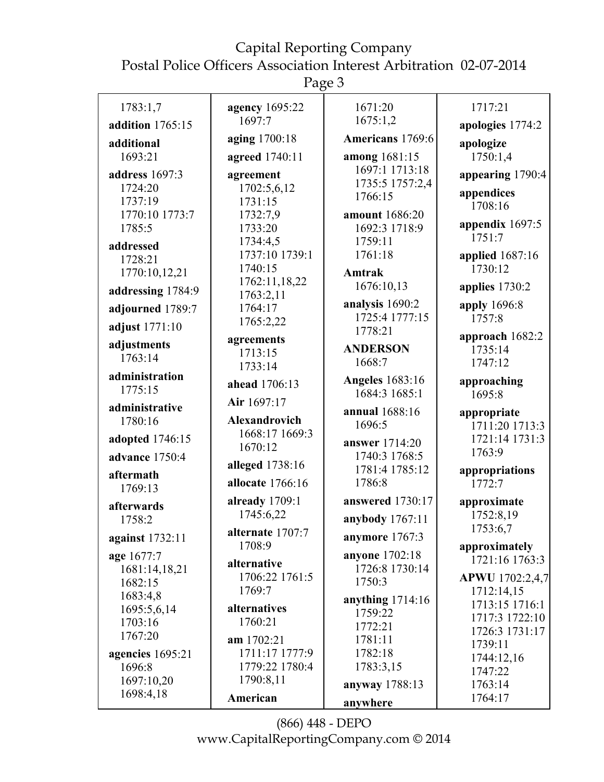Page 3

| 1783:1,7             | agency 1695:22                  | 1671:20                 | 1717:21               |
|----------------------|---------------------------------|-------------------------|-----------------------|
| addition 1765:15     | 1697:7                          | 1675:1,2                | apologies 1774:2      |
| additional           | aging 1700:18                   | Americans 1769:6        | apologize             |
| 1693:21              | agreed 1740:11                  | among 1681:15           | 1750:1,4              |
| address 1697:3       | agreement                       | 1697:1 1713:18          | appearing 1790:4      |
| 1724:20              | 1702:5,6,12                     | 1735:5 1757:2,4         |                       |
| 1737:19              | 1731:15                         | 1766:15                 | appendices<br>1708:16 |
| 1770:10 1773:7       | 1732:7,9                        | amount 1686:20          |                       |
| 1785:5               | 1733:20                         | 1692:3 1718:9           | appendix 1697:5       |
| addressed            | 1734:4,5                        | 1759:11                 | 1751:7                |
| 1728:21              | 1737:10 1739:1                  | 1761:18                 | applied 1687:16       |
| 1770:10,12,21        | 1740:15                         | Amtrak                  | 1730:12               |
| addressing 1784:9    | 1762:11,18,22                   | 1676:10,13              | applies 1730:2        |
|                      | 1763:2,11                       | analysis 1690:2         | apply 1696:8          |
| adjourned 1789:7     | 1764:17                         | 1725:4 1777:15          | 1757:8                |
| adjust 1771:10       | 1765:2,22                       | 1778:21                 |                       |
| adjustments          | agreements                      | <b>ANDERSON</b>         | approach 1682:2       |
| 1763:14              | 1713:15                         | 1668:7                  | 1735:14<br>1747:12    |
| administration       | 1733:14                         |                         |                       |
| 1775:15              | ahead 1706:13                   | <b>Angeles</b> 1683:16  | approaching           |
|                      | Air 1697:17                     | 1684:3 1685:1           | 1695:8                |
| administrative       |                                 | annual 1688:16          | appropriate           |
| 1780:16              | Alexandrovich<br>1668:17 1669:3 | 1696:5                  | 1711:20 1713:3        |
| adopted 1746:15      | 1670:12                         | answer 1714:20          | 1721:14 1731:3        |
| advance 1750:4       |                                 | 1740:3 1768:5           | 1763:9                |
| aftermath            | alleged 1738:16                 | 1781:4 1785:12          | appropriations        |
| 1769:13              | allocate 1766:16                | 1786:8                  | 1772:7                |
|                      | already 1709:1                  | <b>answered</b> 1730:17 | approximate           |
| afterwards<br>1758:2 | 1745:6,22                       | anybody 1767:11         | 1752:8,19             |
|                      | alternate 1707:7                |                         | 1753:6,7              |
| against 1732:11      | 1708:9                          | anymore 1767:3          | approximately         |
| age 1677:7           | alternative                     | <b>anyone</b> 1702:18   | 1721:16 1763:3        |
| 1681:14,18,21        | 1706:22 1761:5                  | 1726:8 1730:14          | APWU 1702:2,4,7       |
| 1682:15              | 1769:7                          | 1750:3                  | 1712:14,15            |
| 1683:4,8             |                                 | anything $1714:16$      | 1713:15 1716:1        |
| 1695:5,6,14          | alternatives                    | 1759:22                 | 1717:3 1722:10        |
| 1703:16              | 1760:21                         | 1772:21                 | 1726:3 1731:17        |
| 1767:20              | am 1702:21                      | 1781:11                 | 1739:11               |
| agencies 1695:21     | 1711:17 1777:9                  | 1782:18                 | 1744:12,16            |
| 1696:8               | 1779:22 1780:4                  | 1783:3,15               | 1747:22               |
| 1697:10,20           | 1790:8,11                       | anyway 1788:13          | 1763:14               |
| 1698:4,18            | American                        | anywhere                | 1764:17               |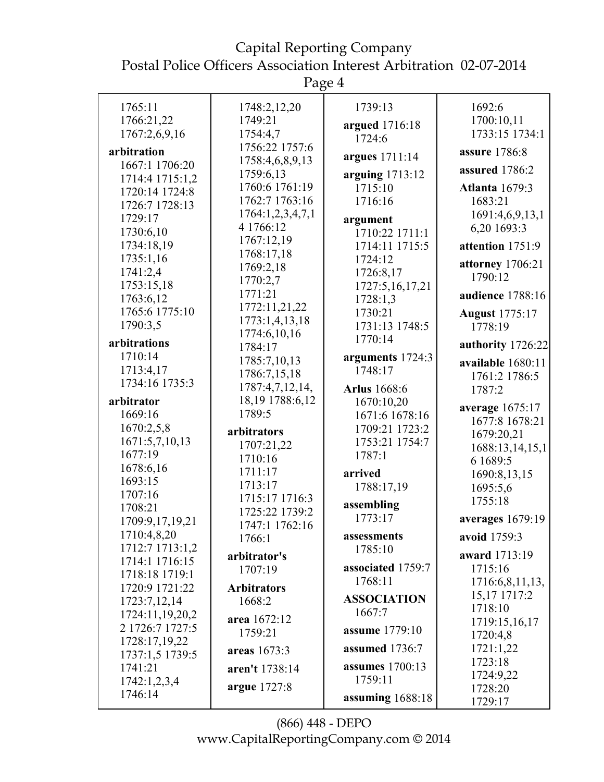Page 4

|                 | O                  |                        |                         |
|-----------------|--------------------|------------------------|-------------------------|
| 1765:11         | 1748:2,12,20       | 1739:13                | 1692:6                  |
| 1766:21,22      | 1749:21            |                        | 1700:10,11              |
| 1767:2,6,9,16   | 1754:4,7           | argued 1716:18         | 1733:15 1734:1          |
|                 | 1756:22 1757:6     | 1724:6                 |                         |
| arbitration     | 1758:4,6,8,9,13    | argues 1711:14         | assure 1786:8           |
| 1667:1 1706:20  | 1759:6,13          | arguing 1713:12        | assured 1786:2          |
| 1714:4 1715:1,2 | 1760:6 1761:19     | 1715:10                | <b>Atlanta</b> 1679:3   |
| 1720:14 1724:8  | 1762:7 1763:16     | 1716:16                | 1683:21                 |
| 1726:7 1728:13  | 1764:1,2,3,4,7,1   |                        | 1691:4,6,9,13,1         |
| 1729:17         | 4 1766:12          | argument               | 6,20 1693:3             |
| 1730:6,10       | 1767:12,19         | 1710:22 1711:1         |                         |
| 1734:18,19      | 1768:17,18         | 1714:11 1715:5         | attention 1751:9        |
| 1735:1,16       | 1769:2,18          | 1724:12                | attorney 1706:21        |
| 1741:2,4        | 1770:2,7           | 1726:8,17              | 1790:12                 |
| 1753:15,18      | 1771:21            | 1727:5,16,17,21        | audience 1788:16        |
| 1763:6,12       | 1772:11,21,22      | 1728:1,3               |                         |
| 1765:6 1775:10  | 1773:1,4,13,18     | 1730:21                | <b>August</b> 1775:17   |
| 1790:3,5        | 1774:6,10,16       | 1731:13 1748:5         | 1778:19                 |
| arbitrations    | 1784:17            | 1770:14                | authority 1726:22       |
| 1710:14         | 1785:7,10,13       | arguments 1724:3       | available 1680:11       |
| 1713:4,17       | 1786:7,15,18       | 1748:17                |                         |
| 1734:16 1735:3  | 1787:4,7,12,14,    | <b>Arlus</b> 1668:6    | 1761:2 1786:5<br>1787:2 |
| arbitrator      | 18,19 1788:6,12    | 1670:10,20             |                         |
| 1669:16         | 1789:5             | 1671:6 1678:16         | average 1675:17         |
| 1670:2,5,8      |                    | 1709:21 1723:2         | 1677:8 1678:21          |
| 1671:5,7,10,13  | arbitrators        | 1753:21 1754:7         | 1679:20,21              |
| 1677:19         | 1707:21,22         | 1787:1                 | 1688:13,14,15,1         |
| 1678:6,16       | 1710:16            |                        | 6 1 689:5               |
| 1693:15         | 1711:17            | arrived                | 1690:8,13,15            |
| 1707:16         | 1713:17            | 1788:17,19             | 1695:5,6                |
| 1708:21         | 1715:17 1716:3     | assembling             | 1755:18                 |
| 1709:9,17,19,21 | 1725:22 1739:2     | 1773:17                | averages 1679:19        |
| 1710:4,8,20     | 1747:1 1762:16     | assessments            | avoid 1759:3            |
| 1712:7 1713:1,2 | 1766:1             | 1785:10                |                         |
| 1714:1 1716:15  | arbitrator's       |                        | award 1713:19           |
| 1718:18 1719:1  | 1707:19            | associated 1759:7      | 1715:16                 |
| 1720:9 1721:22  | <b>Arbitrators</b> | 1768:11                | 1716:6,8,11,13,         |
| 1723:7,12,14    | 1668:2             | <b>ASSOCIATION</b>     | 15,17 1717:2            |
| 1724:11,19,20,2 |                    | 1667:7                 | 1718:10                 |
| 2 1726:7 1727:5 | area 1672:12       | assume 1779:10         | 1719:15,16,17           |
| 1728:17,19,22   | 1759:21            |                        | 1720:4,8                |
| 1737:1,5 1739:5 | areas 1673:3       | assumed 1736:7         | 1721:1,22               |
| 1741:21         | aren't 1738:14     | <b>assumes</b> 1700:13 | 1723:18                 |
| 1742:1,2,3,4    |                    | 1759:11                | 1724:9,22               |
| 1746:14         | argue 1727:8       |                        | 1728:20                 |
|                 |                    | assuming 1688:18       | 1729:17                 |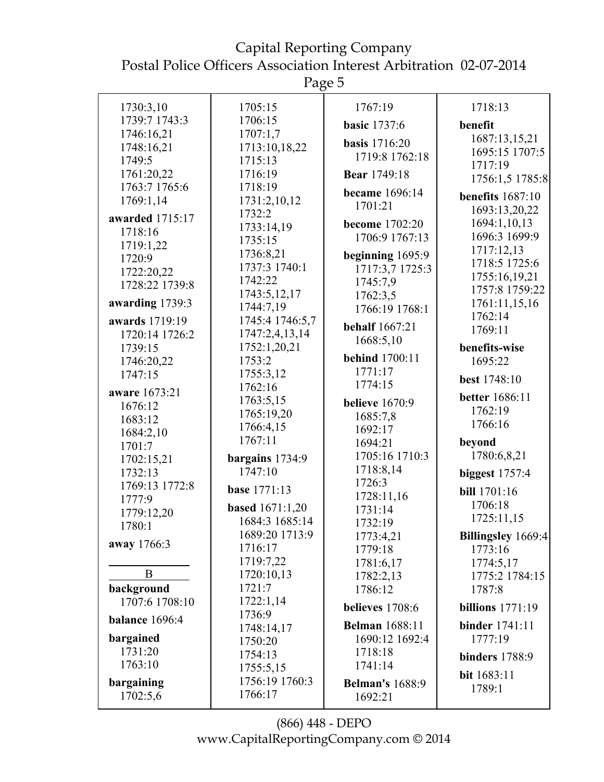Page 5

| 1730:3,10             | 1705:15                           | 1767:19                   | 1718:13               |
|-----------------------|-----------------------------------|---------------------------|-----------------------|
| 1739:7 1743:3         | 1706:15                           | <b>basic</b> 1737:6       | benefit               |
| 1746:16,21            | 1707:1,7                          | <b>basis</b> 1716:20      | 1687:13,15,21         |
| 1748:16,21            | 1713:10,18,22                     | 1719:8 1762:18            | 1695:15 1707:5        |
| 1749:5                | 1715:13                           |                           | 1717:19               |
| 1761:20,22            | 1716:19                           | <b>Bear</b> 1749:18       | 1756:1,5 1785:8       |
| 1763:7 1765:6         | 1718:19                           | became 1696:14            | benefits $1687:10$    |
| 1769:1,14             | 1731:2,10,12                      | 1701:21                   | 1693:13,20,22         |
| awarded 1715:17       | 1732:2                            | become 1702:20            | 1694:1,10,13          |
| 1718:16               | 1733:14,19                        | 1706:9 1767:13            | 1696:3 1699:9         |
| 1719:1,22             | 1735:15                           |                           | 1717:12,13            |
| 1720:9                | 1736:8,21                         | beginning 1695:9          | 1718:5 1725:6         |
| 1722:20,22            | 1737:3 1740:1                     | 1717:3,7 1725:3           | 1755:16,19,21         |
| 1728:22 1739:8        | 1742:22                           | 1745:7,9                  | 1757:8 1759:22        |
| awarding 1739:3       | 1743:5,12,17                      | 1762:3,5                  | 1761:11,15,16         |
|                       | 1744:7,19                         | 1766:19 1768:1            | 1762:14               |
| awards 1719:19        | 1745:4 1746:5,7<br>1747:2,4,13,14 | <b>behalf</b> 1667:21     | 1769:11               |
| 1720:14 1726:2        | 1752:1,20,21                      | 1668:5,10                 | benefits-wise         |
| 1739:15               | 1753:2                            | <b>behind</b> 1700:11     | 1695:22               |
| 1746:20,22<br>1747:15 | 1755:3,12                         | 1771:17                   |                       |
|                       | 1762:16                           | 1774:15                   | best 1748:10          |
| aware 1673:21         | 1763:5,15                         |                           | <b>better</b> 1686:11 |
| 1676:12               | 1765:19,20                        | <b>believe</b> 1670:9     | 1762:19               |
| 1683:12               | 1766:4,15                         | 1685:7,8<br>1692:17       | 1766:16               |
| 1684:2,10             | 1767:11                           | 1694:21                   | beyond                |
| 1701:7                |                                   | 1705:16 1710:3            | 1780:6,8,21           |
| 1702:15,21            | bargains 1734:9                   | 1718:8,14                 |                       |
| 1732:13               | 1747:10                           | 1726:3                    | <b>biggest</b> 1757:4 |
| 1769:13 1772:8        | <b>base</b> 1771:13               | 1728:11,16                | <b>bill</b> 1701:16   |
| 1777:9                | <b>based</b> 1671:1,20            | 1731:14                   | 1706:18               |
| 1779:12,20<br>1780:1  | 1684:3 1685:14                    | 1732:19                   | 1725:11,15            |
|                       | 1689:20 1713:9                    | 1773:4,21                 | Billingsley 1669:4    |
| away 1766:3           | 1716:17                           | 1779:18                   | 1773:16               |
|                       | 1719:7,22                         | 1781:6,17                 | 1774:5,17             |
| B                     | 1720:10,13                        | 1782:2,13                 | 1775:2 1784:15        |
| background            | 1721:7                            | 1786:12                   | 1787:8                |
| 1707:6 1708:10        | 1722:1,14                         | believes 1708:6           | billions $1771:19$    |
| balance 1696:4        | 1736:9                            |                           |                       |
| bargained             | 1748:14,17                        | <b>Belman</b> 1688:11     | <b>binder</b> 1741:11 |
| 1731:20               | 1750:20                           | 1690:12 1692:4<br>1718:18 | 1777:19               |
| 1763:10               | 1754:13                           | 1741:14                   | <b>binders</b> 1788:9 |
|                       | 1755:5,15                         |                           | bit 1683:11           |
| bargaining            | 1756:19 1760:3                    | <b>Belman's</b> 1688:9    | 1789:1                |
| 1702:5,6              | 1766:17                           | 1692:21                   |                       |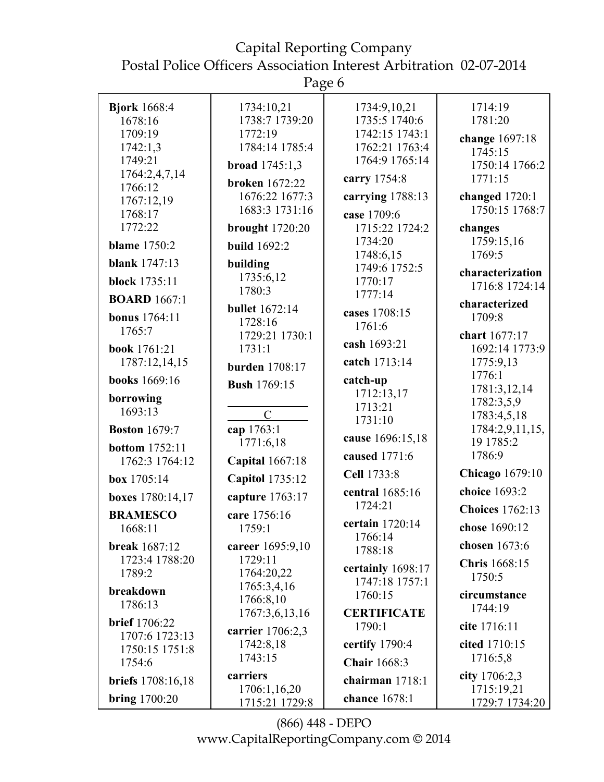Page 6

|                          | U                                       |                      |                              |
|--------------------------|-----------------------------------------|----------------------|------------------------------|
| <b>Bjork</b> 1668:4      | 1734:10,21                              | 1734:9,10,21         | 1714:19                      |
| 1678:16                  | 1738:7 1739:20                          | 1735:5 1740:6        | 1781:20                      |
| 1709:19                  | 1772:19                                 | 1742:15 1743:1       | change 1697:18               |
| 1742:1,3                 | 1784:14 1785:4                          | 1762:21 1763:4       | 1745:15                      |
| 1749:21                  | broad 1745:1,3                          | 1764:9 1765:14       | 1750:14 1766:2               |
| 1764:2,4,7,14            |                                         | carry 1754:8         | 1771:15                      |
| 1766:12                  | <b>broken</b> 1672:22<br>1676:22 1677:3 |                      | changed $1720:1$             |
| 1767:12,19               | 1683:3 1731:16                          | carrying 1788:13     | 1750:15 1768:7               |
| 1768:17                  |                                         | case 1709:6          |                              |
| 1772:22                  | <b>brought</b> 1720:20                  | 1715:22 1724:2       | changes                      |
| <b>blame</b> 1750:2      | <b>build</b> 1692:2                     | 1734:20<br>1748:6,15 | 1759:15,16<br>1769:5         |
| <b>blank</b> 1747:13     | building                                | 1749:6 1752:5        |                              |
| <b>block</b> 1735:11     | 1735:6,12                               | 1770:17              | characterization             |
|                          | 1780:3                                  | 1777:14              | 1716:8 1724:14               |
| <b>BOARD</b> 1667:1      | <b>bullet</b> 1672:14                   | cases 1708:15        | characterized                |
| <b>bonus</b> 1764:11     | 1728:16                                 | 1761:6               | 1709:8                       |
| 1765:7                   | 1729:21 1730:1                          |                      | chart 1677:17                |
| book 1761:21             | 1731:1                                  | cash 1693:21         | 1692:14 1773:9               |
| 1787:12,14,15            | <b>burden</b> 1708:17                   | catch 1713:14        | 1775:9,13                    |
| <b>books</b> 1669:16     | <b>Bush 1769:15</b>                     | catch-up             | 1776:1                       |
| borrowing                |                                         | 1712:13,17           | 1781:3,12,14                 |
| 1693:13                  | $\mathcal{C}$                           | 1713:21              | 1782:3,5,9                   |
|                          |                                         | 1731:10              | 1783:4,5,18                  |
| <b>Boston</b> 1679:7     | cap 1763:1<br>1771:6,18                 | cause 1696:15,18     | 1784:2,9,11,15,<br>19 1785:2 |
| <b>bottom</b> 1752:11    |                                         | caused 1771:6        | 1786:9                       |
| 1762:3 1764:12           | <b>Capital</b> 1667:18                  |                      |                              |
| box 1705:14              | <b>Capitol</b> 1735:12                  | Cell 1733:8          | <b>Chicago</b> 1679:10       |
| boxes 1780:14,17         | capture 1763:17                         | central 1685:16      | choice 1693:2                |
| <b>BRAMESCO</b>          | care 1756:16                            | 1724:21              | <b>Choices</b> 1762:13       |
| 1668:11                  | 1759:1                                  | certain 1720:14      | chose 1690:12                |
| <b>break</b> 1687:12     | career 1695:9,10                        | 1766:14<br>1788:18   | chosen 1673:6                |
| 1723:4 1788:20           | 1729:11                                 |                      | <b>Chris</b> 1668:15         |
| 1789:2                   | 1764:20,22                              | certainly 1698:17    | 1750:5                       |
| breakdown                | 1765:3,4,16                             | 1747:18 1757:1       |                              |
| 1786:13                  | 1766:8,10                               | 1760:15              | circumstance                 |
| <b>brief</b> 1706:22     | 1767:3,6,13,16                          | <b>CERTIFICATE</b>   | 1744:19                      |
| 1707:6 1723:13           | carrier 1706:2,3                        | 1790:1               | cite 1716:11                 |
| 1750:15 1751:8           | 1742:8,18                               | certify 1790:4       | cited 1710:15                |
| 1754:6                   | 1743:15                                 | <b>Chair</b> 1668:3  | 1716:5,8                     |
| <b>briefs</b> 1708:16,18 | carriers                                | chairman 1718:1      | city 1706:2,3                |
|                          | 1706:1,16,20                            |                      | 1715:19,21                   |
| <b>bring</b> 1700:20     | 1715:21 1729:8                          | chance 1678:1        | 1729:7 1734:20               |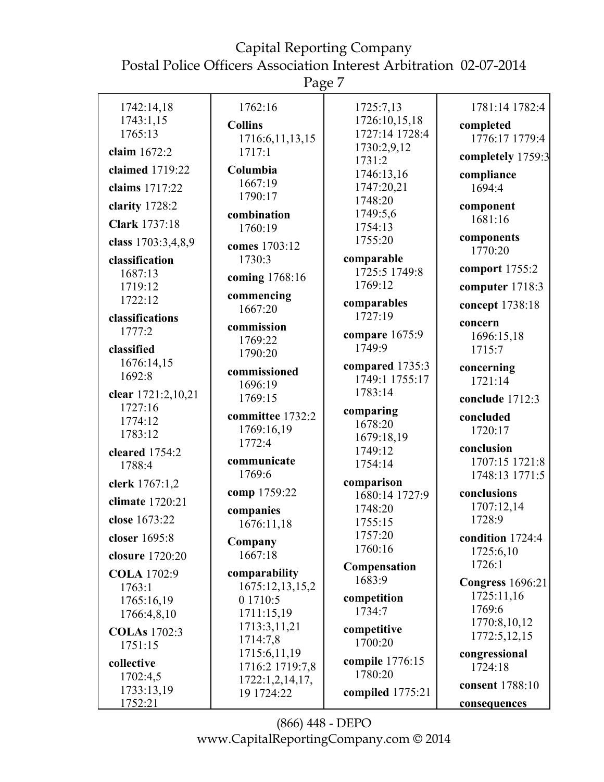Page 7

| 1742:14,18            | 1762:16                | 1725:7,13                  | 1781:14 1782:4               |
|-----------------------|------------------------|----------------------------|------------------------------|
| 1743:1,15             | <b>Collins</b>         | 1726:10,15,18              | completed                    |
| 1765:13               | 1716:6,11,13,15        | 1727:14 1728:4             | 1776:17 1779:4               |
| claim 1672:2          | 1717:1                 | 1730:2,9,12<br>1731:2      | completely 1759:3            |
| claimed 1719:22       | Columbia               | 1746:13,16                 | compliance                   |
| claims 1717:22        | 1667:19                | 1747:20,21                 | 1694:4                       |
| clarity 1728:2        | 1790:17                | 1748:20                    |                              |
|                       | combination            | 1749:5,6                   | component<br>1681:16         |
| <b>Clark</b> 1737:18  | 1760:19                | 1754:13                    |                              |
| class 1703:3,4,8,9    | comes 1703:12          | 1755:20                    | components<br>1770:20        |
| classification        | 1730:3                 | comparable                 |                              |
| 1687:13               | coming 1768:16         | 1725:5 1749:8              | comport 1755:2               |
| 1719:12               | commencing             | 1769:12                    | computer 1718:3              |
| 1722:12               | 1667:20                | comparables                | concept 1738:18              |
| classifications       | commission             | 1727:19                    | concern                      |
| 1777:2                | 1769:22                | compare 1675:9             | 1696:15,18                   |
| classified            | 1790:20                | 1749:9                     | 1715:7                       |
| 1676:14,15            | commissioned           | compared 1735:3            | concerning                   |
| 1692:8                | 1696:19                | 1749:1 1755:17             | 1721:14                      |
| clear 1721:2,10,21    | 1769:15                | 1783:14                    | conclude 1712:3              |
| 1727:16               | committee 1732:2       | comparing                  | concluded                    |
| 1774:12               | 1769:16,19             | 1678:20                    | 1720:17                      |
| 1783:12               | 1772:4                 | 1679:18,19                 |                              |
| cleared 1754:2        | communicate            | 1749:12                    | conclusion<br>1707:15 1721:8 |
| 1788:4                | 1769:6                 | 1754:14                    | 1748:13 1771:5               |
| clerk 1767:1,2        |                        | comparison                 |                              |
| climate 1720:21       | comp 1759:22           | 1680:14 1727:9             | conclusions<br>1707:12,14    |
| close 1673:22         | companies              | 1748:20<br>1755:15         | 1728:9                       |
| closer 1695:8         | 1676:11,18             | 1757:20                    | condition 1724:4             |
|                       | Company                | 1760:16                    | 1725:6,10                    |
| closure 1720:20       | 1667:18                | Compensation               | 1726:1                       |
| <b>COLA</b> 1702:9    | comparability          | 1683:9                     | <b>Congress</b> 1696:21      |
| 1763:1                | 1675:12,13,15,2        | competition                | 1725:11,16                   |
| 1765:16,19            | 0 1710:5<br>1711:15,19 | 1734:7                     | 1769:6                       |
| 1766:4,8,10           | 1713:3,11,21           |                            | 1770:8,10,12                 |
| <b>COLAs</b> 1702:3   | 1714:7,8               | competitive<br>1700:20     | 1772:5,12,15                 |
| 1751:15               | 1715:6,11,19           |                            | congressional                |
| collective            | 1716:2 1719:7,8        | compile 1776:15<br>1780:20 | 1724:18                      |
| 1702:4,5              | 1722:1,2,14,17,        |                            | consent 1788:10              |
| 1733:13,19<br>1752:21 | 19 1724:22             | compiled 1775:21           |                              |
|                       |                        |                            | consequences                 |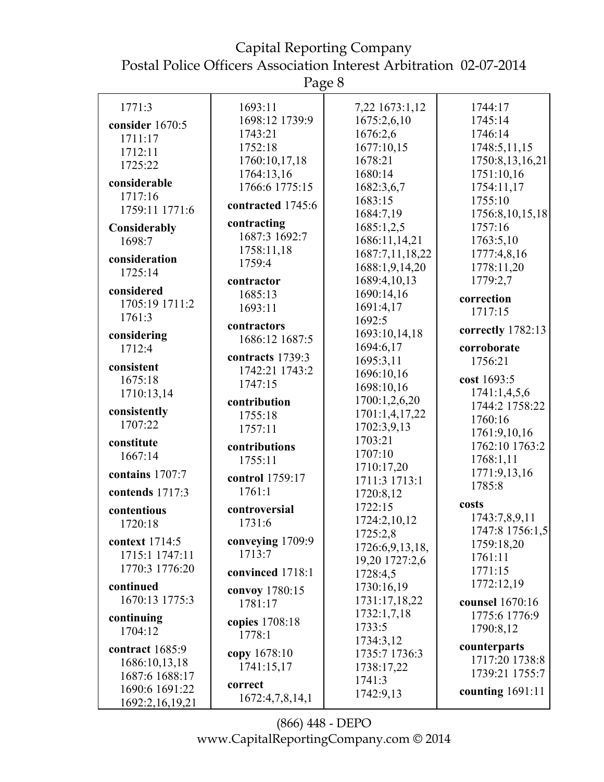Page 8

| 1771:3             | 1693:11                       | 7,22 1673:1,12  | 1744:17            |
|--------------------|-------------------------------|-----------------|--------------------|
| consider 1670:5    | 1698:12 1739:9                | 1675:2,6,10     | 1745:14            |
| 1711:17            | 1743:21                       | 1676:2,6        | 1746:14            |
| 1712:11            | 1752:18                       | 1677:10,15      | 1748:5,11,15       |
| 1725:22            | 1760:10,17,18                 | 1678:21         | 1750:8,13,16,21    |
|                    | 1764:13,16                    | 1680:14         | 1751:10,16         |
| considerable       | 1766:6 1775:15                | 1682:3,6,7      | 1754:11,17         |
| 1717:16            | contracted 1745:6             | 1683:15         | 1755:10            |
| 1759:11 1771:6     |                               | 1684:7,19       | 1756:8,10,15,18    |
| Considerably       | contracting                   | 1685:1,2,5      | 1757:16            |
| 1698:7             | 1687:3 1692:7                 | 1686:11,14,21   | 1763:5,10          |
| consideration      | 1758:11,18                    | 1687:7,11,18,22 | 1777:4,8,16        |
| 1725:14            | 1759:4                        | 1688:1,9,14,20  | 1778:11,20         |
|                    | contractor                    | 1689:4,10,13    | 1779:2,7           |
| considered         | 1685:13                       | 1690:14,16      | correction         |
| 1705:19 1711:2     | 1693:11                       | 1691:4,17       | 1717:15            |
| 1761:3             |                               | 1692:5          |                    |
| considering        | contractors<br>1686:12 1687:5 | 1693:10,14,18   | correctly 1782:13  |
| 1712:4             |                               | 1694:6,17       | corroborate        |
|                    | contracts 1739:3              | 1695:3,11       | 1756:21            |
| consistent         | 1742:21 1743:2                | 1696:10,16      |                    |
| 1675:18            | 1747:15                       | 1698:10,16      | cost 1693:5        |
| 1710:13,14         | contribution                  | 1700:1,2,6,20   | 1741:1,4,5,6       |
| consistently       | 1755:18                       | 1701:1,4,17,22  | 1744:2 1758:22     |
| 1707:22            | 1757:11                       | 1702:3,9,13     | 1760:16            |
| constitute         |                               | 1703:21         | 1761:9,10,16       |
| 1667:14            | contributions                 | 1707:10         | 1762:10 1763:2     |
|                    | 1755:11                       | 1710:17,20      | 1768:1,11          |
| contains 1707:7    | control 1759:17               | 1711:3 1713:1   | 1771:9,13,16       |
| contends 1717:3    | 1761:1                        | 1720:8,12       | 1785:8             |
|                    |                               | 1722:15         | costs              |
| contentious        | controversial                 | 1724:2,10,12    | 1743:7,8,9,11      |
| 1720:18            | 1731:6                        | 1725:2,8        | 1747:8 1756:1,5    |
| context 1714:5     | conveying 1709:9              | 1726:6,9,13,18, | 1759:18,20         |
| 1715:1 1747:11     | 1713:7                        | 19,20 1727:2,6  | 1761:11            |
| 1770:3 1776:20     | convinced 1718:1              | 1728:4,5        | 1771:15            |
| continued          |                               | 1730:16,19      | 1772:12,19         |
| 1670:13 1775:3     | convoy 1780:15                | 1731:17,18,22   | counsel 1670:16    |
|                    | 1781:17                       | 1732:1,7,18     | 1775:6 1776:9      |
| continuing         | copies 1708:18                | 1733:5          | 1790:8,12          |
| 1704:12            | 1778:1                        | 1734:3,12       |                    |
| contract 1685:9    | copy 1678:10                  | 1735:7 1736:3   | counterparts       |
| 1686:10,13,18      | 1741:15,17                    | 1738:17,22      | 1717:20 1738:8     |
| 1687:6 1688:17     |                               | 1741:3          | 1739:21 1755:7     |
| 1690:6 1691:22     | correct                       | 1742:9,13       | counting $1691:11$ |
| 1692:2, 16, 19, 21 | 1672:4,7,8,14,1               |                 |                    |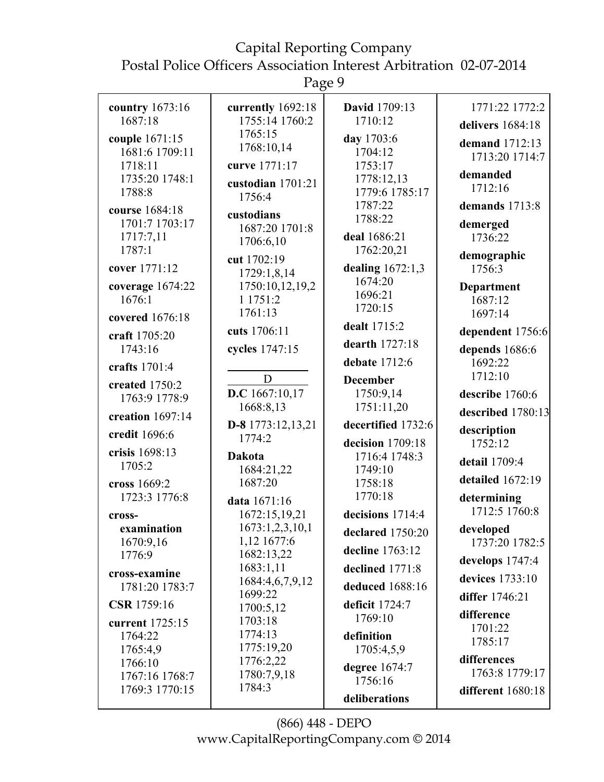Page 9

|                                                         | $\circ$                                         |                                                  |                                              |
|---------------------------------------------------------|-------------------------------------------------|--------------------------------------------------|----------------------------------------------|
| country 1673:16                                         | currently 1692:18                               | <b>David</b> 1709:13                             | 1771:22 1772:2                               |
| 1687:18                                                 | 1755:14 1760:2                                  | 1710:12                                          | delivers 1684:18                             |
| couple 1671:15<br>1681:6 1709:11                        | 1765:15<br>1768:10,14                           | day 1703:6<br>1704:12                            | demand 1712:13<br>1713:20 1714:7             |
| 1718:11<br>1735:20 1748:1<br>1788:8                     | curve 1771:17<br>custodian 1701:21<br>1756:4    | 1753:17<br>1778:12,13<br>1779:6 1785:17          | demanded<br>1712:16                          |
| course 1684:18<br>1701:7 1703:17<br>1717:7,11<br>1787:1 | custodians<br>1687:20 1701:8<br>1706:6,10       | 1787:22<br>1788:22<br>deal 1686:21<br>1762:20,21 | demands 1713:8<br>demerged<br>1736:22        |
| cover 1771:12                                           | cut 1702:19<br>1729:1,8,14                      | dealing 1672:1,3<br>1674:20                      | demographic<br>1756:3                        |
| coverage 1674:22<br>1676:1                              | 1750:10,12,19,2<br>1 1751:2<br>1761:13          | 1696:21<br>1720:15                               | Department<br>1687:12<br>1697:14             |
| covered 1676:18<br>craft 1705:20                        | cuts 1706:11                                    | dealt 1715:2<br>dearth 1727:18                   | dependent 1756:6                             |
| 1743:16<br>crafts 1701:4                                | cycles 1747:15                                  | debate 1712:6                                    | depends 1686:6<br>1692:22<br>1712:10         |
| created 1750:2<br>1763:9 1778:9                         | D<br>D.C $1667:10,17$<br>1668:8,13              | <b>December</b><br>1750:9,14<br>1751:11,20       | describe 1760:6                              |
| creation $1697:14$                                      |                                                 | decertified 1732:6                               | described 1780:13                            |
| credit 1696:6                                           | $D-8$ 1773:12,13,21<br>1774:2                   | decision 1709:18                                 | description<br>1752:12                       |
| crisis 1698:13<br>1705:2                                | <b>Dakota</b><br>1684:21,22                     | 1716:4 1748:3<br>1749:10                         | detail 1709:4                                |
| cross 1669:2<br>1723:3 1776:8                           | 1687:20<br>data 1671:16                         | 1758:18<br>1770:18                               | detailed $1672:19$<br>determining            |
| cross-<br>examination<br>1670:9,16                      | 1672:15,19,21<br>1673:1,2,3,10,1<br>1,12 1677:6 | decisions 1714:4<br>declared 1750:20             | 1712:5 1760:8<br>developed<br>1737:20 1782:5 |
| 1776:9<br>cross-examine                                 | 1682:13,22<br>1683:1,11                         | decline 1763:12<br>declined 1771:8               | develops 1747:4                              |
| 1781:20 1783:7<br>CSR 1759:16                           | 1684:4,6,7,9,12<br>1699:22                      | deduced 1688:16<br>deficit 1724:7                | devices 1733:10<br>differ 1746:21            |
| current 1725:15<br>1764:22                              | 1700:5,12<br>1703:18<br>1774:13                 | 1769:10<br>definition                            | difference<br>1701:22                        |
| 1765:4,9<br>1766:10                                     | 1775:19,20<br>1776:2,22                         | 1705:4,5,9<br>degree 1674:7                      | 1785:17<br>differences                       |
| 1767:16 1768:7<br>1769:3 1770:15                        | 1780:7,9,18<br>1784:3                           | 1756:16<br>deliberations                         | 1763:8 1779:17<br>different 1680:18          |
|                                                         |                                                 |                                                  |                                              |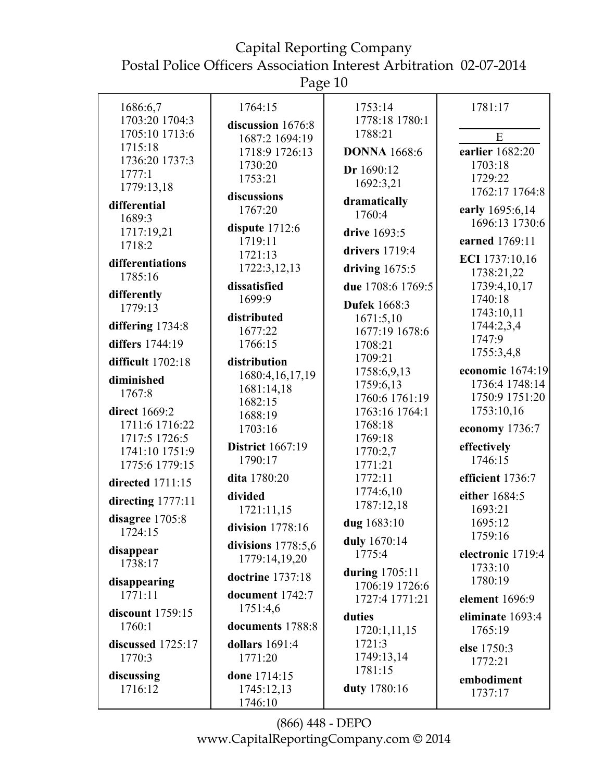Page 10

| 1686:6,7<br>1703:20 1704:3  | 1764:15<br>discussion 1676:8 | 1753:14<br>1778:18 1780:1 | 1781:17                           |
|-----------------------------|------------------------------|---------------------------|-----------------------------------|
| 1705:10 1713:6              | 1687:2 1694:19               | 1788:21                   | E                                 |
| 1715:18                     | 1718:9 1726:13               | <b>DONNA</b> 1668:6       | earlier 1682:20                   |
| 1736:20 1737:3              | 1730:20                      |                           | 1703:18                           |
| 1777:1                      | 1753:21                      | Dr 1690:12                | 1729:22                           |
| 1779:13,18                  |                              | 1692:3,21                 | 1762:17 1764:8                    |
| differential                | discussions                  | dramatically              |                                   |
| 1689:3                      | 1767:20                      | 1760:4                    | early 1695:6,14                   |
| 1717:19,21                  | dispute $1712:6$             | drive 1693:5              | 1696:13 1730:6                    |
| 1718:2                      | 1719:11                      |                           | earned 1769:11                    |
|                             | 1721:13                      | drivers 1719:4            | ECI 1737:10,16                    |
| differentiations<br>1785:16 | 1722:3,12,13                 | driving $1675:5$          | 1738:21,22                        |
| differently                 | dissatisfied                 | due 1708:6 1769:5         | 1739:4,10,17                      |
| 1779:13                     | 1699:9                       | <b>Dufek</b> 1668:3       | 1740:18                           |
|                             | distributed                  | 1671:5,10                 | 1743:10,11                        |
| differing 1734:8            | 1677:22                      | 1677:19 1678:6            | 1744:2,3,4                        |
| differs 1744:19             | 1766:15                      | 1708:21                   | 1747:9                            |
| difficult 1702:18           | distribution                 | 1709:21                   | 1755:3,4,8                        |
| diminished                  | 1680:4,16,17,19              | 1758:6,9,13               | economic 1674:19                  |
| 1767:8                      | 1681:14,18                   | 1759:6,13                 | 1736:4 1748:14                    |
|                             | 1682:15                      | 1760:6 1761:19            | 1750:9 1751:20                    |
| direct 1669:2               | 1688:19                      | 1763:16 1764:1            | 1753:10,16                        |
| 1711:6 1716:22              | 1703:16                      | 1768:18                   | economy 1736:7                    |
| 1717:5 1726:5               | <b>District</b> 1667:19      | 1769:18                   | effectively                       |
| 1741:10 1751:9              | 1790:17                      | 1770:2,7                  | 1746:15                           |
| 1775:6 1779:15              |                              | 1771:21                   |                                   |
| directed 1711:15            | dita 1780:20<br>divided      | 1772:11<br>1774:6,10      | efficient 1736:7<br>either 1684:5 |
| directing 1777:11           | 1721:11,15                   | 1787:12,18                | 1693:21                           |
| disagree 1705:8             |                              | dug 1683:10               | 1695:12                           |
| 1724:15                     | division $1778:16$           |                           | 1759:16                           |
|                             | divisions $1778:5,6$         | duly 1670:14              |                                   |
| disappear<br>1738:17        | 1779:14,19,20                | 1775:4                    | electronic 1719:4                 |
|                             | doctrine 1737:18             | during 1705:11            | 1733:10                           |
| disappearing                |                              | 1706:19 1726:6            | 1780:19                           |
| 1771:11                     | document 1742:7              | 1727:4 1771:21            | element 1696:9                    |
| discount 1759:15            | 1751:4,6                     | duties                    | eliminate 1693:4                  |
| 1760:1                      | documents 1788:8             | 1720:1,11,15              | 1765:19                           |
| discussed 1725:17           | dollars 1691:4               | 1721:3                    | else 1750:3                       |
| 1770:3                      | 1771:20                      | 1749:13,14                | 1772:21                           |
| discussing                  | done 1714:15                 | 1781:15                   |                                   |
| 1716:12                     | 1745:12,13                   | duty 1780:16              | embodiment<br>1737:17             |
|                             | 1746:10                      |                           |                                   |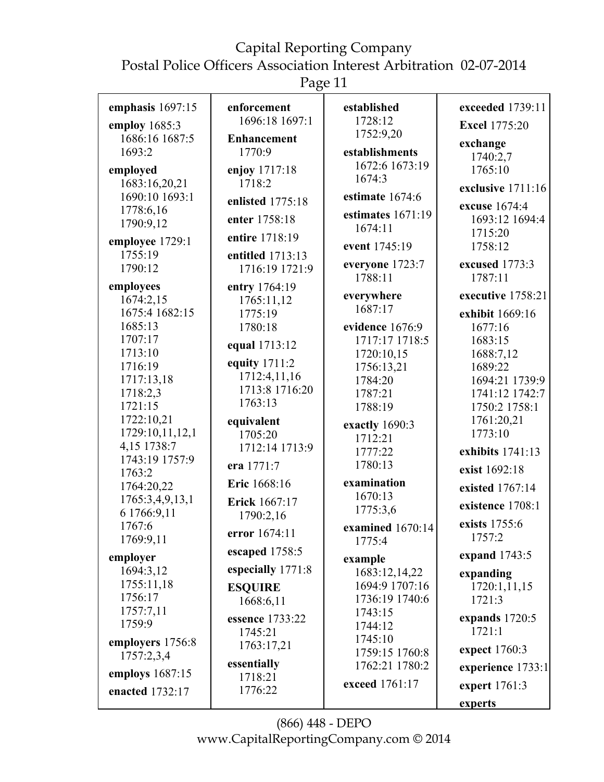# Capital Reporting Company

Postal Police Officers Association Interest Arbitration 02-07-2014

Page 11

| emphasis 1697:15                | enforcement<br>1696:18 1697:1 | established<br>1728:12           | exceeded 1739:11      |
|---------------------------------|-------------------------------|----------------------------------|-----------------------|
| employ 1685:3                   |                               | 1752:9,20                        | <b>Excel 1775:20</b>  |
| 1686:16 1687:5<br>1693:2        | <b>Enhancement</b><br>1770:9  | establishments                   | exchange              |
|                                 |                               | 1672:6 1673:19                   | 1740:2,7              |
| employed                        | enjoy 1717:18                 | 1674:3                           | 1765:10               |
| 1683:16,20,21<br>1690:10 1693:1 | 1718:2                        | estimate 1674:6                  | exclusive 1711:16     |
| 1778:6,16                       | enlisted 1775:18              |                                  | excuse 1674:4         |
| 1790:9,12                       | enter 1758:18                 | estimates 1671:19                | 1693:12 1694:4        |
|                                 | entire 1718:19                | 1674:11                          | 1715:20               |
| employee 1729:1<br>1755:19      | entitled 1713:13              | event 1745:19                    | 1758:12               |
| 1790:12                         | 1716:19 1721:9                | everyone 1723:7                  | excused 1773:3        |
|                                 |                               | 1788:11                          | 1787:11               |
| employees<br>1674:2,15          | entry 1764:19<br>1765:11,12   | everywhere                       | executive 1758:21     |
| 1675:4 1682:15                  | 1775:19                       | 1687:17                          | exhibit 1669:16       |
| 1685:13                         | 1780:18                       | evidence 1676:9                  | 1677:16               |
| 1707:17                         | equal 1713:12                 | 1717:17 1718:5                   | 1683:15               |
| 1713:10                         |                               | 1720:10,15                       | 1688:7,12             |
| 1716:19                         | equity 1711:2                 | 1756:13,21                       | 1689:22               |
| 1717:13,18                      | 1712:4,11,16                  | 1784:20                          | 1694:21 1739:9        |
| 1718:2,3                        | 1713:8 1716:20<br>1763:13     | 1787:21                          | 1741:12 1742:7        |
| 1721:15                         |                               | 1788:19                          | 1750:2 1758:1         |
| 1722:10,21<br>1729:10,11,12,1   | equivalent<br>1705:20         | exactly 1690:3                   | 1761:20,21<br>1773:10 |
| 4,15 1738:7                     | 1712:14 1713:9                | 1712:21                          |                       |
| 1743:19 1757:9                  |                               | 1777:22                          | exhibits 1741:13      |
| 1763:2                          | era 1771:7                    | 1780:13                          | exist 1692:18         |
| 1764:20,22                      | Eric 1668:16                  | examination<br>1670:13           | existed 1767:14       |
| 1765:3,4,9,13,1<br>6 1766:9,11  | Erick 1667:17                 | 1775:3,6                         | existence 1708:1      |
| 1767:6                          | 1790:2,16                     | examined 1670:14                 | exists 1755:6         |
| 1769:9,11                       | error 1674:11                 | 1775:4                           | 1757:2                |
| employer                        | escaped 1758:5                | example                          | expand 1743:5         |
| 1694:3,12                       | especially 1771:8             | 1683:12,14,22                    | expanding             |
| 1755:11,18                      | <b>ESQUIRE</b>                | 1694:9 1707:16                   | 1720:1,11,15          |
| 1756:17                         | 1668:6,11                     | 1736:19 1740:6                   | 1721:3                |
| 1757:7,11                       | essence 1733:22               | 1743:15                          | expands 1720:5        |
| 1759:9                          | 1745:21                       | 1744:12                          | 1721:1                |
| employers 1756:8                | 1763:17,21                    | 1745:10                          | expect 1760:3         |
| 1757:2,3,4                      | essentially                   | 1759:15 1760:8<br>1762:21 1780:2 |                       |
| employs 1687:15                 | 1718:21                       |                                  | experience 1733:1     |
| enacted 1732:17                 | 1776:22                       | exceed 1761:17                   | expert 1761:3         |
|                                 |                               |                                  | experts               |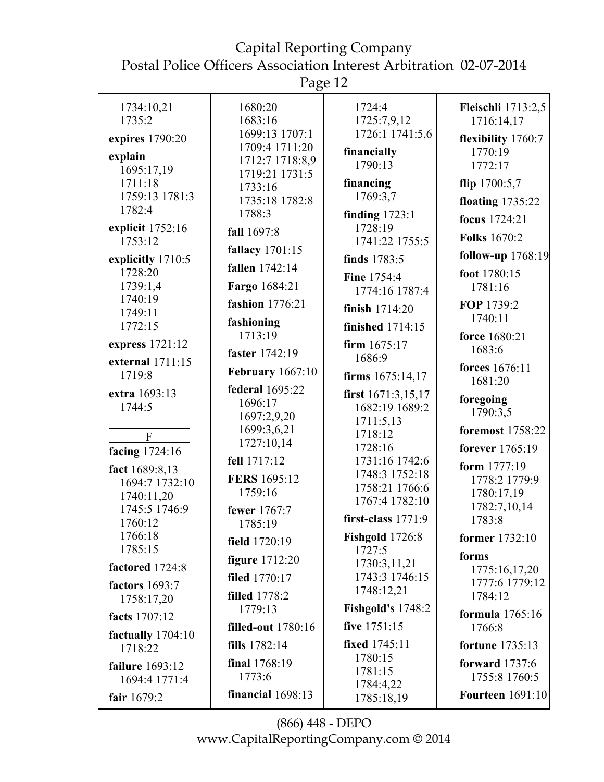Page 12

| 1734:10,21                       | 1680:20                           | 1724:4                           | <b>Fleischli</b> 1713:2,5 |
|----------------------------------|-----------------------------------|----------------------------------|---------------------------|
| 1735:2                           | 1683:16                           | 1725:7,9,12                      | 1716:14,17                |
| expires 1790:20                  | 1699:13 1707:1                    | 1726:1 1741:5,6                  | flexibility 1760:7        |
| explain                          | 1709:4 1711:20<br>1712:7 1718:8,9 | financially                      | 1770:19                   |
| 1695:17,19                       | 1719:21 1731:5                    | 1790:13                          | 1772:17                   |
| 1711:18                          | 1733:16                           | financing                        | flip $1700:5,7$           |
| 1759:13 1781:3                   | 1735:18 1782:8                    | 1769:3,7                         | floating $1735:22$        |
| 1782:4                           | 1788:3                            | finding $1723:1$                 | focus 1724:21             |
| explicit 1752:16                 | fall 1697:8                       | 1728:19                          | <b>Folks</b> 1670:2       |
| 1753:12                          | fallacy 1701:15                   | 1741:22 1755:5                   |                           |
| explicitly 1710:5                | fallen 1742:14                    | finds 1783:5                     | follow-up 1768:19         |
| 1728:20<br>1739:1,4              | Fargo 1684:21                     | <b>Fine 1754:4</b>               | foot 1780:15<br>1781:16   |
| 1740:19                          |                                   | 1774:16 1787:4                   |                           |
| 1749:11                          | fashion 1776:21                   | finish 1714:20                   | FOP 1739:2<br>1740:11     |
| 1772:15                          | fashioning<br>1713:19             | finished 1714:15                 | force 1680:21             |
| express 1721:12                  |                                   | firm $1675:17$                   | 1683:6                    |
| external 1711:15                 | faster 1742:19                    | 1686:9                           | forces 1676:11            |
| 1719:8                           | <b>February</b> 1667:10           | firms 1675:14,17                 | 1681:20                   |
| extra 1693:13                    | <b>federal</b> 1695:22            | first $1671:3,15,17$             |                           |
| 1744:5                           | 1696:17                           | 1682:19 1689:2                   | foregoing<br>1790:3,5     |
|                                  | 1697:2,9,20                       | 1711:5,13                        |                           |
| F                                | 1699:3,6,21<br>1727:10,14         | 1718:12                          | foremost 1758:22          |
| facing 1724:16                   |                                   | 1728:16                          | forever 1765:19           |
| fact 1689:8,13                   | fell 1717:12                      | 1731:16 1742:6<br>1748:3 1752:18 | form 1777:19              |
| 1694:7 1732:10                   | FERS 1695:12                      | 1758:21 1766:6                   | 1778:2 1779:9             |
| 1740:11,20                       | 1759:16                           | 1767:4 1782:10                   | 1780:17,19                |
| 1745:5 1746:9                    | fewer 1767:7                      | first-class $1771:9$             | 1782:7,10,14              |
| 1760:12                          | 1785:19                           |                                  | 1783:8                    |
| 1766:18<br>1785:15               | field 1720:19                     | <b>Fishgold</b> 1726:8<br>1727:5 | former 1732:10            |
|                                  | <b>figure</b> 1712:20             | 1730:3,11,21                     | forms                     |
| factored 1724:8                  | filed 1770:17                     | 1743:3 1746:15                   | 1775:16,17,20             |
| factors 1693:7                   | <b>filled</b> 1778:2              | 1748:12,21                       | 1777:6 1779:12<br>1784:12 |
| 1758:17,20                       | 1779:13                           | <b>Fishgold's 1748:2</b>         |                           |
| facts 1707:12                    | <b>filled-out</b> 1780:16         | five 1751:15                     | formula 1765:16<br>1766:8 |
| factually $1704:10$<br>1718:22   | fills 1782:14                     | fixed 1745:11                    | <b>fortune</b> 1735:13    |
|                                  | final 1768:19                     | 1780:15                          | forward $1737:6$          |
| failure 1693:12<br>1694:4 1771:4 | 1773:6                            | 1781:15                          | 1755:8 1760:5             |
| fair 1679:2                      | financial 1698:13                 | 1784:4,22                        | <b>Fourteen</b> 1691:10   |
|                                  |                                   | 1785:18,19                       |                           |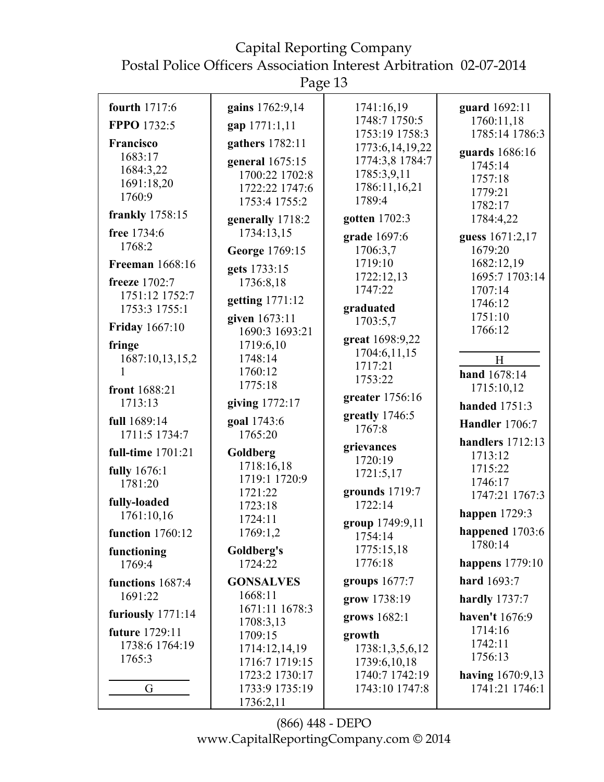Capital Reporting Company

Postal Police Officers Association Interest Arbitration 02-07-2014

Page 13

| fourth 1717:6           | gains 1762:9,14                | 1741:16,19                        | guard 1692:11               |
|-------------------------|--------------------------------|-----------------------------------|-----------------------------|
| FPPO 1732:5             | gap 1771:1,11                  | 1748:7 1750:5                     | 1760:11,18                  |
| <b>Francisco</b>        | gathers 1782:11                | 1753:19 1758:3<br>1773:6,14,19,22 | 1785:14 1786:3              |
| 1683:17                 | general 1675:15                | 1774:3,8 1784:7                   | guards 1686:16              |
| 1684:3,22               | 1700:22 1702:8                 | 1785:3,9,11                       | 1745:14                     |
| 1691:18,20              | 1722:22 1747:6                 | 1786:11,16,21                     | 1757:18                     |
| 1760:9                  | 1753:4 1755:2                  | 1789:4                            | 1779:21                     |
| <b>frankly</b> 1758:15  |                                |                                   | 1782:17                     |
| free 1734:6             | generally 1718:2<br>1734:13,15 | gotten 1702:3                     | 1784:4,22                   |
| 1768:2                  |                                | grade 1697:6                      | guess 1671:2,17             |
|                         | George 1769:15                 | 1706:3,7                          | 1679:20                     |
| <b>Freeman</b> 1668:16  | gets 1733:15                   | 1719:10                           | 1682:12,19                  |
| freeze 1702:7           | 1736:8,18                      | 1722:12,13                        | 1695:7 1703:14              |
| 1751:12 1752:7          | getting 1771:12                | 1747:22                           | 1707:14                     |
| 1753:3 1755:1           |                                | graduated                         | 1746:12                     |
| <b>Friday</b> 1667:10   | given 1673:11                  | 1703:5,7                          | 1751:10                     |
|                         | 1690:3 1693:21                 | great 1698:9,22                   | 1766:12                     |
| fringe                  | 1719:6,10                      | 1704:6,11,15                      |                             |
| 1687:10,13,15,2         | 1748:14                        | 1717:21                           | H                           |
|                         | 1760:12                        | 1753:22                           | hand 1678:14                |
| front 1688:21           | 1775:18                        |                                   | 1715:10,12                  |
| 1713:13                 | giving 1772:17                 | greater 1756:16                   | <b>handed</b> 1751:3        |
| full 1689:14            | goal 1743:6                    | greatly 1746:5                    | <b>Handler</b> 1706:7       |
| 1711:5 1734:7           | 1765:20                        | 1767:8                            |                             |
| full-time 1701:21       | Goldberg                       | grievances                        | handlers 1712:13<br>1713:12 |
| fully 1676:1            | 1718:16,18                     | 1720:19                           | 1715:22                     |
| 1781:20                 | 1719:1 1720:9                  | 1721:5,17                         | 1746:17                     |
|                         | 1721:22                        | grounds 1719:7                    | 1747:21 1767:3              |
| fully-loaded            | 1723:18                        | 1722:14                           |                             |
| 1761:10,16              | 1724:11                        | group 1749:9,11                   | happen $1729:3$             |
| <b>function</b> 1760:12 | 1769:1,2                       | 1754:14                           | happened 1703:6             |
| functioning             | Goldberg's                     | 1775:15,18                        | 1780:14                     |
| 1769:4                  | 1724:22                        | 1776:18                           | happens $1779:10$           |
| functions 1687:4        | <b>GONSALVES</b>               | groups 1677:7                     | hard 1693:7                 |
| 1691:22                 | 1668:11                        | grow 1738:19                      | hardly $1737:7$             |
| furiously $1771:14$     | 1671:11 1678:3                 | grows 1682:1                      | haven't 1676:9              |
| future 1729:11          | 1708:3,13                      |                                   | 1714:16                     |
| 1738:6 1764:19          | 1709:15                        | growth                            | 1742:11                     |
| 1765:3                  | 1714:12,14,19                  | 1738:1,3,5,6,12                   | 1756:13                     |
|                         | 1716:7 1719:15                 | 1739:6,10,18                      |                             |
|                         | 1723:2 1730:17                 | 1740:7 1742:19                    | having 1670:9,13            |
| G                       | 1733:9 1735:19                 | 1743:10 1747:8                    | 1741:21 1746:1              |
|                         | 1736:2,11                      |                                   |                             |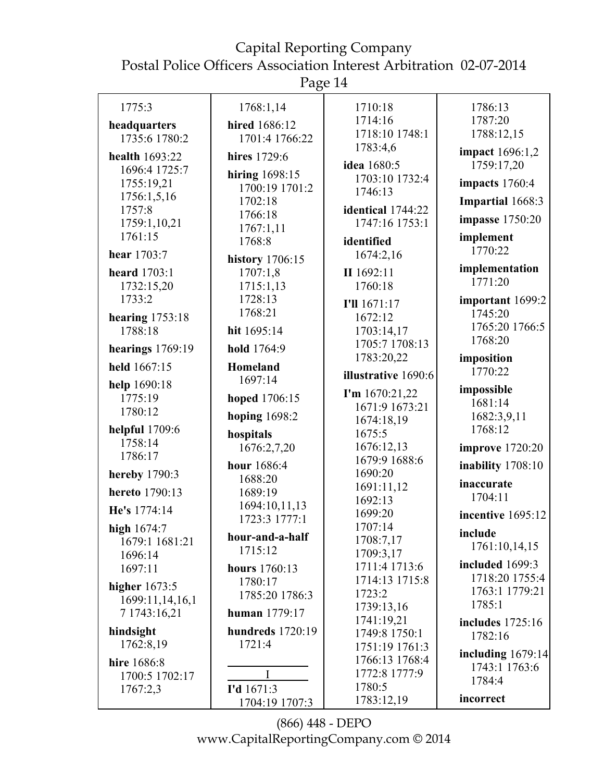Page 14

| 1775:3                          | 1768:1,14                         | 1710:18                             | 1786:13                           |
|---------------------------------|-----------------------------------|-------------------------------------|-----------------------------------|
| headquarters                    | hired 1686:12                     | 1714:16<br>1718:10 1748:1           | 1787:20<br>1788:12,15             |
| 1735:6 1780:2                   | 1701:4 1766:22                    | 1783:4,6                            | <b>impact</b> 1696:1,2            |
| health 1693:22<br>1696:4 1725:7 | hires 1729:6                      | idea 1680:5                         | 1759:17,20                        |
| 1755:19,21                      | hiring 1698:15<br>1700:19 1701:2  | 1703:10 1732:4                      | impacts 1760:4                    |
| 1756:1,5,16                     | 1702:18                           | 1746:13                             | Impartial 1668:3                  |
| 1757:8<br>1759:1,10,21          | 1766:18                           | identical 1744:22<br>1747:16 1753:1 | impasse 1750:20                   |
| 1761:15                         | 1767:1,11<br>1768:8               | identified                          | implement                         |
| hear 1703:7                     | <b>history</b> 1706:15            | 1674:2,16                           | 1770:22                           |
| <b>heard</b> 1703:1             | 1707:1,8                          | II 1692:11                          | implementation                    |
| 1732:15,20                      | 1715:1,13                         | 1760:18                             | 1771:20                           |
| 1733:2                          | 1728:13<br>1768:21                | I'll 1671:17                        | important 1699:2<br>1745:20       |
| hearing $1753:18$<br>1788:18    | hit 1695:14                       | 1672:12<br>1703:14,17               | 1765:20 1766:5                    |
|                                 | hold 1764:9                       | 1705:7 1708:13                      | 1768:20                           |
| hearings $1769:19$              |                                   | 1783:20,22                          | imposition                        |
| held 1667:15                    | Homeland<br>1697:14               | illustrative 1690:6                 | 1770:22                           |
| help 1690:18<br>1775:19         | hoped 1706:15                     | I'm $1670:21,22$                    | impossible                        |
| 1780:12                         | hoping $1698:2$                   | 1671:9 1673:21                      | 1681:14<br>1682:3,9,11            |
| helpful 1709:6                  | hospitals                         | 1674:18,19<br>1675:5                | 1768:12                           |
| 1758:14                         | 1676:2,7,20                       | 1676:12,13                          | improve 1720:20                   |
| 1786:17                         | hour 1686:4                       | 1679:9 1688:6                       | inability 1708:10                 |
| hereby 1790:3                   | 1688:20                           | 1690:20<br>1691:11,12               | inaccurate                        |
| hereto 1790:13                  | 1689:19<br>1694:10,11,13          | 1692:13                             | 1704:11                           |
| He's 1774:14                    | 1723:3 1777:1                     | 1699:20                             | incentive 1695:12                 |
| high 1674:7<br>1679:1 1681:21   | hour-and-a-half                   | 1707:14<br>1708:7,17                | include                           |
| 1696:14                         | 1715:12                           | 1709:3,17                           | 1761:10,14,15                     |
| 1697:11                         | hours 1760:13                     | 1711:4 1713:6                       | included 1699:3<br>1718:20 1755:4 |
| higher $1673:5$                 | 1780:17<br>1785:20 1786:3         | 1714:13 1715:8<br>1723:2            | 1763:1 1779:21                    |
| 1699:11,14,16,1                 | human 1779:17                     | 1739:13,16                          | 1785:1                            |
| 7 1743:16,21                    |                                   | 1741:19,21                          | includes 1725:16                  |
| hindsight<br>1762:8,19          | <b>hundreds</b> 1720:19<br>1721:4 | 1749:8 1750:1<br>1751:19 1761:3     | 1782:16                           |
| hire 1686:8                     |                                   | 1766:13 1768:4                      | including $1679:14$               |
| 1700:5 1702:17                  |                                   | 1772:8 1777:9                       | 1743:1 1763:6<br>1784:4           |
| 1767:2,3                        | I'd 1671:3                        | 1780:5<br>1783:12,19                | incorrect                         |
|                                 | 1704:19 1707:3                    |                                     |                                   |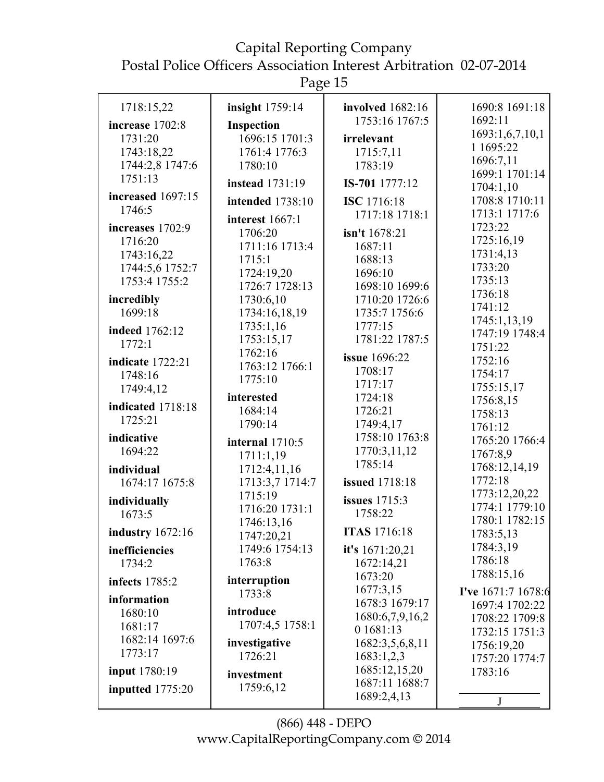Page 15

| 1718:15,22              | insight 1759:14        | involved 1682:16          | 1690:8 1691:18              |
|-------------------------|------------------------|---------------------------|-----------------------------|
| increase 1702:8         | <b>Inspection</b>      | 1753:16 1767:5            | 1692:11                     |
| 1731:20                 | 1696:15 1701:3         | irrelevant                | 1693:1,6,7,10,1             |
| 1743:18,22              | 1761:4 1776:3          | 1715:7,11                 | 1 1695:22                   |
| 1744:2,8 1747:6         | 1780:10                | 1783:19                   | 1696:7,11                   |
| 1751:13                 | <b>instead</b> 1731:19 | IS-701 1777:12            | 1699:1 1701:14<br>1704:1,10 |
| increased 1697:15       | intended 1738:10       | ISC 1716:18               | 1708:8 1710:11              |
| 1746:5                  |                        | 1717:18 1718:1            | 1713:1 1717:6               |
| increases 1702:9        | interest $1667:1$      |                           | 1723:22                     |
| 1716:20                 | 1706:20                | isn't 1678:21             | 1725:16,19                  |
| 1743:16,22              | 1711:16 1713:4         | 1687:11                   | 1731:4,13                   |
| 1744:5,6 1752:7         | 1715:1                 | 1688:13                   | 1733:20                     |
| 1753:4 1755:2           | 1724:19,20             | 1696:10                   | 1735:13                     |
|                         | 1726:7 1728:13         | 1698:10 1699:6            | 1736:18                     |
| incredibly<br>1699:18   | 1730:6,10              | 1710:20 1726:6            | 1741:12                     |
|                         | 1734:16,18,19          | 1735:7 1756:6             | 1745:1,13,19                |
| indeed 1762:12          | 1735:1,16              | 1777:15<br>1781:22 1787:5 | 1747:19 1748:4              |
| 1772:1                  | 1753:15,17<br>1762:16  |                           | 1751:22                     |
| <b>indicate</b> 1722:21 | 1763:12 1766:1         | issue 1696:22             | 1752:16                     |
| 1748:16                 | 1775:10                | 1708:17                   | 1754:17                     |
| 1749:4,12               |                        | 1717:17                   | 1755:15,17                  |
| indicated 1718:18       | interested             | 1724:18                   | 1756:8,15                   |
| 1725:21                 | 1684:14                | 1726:21                   | 1758:13                     |
|                         | 1790:14                | 1749:4,17                 | 1761:12                     |
| indicative              | internal 1710:5        | 1758:10 1763:8            | 1765:20 1766:4              |
| 1694:22                 | 1711:1,19              | 1770:3,11,12              | 1767:8,9                    |
| individual              | 1712:4,11,16           | 1785:14                   | 1768:12,14,19               |
| 1674:17 1675:8          | 1713:3,7 1714:7        | <b>issued</b> 1718:18     | 1772:18                     |
| individually            | 1715:19                | <b>issues</b> 1715:3      | 1773:12,20,22               |
| 1673:5                  | 1716:20 1731:1         | 1758:22                   | 1774:1 1779:10              |
|                         | 1746:13,16             |                           | 1780:1 1782:15              |
| <b>industry</b> 1672:16 | 1747:20,21             | <b>ITAS</b> 1716:18       | 1783:5,13                   |
| inefficiencies          | 1749:6 1754:13         | it's 1671:20,21           | 1784:3,19                   |
| 1734:2                  | 1763:8                 | 1672:14,21                | 1786:18                     |
| infects 1785:2          | interruption           | 1673:20                   | 1788:15,16                  |
| information             | 1733:8                 | 1677:3,15                 | I've 1671:7 1678:6          |
| 1680:10                 | introduce              | 1678:3 1679:17            | 1697:4 1702:22              |
| 1681:17                 | 1707:4,5 1758:1        | 1680:6,7,9,16,2           | 1708:22 1709:8              |
| 1682:14 1697:6          |                        | 0 1681:13                 | 1732:15 1751:3              |
| 1773:17                 | investigative          | 1682:3,5,6,8,11           | 1756:19,20                  |
|                         | 1726:21                | 1683:1,2,3                | 1757:20 1774:7              |
| <b>input</b> 1780:19    | investment             | 1685:12,15,20             | 1783:16                     |
| inputted 1775:20        | 1759:6,12              | 1687:11 1688:7            |                             |
|                         |                        | 1689:2,4,13               | J                           |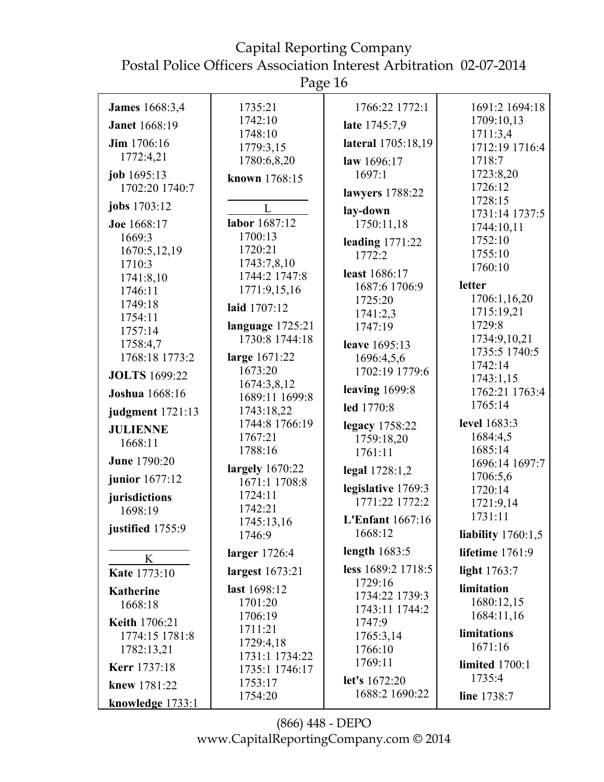Page 16

| <b>James</b> 1668:3,4 | 1735:21                   | 1766:22 1772:1              | 1691:2 1694:18                |
|-----------------------|---------------------------|-----------------------------|-------------------------------|
| <b>Janet</b> 1668:19  | 1742:10                   | late 1745:7,9               | 1709:10,13                    |
| <b>Jim</b> 1706:16    | 1748:10                   | lateral 1705:18,19          | 1711:3,4                      |
| 1772:4,21             | 1779:3,15                 |                             | 1712:19 1716:4                |
|                       | 1780:6,8,20               | law 1696:17                 | 1718:7                        |
| job 1695:13           | known 1768:15             | 1697:1                      | 1723:8,20                     |
| 1702:20 1740:7        |                           | lawyers 1788:22             | 1726:12                       |
| jobs 1703:12          | $\mathbf{L}$              | lay-down                    | 1728:15                       |
| Joe 1668:17           | labor 1687:12             | 1750:11,18                  | 1731:14 1737:5<br>1744:10,11  |
| 1669:3                | 1700:13                   |                             | 1752:10                       |
| 1670:5,12,19          | 1720:21                   | leading $1771:22$<br>1772:2 | 1755:10                       |
| 1710:3                | 1743:7,8,10               |                             | 1760:10                       |
| 1741:8,10             | 1744:2 1747:8             | least 1686:17               |                               |
| 1746:11               | 1771:9,15,16              | 1687:6 1706:9               | letter                        |
| 1749:18               | laid 1707:12              | 1725:20                     | 1706:1,16,20                  |
| 1754:11               |                           | 1741:2,3                    | 1715:19,21                    |
| 1757:14               | language 1725:21          | 1747:19                     | 1729:8                        |
| 1758:4,7              | 1730:8 1744:18            | leave 1695:13               | 1734:9,10,21<br>1735:5 1740:5 |
| 1768:18 1773:2        | large 1671:22             | 1696:4,5,6                  | 1742:14                       |
| <b>JOLTS</b> 1699:22  | 1673:20                   | 1702:19 1779:6              | 1743:1,15                     |
| <b>Joshua</b> 1668:16 | 1674:3,8,12               | leaving $1699:8$            | 1762:21 1763:4                |
|                       | 1689:11 1699:8            | led 1770:8                  | 1765:14                       |
| judgment 1721:13      | 1743:18,22                |                             | level 1683:3                  |
| <b>JULIENNE</b>       | 1744:8 1766:19<br>1767:21 | legacy 1758:22              | 1684:4,5                      |
| 1668:11               | 1788:16                   | 1759:18,20                  | 1685:14                       |
| <b>June 1790:20</b>   |                           | 1761:11                     | 1696:14 1697:7                |
| junior 1677:12        | largely 1670:22           | legal 1728:1,2              | 1706:5,6                      |
|                       | 1671:1 1708:8             | legislative 1769:3          | 1720:14                       |
| jurisdictions         | 1724:11                   | 1771:22 1772:2              | 1721:9,14                     |
| 1698:19               | 1742:21                   | <b>L'Enfant</b> 1667:16     | 1731:11                       |
| justified 1755:9      | 1745:13,16<br>1746:9      | 1668:12                     | liability $1760:1,5$          |
|                       | larger 1726:4             | length $1683:5$             | lifetime 1761:9               |
| K                     |                           | less 1689:2 1718:5          |                               |
| Kate 1773:10          | largest 1673:21           | 1729:16                     | light 1763:7                  |
| <b>Katherine</b>      | last 1698:12              | 1734:22 1739:3              | limitation                    |
| 1668:18               | 1701:20                   | 1743:11 1744:2              | 1680:12,15                    |
| Keith 1706:21         | 1706:19                   | 1747:9                      | 1684:11,16                    |
| 1774:15 1781:8        | 1711:21                   | 1765:3,14                   | limitations                   |
| 1782:13,21            | 1729:4,18                 | 1766:10                     | 1671:16                       |
| <b>Kerr</b> 1737:18   | 1731:1 1734:22            | 1769:11                     | <b>limited</b> 1700:1         |
|                       | 1735:1 1746:17            | let's 1672:20               | 1735:4                        |
| knew 1781:22          | 1753:17                   | 1688:2 1690:22              |                               |
| knowledge 1733:1      | 1754:20                   |                             | line 1738:7                   |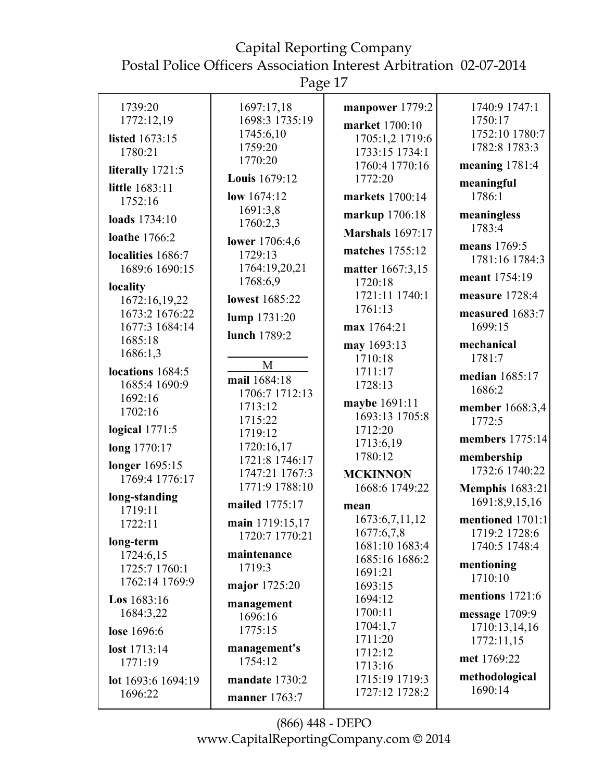Page 17

| 1739:20                  | 1697:17,18            | manpower 1779:2         | 1740:9 1747:1          |
|--------------------------|-----------------------|-------------------------|------------------------|
| 1772:12,19               | 1698:3 1735:19        | market 1700:10          | 1750:17                |
| listed 1673:15           | 1745:6,10             | 1705:1,2 1719:6         | 1752:10 1780:7         |
| 1780:21                  | 1759:20               | 1733:15 1734:1          | 1782:8 1783:3          |
| literally 1721:5         | 1770:20               | 1760:4 1770:16          | meaning 1781:4         |
|                          | Louis 1679:12         | 1772:20                 | meaningful             |
| little 1683:11           | low 1674:12           | markets 1700:14         | 1786:1                 |
| 1752:16                  | 1691:3,8              |                         |                        |
| loads 1734:10            | 1760:2,3              | markup 1706:18          | meaningless            |
| loathe 1766:2            |                       | <b>Marshals</b> 1697:17 | 1783:4                 |
|                          | lower 1706:4,6        | matches 1755:12         | means 1769:5           |
| localities 1686:7        | 1729:13               |                         | 1781:16 1784:3         |
| 1689:6 1690:15           | 1764:19,20,21         | matter 1667:3,15        | meant 1754:19          |
| locality                 | 1768:6,9              | 1720:18                 |                        |
| 1672:16,19,22            | <b>lowest</b> 1685:22 | 1721:11 1740:1          | measure 1728:4         |
| 1673:2 1676:22           | lump 1731:20          | 1761:13                 | measured 1683:7        |
| 1677:3 1684:14           |                       | max 1764:21             | 1699:15                |
| 1685:18                  | lunch 1789:2          | may 1693:13             | mechanical             |
| 1686:1,3                 |                       | 1710:18                 | 1781:7                 |
| locations 1684:5         | M                     | 1711:17                 |                        |
| 1685:4 1690:9            | mail 1684:18          | 1728:13                 | median 1685:17         |
| 1692:16                  | 1706:7 1712:13        |                         | 1686:2                 |
| 1702:16                  | 1713:12               | maybe 1691:11           | member 1668:3,4        |
|                          | 1715:22               | 1693:13 1705:8          | 1772:5                 |
| logical $1771:5$         | 1719:12               | 1712:20                 | members 1775:14        |
| long 1770:17             | 1720:16,17            | 1713:6,19<br>1780:12    |                        |
| longer 1695:15           | 1721:8 1746:17        |                         | membership             |
| 1769:4 1776:17           | 1747:21 1767:3        | <b>MCKINNON</b>         | 1732:6 1740:22         |
|                          | 1771:9 1788:10        | 1668:6 1749:22          | <b>Memphis</b> 1683:21 |
| long-standing<br>1719:11 | mailed 1775:17        | mean                    | 1691:8,9,15,16         |
| 1722:11                  | main 1719:15,17       | 1673:6,7,11,12          | mentioned 1701:1       |
|                          | 1720:7 1770:21        | 1677:6,7,8              | 1719:2 1728:6          |
| long-term                |                       | 1681:10 1683:4          | 1740:5 1748:4          |
| 1724:6,15                | maintenance           | 1685:16 1686:2          | mentioning             |
| 1725:7 1760:1            | 1719:3                | 1691:21                 | 1710:10                |
| 1762:14 1769:9           | major 1725:20         | 1693:15                 |                        |
| Los 1683:16              | management            | 1694:12                 | mentions 1721:6        |
| 1684:3,22                | 1696:16               | 1700:11                 | message $1709:9$       |
| lose 1696:6              | 1775:15               | 1704:1,7                | 1710:13,14,16          |
|                          |                       | 1711:20                 | 1772:11,15             |
| lost 1713:14             | management's          | 1712:12                 | met 1769:22            |
| 1771:19                  | 1754:12               | 1713:16                 |                        |
| lot 1693:6 1694:19       | mandate 1730:2        | 1715:19 1719:3          | methodological         |
| 1696:22                  | manner 1763:7         | 1727:12 1728:2          | 1690:14                |
|                          |                       |                         |                        |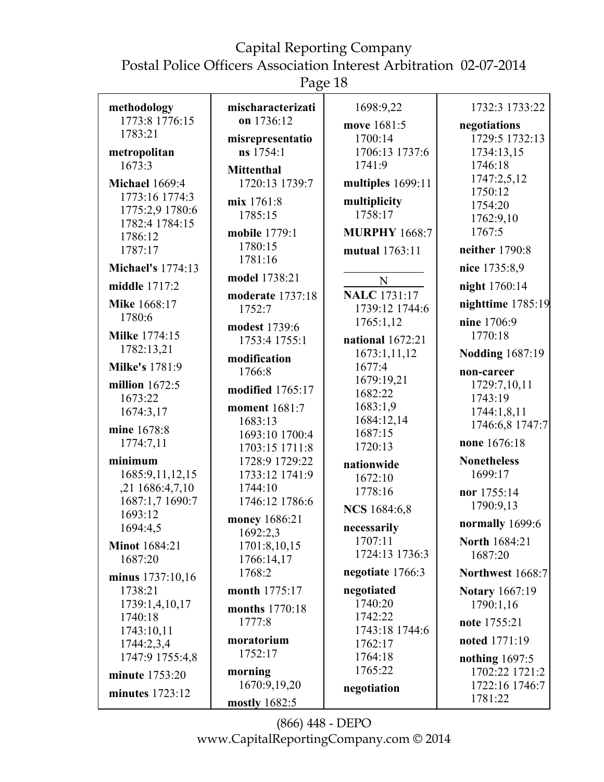Page 18

| methodology                     | mischaracterizati         | 1698:9,22               | 1732:3 1733:22          |
|---------------------------------|---------------------------|-------------------------|-------------------------|
| 1773:8 1776:15                  | on 1736:12                | move 1681:5             | negotiations            |
| 1783:21                         | misrepresentatio          | 1700:14                 | 1729:5 1732:13          |
| metropolitan                    | ns 1754:1                 | 1706:13 1737:6          | 1734:13,15              |
| 1673:3                          | <b>Mittenthal</b>         | 1741:9                  | 1746:18                 |
| <b>Michael 1669:4</b>           | 1720:13 1739:7            | multiples 1699:11       | 1747:2,5,12             |
| 1773:16 1774:3                  |                           |                         | 1750:12                 |
| 1775:2,9 1780:6                 | mix 1761:8<br>1785:15     | multiplicity<br>1758:17 | 1754:20                 |
| 1782:4 1784:15                  |                           |                         | 1762:9,10               |
| 1786:12                         | mobile 1779:1             | <b>MURPHY 1668:7</b>    | 1767:5                  |
| 1787:17                         | 1780:15                   | mutual 1763:11          | neither 1790:8          |
| <b>Michael's 1774:13</b>        | 1781:16                   |                         | nice 1735:8,9           |
| middle 1717:2                   | model 1738:21             | $\mathbf N$             | night 1760:14           |
|                                 | moderate 1737:18          | <b>NALC</b> 1731:17     |                         |
| Mike 1668:17                    | 1752:7                    | 1739:12 1744:6          | nighttime 1785:19       |
| 1780:6                          | modest 1739:6             | 1765:1,12               | nine 1706:9             |
| <b>Milke 1774:15</b>            | 1753:4 1755:1             | national 1672:21        | 1770:18                 |
| 1782:13,21                      | modification              | 1673:1,11,12            | <b>Nodding 1687:19</b>  |
| <b>Milke's 1781:9</b>           | 1766:8                    | 1677:4                  | non-career              |
| million $1672:5$                |                           | 1679:19,21              | 1729:7,10,11            |
| 1673:22                         | modified 1765:17          | 1682:22                 | 1743:19                 |
| 1674:3,17                       | <b>moment</b> 1681:7      | 1683:1,9                | 1744:1,8,11             |
| mine 1678:8                     | 1683:13                   | 1684:12,14              | 1746:6,8 1747:7         |
| 1774:7,11                       | 1693:10 1700:4            | 1687:15                 | none 1676:18            |
|                                 | 1703:15 1711:8            | 1720:13                 |                         |
| minimum                         | 1728:9 1729:22            | nationwide              | <b>Nonetheless</b>      |
| 1685:9,11,12,15                 | 1733:12 1741:9            | 1672:10                 | 1699:17                 |
| ,21 1686:4,7,10                 | 1744:10<br>1746:12 1786:6 | 1778:16                 | nor 1755:14             |
| 1687:1,7 1690:7<br>1693:12      |                           | <b>NCS</b> 1684:6,8     | 1790:9,13               |
| 1694:4,5                        | money 1686:21             | necessarily             | normally 1699:6         |
|                                 | 1692:2,3                  | 1707:11                 | North 1684:21           |
| <b>Minot</b> 1684:21<br>1687:20 | 1701:8,10,15              | 1724:13 1736:3          | 1687:20                 |
|                                 | 1766:14,17<br>1768:2      | negotiate 1766:3        | <b>Northwest 1668:7</b> |
| minus 1737:10,16                |                           |                         |                         |
| 1738:21<br>1739:1,4,10,17       | month 1775:17             | negotiated<br>1740:20   | <b>Notary 1667:19</b>   |
| 1740:18                         | months 1770:18            | 1742:22                 | 1790:1,16               |
| 1743:10,11                      | 1777:8                    | 1743:18 1744:6          | note 1755:21            |
| 1744:2,3,4                      | moratorium                | 1762:17                 | noted 1771:19           |
| 1747:9 1755:4,8                 | 1752:17                   | 1764:18                 | nothing 1697:5          |
| minute 1753:20                  | morning                   | 1765:22                 | 1702:22 1721:2          |
|                                 | 1670:9,19,20              | negotiation             | 1722:16 1746:7          |
| minutes 1723:12                 | mostly 1682:5             |                         | 1781:22                 |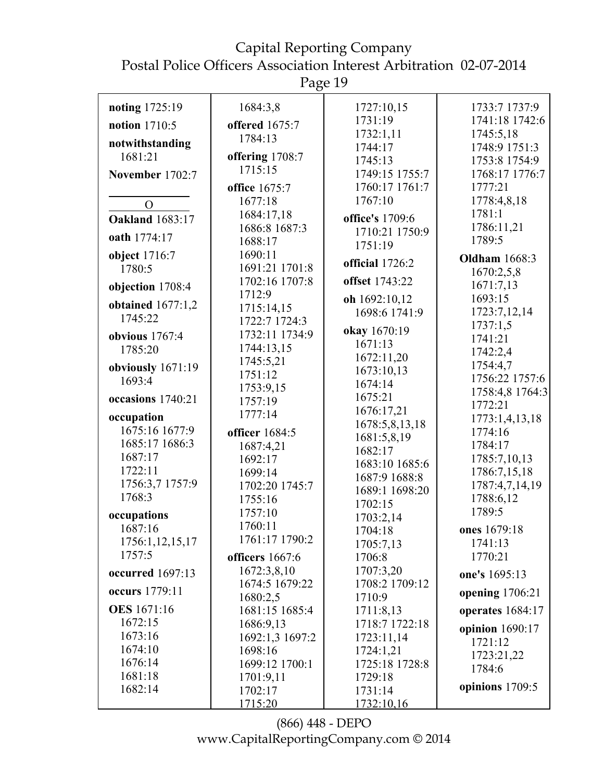Page 19

| noting 1725:19                 | 1684:3,8             | 1727:10,15                        | 1733:7 1737:9                   |
|--------------------------------|----------------------|-----------------------------------|---------------------------------|
| notion 1710:5                  | offered 1675:7       | 1731:19                           | 1741:18 1742:6                  |
| notwithstanding                | 1784:13              | 1732:1,11                         | 1745:5,18                       |
| 1681:21                        | offering 1708:7      | 1744:17                           | 1748:9 1751:3                   |
|                                | 1715:15              | 1745:13<br>1749:15 1755:7         | 1753:8 1754:9<br>1768:17 1776:7 |
| November 1702:7                | office 1675:7        | 1760:17 1761:7                    | 1777:21                         |
|                                | 1677:18              | 1767:10                           | 1778:4,8,18                     |
| $\Omega$                       | 1684:17,18           |                                   | 1781:1                          |
| <b>Oakland</b> 1683:17         | 1686:8 1687:3        | office's 1709:6<br>1710:21 1750:9 | 1786:11,21                      |
| oath 1774:17                   | 1688:17              | 1751:19                           | 1789:5                          |
| object 1716:7                  | 1690:11              |                                   | <b>Oldham</b> 1668:3            |
| 1780:5                         | 1691:21 1701:8       | official 1726:2                   | 1670:2,5,8                      |
| objection 1708:4               | 1702:16 1707:8       | offset 1743:22                    | 1671:7,13                       |
|                                | 1712:9               | oh 1692:10,12                     | 1693:15                         |
| obtained $1677:1,2$<br>1745:22 | 1715:14,15           | 1698:6 1741:9                     | 1723:7,12,14                    |
|                                | 1722:7 1724:3        | okay 1670:19                      | 1737:1,5                        |
| obvious $1767:4$               | 1732:11 1734:9       | 1671:13                           | 1741:21                         |
| 1785:20                        | 1744:13,15           | 1672:11,20                        | 1742:2,4                        |
| obviously 1671:19              | 1745:5,21<br>1751:12 | 1673:10,13                        | 1754:4,7                        |
| 1693:4                         | 1753:9,15            | 1674:14                           | 1756:22 1757:6                  |
| occasions 1740:21              | 1757:19              | 1675:21                           | 1758:4,8 1764:3                 |
|                                | 1777:14              | 1676:17,21                        | 1772:21                         |
| occupation<br>1675:16 1677:9   |                      | 1678:5,8,13,18                    | 1773:1,4,13,18                  |
| 1685:17 1686:3                 | officer 1684:5       | 1681:5,8,19                       | 1774:16<br>1784:17              |
| 1687:17                        | 1687:4,21<br>1692:17 | 1682:17                           | 1785:7,10,13                    |
| 1722:11                        | 1699:14              | 1683:10 1685:6                    | 1786:7,15,18                    |
| 1756:3,7 1757:9                | 1702:20 1745:7       | 1687:9 1688:8                     | 1787:4,7,14,19                  |
| 1768:3                         | 1755:16              | 1689:1 1698:20                    | 1788:6,12                       |
| occupations                    | 1757:10              | 1702:15                           | 1789:5                          |
| 1687:16                        | 1760:11              | 1703:2,14                         | ones 1679:18                    |
| 1756:1,12,15,17                | 1761:17 1790:2       | 1704:18<br>1705:7,13              | 1741:13                         |
| 1757:5                         | officers 1667:6      | 1706:8                            | 1770:21                         |
|                                | 1672:3,8,10          | 1707:3,20                         |                                 |
| occurred 1697:13               | 1674:5 1679:22       | 1708:2 1709:12                    | one's 1695:13                   |
| occurs 1779:11                 | 1680:2,5             | 1710:9                            | opening 1706:21                 |
| <b>OES</b> 1671:16             | 1681:15 1685:4       | 1711:8,13                         | operates 1684:17                |
| 1672:15                        | 1686:9,13            | 1718:7 1722:18                    | opinion 1690:17                 |
| 1673:16                        | 1692:1,3 1697:2      | 1723:11,14                        | 1721:12                         |
| 1674:10                        | 1698:16              | 1724:1,21                         | 1723:21,22                      |
| 1676:14                        | 1699:12 1700:1       | 1725:18 1728:8                    | 1784:6                          |
| 1681:18                        | 1701:9,11            | 1729:18                           |                                 |
| 1682:14                        | 1702:17              | 1731:14                           | opinions 1709:5                 |
|                                | 1715:20              | 1732:10,16                        |                                 |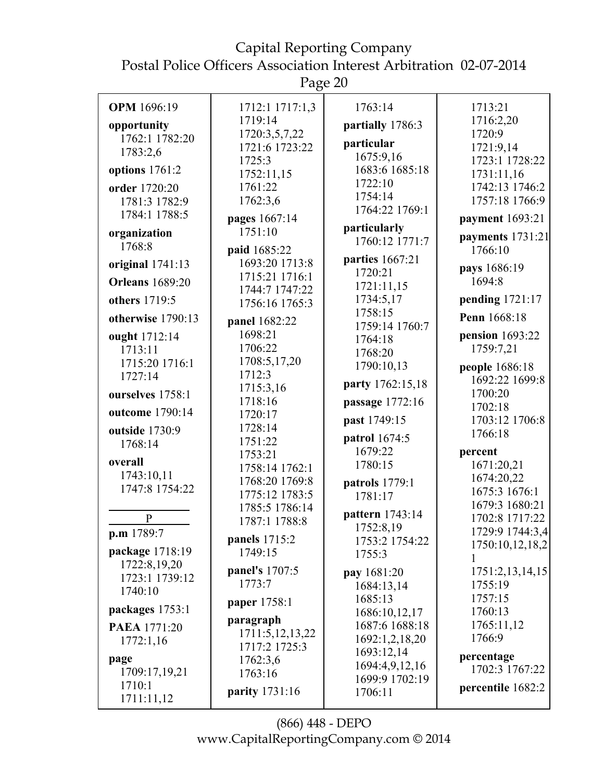Postal Police Officers Association Interest Arbitration 02-07-2014 Page 20 **OPM** 1696:19 **opportunity** 1762:1 1782:20 1783:2,6 **options** 1761:2 **order** 1720:20 1781:3 1782:9 1784:1 1788:5 **organization** 1768:8 **original** 1741:13 **Orleans** 1689:20 **others** 1719:5 **otherwise** 1790:13 **ought** 1712:14 1713:11 1715:20 1716:1 1727:14 **ourselves** 1758:1 **outcome** 1790:14 **outside** 1730:9 1768:14 **overall** 1743:10,11 1747:8 1754:22 P **p.m** 1789:7 **package** 1718:19 1722:8,19,20 1723:1 1739:12 1740:10 **packages** 1753:1 **PAEA** 1771:20 1772:1,16 **page** 1709:17,19,21 1710:1 1711:11,12 1712:1 1717:1,3 1719:14 1720:3,5,7,22 1721:6 1723:22 1725:3 1752:11,15 1761:22 1762:3,6 **pages** 1667:14 1751:10 **paid** 1685:22 1693:20 1713:8 1715:21 1716:1 1744:7 1747:22 1756:16 1765:3 **panel** 1682:22 1698:21 1706:22 1708:5,17,20 1712:3 1715:3,16 1718:16 1720:17 1728:14 1751:22 1753:21 1758:14 1762:1 1768:20 1769:8 1775:12 1783:5 1785:5 1786:14 1787:1 1788:8 **panels** 1715:2 1749:15 **panel's** 1707:5 1773:7 **paper** 1758:1 **paragraph** 1711:5,12,13,22 1717:2 1725:3 1762:3,6 1763:16 **parity** 1731:16 1763:14 **partially** 1786:3 **particular** 1675:9,16 1683:6 1685:18 1722:10 1754:14 1764:22 1769:1 **particularly** 1760:12 1771:7 **parties** 1667:21 1720:21 1721:11,15 1734:5,17 1758:15 1759:14 1760:7 1764:18 1768:20 1790:10,13 **party** 1762:15,18 **passage** 1772:16 **past** 1749:15 **patrol** 1674:5 1679:22 1780:15 **patrols** 1779:1 1781:17 **pattern** 1743:14 1752:8,19 1753:2 1754:22 1755:3 **pay** 1681:20 1684:13,14 1685:13 1686:10,12,17 1687:6 1688:18 1692:1,2,18,20 1693:12,14 1694:4,9,12,16 1699:9 1702:19 1706:11 1713:21 1716:2,20 1720:9 1721:9,14 1723:1 1728:22 1731:11,16 1742:13 1746:2 1757:18 1766:9 **payment** 1693:21 **payments** 1731:21 1766:10 **pays** 1686:19 1694:8 **pending** 1721:17 **Penn** 1668:18 **pension** 1693:22 1759:7,21 **people** 1686:18 1692:22 1699:8 1700:20 1702:18 1703:12 1706:8 1766:18 **percent** 1671:20,21 1674:20,22 1675:3 1676:1 1679:3 1680:21 1702:8 1717:22 1729:9 1744:3,4 1750:10,12,18,2 1 1751:2,13,14,15 1755:19 1757:15 1760:13 1765:11,12 1766:9 **percentage** 1702:3 1767:22 **percentile** 1682:2

Capital Reporting Company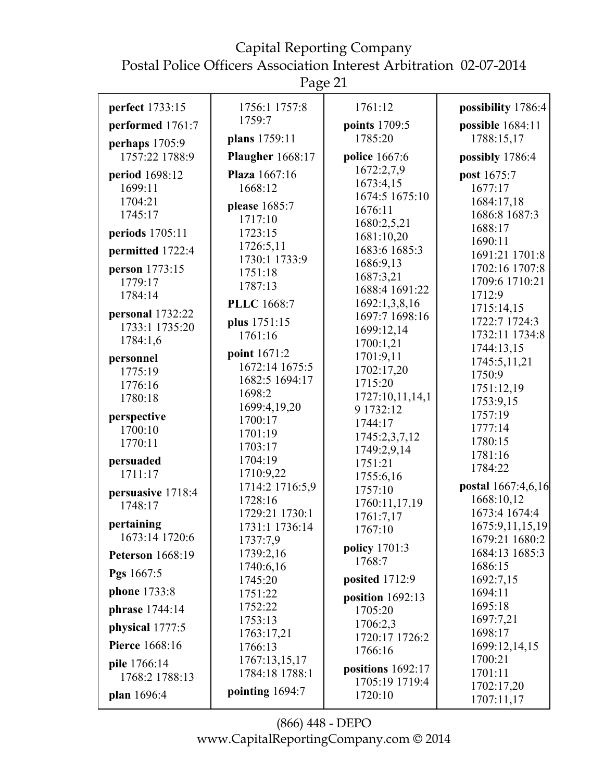Page 21

| perfect 1733:15              | 1756:1 1757:8           | 1761:12                        | possibility 1786:4       |
|------------------------------|-------------------------|--------------------------------|--------------------------|
| performed 1761:7             | 1759:7                  | points 1709:5                  | possible 1684:11         |
| perhaps 1705:9               | plans 1759:11           | 1785:20                        | 1788:15,17               |
| 1757:22 1788:9               | <b>Plaugher</b> 1668:17 | police 1667:6                  | possibly 1786:4          |
| period 1698:12               | <b>Plaza</b> 1667:16    | 1672:2,7,9                     | post 1675:7              |
| 1699:11                      | 1668:12                 | 1673:4,15                      | 1677:17                  |
| 1704:21                      | please 1685:7           | 1674:5 1675:10                 | 1684:17,18               |
| 1745:17                      | 1717:10                 | 1676:11                        | 1686:8 1687:3            |
| periods 1705:11              | 1723:15                 | 1680:2,5,21<br>1681:10,20      | 1688:17                  |
| permitted 1722:4             | 1726:5,11               | 1683:6 1685:3                  | 1690:11                  |
|                              | 1730:1 1733:9           | 1686:9,13                      | 1691:21 1701:8           |
| person 1773:15               | 1751:18                 | 1687:3,21                      | 1702:16 1707:8           |
| 1779:17                      | 1787:13                 | 1688:4 1691:22                 | 1709:6 1710:21<br>1712:9 |
| 1784:14                      | <b>PLLC</b> 1668:7      | 1692:1,3,8,16                  | 1715:14,15               |
| personal 1732:22             | plus 1751:15            | 1697:7 1698:16                 | 1722:7 1724:3            |
| 1733:1 1735:20               | 1761:16                 | 1699:12,14                     | 1732:11 1734:8           |
| 1784:1,6                     |                         | 1700:1,21                      | 1744:13,15               |
| personnel                    | point 1671:2            | 1701:9,11                      | 1745:5,11,21             |
| 1775:19                      | 1672:14 1675:5          | 1702:17,20                     | 1750:9                   |
| 1776:16                      | 1682:5 1694:17          | 1715:20                        | 1751:12,19               |
| 1780:18                      | 1698:2                  | 1727:10,11,14,1                | 1753:9,15                |
| perspective                  | 1699:4,19,20            | 9 1732:12                      | 1757:19                  |
| 1700:10                      | 1700:17<br>1701:19      | 1744:17                        | 1777:14                  |
| 1770:11                      | 1703:17                 | 1745:2,3,7,12                  | 1780:15                  |
| persuaded                    | 1704:19                 | 1749:2,9,14                    | 1781:16                  |
| 1711:17                      | 1710:9,22               | 1751:21                        | 1784:22                  |
|                              | 1714:2 1716:5,9         | 1755:6,16<br>1757:10           | postal 1667:4,6,16       |
| persuasive 1718:4<br>1748:17 | 1728:16                 | 1760:11,17,19                  | 1668:10,12               |
|                              | 1729:21 1730:1          | 1761:7,17                      | 1673:4 1674:4            |
| pertaining                   | 1731:1 1736:14          | 1767:10                        | 1675:9,11,15,19          |
| 1673:14 1720:6               | 1737:7,9                |                                | 1679:21 1680:2           |
| <b>Peterson</b> 1668:19      | 1739:2,16               | <b>policy</b> 1701:3<br>1768:7 | 1684:13 1685:3           |
| Pgs 1667:5                   | 1740:6,16               |                                | 1686:15                  |
| <b>phone</b> 1733:8          | 1745:20                 | posited 1712:9                 | 1692:7,15<br>1694:11     |
|                              | 1751:22<br>1752:22      | position $1692:13$             | 1695:18                  |
| phrase 1744:14               | 1753:13                 | 1705:20                        | 1697:7,21                |
| physical 1777:5              | 1763:17,21              | 1706:2,3<br>1720:17 1726:2     | 1698:17                  |
| <b>Pierce</b> 1668:16        | 1766:13                 | 1766:16                        | 1699:12,14,15            |
| pile 1766:14                 | 1767:13,15,17           |                                | 1700:21                  |
| 1768:2 1788:13               | 1784:18 1788:1          | positions $1692:17$            | 1701:11                  |
|                              | pointing 1694:7         | 1705:19 1719:4                 | 1702:17,20               |
| plan 1696:4                  |                         | 1720:10                        | 1707:11,17               |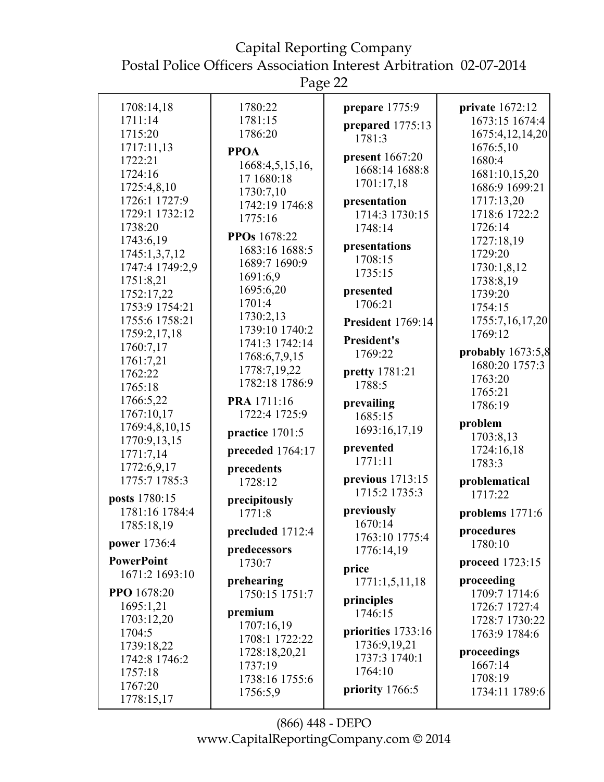Postal Police Officers Association Interest Arbitration 02-07-2014

Page 22

| 1708:14,18<br>1711:14<br>1715:20<br>1717:11,13<br>1722:21<br>1724:16<br>1725:4,8,10<br>1726:1 1727:9<br>1729:1 1732:12<br>1738:20<br>1743:6,19<br>1745:1,3,7,12<br>1747:4 1749:2,9<br>1751:8,21<br>1752:17,22<br>1753:9 1754:21<br>1755:6 1758:21<br>1759:2,17,18<br>1760:7,17<br>1761:7,21<br>1762:22<br>1765:18<br>1766:5,22<br>1767:10,17<br>1769:4,8,10,15<br>1770:9,13,15<br>1771:7,14 | 1780:22<br>1781:15<br>1786:20<br><b>PPOA</b><br>1668:4,5,15,16,<br>17 1680:18<br>1730:7,10<br>1742:19 1746:8<br>1775:16<br>PPOs 1678:22<br>1683:16 1688:5<br>1689:7 1690:9<br>1691:6,9<br>1695:6,20<br>1701:4<br>1730:2,13<br>1739:10 1740:2<br>1741:3 1742:14<br>1768:6,7,9,15<br>1778:7,19,22<br>1782:18 1786:9<br>PRA 1711:16<br>1722:4 1725:9<br>practice 1701:5<br>preceded 1764:17 | prepare 1775:9<br>prepared 1775:13<br>1781:3<br>present 1667:20<br>1668:14 1688:8<br>1701:17,18<br>presentation<br>1714:3 1730:15<br>1748:14<br>presentations<br>1708:15<br>1735:15<br>presented<br>1706:21<br>President 1769:14<br><b>President's</b><br>1769:22<br>pretty 1781:21<br>1788:5<br>prevailing<br>1685:15<br>1693:16,17,19<br>prevented | private 1672:12<br>1673:15 1674:4<br>1675:4,12,14,20<br>1676:5,10<br>1680:4<br>1681:10,15,20<br>1686:9 1699:21<br>1717:13,20<br>1718:6 1722:2<br>1726:14<br>1727:18,19<br>1729:20<br>1730:1,8,12<br>1738:8,19<br>1739:20<br>1754:15<br>1755:7,16,17,20<br>1769:12<br>probably $1673:5,8$<br>1680:20 1757:3<br>1763:20<br>1765:21<br>1786:19<br>problem<br>1703:8,13<br>1724:16,18 |
|---------------------------------------------------------------------------------------------------------------------------------------------------------------------------------------------------------------------------------------------------------------------------------------------------------------------------------------------------------------------------------------------|------------------------------------------------------------------------------------------------------------------------------------------------------------------------------------------------------------------------------------------------------------------------------------------------------------------------------------------------------------------------------------------|------------------------------------------------------------------------------------------------------------------------------------------------------------------------------------------------------------------------------------------------------------------------------------------------------------------------------------------------------|-----------------------------------------------------------------------------------------------------------------------------------------------------------------------------------------------------------------------------------------------------------------------------------------------------------------------------------------------------------------------------------|
| 1772:6,9,17<br>1775:7 1785:3<br>posts 1780:15                                                                                                                                                                                                                                                                                                                                               | precedents<br>1728:12                                                                                                                                                                                                                                                                                                                                                                    | 1771:11<br>previous $1713:15$<br>1715:2 1735:3                                                                                                                                                                                                                                                                                                       | 1783:3<br>problematical<br>1717:22                                                                                                                                                                                                                                                                                                                                                |
| 1781:16 1784:4<br>1785:18,19<br><b>power</b> 1736:4<br><b>PowerPoint</b><br>1671:2 1693:10                                                                                                                                                                                                                                                                                                  | precipitously<br>1771:8<br>precluded 1712:4<br>predecessors<br>1730:7                                                                                                                                                                                                                                                                                                                    | previously<br>1670:14<br>1763:10 1775:4<br>1776:14,19<br>price                                                                                                                                                                                                                                                                                       | problems $1771:6$<br>procedures<br>1780:10<br>proceed 1723:15                                                                                                                                                                                                                                                                                                                     |
| PPO 1678:20<br>1695:1,21<br>1703:12,20<br>1704:5<br>1739:18,22<br>1742:8 1746:2<br>1757:18<br>1767:20<br>1778:15,17                                                                                                                                                                                                                                                                         | prehearing<br>1750:15 1751:7<br>premium<br>1707:16,19<br>1708:1 1722:22<br>1728:18,20,21<br>1737:19<br>1738:16 1755:6<br>1756:5,9                                                                                                                                                                                                                                                        | 1771:1,5,11,18<br>principles<br>1746:15<br>priorities 1733:16<br>1736:9,19,21<br>1737:3 1740:1<br>1764:10<br>priority 1766:5                                                                                                                                                                                                                         | proceeding<br>1709:7 1714:6<br>1726:7 1727:4<br>1728:7 1730:22<br>1763:9 1784:6<br>proceedings<br>1667:14<br>1708:19<br>1734:11 1789:6                                                                                                                                                                                                                                            |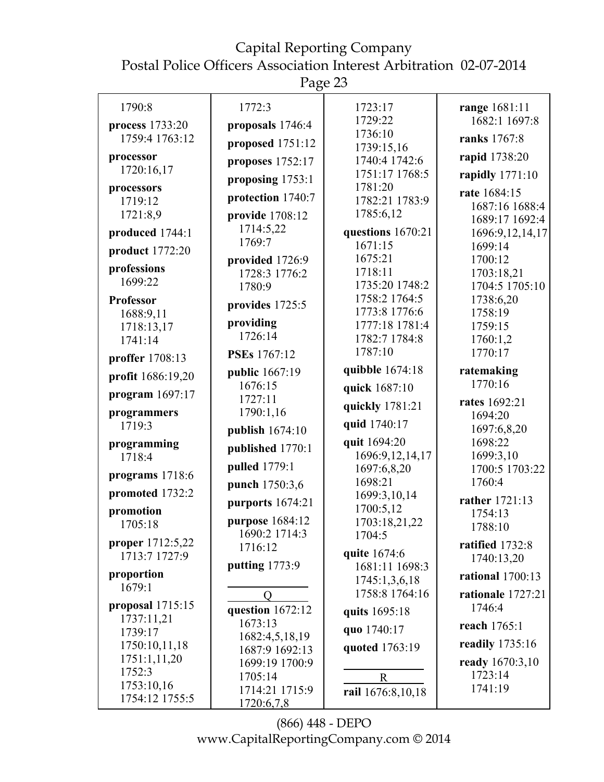Postal Police Officers Association Interest Arbitration 02-07-2014

Page 23

| 1790:8                   | 1772:3                    | 1723:17                        | range 1681:11              |
|--------------------------|---------------------------|--------------------------------|----------------------------|
| process 1733:20          | proposals 1746:4          | 1729:22                        | 1682:1 1697:8              |
| 1759:4 1763:12           | proposed 1751:12          | 1736:10<br>1739:15,16          | ranks 1767:8               |
| processor                | proposes 1752:17          | 1740:4 1742:6                  | rapid 1738:20              |
| 1720:16,17               | proposing 1753:1          | 1751:17 1768:5                 | rapidly 1771:10            |
| processors               | protection 1740:7         | 1781:20<br>1782:21 1783:9      | rate 1684:15               |
| 1719:12<br>1721:8,9      | provide 1708:12           | 1785:6,12                      | 1687:16 1688:4             |
|                          | 1714:5,22                 |                                | 1689:17 1692:4             |
| produced 1744:1          | 1769:7                    | questions 1670:21<br>1671:15   | 1696:9,12,14,17<br>1699:14 |
| product 1772:20          | provided 1726:9           | 1675:21                        | 1700:12                    |
| professions              | 1728:3 1776:2             | 1718:11                        | 1703:18,21                 |
| 1699:22                  | 1780:9                    | 1735:20 1748:2                 | 1704:5 1705:10             |
| <b>Professor</b>         | provides 1725:5           | 1758:2 1764:5                  | 1738:6,20                  |
| 1688:9,11                |                           | 1773:8 1776:6                  | 1758:19                    |
| 1718:13,17               | providing<br>1726:14      | 1777:18 1781:4                 | 1759:15                    |
| 1741:14                  |                           | 1782:7 1784:8<br>1787:10       | 1760:1,2<br>1770:17        |
| proffer 1708:13          | <b>PSEs</b> 1767:12       |                                |                            |
| profit 1686:19,20        | public 1667:19            | quibble 1674:18                | ratemaking<br>1770:16      |
| program $1697:17$        | 1676:15<br>1727:11        | quick 1687:10                  |                            |
| programmers              | 1790:1,16                 | quickly 1781:21                | rates 1692:21              |
| 1719:3                   |                           | quid 1740:17                   | 1694:20<br>1697:6,8,20     |
| programming              | publish 1674:10           | quit 1694:20                   | 1698:22                    |
| 1718:4                   | published 1770:1          | 1696:9,12,14,17                | 1699:3,10                  |
| programs 1718:6          | pulled 1779:1             | 1697:6,8,20                    | 1700:5 1703:22             |
|                          | punch 1750:3,6            | 1698:21                        | 1760:4                     |
| promoted 1732:2          | purports 1674:21          | 1699:3,10,14                   | rather 1721:13             |
| promotion                | purpose 1684:12           | 1700:5,12                      | 1754:13                    |
| 1705:18                  | 1690:2 1714:3             | 1703:18,21,22<br>1704:5        | 1788:10                    |
| proper 1712:5,22         | 1716:12                   |                                | ratified 1732:8            |
| 1713:7 1727:9            | putting 1773:9            | quite 1674:6<br>1681:11 1698:3 | 1740:13,20                 |
| proportion               |                           | 1745:1,3,6,18                  | <b>rational</b> 1700:13    |
| 1679:1                   | $\Omega$                  | 1758:8 1764:16                 | rationale 1727:21          |
| proposal $1715:15$       | question 1672:12          | quits 1695:18                  | 1746:4                     |
| 1737:11,21               | 1673:13                   | quo 1740:17                    | reach 1765:1               |
| 1739:17<br>1750:10,11,18 | 1682:4,5,18,19            |                                | readily 1735:16            |
| 1751:1,11,20             | 1687:9 1692:13            | quoted 1763:19                 |                            |
| 1752:3                   | 1699:19 1700:9            |                                | ready 1670:3,10<br>1723:14 |
| 1753:10,16               | 1705:14<br>1714:21 1715:9 | $\mathbf R$                    | 1741:19                    |
| 1754:12 1755:5           | 1720:6,7,8                | rail 1676:8,10,18              |                            |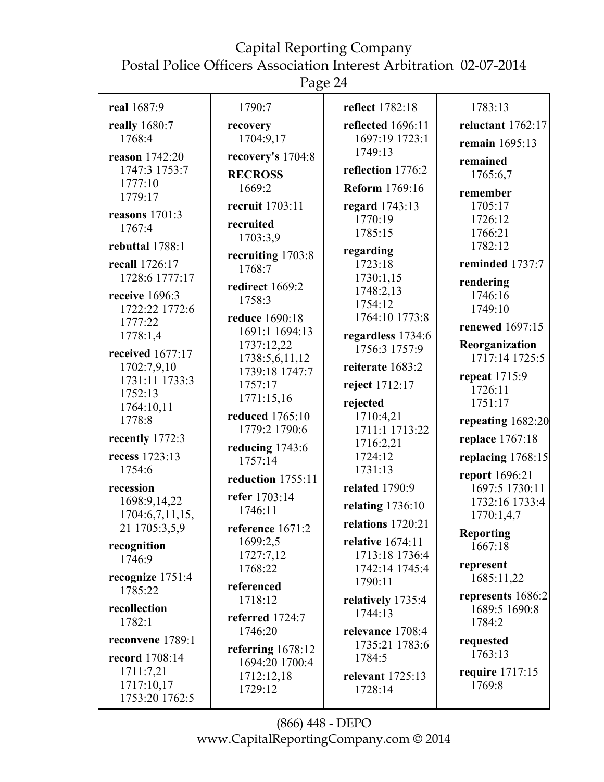Postal Police Officers Association Interest Arbitration 02-07-2014

Page 24

| real 1687:9               | 1790:7                           | reflect 1782:18                    | 1783:13                            |
|---------------------------|----------------------------------|------------------------------------|------------------------------------|
| really 1680:7             | recovery                         | reflected 1696:11                  | reluctant 1762:17                  |
| 1768:4                    | 1704:9,17                        | 1697:19 1723:1                     | remain 1695:13                     |
| reason 1742:20            | recovery's 1704:8                | 1749:13                            | remained                           |
| 1747:3 1753:7             | <b>RECROSS</b>                   | reflection 1776:2                  | 1765:6,7                           |
| 1777:10                   | 1669:2                           | <b>Reform</b> 1769:16              | remember                           |
| 1779:17                   | recruit 1703:11                  | regard 1743:13                     | 1705:17                            |
| reasons 1701:3            | recruited                        | 1770:19                            | 1726:12                            |
| 1767:4                    | 1703:3,9                         | 1785:15                            | 1766:21                            |
| rebuttal 1788:1           |                                  | regarding                          | 1782:12                            |
| recall 1726:17            | recruiting 1703:8<br>1768:7      | 1723:18                            | reminded 1737:7                    |
| 1728:6 1777:17            |                                  | 1730:1,15                          | rendering                          |
| receive 1696:3            | redirect 1669:2<br>1758:3        | 1748:2,13                          | 1746:16                            |
| 1722:22 1772:6            |                                  | 1754:12                            | 1749:10                            |
| 1777:22                   | reduce 1690:18<br>1691:1 1694:13 | 1764:10 1773:8                     | renewed 1697:15                    |
| 1778:1,4                  | 1737:12,22                       | regardless 1734:6<br>1756:3 1757:9 | Reorganization                     |
| received 1677:17          | 1738:5,6,11,12                   |                                    | 1717:14 1725:5                     |
| 1702:7,9,10               | 1739:18 1747:7                   | reiterate 1683:2                   | repeat 1715:9                      |
| 1731:11 1733:3<br>1752:13 | 1757:17                          | reject 1712:17                     | 1726:11                            |
| 1764:10,11                | 1771:15,16                       | rejected                           | 1751:17                            |
| 1778:8                    | reduced 1765:10                  | 1710:4,21                          | repeating 1682:20                  |
| recently 1772:3           | 1779:2 1790:6                    | 1711:1 1713:22                     | replace 1767:18                    |
|                           | reducing 1743:6                  | 1716:2,21                          |                                    |
| recess 1723:13<br>1754:6  | 1757:14                          | 1724:12<br>1731:13                 | replacing 1768:15                  |
|                           | reduction 1755:11                |                                    | report 1696:21                     |
| recession<br>1698:9,14,22 | refer 1703:14                    | <b>related</b> 1790:9              | 1697:5 1730:11<br>1732:16 1733:4   |
| 1704:6,7,11,15,           | 1746:11                          | relating $1736:10$                 | 1770:1,4,7                         |
| 21 1705:3,5,9             | reference 1671:2                 | relations 1720:21                  |                                    |
| recognition               | 1699:2,5                         | relative 1674:11                   | <b>Reporting</b><br>1667:18        |
| 1746:9                    | 1727:7,12                        | 1713:18 1736:4                     |                                    |
| recognize 1751:4          | 1768:22                          | 1742:14 1745:4                     | represent<br>1685:11,22            |
| 1785:22                   | referenced                       | 1790:11                            |                                    |
| recollection              | 1718:12                          | relatively 1735:4                  | represents 1686:2<br>1689:5 1690:8 |
| 1782:1                    | referred 1724:7                  | 1744:13                            | 1784:2                             |
| reconvene 1789:1          | 1746:20                          | relevance 1708:4                   |                                    |
|                           | referring $1678:12$              | 1735:21 1783:6                     | requested<br>1763:13               |
| record 1708:14            | 1694:20 1700:4                   | 1784:5                             |                                    |
| 1711:7,21<br>1717:10,17   | 1712:12,18                       | relevant 1725:13                   | require 1717:15<br>1769:8          |
| 1753:20 1762:5            | 1729:12                          | 1728:14                            |                                    |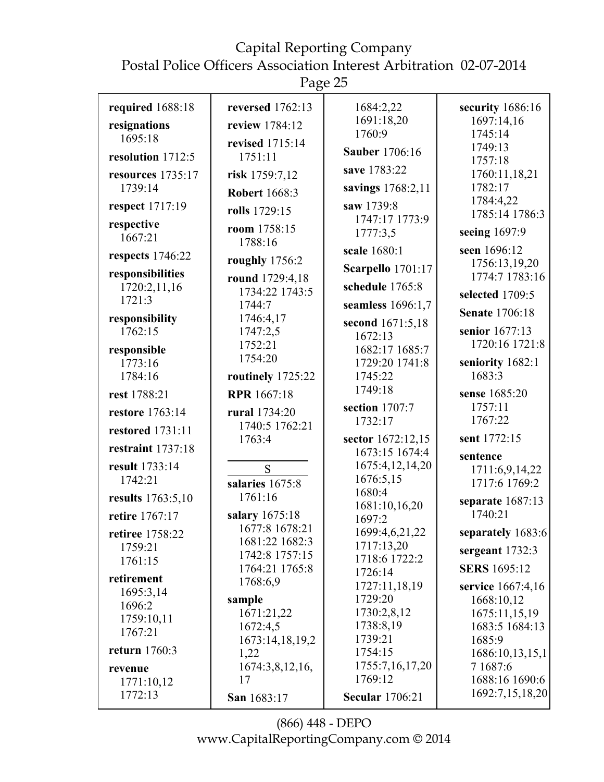Page 25

| required 1688:18<br>resignations<br>1695:18                | reversed 1762:13<br>review 1784:12           | 1684:2,22<br>1691:18,20<br>1760:9                               | security $1686:16$<br>1697:14,16<br>1745:14                        |
|------------------------------------------------------------|----------------------------------------------|-----------------------------------------------------------------|--------------------------------------------------------------------|
| resolution 1712:5                                          | revised 1715:14<br>1751:11                   | <b>Sauber</b> 1706:16<br>save 1783:22                           | 1749:13<br>1757:18                                                 |
| resources 1735:17<br>1739:14                               | risk 1759:7,12<br><b>Robert 1668:3</b>       | savings 1768:2,11                                               | 1760:11,18,21<br>1782:17<br>1784:4,22                              |
| respect 1717:19                                            | rolls 1729:15                                | saw 1739:8<br>1747:17 1773:9                                    | 1785:14 1786:3                                                     |
| respective<br>1667:21                                      | room 1758:15<br>1788:16                      | 1777:3,5                                                        | seeing 1697:9                                                      |
| respects 1746:22                                           | roughly 1756:2                               | scale 1680:1                                                    | seen 1696:12<br>1756:13,19,20                                      |
| responsibilities                                           | round 1729:4,18                              | Scarpello 1701:17                                               | 1774:7 1783:16                                                     |
| 1720:2,11,16<br>1721:3                                     | 1734:22 1743:5                               | schedule 1765:8                                                 | selected 1709:5                                                    |
| responsibility                                             | 1744:7<br>1746:4,17                          | seamless 1696:1,7                                               | <b>Senate 1706:18</b>                                              |
| 1762:15<br>responsible                                     | 1747:2,5<br>1752:21                          | second 1671:5,18<br>1672:13<br>1682:17 1685:7                   | senior 1677:13<br>1720:16 1721:8                                   |
| 1773:16<br>1784:16                                         | 1754:20<br>routinely 1725:22                 | 1729:20 1741:8<br>1745:22                                       | seniority 1682:1<br>1683:3                                         |
| rest 1788:21                                               | <b>RPR</b> 1667:18                           | 1749:18                                                         | sense 1685:20                                                      |
| <b>restore</b> 1763:14                                     | rural 1734:20<br>1740:5 1762:21              | section 1707:7<br>1732:17                                       | 1757:11<br>1767:22                                                 |
| <b>restored</b> 1731:11                                    | 1763:4                                       | sector 1672:12,15                                               | sent 1772:15                                                       |
| restraint 1737:18                                          |                                              | 1673:15 1674:4                                                  | sentence                                                           |
| result 1733:14<br>1742:21                                  | S<br>salaries 1675:8                         | 1675:4,12,14,20<br>1676:5,15<br>1680:4                          | 1711:6,9,14,22<br>1717:6 1769:2                                    |
| results 1763:5,10<br>retire 1767:17                        | 1761:16<br>salary 1675:18                    | 1681:10,16,20<br>1697:2                                         | separate 1687:13<br>1740:21                                        |
| retiree 1758:22                                            | 1677:8 1678:21<br>1681:22 1682:3             | 1699:4,6,21,22                                                  | separately 1683:6                                                  |
| 1759:21<br>1761:15                                         | 1742:8 1757:15                               | 1717:13,20<br>1718:6 1722:2                                     | sergeant 1732:3                                                    |
|                                                            | 1764:21 1765:8                               | 1726:14                                                         | <b>SERS</b> 1695:12                                                |
| retirement<br>1695:3,14<br>1696:2<br>1759:10,11<br>1767:21 | 1768:6,9<br>sample<br>1671:21,22<br>1672:4,5 | 1727:11,18,19<br>1729:20<br>1730:2,8,12<br>1738:8,19<br>1739:21 | service 1667:4,16<br>1668:10,12<br>1675:11,15,19<br>1683:5 1684:13 |
| return 1760:3                                              | 1673:14,18,19,2<br>1,22                      | 1754:15                                                         | 1685:9<br>1686:10,13,15,1                                          |
| revenue<br>1771:10,12<br>1772:13                           | 1674:3,8,12,16,<br>17<br>San 1683:17         | 1755:7,16,17,20<br>1769:12<br><b>Secular 1706:21</b>            | 7 1 687:6<br>1688:16 1690:6<br>1692:7,15,18,20                     |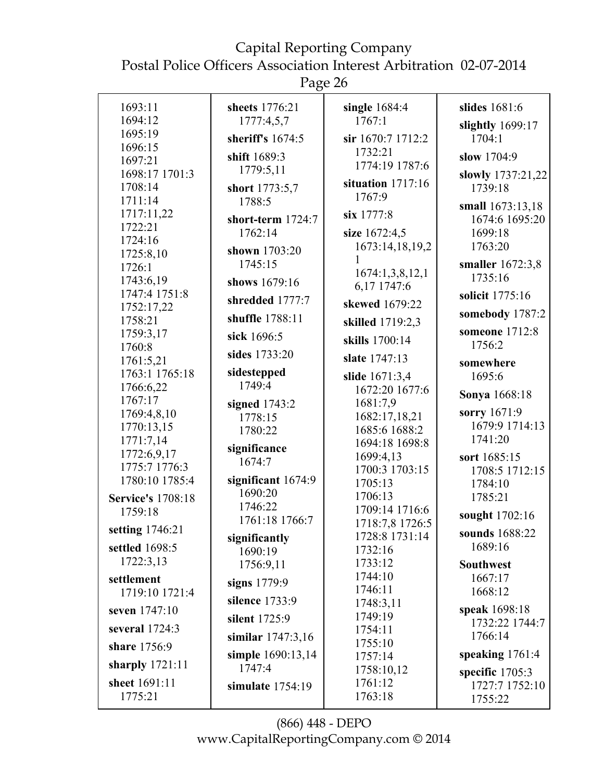Postal Police Officers Association Interest Arbitration 02-07-2014

Page 26

| 1693:11                  | sheets 1776:21        | single $1684:4$                   | slides 1681:6        |
|--------------------------|-----------------------|-----------------------------------|----------------------|
| 1694:12                  | 1777:4,5,7            | 1767:1                            | slightly 1699:17     |
| 1695:19                  | sheriff's $1674:5$    | sir 1670:7 1712:2                 | 1704:1               |
| 1696:15<br>1697:21       | shift 1689:3          | 1732:21                           | slow 1704:9          |
|                          | 1779:5,11             | 1774:19 1787:6                    |                      |
| 1698:17 1701:3           |                       | situation $1717:16$               | slowly 1737:21,22    |
| 1708:14                  | short 1773:5,7        | 1767:9                            | 1739:18              |
| 1711:14                  | 1788:5                |                                   | small 1673:13,18     |
| 1717:11,22<br>1722:21    | short-term 1724:7     | six 1777:8                        | 1674:6 1695:20       |
| 1724:16                  | 1762:14               | size 1672:4,5                     | 1699:18              |
| 1725:8,10                | shown 1703:20         | 1673:14,18,19,2                   | 1763:20              |
| 1726:1                   | 1745:15               |                                   | smaller 1672:3,8     |
| 1743:6,19                | shows 1679:16         | 1674:1,3,8,12,1                   | 1735:16              |
| 1747:4 1751:8            |                       | 6,17 1747:6                       | solicit 1775:16      |
| 1752:17,22               | shredded 1777:7       | skewed 1679:22                    |                      |
| 1758:21                  | shuffle 1788:11       | skilled 1719:2,3                  | somebody 1787:2      |
| 1759:3,17                | sick 1696:5           | skills 1700:14                    | someone 1712:8       |
| 1760:8                   | sides 1733:20         | slate 1747:13                     | 1756:2               |
| 1761:5,21                |                       |                                   | somewhere            |
| 1763:1 1765:18           | sidestepped<br>1749:4 | slide 1671:3,4                    | 1695:6               |
| 1766:6,22                |                       | 1672:20 1677:6                    | <b>Sonya</b> 1668:18 |
| 1767:17                  | signed $1743:2$       | 1681:7,9                          | sorry 1671:9         |
| 1769:4,8,10              | 1778:15               | 1682:17,18,21                     | 1679:9 1714:13       |
| 1770:13,15               | 1780:22               | 1685:6 1688:2                     | 1741:20              |
| 1771:7,14<br>1772:6,9,17 | significance          | 1694:18 1698:8                    |                      |
| 1775:7 1776:3            | 1674:7                | 1699:4,13                         | sort 1685:15         |
| 1780:10 1785:4           | significant $1674:9$  | 1700:3 1703:15                    | 1708:5 1712:15       |
|                          | 1690:20               | 1705:13                           | 1784:10              |
| <b>Service's 1708:18</b> | 1746:22               | 1706:13                           | 1785:21              |
| 1759:18                  | 1761:18 1766:7        | 1709:14 1716:6<br>1718:7,8 1726:5 | sought 1702:16       |
| setting 1746:21          | significantly         | 1728:8 1731:14                    | sounds 1688:22       |
| settled 1698:5           | 1690:19               | 1732:16                           | 1689:16              |
| 1722:3,13                | 1756:9,11             | 1733:12                           | <b>Southwest</b>     |
| settlement               |                       | 1744:10                           | 1667:17              |
| 1719:10 1721:4           | signs 1779:9          | 1746:11                           | 1668:12              |
|                          | silence 1733:9        | 1748:3,11                         |                      |
| seven 1747:10            | silent 1725:9         | 1749:19                           | speak 1698:18        |
| several 1724:3           |                       | 1754:11                           | 1732:22 1744:7       |
| share 1756:9             | similar 1747:3,16     | 1755:10                           | 1766:14              |
|                          | simple 1690:13,14     | 1757:14                           | speaking $1761:4$    |
| sharply $1721:11$        | 1747:4                | 1758:10,12                        | specific 1705:3      |
| sheet 1691:11            | simulate $1754:19$    | 1761:12                           | 1727:7 1752:10       |
| 1775:21                  |                       | 1763:18                           | 1755:22              |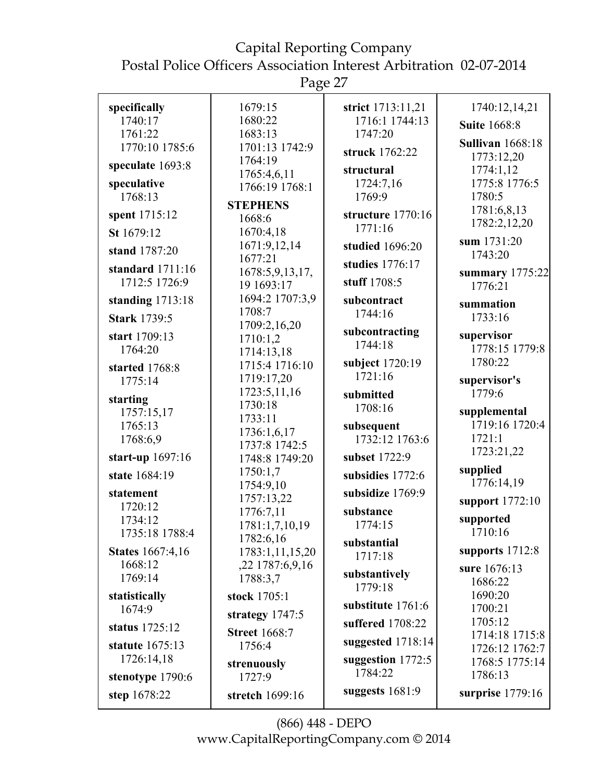Page 27

|                                    | ັ                     |                   |                                  |
|------------------------------------|-----------------------|-------------------|----------------------------------|
| specifically                       | 1679:15               | strict 1713:11,21 | 1740:12,14,21                    |
| 1740:17                            | 1680:22               | 1716:1 1744:13    | <b>Suite 1668:8</b>              |
| 1761:22                            | 1683:13               | 1747:20           |                                  |
| 1770:10 1785:6                     | 1701:13 1742:9        | struck 1762:22    | <b>Sullivan</b> 1668:18          |
| speculate 1693:8                   | 1764:19               |                   | 1773:12,20                       |
|                                    | 1765:4,6,11           | structural        | 1774:1,12                        |
| speculative<br>1768:13             | 1766:19 1768:1        | 1724:7,16         | 1775:8 1776:5                    |
|                                    | <b>STEPHENS</b>       | 1769:9            | 1780:5                           |
| spent 1715:12                      | 1668:6                | structure 1770:16 | 1781:6,8,13                      |
| St 1679:12                         | 1670:4,18             | 1771:16           | 1782:2,12,20                     |
| stand 1787:20                      | 1671:9,12,14          | studied 1696:20   | sum 1731:20                      |
|                                    | 1677:21               | studies 1776:17   | 1743:20                          |
| standard 1711:16                   | 1678:5,9,13,17,       |                   | summary 1775:22                  |
| 1712:5 1726:9                      | 19 1693:17            | stuff 1708:5      | 1776:21                          |
| standing 1713:18                   | 1694:2 1707:3,9       | subcontract       | summation                        |
| <b>Stark 1739:5</b>                | 1708:7                | 1744:16           | 1733:16                          |
|                                    | 1709:2,16,20          | subcontracting    |                                  |
| start 1709:13                      | 1710:1,2              | 1744:18           | supervisor                       |
| 1764:20                            | 1714:13,18            |                   | 1778:15 1779:8                   |
| started 1768:8                     | 1715:4 1716:10        | subject 1720:19   | 1780:22                          |
| 1775:14                            | 1719:17,20            | 1721:16           | supervisor's                     |
| starting                           | 1723:5,11,16          | submitted         | 1779:6                           |
| 1757:15,17                         | 1730:18               | 1708:16           | supplemental                     |
| 1765:13                            | 1733:11               | subsequent        | 1719:16 1720:4                   |
| 1768:6,9                           | 1736:1,6,17           | 1732:12 1763:6    | 1721:1                           |
|                                    | 1737:8 1742:5         |                   | 1723:21,22                       |
| start-up $1697:16$                 | 1748:8 1749:20        | subset 1722:9     |                                  |
| state 1684:19                      | 1750:1,7              | subsidies 1772:6  | supplied                         |
| statement                          | 1754:9,10             | subsidize 1769:9  | 1776:14,19                       |
| 1720:12                            | 1757:13,22            |                   | support 1772:10                  |
| 1734:12                            | 1776:7,11             | substance         | supported                        |
| 1735:18 1788:4                     | 1781:1,7,10,19        | 1774:15           | 1710:16                          |
|                                    | 1782:6,16             | substantial       | supports 1712:8                  |
| <b>States</b> 1667:4,16<br>1668:12 | 1783:1,11,15,20       | 1717:18           |                                  |
| 1769:14                            | ,22 1787:6,9,16       | substantively     | sure 1676:13                     |
|                                    | 1788:3,7              | 1779:18           | 1686:22                          |
| statistically                      | stock 1705:1          | substitute 1761:6 | 1690:20                          |
| 1674:9                             | strategy $1747:5$     |                   | 1700:21                          |
| status 1725:12                     | <b>Street 1668:7</b>  | suffered 1708:22  | 1705:12                          |
| statute 1675:13                    | 1756:4                | suggested 1718:14 | 1714:18 1715:8                   |
| 1726:14,18                         |                       | suggestion 1772:5 | 1726:12 1762:7<br>1768:5 1775:14 |
| stenotype 1790:6                   | strenuously<br>1727:9 | 1784:22           | 1786:13                          |
|                                    |                       | suggests $1681:9$ |                                  |
| step 1678:22                       | stretch 1699:16       |                   | surprise $1779:16$               |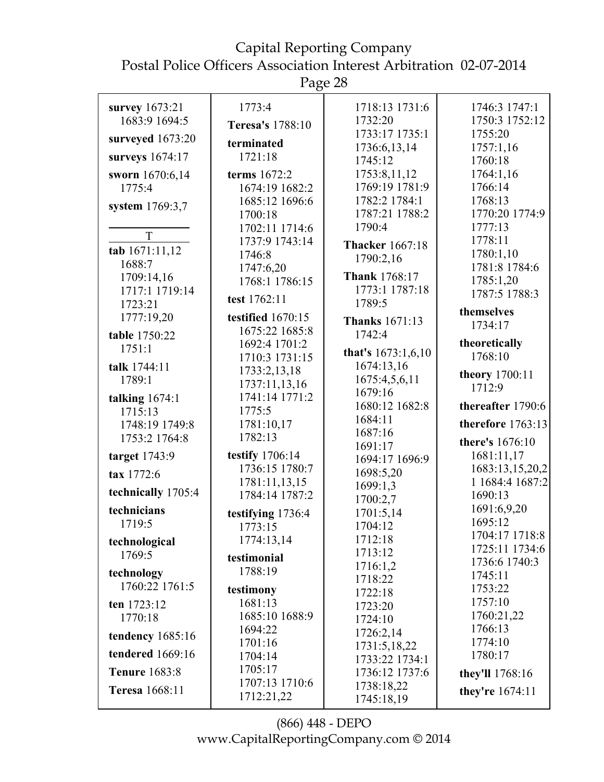Page 28

| survey 1673:21        | 1773:4            | 1718:13 1731:6         | 1746:3 1747:1     |
|-----------------------|-------------------|------------------------|-------------------|
| 1683:9 1694:5         | Teresa's 1788:10  | 1732:20                | 1750:3 1752:12    |
| surveyed 1673:20      |                   | 1733:17 1735:1         | 1755:20           |
|                       | terminated        | 1736:6,13,14           | 1757:1,16         |
| surveys 1674:17       | 1721:18           | 1745:12                | 1760:18           |
| sworn 1670:6,14       | terms 1672:2      | 1753:8,11,12           | 1764:1,16         |
| 1775:4                | 1674:19 1682:2    | 1769:19 1781:9         | 1766:14           |
| system 1769:3,7       | 1685:12 1696:6    | 1782:2 1784:1          | 1768:13           |
|                       | 1700:18           | 1787:21 1788:2         | 1770:20 1774:9    |
| T                     | 1702:11 1714:6    | 1790:4                 | 1777:13           |
| tab 1671:11,12        | 1737:9 1743:14    | <b>Thacker</b> 1667:18 | 1778:11           |
| 1688:7                | 1746:8            | 1790:2,16              | 1780:1,10         |
| 1709:14,16            | 1747:6,20         | <b>Thank 1768:17</b>   | 1781:8 1784:6     |
| 1717:1 1719:14        | 1768:1 1786:15    | 1773:1 1787:18         | 1785:1,20         |
| 1723:21               | test 1762:11      | 1789:5                 | 1787:5 1788:3     |
| 1777:19,20            | testified 1670:15 |                        | themselves        |
|                       | 1675:22 1685:8    | <b>Thanks</b> 1671:13  | 1734:17           |
| table 1750:22         | 1692:4 1701:2     | 1742:4                 | theoretically     |
| 1751:1                |                   | that's $1673:1,6,10$   | 1768:10           |
| talk 1744:11          | 1710:3 1731:15    | 1674:13,16             |                   |
| 1789:1                | 1733:2,13,18      | 1675:4,5,6,11          | theory 1700:11    |
|                       | 1737:11,13,16     | 1679:16                | 1712:9            |
| talking 1674:1        | 1741:14 1771:2    | 1680:12 1682:8         | thereafter 1790:6 |
| 1715:13               | 1775:5            | 1684:11                |                   |
| 1748:19 1749:8        | 1781:10,17        | 1687:16                | therefore 1763:13 |
| 1753:2 1764:8         | 1782:13           | 1691:17                | there's 1676:10   |
| target 1743:9         | testify 1706:14   | 1694:17 1696:9         | 1681:11,17        |
| tax 1772:6            | 1736:15 1780:7    | 1698:5,20              | 1683:13,15,20,2   |
|                       | 1781:11,13,15     | 1699:1,3               | 1 1684:4 1687:2   |
| technically 1705:4    | 1784:14 1787:2    | 1700:2,7               | 1690:13           |
| technicians           | testifying 1736:4 | 1701:5,14              | 1691:6,9,20       |
| 1719:5                | 1773:15           | 1704:12                | 1695:12           |
| technological         | 1774:13,14        | 1712:18                | 1704:17 1718:8    |
| 1769:5                |                   | 1713:12                | 1725:11 1734:6    |
|                       | testimonial       | 1716:1,2               | 1736:6 1740:3     |
| technology            | 1788:19           | 1718:22                | 1745:11           |
| 1760:22 1761:5        | testimony         | 1722:18                | 1753:22           |
| ten 1723:12           | 1681:13           | 1723:20                | 1757:10           |
| 1770:18               | 1685:10 1688:9    | 1724:10                | 1760:21,22        |
| tendency 1685:16      | 1694:22           | 1726:2,14              | 1766:13           |
|                       | 1701:16           | 1731:5,18,22           | 1774:10           |
| tendered 1669:16      | 1704:14           | 1733:22 1734:1         | 1780:17           |
| <b>Tenure</b> 1683:8  | 1705:17           | 1736:12 1737:6         | they'll 1768:16   |
| <b>Teresa</b> 1668:11 | 1707:13 1710:6    | 1738:18,22             |                   |
|                       | 1712:21,22        | 1745:18,19             | they're 1674:11   |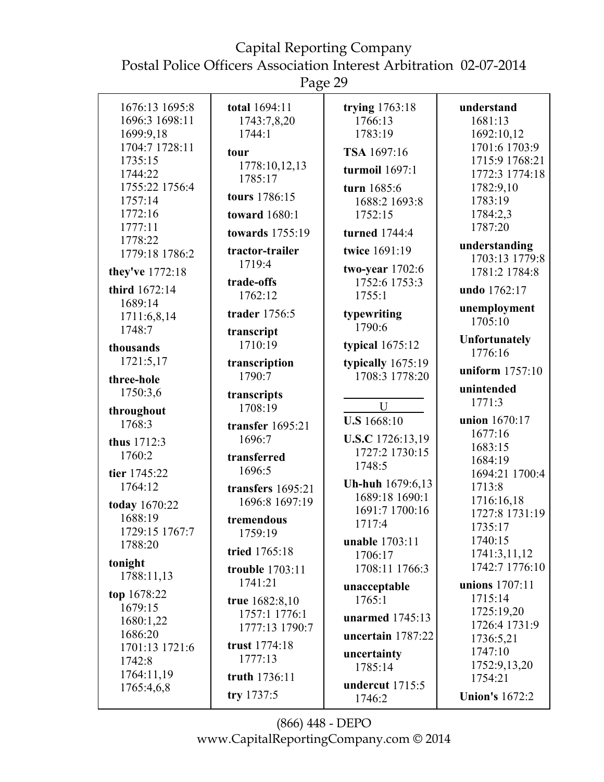Page 29

| 1676:13 1695:8<br>total 1694:11<br>trying 1763:18<br>understand<br>1696:3 1698:11<br>1766:13<br>1743:7,8,20<br>1681:13<br>1699:9,18<br>1783:19<br>1692:10,12<br>1744:1<br>1704:7 1728:11<br>1701:6 1703:9<br>TSA 1697:16<br>tour<br>1735:15<br>1715:9 1768:21<br>1778:10,12,13<br>turmoil $1697:1$<br>1744:22<br>1772:3 1774:18<br>1785:17<br>1755:22 1756:4<br>1782:9,10<br>turn 1685:6<br>tours 1786:15<br>1757:14<br>1783:19<br>1688:2 1693:8<br>1772:16<br>1752:15<br>1784:2,3<br><b>toward</b> 1680:1<br>1777:11<br>1787:20<br>towards 1755:19<br>turned 1744:4<br>1778:22<br>understanding<br>twice 1691:19<br>tractor-trailer<br>1779:18 1786:2<br>1703:13 1779:8<br>1719:4<br>two-year 1702:6<br>they've 1772:18<br>1781:2 1784:8<br>1752:6 1753:3<br>trade-offs<br>third 1672:14<br>undo 1762:17<br>1755:1<br>1762:12<br>1689:14<br>unemployment<br>trader 1756:5<br>typewriting<br>1711:6,8,14<br>1705:10<br>1790:6<br>1748:7<br>transcript<br><b>Unfortunately</b><br>1710:19<br>typical $1675:12$<br>thousands<br>1776:16<br>1721:5,17<br>typically $1675:19$<br>transcription<br>uniform 1757:10<br>1790:7<br>1708:3 1778:20<br>three-hole<br>unintended<br>1750:3,6<br>transcripts<br>1771:3<br>U<br>1708:19<br>throughout<br><b>U.S</b> 1668:10<br>union 1670:17<br>1768:3<br>transfer 1695:21<br>1677:16<br>1696:7<br>U.S.C 1726:13,19<br>thus 1712:3<br>1683:15<br>1727:2 1730:15<br>1760:2<br>transferred<br>1684:19<br>1748:5<br>1696:5<br>tier 1745:22<br>1694:21 1700:4<br>Uh-huh 1679:6,13<br>1764:12<br>1713:8<br>transfers $1695:21$<br>1689:18 1690:1<br>1716:16,18<br>1696:8 1697:19<br>today 1670:22<br>1691:7 1700:16<br>1727:8 1731:19<br>1688:19<br>tremendous<br>1717:4<br>1735:17<br>1729:15 1767:7<br>1759:19<br>1740:15<br>unable 1703:11<br>1788:20<br>tried 1765:18<br>1741:3,11,12<br>1706:17<br>tonight<br>1742:7 1776:10<br>1708:11 1766:3<br>trouble 1703:11<br>1788:11,13<br>1741:21<br>unions 1707:11<br>unacceptable<br>top 1678:22<br>1715:14<br>1765:1<br>true 1682:8,10<br>1679:15<br>1725:19,20<br>1757:1 1776:1<br>unarmed 1745:13<br>1680:1,22<br>1726:4 1731:9<br>1777:13 1790:7<br>1686:20<br>uncertain 1787:22<br>1736:5,21<br>trust 1774:18<br>1701:13 1721:6<br>1747:10<br>uncertainty<br>1777:13<br>1742:8<br>1752:9,13,20<br>1785:14<br>1764:11,19<br>truth 1736:11<br>1754:21<br>undercut 1715:5<br>1765:4,6,8<br>try 1737:5<br><b>Union's 1672:2</b><br>1746:2 |  |  |
|--------------------------------------------------------------------------------------------------------------------------------------------------------------------------------------------------------------------------------------------------------------------------------------------------------------------------------------------------------------------------------------------------------------------------------------------------------------------------------------------------------------------------------------------------------------------------------------------------------------------------------------------------------------------------------------------------------------------------------------------------------------------------------------------------------------------------------------------------------------------------------------------------------------------------------------------------------------------------------------------------------------------------------------------------------------------------------------------------------------------------------------------------------------------------------------------------------------------------------------------------------------------------------------------------------------------------------------------------------------------------------------------------------------------------------------------------------------------------------------------------------------------------------------------------------------------------------------------------------------------------------------------------------------------------------------------------------------------------------------------------------------------------------------------------------------------------------------------------------------------------------------------------------------------------------------------------------------------------------------------------------------------------------------------------------------------------------------------------------------------------------------------------------------------------------------------------------------------------------------------------------------------------------------------------------------------------------------------------------------------------------------------------------------------------|--|--|
|                                                                                                                                                                                                                                                                                                                                                                                                                                                                                                                                                                                                                                                                                                                                                                                                                                                                                                                                                                                                                                                                                                                                                                                                                                                                                                                                                                                                                                                                                                                                                                                                                                                                                                                                                                                                                                                                                                                                                                                                                                                                                                                                                                                                                                                                                                                                                                                                                          |  |  |
|                                                                                                                                                                                                                                                                                                                                                                                                                                                                                                                                                                                                                                                                                                                                                                                                                                                                                                                                                                                                                                                                                                                                                                                                                                                                                                                                                                                                                                                                                                                                                                                                                                                                                                                                                                                                                                                                                                                                                                                                                                                                                                                                                                                                                                                                                                                                                                                                                          |  |  |
|                                                                                                                                                                                                                                                                                                                                                                                                                                                                                                                                                                                                                                                                                                                                                                                                                                                                                                                                                                                                                                                                                                                                                                                                                                                                                                                                                                                                                                                                                                                                                                                                                                                                                                                                                                                                                                                                                                                                                                                                                                                                                                                                                                                                                                                                                                                                                                                                                          |  |  |
|                                                                                                                                                                                                                                                                                                                                                                                                                                                                                                                                                                                                                                                                                                                                                                                                                                                                                                                                                                                                                                                                                                                                                                                                                                                                                                                                                                                                                                                                                                                                                                                                                                                                                                                                                                                                                                                                                                                                                                                                                                                                                                                                                                                                                                                                                                                                                                                                                          |  |  |
|                                                                                                                                                                                                                                                                                                                                                                                                                                                                                                                                                                                                                                                                                                                                                                                                                                                                                                                                                                                                                                                                                                                                                                                                                                                                                                                                                                                                                                                                                                                                                                                                                                                                                                                                                                                                                                                                                                                                                                                                                                                                                                                                                                                                                                                                                                                                                                                                                          |  |  |
|                                                                                                                                                                                                                                                                                                                                                                                                                                                                                                                                                                                                                                                                                                                                                                                                                                                                                                                                                                                                                                                                                                                                                                                                                                                                                                                                                                                                                                                                                                                                                                                                                                                                                                                                                                                                                                                                                                                                                                                                                                                                                                                                                                                                                                                                                                                                                                                                                          |  |  |
|                                                                                                                                                                                                                                                                                                                                                                                                                                                                                                                                                                                                                                                                                                                                                                                                                                                                                                                                                                                                                                                                                                                                                                                                                                                                                                                                                                                                                                                                                                                                                                                                                                                                                                                                                                                                                                                                                                                                                                                                                                                                                                                                                                                                                                                                                                                                                                                                                          |  |  |
|                                                                                                                                                                                                                                                                                                                                                                                                                                                                                                                                                                                                                                                                                                                                                                                                                                                                                                                                                                                                                                                                                                                                                                                                                                                                                                                                                                                                                                                                                                                                                                                                                                                                                                                                                                                                                                                                                                                                                                                                                                                                                                                                                                                                                                                                                                                                                                                                                          |  |  |
|                                                                                                                                                                                                                                                                                                                                                                                                                                                                                                                                                                                                                                                                                                                                                                                                                                                                                                                                                                                                                                                                                                                                                                                                                                                                                                                                                                                                                                                                                                                                                                                                                                                                                                                                                                                                                                                                                                                                                                                                                                                                                                                                                                                                                                                                                                                                                                                                                          |  |  |
|                                                                                                                                                                                                                                                                                                                                                                                                                                                                                                                                                                                                                                                                                                                                                                                                                                                                                                                                                                                                                                                                                                                                                                                                                                                                                                                                                                                                                                                                                                                                                                                                                                                                                                                                                                                                                                                                                                                                                                                                                                                                                                                                                                                                                                                                                                                                                                                                                          |  |  |
|                                                                                                                                                                                                                                                                                                                                                                                                                                                                                                                                                                                                                                                                                                                                                                                                                                                                                                                                                                                                                                                                                                                                                                                                                                                                                                                                                                                                                                                                                                                                                                                                                                                                                                                                                                                                                                                                                                                                                                                                                                                                                                                                                                                                                                                                                                                                                                                                                          |  |  |
|                                                                                                                                                                                                                                                                                                                                                                                                                                                                                                                                                                                                                                                                                                                                                                                                                                                                                                                                                                                                                                                                                                                                                                                                                                                                                                                                                                                                                                                                                                                                                                                                                                                                                                                                                                                                                                                                                                                                                                                                                                                                                                                                                                                                                                                                                                                                                                                                                          |  |  |
|                                                                                                                                                                                                                                                                                                                                                                                                                                                                                                                                                                                                                                                                                                                                                                                                                                                                                                                                                                                                                                                                                                                                                                                                                                                                                                                                                                                                                                                                                                                                                                                                                                                                                                                                                                                                                                                                                                                                                                                                                                                                                                                                                                                                                                                                                                                                                                                                                          |  |  |
|                                                                                                                                                                                                                                                                                                                                                                                                                                                                                                                                                                                                                                                                                                                                                                                                                                                                                                                                                                                                                                                                                                                                                                                                                                                                                                                                                                                                                                                                                                                                                                                                                                                                                                                                                                                                                                                                                                                                                                                                                                                                                                                                                                                                                                                                                                                                                                                                                          |  |  |
|                                                                                                                                                                                                                                                                                                                                                                                                                                                                                                                                                                                                                                                                                                                                                                                                                                                                                                                                                                                                                                                                                                                                                                                                                                                                                                                                                                                                                                                                                                                                                                                                                                                                                                                                                                                                                                                                                                                                                                                                                                                                                                                                                                                                                                                                                                                                                                                                                          |  |  |
|                                                                                                                                                                                                                                                                                                                                                                                                                                                                                                                                                                                                                                                                                                                                                                                                                                                                                                                                                                                                                                                                                                                                                                                                                                                                                                                                                                                                                                                                                                                                                                                                                                                                                                                                                                                                                                                                                                                                                                                                                                                                                                                                                                                                                                                                                                                                                                                                                          |  |  |
|                                                                                                                                                                                                                                                                                                                                                                                                                                                                                                                                                                                                                                                                                                                                                                                                                                                                                                                                                                                                                                                                                                                                                                                                                                                                                                                                                                                                                                                                                                                                                                                                                                                                                                                                                                                                                                                                                                                                                                                                                                                                                                                                                                                                                                                                                                                                                                                                                          |  |  |
|                                                                                                                                                                                                                                                                                                                                                                                                                                                                                                                                                                                                                                                                                                                                                                                                                                                                                                                                                                                                                                                                                                                                                                                                                                                                                                                                                                                                                                                                                                                                                                                                                                                                                                                                                                                                                                                                                                                                                                                                                                                                                                                                                                                                                                                                                                                                                                                                                          |  |  |
|                                                                                                                                                                                                                                                                                                                                                                                                                                                                                                                                                                                                                                                                                                                                                                                                                                                                                                                                                                                                                                                                                                                                                                                                                                                                                                                                                                                                                                                                                                                                                                                                                                                                                                                                                                                                                                                                                                                                                                                                                                                                                                                                                                                                                                                                                                                                                                                                                          |  |  |
|                                                                                                                                                                                                                                                                                                                                                                                                                                                                                                                                                                                                                                                                                                                                                                                                                                                                                                                                                                                                                                                                                                                                                                                                                                                                                                                                                                                                                                                                                                                                                                                                                                                                                                                                                                                                                                                                                                                                                                                                                                                                                                                                                                                                                                                                                                                                                                                                                          |  |  |
|                                                                                                                                                                                                                                                                                                                                                                                                                                                                                                                                                                                                                                                                                                                                                                                                                                                                                                                                                                                                                                                                                                                                                                                                                                                                                                                                                                                                                                                                                                                                                                                                                                                                                                                                                                                                                                                                                                                                                                                                                                                                                                                                                                                                                                                                                                                                                                                                                          |  |  |
|                                                                                                                                                                                                                                                                                                                                                                                                                                                                                                                                                                                                                                                                                                                                                                                                                                                                                                                                                                                                                                                                                                                                                                                                                                                                                                                                                                                                                                                                                                                                                                                                                                                                                                                                                                                                                                                                                                                                                                                                                                                                                                                                                                                                                                                                                                                                                                                                                          |  |  |
|                                                                                                                                                                                                                                                                                                                                                                                                                                                                                                                                                                                                                                                                                                                                                                                                                                                                                                                                                                                                                                                                                                                                                                                                                                                                                                                                                                                                                                                                                                                                                                                                                                                                                                                                                                                                                                                                                                                                                                                                                                                                                                                                                                                                                                                                                                                                                                                                                          |  |  |
|                                                                                                                                                                                                                                                                                                                                                                                                                                                                                                                                                                                                                                                                                                                                                                                                                                                                                                                                                                                                                                                                                                                                                                                                                                                                                                                                                                                                                                                                                                                                                                                                                                                                                                                                                                                                                                                                                                                                                                                                                                                                                                                                                                                                                                                                                                                                                                                                                          |  |  |
|                                                                                                                                                                                                                                                                                                                                                                                                                                                                                                                                                                                                                                                                                                                                                                                                                                                                                                                                                                                                                                                                                                                                                                                                                                                                                                                                                                                                                                                                                                                                                                                                                                                                                                                                                                                                                                                                                                                                                                                                                                                                                                                                                                                                                                                                                                                                                                                                                          |  |  |
|                                                                                                                                                                                                                                                                                                                                                                                                                                                                                                                                                                                                                                                                                                                                                                                                                                                                                                                                                                                                                                                                                                                                                                                                                                                                                                                                                                                                                                                                                                                                                                                                                                                                                                                                                                                                                                                                                                                                                                                                                                                                                                                                                                                                                                                                                                                                                                                                                          |  |  |
|                                                                                                                                                                                                                                                                                                                                                                                                                                                                                                                                                                                                                                                                                                                                                                                                                                                                                                                                                                                                                                                                                                                                                                                                                                                                                                                                                                                                                                                                                                                                                                                                                                                                                                                                                                                                                                                                                                                                                                                                                                                                                                                                                                                                                                                                                                                                                                                                                          |  |  |
|                                                                                                                                                                                                                                                                                                                                                                                                                                                                                                                                                                                                                                                                                                                                                                                                                                                                                                                                                                                                                                                                                                                                                                                                                                                                                                                                                                                                                                                                                                                                                                                                                                                                                                                                                                                                                                                                                                                                                                                                                                                                                                                                                                                                                                                                                                                                                                                                                          |  |  |
|                                                                                                                                                                                                                                                                                                                                                                                                                                                                                                                                                                                                                                                                                                                                                                                                                                                                                                                                                                                                                                                                                                                                                                                                                                                                                                                                                                                                                                                                                                                                                                                                                                                                                                                                                                                                                                                                                                                                                                                                                                                                                                                                                                                                                                                                                                                                                                                                                          |  |  |
|                                                                                                                                                                                                                                                                                                                                                                                                                                                                                                                                                                                                                                                                                                                                                                                                                                                                                                                                                                                                                                                                                                                                                                                                                                                                                                                                                                                                                                                                                                                                                                                                                                                                                                                                                                                                                                                                                                                                                                                                                                                                                                                                                                                                                                                                                                                                                                                                                          |  |  |
|                                                                                                                                                                                                                                                                                                                                                                                                                                                                                                                                                                                                                                                                                                                                                                                                                                                                                                                                                                                                                                                                                                                                                                                                                                                                                                                                                                                                                                                                                                                                                                                                                                                                                                                                                                                                                                                                                                                                                                                                                                                                                                                                                                                                                                                                                                                                                                                                                          |  |  |
|                                                                                                                                                                                                                                                                                                                                                                                                                                                                                                                                                                                                                                                                                                                                                                                                                                                                                                                                                                                                                                                                                                                                                                                                                                                                                                                                                                                                                                                                                                                                                                                                                                                                                                                                                                                                                                                                                                                                                                                                                                                                                                                                                                                                                                                                                                                                                                                                                          |  |  |
|                                                                                                                                                                                                                                                                                                                                                                                                                                                                                                                                                                                                                                                                                                                                                                                                                                                                                                                                                                                                                                                                                                                                                                                                                                                                                                                                                                                                                                                                                                                                                                                                                                                                                                                                                                                                                                                                                                                                                                                                                                                                                                                                                                                                                                                                                                                                                                                                                          |  |  |
|                                                                                                                                                                                                                                                                                                                                                                                                                                                                                                                                                                                                                                                                                                                                                                                                                                                                                                                                                                                                                                                                                                                                                                                                                                                                                                                                                                                                                                                                                                                                                                                                                                                                                                                                                                                                                                                                                                                                                                                                                                                                                                                                                                                                                                                                                                                                                                                                                          |  |  |
|                                                                                                                                                                                                                                                                                                                                                                                                                                                                                                                                                                                                                                                                                                                                                                                                                                                                                                                                                                                                                                                                                                                                                                                                                                                                                                                                                                                                                                                                                                                                                                                                                                                                                                                                                                                                                                                                                                                                                                                                                                                                                                                                                                                                                                                                                                                                                                                                                          |  |  |
|                                                                                                                                                                                                                                                                                                                                                                                                                                                                                                                                                                                                                                                                                                                                                                                                                                                                                                                                                                                                                                                                                                                                                                                                                                                                                                                                                                                                                                                                                                                                                                                                                                                                                                                                                                                                                                                                                                                                                                                                                                                                                                                                                                                                                                                                                                                                                                                                                          |  |  |
|                                                                                                                                                                                                                                                                                                                                                                                                                                                                                                                                                                                                                                                                                                                                                                                                                                                                                                                                                                                                                                                                                                                                                                                                                                                                                                                                                                                                                                                                                                                                                                                                                                                                                                                                                                                                                                                                                                                                                                                                                                                                                                                                                                                                                                                                                                                                                                                                                          |  |  |
|                                                                                                                                                                                                                                                                                                                                                                                                                                                                                                                                                                                                                                                                                                                                                                                                                                                                                                                                                                                                                                                                                                                                                                                                                                                                                                                                                                                                                                                                                                                                                                                                                                                                                                                                                                                                                                                                                                                                                                                                                                                                                                                                                                                                                                                                                                                                                                                                                          |  |  |
|                                                                                                                                                                                                                                                                                                                                                                                                                                                                                                                                                                                                                                                                                                                                                                                                                                                                                                                                                                                                                                                                                                                                                                                                                                                                                                                                                                                                                                                                                                                                                                                                                                                                                                                                                                                                                                                                                                                                                                                                                                                                                                                                                                                                                                                                                                                                                                                                                          |  |  |
|                                                                                                                                                                                                                                                                                                                                                                                                                                                                                                                                                                                                                                                                                                                                                                                                                                                                                                                                                                                                                                                                                                                                                                                                                                                                                                                                                                                                                                                                                                                                                                                                                                                                                                                                                                                                                                                                                                                                                                                                                                                                                                                                                                                                                                                                                                                                                                                                                          |  |  |
|                                                                                                                                                                                                                                                                                                                                                                                                                                                                                                                                                                                                                                                                                                                                                                                                                                                                                                                                                                                                                                                                                                                                                                                                                                                                                                                                                                                                                                                                                                                                                                                                                                                                                                                                                                                                                                                                                                                                                                                                                                                                                                                                                                                                                                                                                                                                                                                                                          |  |  |
|                                                                                                                                                                                                                                                                                                                                                                                                                                                                                                                                                                                                                                                                                                                                                                                                                                                                                                                                                                                                                                                                                                                                                                                                                                                                                                                                                                                                                                                                                                                                                                                                                                                                                                                                                                                                                                                                                                                                                                                                                                                                                                                                                                                                                                                                                                                                                                                                                          |  |  |
|                                                                                                                                                                                                                                                                                                                                                                                                                                                                                                                                                                                                                                                                                                                                                                                                                                                                                                                                                                                                                                                                                                                                                                                                                                                                                                                                                                                                                                                                                                                                                                                                                                                                                                                                                                                                                                                                                                                                                                                                                                                                                                                                                                                                                                                                                                                                                                                                                          |  |  |
|                                                                                                                                                                                                                                                                                                                                                                                                                                                                                                                                                                                                                                                                                                                                                                                                                                                                                                                                                                                                                                                                                                                                                                                                                                                                                                                                                                                                                                                                                                                                                                                                                                                                                                                                                                                                                                                                                                                                                                                                                                                                                                                                                                                                                                                                                                                                                                                                                          |  |  |
|                                                                                                                                                                                                                                                                                                                                                                                                                                                                                                                                                                                                                                                                                                                                                                                                                                                                                                                                                                                                                                                                                                                                                                                                                                                                                                                                                                                                                                                                                                                                                                                                                                                                                                                                                                                                                                                                                                                                                                                                                                                                                                                                                                                                                                                                                                                                                                                                                          |  |  |
|                                                                                                                                                                                                                                                                                                                                                                                                                                                                                                                                                                                                                                                                                                                                                                                                                                                                                                                                                                                                                                                                                                                                                                                                                                                                                                                                                                                                                                                                                                                                                                                                                                                                                                                                                                                                                                                                                                                                                                                                                                                                                                                                                                                                                                                                                                                                                                                                                          |  |  |
|                                                                                                                                                                                                                                                                                                                                                                                                                                                                                                                                                                                                                                                                                                                                                                                                                                                                                                                                                                                                                                                                                                                                                                                                                                                                                                                                                                                                                                                                                                                                                                                                                                                                                                                                                                                                                                                                                                                                                                                                                                                                                                                                                                                                                                                                                                                                                                                                                          |  |  |
|                                                                                                                                                                                                                                                                                                                                                                                                                                                                                                                                                                                                                                                                                                                                                                                                                                                                                                                                                                                                                                                                                                                                                                                                                                                                                                                                                                                                                                                                                                                                                                                                                                                                                                                                                                                                                                                                                                                                                                                                                                                                                                                                                                                                                                                                                                                                                                                                                          |  |  |
|                                                                                                                                                                                                                                                                                                                                                                                                                                                                                                                                                                                                                                                                                                                                                                                                                                                                                                                                                                                                                                                                                                                                                                                                                                                                                                                                                                                                                                                                                                                                                                                                                                                                                                                                                                                                                                                                                                                                                                                                                                                                                                                                                                                                                                                                                                                                                                                                                          |  |  |
|                                                                                                                                                                                                                                                                                                                                                                                                                                                                                                                                                                                                                                                                                                                                                                                                                                                                                                                                                                                                                                                                                                                                                                                                                                                                                                                                                                                                                                                                                                                                                                                                                                                                                                                                                                                                                                                                                                                                                                                                                                                                                                                                                                                                                                                                                                                                                                                                                          |  |  |
|                                                                                                                                                                                                                                                                                                                                                                                                                                                                                                                                                                                                                                                                                                                                                                                                                                                                                                                                                                                                                                                                                                                                                                                                                                                                                                                                                                                                                                                                                                                                                                                                                                                                                                                                                                                                                                                                                                                                                                                                                                                                                                                                                                                                                                                                                                                                                                                                                          |  |  |
|                                                                                                                                                                                                                                                                                                                                                                                                                                                                                                                                                                                                                                                                                                                                                                                                                                                                                                                                                                                                                                                                                                                                                                                                                                                                                                                                                                                                                                                                                                                                                                                                                                                                                                                                                                                                                                                                                                                                                                                                                                                                                                                                                                                                                                                                                                                                                                                                                          |  |  |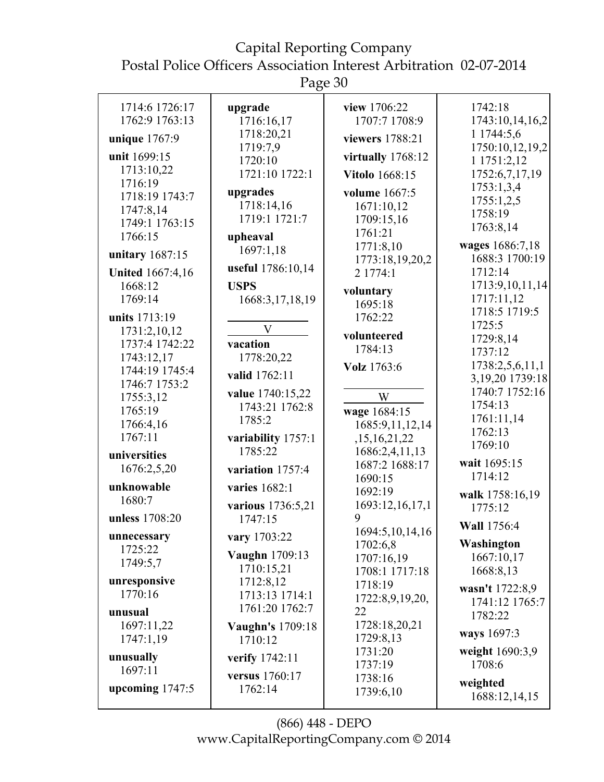Postal Police Officers Association Interest Arbitration 02-07-2014

Page 30

| 1714:6 1726:17                     | upgrade                       | view 1706:22                     | 1742:18                           |
|------------------------------------|-------------------------------|----------------------------------|-----------------------------------|
| 1762:9 1763:13                     | 1716:16,17                    | 1707:7 1708:9                    | 1743:10,14,16,2                   |
|                                    | 1718:20,21                    |                                  | 1 1744:5,6                        |
| unique 1767:9                      | 1719:7,9                      | viewers 1788:21                  | 1750:10,12,19,2                   |
| unit 1699:15                       | 1720:10                       | virtually $1768:12$              | 1 1751:2,12                       |
| 1713:10,22                         | 1721:10 1722:1                | <b>Vitolo</b> 1668:15            | 1752:6,7,17,19                    |
| 1716:19<br>1718:19 1743:7          | upgrades                      | volume 1667:5                    | 1753:1,3,4                        |
| 1747:8,14                          | 1718:14,16                    | 1671:10,12                       | 1755:1,2,5                        |
| 1749:1 1763:15                     | 1719:1 1721:7                 | 1709:15,16                       | 1758:19                           |
| 1766:15                            | upheaval                      | 1761:21                          | 1763:8,14                         |
| unitary 1687:15                    | 1697:1,18                     | 1771:8,10                        | wages 1686:7,18                   |
|                                    | useful 1786:10,14             | 1773:18,19,20,2                  | 1688:3 1700:19<br>1712:14         |
| <b>United 1667:4,16</b><br>1668:12 | <b>USPS</b>                   | 2 1774:1                         | 1713:9,10,11,14                   |
| 1769:14                            | 1668:3,17,18,19               | voluntary                        | 1717:11,12                        |
|                                    |                               | 1695:18                          | 1718:5 1719:5                     |
| units 1713:19<br>1731:2,10,12      | $\mathbf V$                   | 1762:22                          | 1725:5                            |
| 1737:4 1742:22                     | vacation                      | volunteered                      | 1729:8,14                         |
| 1743:12,17                         | 1778:20,22                    | 1784:13                          | 1737:12                           |
| 1744:19 1745:4                     | valid 1762:11                 | Volz 1763:6                      | 1738:2,5,6,11,1                   |
| 1746:7 1753:2                      |                               |                                  | 3,19,20 1739:18<br>1740:7 1752:16 |
| 1755:3,12                          | value 1740:15,22              | W                                | 1754:13                           |
| 1765:19                            | 1743:21 1762:8<br>1785:2      | wage 1684:15                     | 1761:11,14                        |
| 1766:4,16                          |                               | 1685:9,11,12,14                  | 1762:13                           |
| 1767:11                            | variability 1757:1<br>1785:22 | ,15,16,21,22                     | 1769:10                           |
| universities                       |                               | 1686:2,4,11,13<br>1687:2 1688:17 | wait 1695:15                      |
| 1676:2,5,20                        | variation 1757:4              | 1690:15                          | 1714:12                           |
| unknowable                         | varies 1682:1                 | 1692:19                          | walk 1758:16,19                   |
| 1680:7                             | various 1736:5,21             | 1693:12,16,17,1                  | 1775:12                           |
| unless 1708:20                     | 1747:15                       | 9                                | Wall 1756:4                       |
| unnecessary                        | vary 1703:22                  | 1694:5, 10, 14, 16<br>1702:6,8   | Washington                        |
| 1725:22                            | Vaughn 1709:13                | 1707:16,19                       | 1667:10,17                        |
| 1749:5,7                           | 1710:15,21                    | 1708:1 1717:18                   | 1668:8,13                         |
| unresponsive                       | 1712:8,12                     | 1718:19                          | wasn't 1722:8,9                   |
| 1770:16                            | 1713:13 1714:1                | 1722:8,9,19,20,                  | 1741:12 1765:7                    |
| unusual                            | 1761:20 1762:7                | 22                               | 1782:22                           |
| 1697:11,22<br>1747:1,19            | Vaughn's 1709:18<br>1710:12   | 1728:18,20,21<br>1729:8,13       | ways 1697:3                       |
|                                    |                               | 1731:20                          | weight 1690:3,9                   |
| unusually<br>1697:11               | verify 1742:11                | 1737:19                          | 1708:6                            |
| upcoming $1747:5$                  | versus 1760:17<br>1762:14     | 1738:16<br>1739:6,10             | weighted<br>1688:12,14,15         |